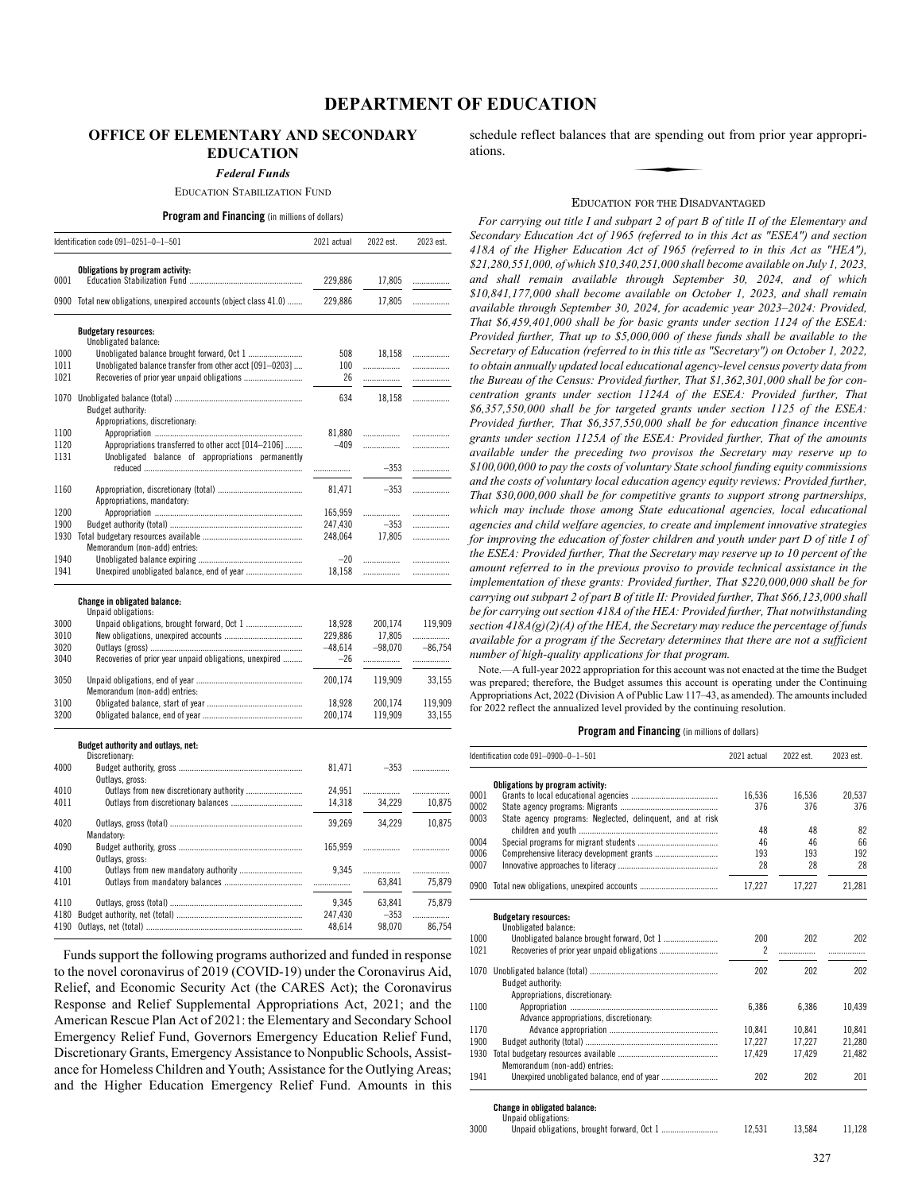# **OFFICE OF ELEMENTARY AND SECONDARY EDUCATION**

*Federal Funds*

#### EDUCATION STABILIZATION FUND

#### **Program and Financing** (in millions of dollars)

|                                              | Identification code 091-0251-0-1-501                               | 2021 actual      | 2022 est.        | 2023 est.   |
|----------------------------------------------|--------------------------------------------------------------------|------------------|------------------|-------------|
|                                              | Obligations by program activity:                                   |                  |                  |             |
| 0001                                         |                                                                    | 229,886          | 17,805           | .           |
|                                              | 0900 Total new obligations, unexpired accounts (object class 41.0) | 229,886          | 17,805           | .           |
|                                              | <b>Budgetary resources:</b>                                        |                  |                  |             |
|                                              | Unobligated balance:                                               |                  |                  |             |
| 1000                                         |                                                                    | 508              | 18,158           | .           |
| 1011<br>1021                                 | Unobligated balance transfer from other acct [091-0203]            | 100<br>26        |                  | .           |
|                                              |                                                                    |                  | .                | .           |
| 1070                                         |                                                                    | 634              | 18,158           |             |
|                                              | Budget authority:                                                  |                  |                  |             |
|                                              | Appropriations, discretionary:                                     |                  |                  |             |
| 1100                                         |                                                                    | 81,880           |                  | .           |
| 1120                                         | Appropriations transferred to other acct [014-2106]                | $-409$           | .                | .           |
| 1131                                         | Unobligated balance of appropriations permanently                  |                  |                  |             |
|                                              |                                                                    | .                | $-353$           | .           |
| 1160                                         |                                                                    | 81,471           | $-353$           | .           |
|                                              | Appropriations, mandatory:                                         |                  |                  |             |
| 1200                                         |                                                                    | 165,959          |                  |             |
| 1900                                         |                                                                    | 247,430          | $-353$           |             |
|                                              |                                                                    | 248,064          | 17,805           | .           |
|                                              | Memorandum (non-add) entries:                                      |                  |                  |             |
| 1940                                         |                                                                    | $-20$            |                  | .           |
| 1941                                         |                                                                    | 18,158           |                  | .           |
|                                              | Change in obligated balance:                                       |                  |                  |             |
|                                              | Unpaid obligations:                                                |                  |                  |             |
|                                              |                                                                    | 18,928           | 200,174          | 119,909     |
|                                              |                                                                    | 229,886          | 17,805           | .           |
| 3020                                         |                                                                    | $-48,614$        | $-98.070$        | $-86.754$   |
| 3040                                         | Recoveries of prior year unpaid obligations, unexpired             | -26              | .                | .           |
| 3050                                         |                                                                    | 200,174          | 119,909          | 33,155      |
|                                              | Memorandum (non-add) entries:                                      |                  |                  |             |
| 3100                                         |                                                                    | 18,928           | 200,174          | 119,909     |
|                                              |                                                                    | 200,174          | 119,909          | 33,155      |
|                                              | Budget authority and outlays, net:<br>Discretionary:               |                  |                  |             |
|                                              |                                                                    | 81,471           | $-353$           | .           |
|                                              | Outlays, gross:                                                    |                  |                  |             |
|                                              | Outlays from new discretionary authority                           | 24,951           |                  | .           |
| 3000<br>3010<br>3200<br>4000<br>4010<br>4011 |                                                                    | 14,318           | 34,229           | 10,875      |
|                                              | Mandatory:                                                         | 39,269           | 34,229           | 10,875      |
|                                              |                                                                    | 165,959          | .                | .           |
|                                              | Outlays, gross:                                                    |                  |                  |             |
|                                              | Outlays from new mandatory authority                               | 9,345            | .                | .           |
|                                              |                                                                    |                  | 63,841           | 75,879      |
|                                              |                                                                    |                  |                  |             |
| 4020<br>4090<br>4100<br>4101<br>4110<br>4180 |                                                                    | 9,345<br>247,430 | 63,841<br>$-353$ | 75,879<br>. |

Funds support the following programs authorized and funded in response to the novel coronavirus of 2019 (COVID-19) under the Coronavirus Aid, Relief, and Economic Security Act (the CARES Act); the Coronavirus Response and Relief Supplemental Appropriations Act, 2021; and the American Rescue Plan Act of 2021: the Elementary and Secondary School Emergency Relief Fund, Governors Emergency Education Relief Fund, Discretionary Grants, Emergency Assistance to Nonpublic Schools, Assistance for Homeless Children and Youth; Assistance for the Outlying Areas; and the Higher Education Emergency Relief Fund. Amounts in this schedule reflect balances that are spending out from prior year appropriations. are spending

#### EDUCATION FOR THE DISADVANTAGED

*For carrying out title I and subpart 2 of part B of title II of the Elementary and Secondary Education Act of 1965 (referred to in this Act as "ESEA") and section 418A of the Higher Education Act of 1965 (referred to in this Act as "HEA"), \$21,280,551,000, of which \$10,340,251,000 shall become available on July 1, 2023, and shall remain available through September 30, 2024, and of which \$10,841,177,000 shall become available on October 1, 2023, and shall remain available through September 30, 2024, for academic year 2023–2024: Provided, That \$6,459,401,000 shall be for basic grants under section 1124 of the ESEA: Provided further, That up to \$5,000,000 of these funds shall be available to the Secretary of Education (referred to in this title as "Secretary") on October 1, 2022, to obtain annually updated local educational agency-level census poverty data from the Bureau of the Census: Provided further, That \$1,362,301,000 shall be for concentration grants under section 1124A of the ESEA: Provided further, That \$6,357,550,000 shall be for targeted grants under section 1125 of the ESEA: Provided further, That \$6,357,550,000 shall be for education finance incentive grants under section 1125A of the ESEA: Provided further, That of the amounts available under the preceding two provisos the Secretary may reserve up to \$100,000,000 to pay the costs of voluntary State school funding equity commissions and the costs of voluntary local education agency equity reviews: Provided further, That \$30,000,000 shall be for competitive grants to support strong partnerships, which may include those among State educational agencies, local educational agencies and child welfare agencies, to create and implement innovative strategies for improving the education of foster children and youth under part D of title I of the ESEA: Provided further, That the Secretary may reserve up to 10 percent of the amount referred to in the previous proviso to provide technical assistance in the implementation of these grants: Provided further, That \$220,000,000 shall be for carrying out subpart 2 of part B of title II: Provided further, That \$66,123,000 shall be for carrying out section 418A of the HEA: Provided further, That notwithstanding section 418A(g)(2)(A) of the HEA, the Secretary may reduce the percentage of funds available for a program if the Secretary determines that there are not a sufficient number of high-quality applications for that program.*

Note.—A full-year 2022 appropriation for this account was not enacted at the time the Budget was prepared; therefore, the Budget assumes this account is operating under the Continuing Appropriations Act, 2022 (Division A of Public Law 117–43, as amended). The amounts included for 2022 reflect the annualized level provided by the continuing resolution.

## **Program and Financing** (in millions of dollars)

|      | Identification code 091-0900-0-1-501                      | 2021 actual    | 2022 est. | 2023 est. |
|------|-----------------------------------------------------------|----------------|-----------|-----------|
|      | Obligations by program activity:                          |                |           |           |
| 0001 |                                                           | 16,536         | 16.536    | 20.537    |
| 0002 |                                                           | 376            | 376       | 376       |
| 0003 | State agency programs: Neglected, delinquent, and at risk |                |           |           |
|      |                                                           | 48             | 48        | 82        |
| 0004 |                                                           | 46             | 46        | 66        |
| 0006 |                                                           | 193            | 193       | 192       |
| 0007 |                                                           | 28             | 28        | 28        |
| 0900 |                                                           | 17,227         | 17,227    | 21,281    |
|      | <b>Budgetary resources:</b><br>Unobligated balance:       |                |           |           |
| 1000 |                                                           | 200            | 202       | 202       |
| 1021 |                                                           | $\overline{c}$ | .         |           |
| 1070 | Budget authority:<br>Appropriations, discretionary:       | 202            | 202       | 202       |
| 1100 |                                                           | 6.386          | 6.386     | 10.439    |
|      | Advance appropriations, discretionary:                    |                |           |           |
| 1170 |                                                           | 10.841         | 10.841    | 10.841    |
| 1900 |                                                           | 17.227         | 17,227    | 21,280    |
| 1930 |                                                           | 17,429         | 17,429    | 21,482    |
|      | Memorandum (non-add) entries:                             |                |           |           |
| 1941 |                                                           | 202            | 202       | 201       |

**Change in obligated balance:** Unpaid obligations:

|      | . |        |        |        |
|------|---|--------|--------|--------|
| 3000 |   | 12.531 | 13.584 | 11.128 |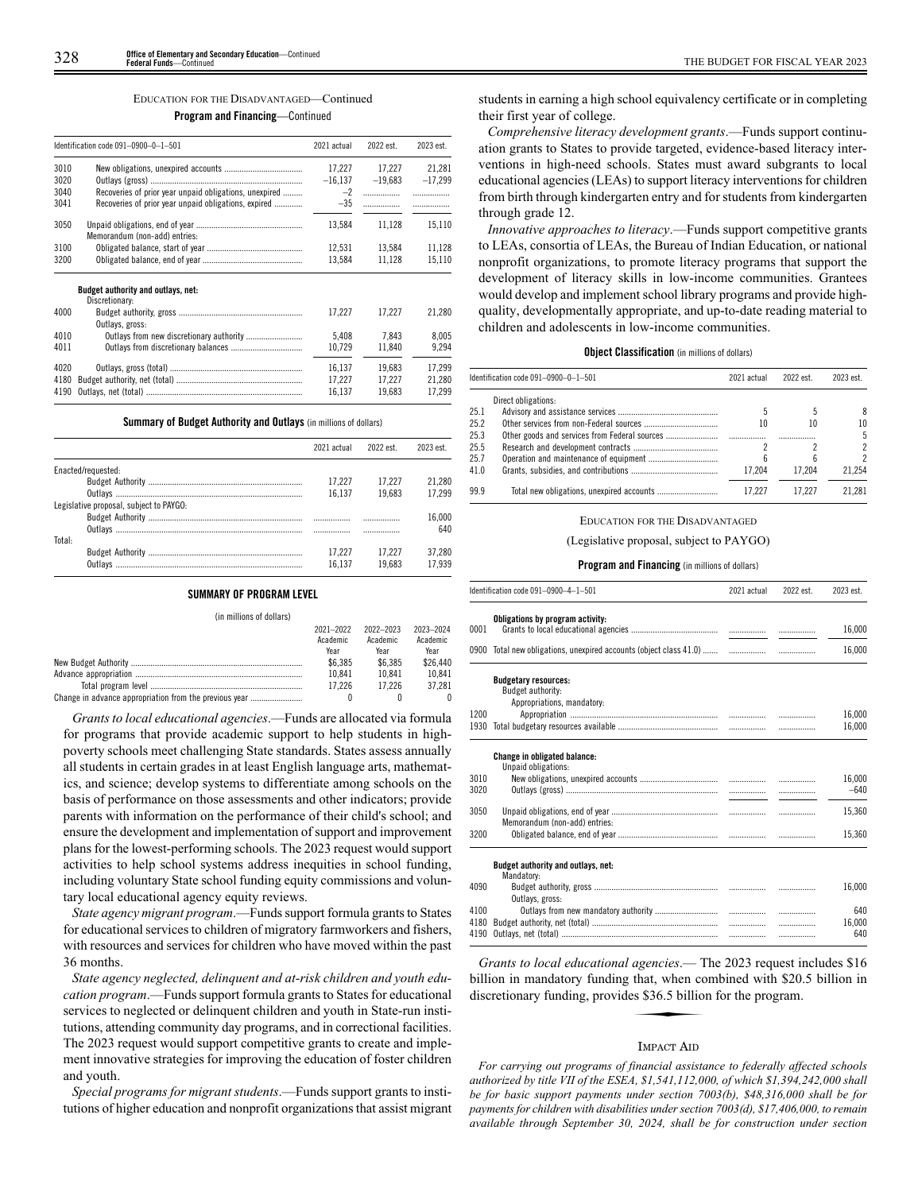#### EDUCATION FOR THE DISADVANTAGED—Continued

#### **Program and Financing**—Continued

|      | Identification code 091-0900-0-1-501                   | 2021 actual | 2022 est. | 2023 est. |
|------|--------------------------------------------------------|-------------|-----------|-----------|
| 3010 |                                                        | 17.227      | 17.227    | 21.281    |
| 3020 |                                                        | $-16,137$   | $-19,683$ | $-17,299$ |
| 3040 | Recoveries of prior year unpaid obligations, unexpired | $-2$        | .         |           |
| 3041 | Recoveries of prior year unpaid obligations, expired   | $-35$       |           |           |
| 3050 | Memorandum (non-add) entries:                          | 13.584      | 11,128    | 15,110    |
| 3100 |                                                        | 12.531      | 13,584    | 11,128    |
| 3200 |                                                        | 13.584      | 11,128    | 15,110    |
|      | Budget authority and outlays, net:<br>Discretionary:   |             |           |           |
| 4000 | Outlays, gross:                                        | 17.227      | 17.227    | 21.280    |
| 4010 |                                                        | 5,408       | 7.843     | 8.005     |
| 4011 |                                                        | 10,729      | 11,840    | 9,294     |
| 4020 |                                                        | 16.137      | 19.683    | 17.299    |
| 4180 |                                                        | 17.227      | 17.227    | 21.280    |
| 4190 |                                                        | 16.137      | 19.683    | 17.299    |

**Summary of Budget Authority and Outlays** (in millions of dollars)

|                                         | 2021 actual | 2022 est | 2023 est |
|-----------------------------------------|-------------|----------|----------|
| Enacted/requested:                      |             |          |          |
|                                         | 17.227      | 17.227   | 21.280   |
|                                         | 16.137      | 19.683   | 17.299   |
| Legislative proposal, subject to PAYGO: |             |          |          |
|                                         |             | .        | 16.000   |
|                                         |             |          | 640      |
| Total:                                  |             |          |          |
|                                         | 17.227      | 17.227   | 37.280   |
| Outlavs                                 | 16.137      | 19683    | 17939    |

#### **SUMMARY OF PROGRAM LEVEL**

(in millions of dollars)

|                                                        | 2021-2022<br>Academic | 2022-2023<br>Academic | 2023-2024<br>Academic |
|--------------------------------------------------------|-----------------------|-----------------------|-----------------------|
|                                                        | Year                  | Year                  | Year                  |
|                                                        | \$6.385               | \$6,385               | \$26,440              |
|                                                        | 10.841                | 10.841                | 10.841                |
|                                                        | 17.226                | 17.226                | 37.281                |
| Change in advance appropriation from the previous year |                       |                       |                       |

*Grants to local educational agencies*.—Funds are allocated via formula for programs that provide academic support to help students in highpoverty schools meet challenging State standards. States assess annually all students in certain grades in at least English language arts, mathematics, and science; develop systems to differentiate among schools on the basis of performance on those assessments and other indicators; provide parents with information on the performance of their child's school; and ensure the development and implementation of support and improvement plans for the lowest-performing schools. The 2023 request would support activities to help school systems address inequities in school funding, including voluntary State school funding equity commissions and voluntary local educational agency equity reviews.

*State agency migrant program*.—Funds support formula grants to States for educational services to children of migratory farmworkers and fishers, with resources and services for children who have moved within the past 36 months.

*State agency neglected, delinquent and at-risk children and youth education program*.—Funds support formula grants to States for educational services to neglected or delinquent children and youth in State-run institutions, attending community day programs, and in correctional facilities. The 2023 request would support competitive grants to create and implement innovative strategies for improving the education of foster children and youth.

*Special programs for migrant students*.—Funds support grants to institutions of higher education and nonprofit organizations that assist migrant

students in earning a high school equivalency certificate or in completing their first year of college.

*Comprehensive literacy development grants*.—Funds support continuation grants to States to provide targeted, evidence-based literacy interventions in high-need schools. States must award subgrants to local educational agencies (LEAs) to support literacy interventions for children from birth through kindergarten entry and for students from kindergarten through grade 12.

*Innovative approaches to literacy*.—Funds support competitive grants to LEAs, consortia of LEAs, the Bureau of Indian Education, or national nonprofit organizations, to promote literacy programs that support the development of literacy skills in low-income communities. Grantees would develop and implement school library programs and provide highquality, developmentally appropriate, and up-to-date reading material to children and adolescents in low-income communities.

#### **Object Classification** (in millions of dollars)

|      | Identification code 091-0900-0-1-501 | 2021 actual | 2022 est. | 2023 est. |
|------|--------------------------------------|-------------|-----------|-----------|
|      | Direct obligations:                  |             |           |           |
| 25.1 |                                      |             |           | 8         |
| 25.2 |                                      | 10          | 10        | 10        |
| 25.3 |                                      |             |           | 5         |
| 25.5 |                                      |             |           | 2         |
| 25.7 |                                      |             | h         | 2         |
| 41.0 |                                      | 17.204      | 17.204    | 21.254    |
| 99.9 |                                      | 17.227      | 17.227    | 21.281    |

# EDUCATION FOR THE DISADVANTAGED

#### (Legislative proposal, subject to PAYGO)

#### **Program and Financing** (in millions of dollars)

|              | Identification code 091-0900-4-1-501                                           | 2021 actual | 2022 est. | 2023 est.        |
|--------------|--------------------------------------------------------------------------------|-------------|-----------|------------------|
| 0001         | Obligations by program activity:                                               |             |           | 16,000           |
| 0900         | Total new obligations, unexpired accounts (object class 41.0)                  |             | .         | 16,000           |
|              | <b>Budgetary resources:</b><br>Budget authority:<br>Appropriations, mandatory: |             |           |                  |
| 1200         |                                                                                |             |           | 16,000           |
| 1930         |                                                                                |             |           | 16,000           |
|              | <b>Change in obligated balance:</b><br>Unpaid obligations:                     |             |           |                  |
| 3010<br>3020 |                                                                                |             |           | 16,000<br>$-640$ |
| 3050         | Memorandum (non-add) entries:                                                  |             | .         | 15.360           |
| 3200         |                                                                                |             |           | 15,360           |
|              | Budget authority and outlays, net:<br>Mandatory:                               |             |           |                  |
| 4090         | Outlays, gross:                                                                |             |           | 16,000           |
| 4100         |                                                                                |             | .         | 640              |
| 4180         |                                                                                |             | .         | 16,000           |
| 4190         |                                                                                |             | .         | 640              |

*Grants to local educational agencies*.— The 2023 request includes \$16<br>
illion in mandatory funding that, when combined with \$20.5 billion in<br>
iscretionary funding, provides \$36.5 billion for the program. billion in mandatory funding that, when combined with \$20.5 billion in discretionary funding, provides \$36.5 billion for the program.

#### IMPACT AID

*For carrying out programs of financial assistance to federally affected schools authorized by title VII of the ESEA, \$1,541,112,000, of which \$1,394,242,000 shall be for basic support payments under section 7003(b), \$48,316,000 shall be for payments for children with disabilities under section 7003(d), \$17,406,000, to remain available through September 30, 2024, shall be for construction under section*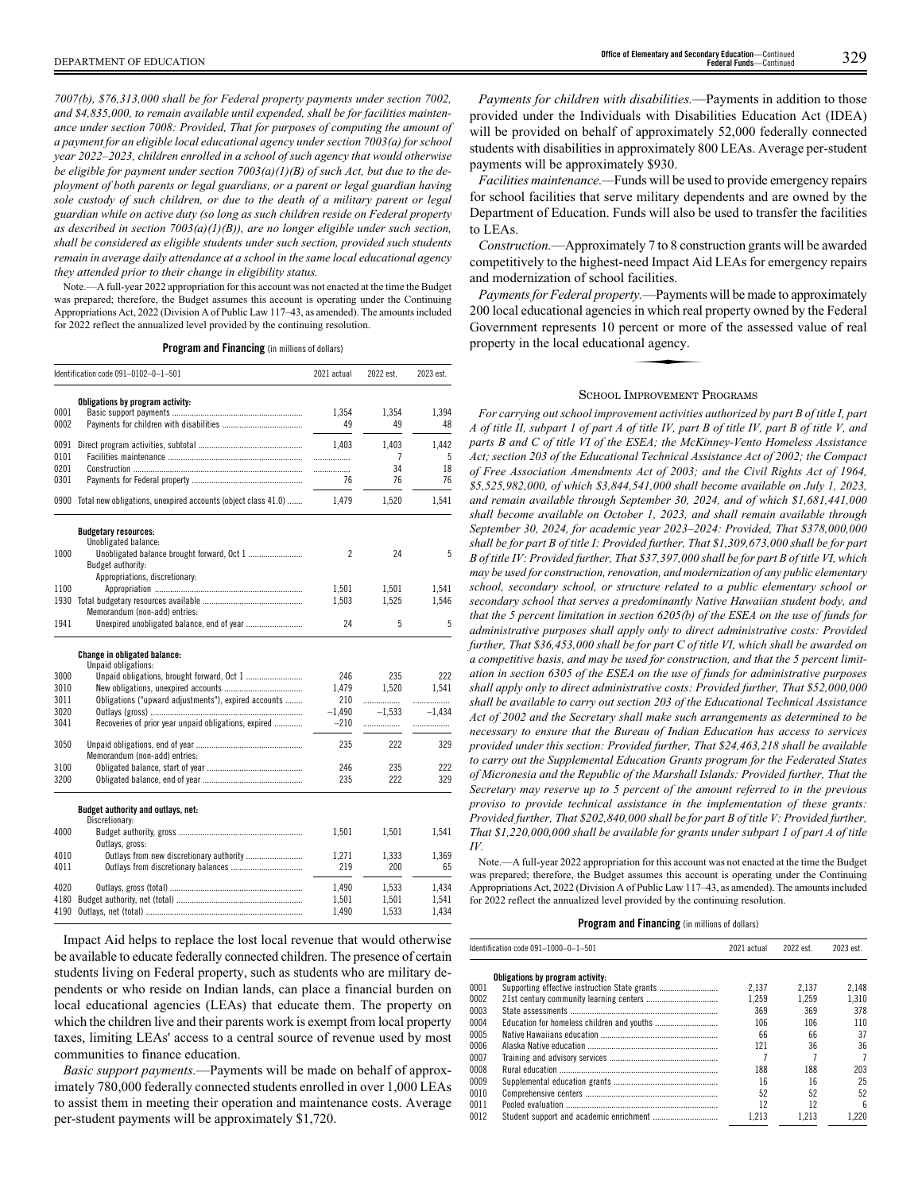*7007(b), \$76,313,000 shall be for Federal property payments under section 7002, and \$4,835,000, to remain available until expended, shall be for facilities maintenance under section 7008: Provided, That for purposes of computing the amount of a payment for an eligible local educational agency under section 7003(a) for school year 2022–2023, children enrolled in a school of such agency that would otherwise be eligible for payment under section 7003(a)(1)(B) of such Act, but due to the deployment of both parents or legal guardians, or a parent or legal guardian having sole custody of such children, or due to the death of a military parent or legal guardian while on active duty (so long as such children reside on Federal property as described in section 7003(a)(1)(B)), are no longer eligible under such section, shall be considered as eligible students under such section, provided such students remain in average daily attendance at a school in the same local educational agency they attended prior to their change in eligibility status.*

Note.—A full-year 2022 appropriation for this account was not enacted at the time the Budget was prepared; therefore, the Budget assumes this account is operating under the Continuing Appropriations Act, 2022 (Division A of Public Law 117–43, as amended). The amounts included for 2022 reflect the annualized level provided by the continuing resolution.

**Program and Financing** (in millions of dollars)

|      | Identification code 091-0102-0-1-501                               | 2021 actual              | 2022 est. | 2023 est. |
|------|--------------------------------------------------------------------|--------------------------|-----------|-----------|
|      | Obligations by program activity:                                   |                          |           |           |
| 0001 |                                                                    | 1,354                    | 1,354     | 1,394     |
| 0002 |                                                                    | 49                       | 49        | 48        |
| 0091 |                                                                    | 1,403                    | 1,403     | 1,442     |
| 0101 |                                                                    | .                        | 7         | 5         |
| 0201 |                                                                    |                          | 34        | 18        |
| 0301 |                                                                    | 76                       | 76        | 76        |
|      | 0900 Total new obligations, unexpired accounts (object class 41.0) | 1,479                    | 1,520     | 1,541     |
|      | <b>Budgetary resources:</b>                                        |                          |           |           |
|      | Unobligated balance:                                               | $\overline{\phantom{a}}$ | 24        | 5         |
| 1000 | Budget authority:                                                  |                          |           |           |
|      | Appropriations, discretionary:                                     |                          |           |           |
| 1100 |                                                                    | 1,501                    | 1,501     | 1,541     |
| 1930 |                                                                    | 1,503                    | 1,525     | 1,546     |
|      | Memorandum (non-add) entries:                                      |                          |           |           |
| 1941 |                                                                    | 24                       | 5         | 5         |
|      | <b>Change in obligated balance:</b><br>Unpaid obligations:         |                          |           |           |
| 3000 |                                                                    | 246                      | 235       | 222       |
| 3010 |                                                                    | 1,479                    | 1.520     | 1.541     |
| 3011 | Obligations ("upward adjustments"), expired accounts               | 210                      | .         | .         |
| 3020 |                                                                    | $-1,490$                 | $-1,533$  | $-1.434$  |
| 3041 | Recoveries of prior year unpaid obligations, expired               | $-210$                   | .         |           |
| 3050 | Memorandum (non-add) entries:                                      | 235                      | 222       | 329       |
| 3100 |                                                                    | 246                      | 235       | 222       |
| 3200 |                                                                    | 235                      | 222       | 329       |
|      | Budget authority and outlays, net:<br>Discretionary:               |                          |           |           |
| 4000 | Outlays, gross:                                                    | 1,501                    | 1,501     | 1,541     |
| 4010 | Outlays from new discretionary authority                           | 1,271                    | 1,333     | 1.369     |
| 4011 |                                                                    | 219                      | 200       | 65        |
| 4020 |                                                                    | 1.490                    | 1.533     | 1.434     |
| 4180 |                                                                    | 1,501                    | 1,501     | 1,541     |
| 4190 |                                                                    | 1,490                    | 1,533     | 1,434     |

Impact Aid helps to replace the lost local revenue that would otherwise be available to educate federally connected children. The presence of certain students living on Federal property, such as students who are military dependents or who reside on Indian lands, can place a financial burden on local educational agencies (LEAs) that educate them. The property on which the children live and their parents work is exempt from local property taxes, limiting LEAs' access to a central source of revenue used by most communities to finance education.

*Basic support payments.*—Payments will be made on behalf of approximately 780,000 federally connected students enrolled in over 1,000 LEAs to assist them in meeting their operation and maintenance costs. Average per-student payments will be approximately \$1,720.

*Payments for children with disabilities.*—Payments in addition to those provided under the Individuals with Disabilities Education Act (IDEA) will be provided on behalf of approximately 52,000 federally connected students with disabilities in approximately 800 LEAs. Average per-student payments will be approximately \$930.

*Facilities maintenance.—*Funds will be used to provide emergency repairs for school facilities that serve military dependents and are owned by the Department of Education. Funds will also be used to transfer the facilities to LEAs.

*Construction.*—Approximately 7 to 8 construction grants will be awarded competitively to the highest-need Impact Aid LEAs for emergency repairs and modernization of school facilities.

*Payments for Federal property.*—Payments will be made to approximately 200 local educational agencies in which real property owned by the Federal Government represents 10 percent or more of the assessed value of real property in the local educational agency. Government represents 10 percent or more of the assessed value of real property in the local educational agency.

#### SCHOOL IMPROVEMENT PROGRAMS

*For carrying out school improvement activities authorized by part B of title I, part A of title II, subpart 1 of part A of title IV, part B of title IV, part B of title V, and parts B and C of title VI of the ESEA; the McKinney-Vento Homeless Assistance Act; section 203 of the Educational Technical Assistance Act of 2002; the Compact of Free Association Amendments Act of 2003; and the Civil Rights Act of 1964, \$5,525,982,000, of which \$3,844,541,000 shall become available on July 1, 2023, and remain available through September 30, 2024, and of which \$1,681,441,000 shall become available on October 1, 2023, and shall remain available through September 30, 2024, for academic year 2023–2024: Provided, That \$378,000,000 shall be for part B of title I: Provided further, That \$1,309,673,000 shall be for part B of title IV: Provided further, That \$37,397,000 shall be for part B of title VI, which may be used for construction, renovation, and modernization of any public elementary school, secondary school, or structure related to a public elementary school or secondary school that serves a predominantly Native Hawaiian student body, and that the 5 percent limitation in section 6205(b) of the ESEA on the use of funds for administrative purposes shall apply only to direct administrative costs: Provided further, That \$36,453,000 shall be for part C of title VI, which shall be awarded on a competitive basis, and may be used for construction, and that the 5 percent limitation in section 6305 of the ESEA on the use of funds for administrative purposes shall apply only to direct administrative costs: Provided further, That \$52,000,000 shall be available to carry out section 203 of the Educational Technical Assistance Act of 2002 and the Secretary shall make such arrangements as determined to be necessary to ensure that the Bureau of Indian Education has access to services provided under this section: Provided further, That \$24,463,218 shall be available to carry out the Supplemental Education Grants program for the Federated States of Micronesia and the Republic of the Marshall Islands: Provided further, That the Secretary may reserve up to 5 percent of the amount referred to in the previous proviso to provide technical assistance in the implementation of these grants: Provided further, That \$202,840,000 shall be for part B of title V: Provided further, That \$1,220,000,000 shall be available for grants under subpart 1 of part A of title IV.*

Note.—A full-year 2022 appropriation for this account was not enacted at the time the Budget was prepared; therefore, the Budget assumes this account is operating under the Continuing Appropriations Act, 2022 (Division A of Public Law 117–43, as amended). The amounts included for 2022 reflect the annualized level provided by the continuing resolution.

|      | Identification code $091-1000-0-1-501$        | 2021 actual | 2022 est. | 2023 est. |
|------|-----------------------------------------------|-------------|-----------|-----------|
|      | Obligations by program activity:              |             |           |           |
| 0001 | Supporting effective instruction State grants | 2.137       | 2.137     | 2.148     |
| 0002 |                                               | 1.259       | 1.259     | 1.310     |
| 0003 |                                               | 369         | 369       | 378       |
| 0004 |                                               | 106         | 106       | 110       |
| 0005 |                                               | 66          | 66        | 37        |
| 0006 |                                               | 121         | 36        | 36        |
| 0007 |                                               |             |           | 7         |
| 0008 |                                               | 188         | 188       | 203       |
| 0009 |                                               | 16          | 16        | 25        |
| 0010 |                                               | 52          | 52        | 52        |
| 0011 |                                               | 12          | 12        | ĥ         |
| 0012 |                                               | 1.213       | 1.213     | 1.220     |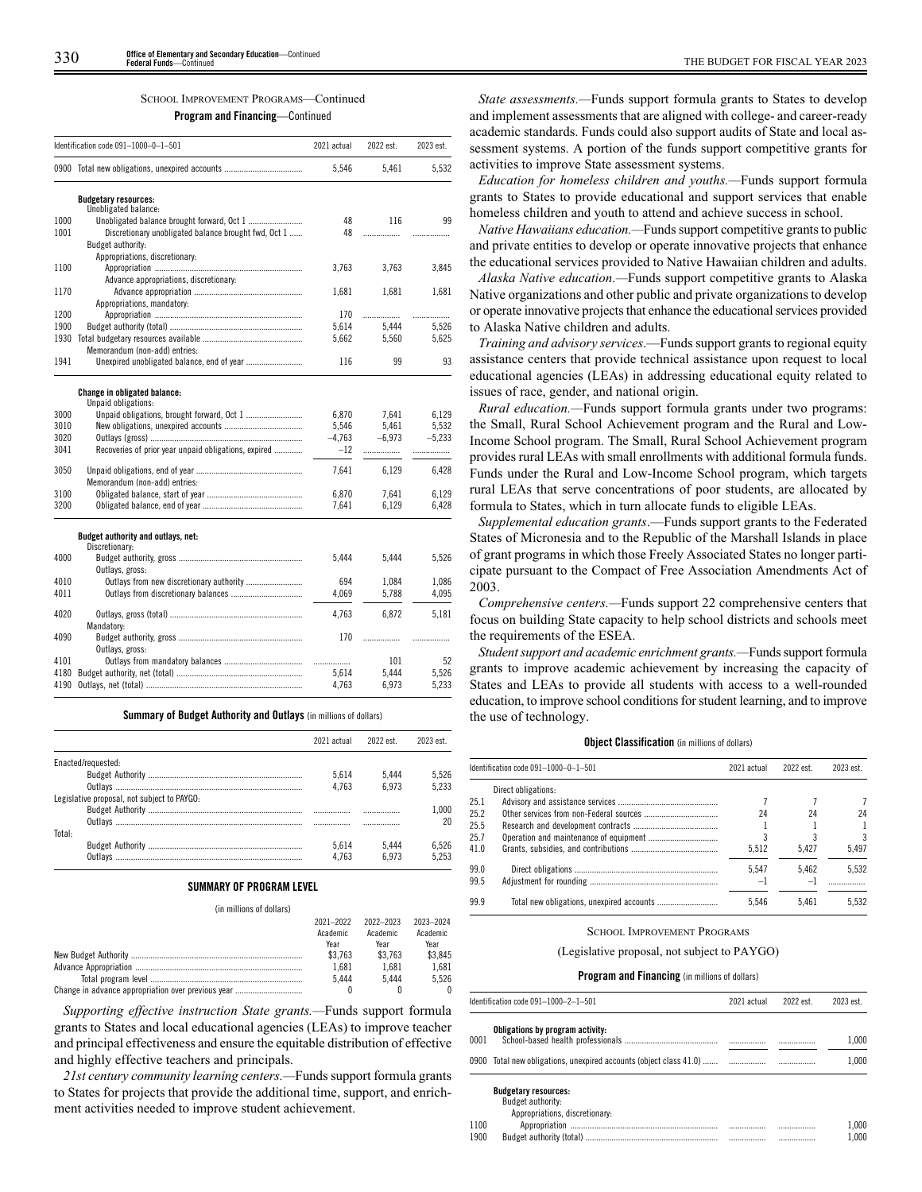#### SCHOOL IMPROVEMENT PROGRAMS—Continued

**Program and Financing**—Continued

|      | Identification code 091-1000-0-1-501                                      | 2021 actual | 2022 est. | 2023 est. |
|------|---------------------------------------------------------------------------|-------------|-----------|-----------|
|      | 0900 Total new obligations, unexpired accounts                            | 5,546       | 5,461     | 5,532     |
|      | <b>Budgetary resources:</b>                                               |             |           |           |
|      | Unobligated balance:                                                      |             |           |           |
| 1000 |                                                                           | 48          | 116       | 99        |
| 1001 | Discretionary unobligated balance brought fwd, Oct 1<br>Budget authority: | 48          | .         |           |
|      | Appropriations, discretionary:                                            |             |           |           |
| 1100 |                                                                           | 3,763       | 3.763     | 3,845     |
|      | Advance appropriations, discretionary:                                    |             |           |           |
| 1170 |                                                                           | 1,681       | 1,681     | 1,681     |
|      | Appropriations, mandatory:                                                |             |           |           |
| 1200 |                                                                           | 170         | .         | .         |
| 1900 |                                                                           | 5,614       | 5,444     | 5,526     |
|      |                                                                           | 5,662       | 5,560     | 5,625     |
|      | Memorandum (non-add) entries:                                             |             |           |           |
| 1941 |                                                                           | 116         | 99        | 93        |
|      | <b>Change in obligated balance:</b>                                       |             |           |           |
|      | Unpaid obligations:                                                       |             |           |           |
| 3000 |                                                                           | 6,870       | 7.641     | 6.129     |
| 3010 |                                                                           | 5,546       | 5.461     | 5.532     |
| 3020 |                                                                           | $-4,763$    | $-6,973$  | $-5.233$  |
| 3041 | Recoveries of prior year unpaid obligations, expired                      | $-12$       | .         |           |
| 3050 |                                                                           | 7.641       | 6.129     | 6.428     |
|      | Memorandum (non-add) entries:                                             |             |           |           |
| 3100 |                                                                           | 6,870       | 7,641     | 6,129     |
| 3200 |                                                                           | 7.641       | 6.129     | 6,428     |
|      | Budget authority and outlays, net:                                        |             |           |           |
|      | Discretionary:                                                            |             |           |           |
| 4000 |                                                                           | 5,444       | 5,444     | 5,526     |
|      | Outlays, gross:                                                           |             |           |           |
| 4010 |                                                                           | 694         | 1.084     | 1.086     |
| 4011 |                                                                           | 4,069       | 5,788     | 4,095     |
| 4020 |                                                                           | 4.763       | 6.872     | 5,181     |
|      | Mandatory:                                                                |             |           |           |
| 4090 |                                                                           | 170         | .         |           |
|      | Outlays, gross:                                                           |             |           |           |
| 4101 |                                                                           | .           | 101       | 52        |
| 4180 |                                                                           | 5.614       | 5.444     | 5,526     |
| 4190 |                                                                           | 4.763       | 6.973     | 5.233     |

|                                             | 2021 actual | 2022 est. | 2023 est. |
|---------------------------------------------|-------------|-----------|-----------|
| Enacted/requested:                          |             |           |           |
|                                             | 5.614       | 5.444     | 5.526     |
|                                             | 4.763       | 6.973     | 5.233     |
| Legislative proposal, not subject to PAYGO: |             |           |           |
|                                             |             |           | 1.000     |
|                                             |             |           | 20        |
| Total:                                      |             |           |           |
|                                             | 5.614       | 5.444     | 6.526     |
|                                             | 4.763       | 6.973     | 5.253     |

**Summary of Budget Authority and Outlays** (in millions of dollars)

# **SUMMARY OF PROGRAM LEVEL**

(in millions of dollars)

| 2021-2022 | 2022-2023 | 2023-2024 |
|-----------|-----------|-----------|
| Academic  | Academic  | Academic  |
| Year      | Year      | Year      |
| \$3.763   | \$3.763   | \$3.845   |
| 1.681     | 1.681     | 1.681     |
| 5.444     | 5444      | 5.526     |
|           |           | 0         |

*Supporting effective instruction State grants.—*Funds support formula grants to States and local educational agencies (LEAs) to improve teacher and principal effectiveness and ensure the equitable distribution of effective and highly effective teachers and principals.

*21st century community learning centers.—*Funds support formula grants to States for projects that provide the additional time, support, and enrichment activities needed to improve student achievement.

*State assessments.—*Funds support formula grants to States to develop and implement assessments that are aligned with college- and career-ready academic standards. Funds could also support audits of State and local assessment systems. A portion of the funds support competitive grants for activities to improve State assessment systems.

*Education for homeless children and youths.—*Funds support formula grants to States to provide educational and support services that enable homeless children and youth to attend and achieve success in school.

*Native Hawaiians education.—*Funds support competitive grants to public and private entities to develop or operate innovative projects that enhance the educational services provided to Native Hawaiian children and adults.

*Alaska Native education.—*Funds support competitive grants to Alaska Native organizations and other public and private organizations to develop or operate innovative projects that enhance the educational services provided to Alaska Native children and adults.

*Training and advisory services*.—Funds support grants to regional equity assistance centers that provide technical assistance upon request to local educational agencies (LEAs) in addressing educational equity related to issues of race, gender, and national origin.

*Rural education.—*Funds support formula grants under two programs: the Small, Rural School Achievement program and the Rural and Low-Income School program. The Small, Rural School Achievement program provides rural LEAs with small enrollments with additional formula funds. Funds under the Rural and Low-Income School program, which targets rural LEAs that serve concentrations of poor students, are allocated by formula to States, which in turn allocate funds to eligible LEAs.

*Supplemental education grants*.—Funds support grants to the Federated States of Micronesia and to the Republic of the Marshall Islands in place of grant programs in which those Freely Associated States no longer participate pursuant to the Compact of Free Association Amendments Act of 2003.

*Comprehensive centers.—*Funds support 22 comprehensive centers that focus on building State capacity to help school districts and schools meet the requirements of the ESEA.

*Student support and academic enrichment grants.—*Funds support formula grants to improve academic achievement by increasing the capacity of States and LEAs to provide all students with access to a well-rounded education, to improve school conditions for student learning, and to improve the use of technology.

#### **Object Classification** (in millions of dollars)

|      | Identification code 091-1000-0-1-501 | 2021 actual | 2022 est. | 2023 est. |
|------|--------------------------------------|-------------|-----------|-----------|
|      | Direct obligations:                  |             |           |           |
| 25.1 |                                      |             |           |           |
| 25.2 |                                      | 24          | 24        | 24        |
| 25.5 |                                      |             |           |           |
| 25.7 |                                      |             |           | 3         |
| 41.0 |                                      | 5.512       | 5.427     | 5.497     |
| 99.0 |                                      | 5.547       | 5.462     | 5.532     |
| 99.5 |                                      | $-1$        | $-1$      |           |
| 99.9 |                                      | 5.546       | 5.461     | 5.532     |

#### SCHOOL IMPROVEMENT PROGRAMS

(Legislative proposal, not subject to PAYGO)

#### **Program and Financing** (in millions of dollars)

| Identification code 091-1000-2-1-501                               | 2021 actual | 2022 est. | 2023 est. |
|--------------------------------------------------------------------|-------------|-----------|-----------|
| Obligations by program activity:<br>0001                           |             |           | 1.000     |
| 0900 Total new obligations, unexpired accounts (object class 41.0) |             |           | 1.000     |
| <b>Budgetary resources:</b><br>Budget authority:                   |             |           |           |

Appropriations, discretionary: 1100 Appropriation .................................................................... ................. ................. 1,000 Budget authority (total)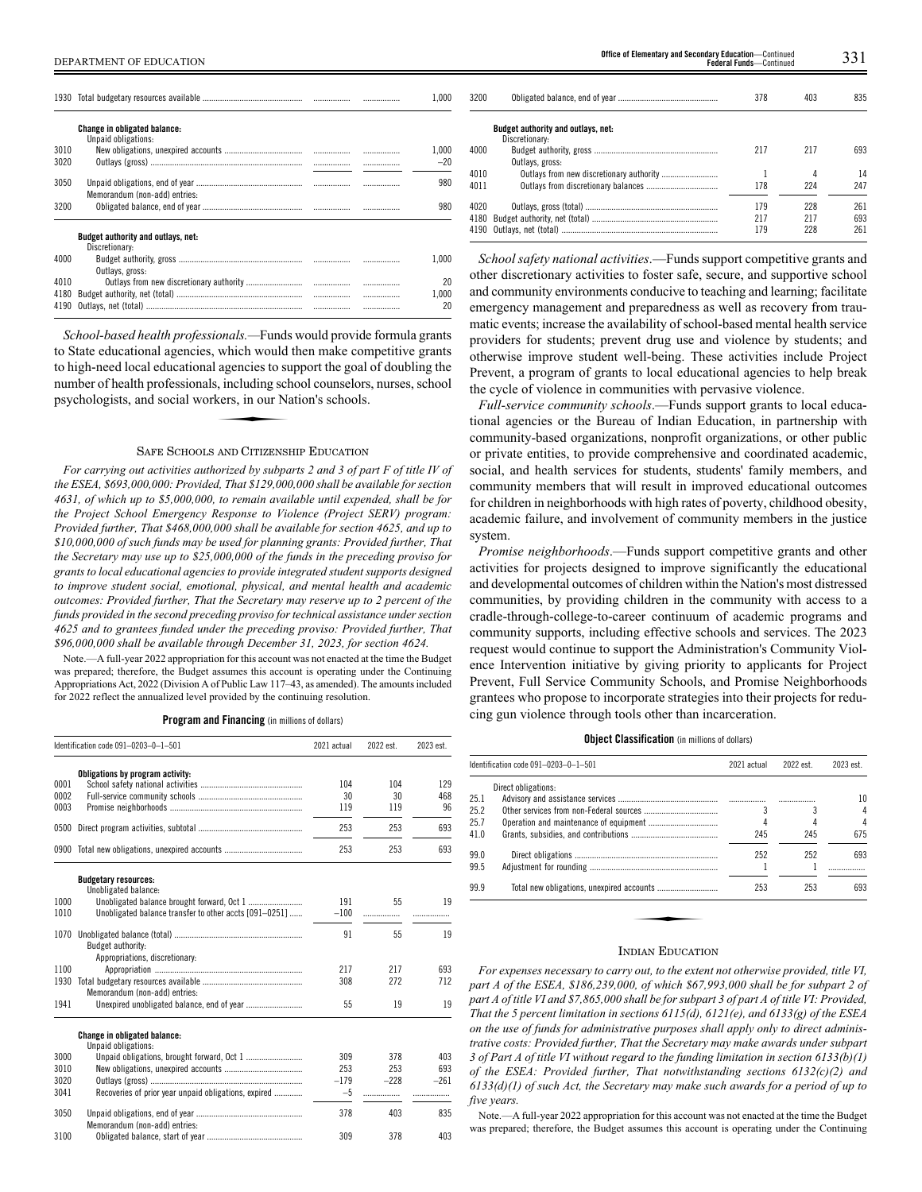|                      |                                                             |       |   | 1.000             |
|----------------------|-------------------------------------------------------------|-------|---|-------------------|
|                      | Change in obligated balance:<br>Unpaid obligations:         |       |   |                   |
| 3010<br>3020         |                                                             |       |   | 1.000<br>$-20$    |
| 3050                 | Memorandum (non-add) entries:                               |       |   | 980               |
| 3200                 |                                                             |       |   | 980               |
|                      | <b>Budget authority and outlays, net:</b><br>Discretionary: |       |   |                   |
| 4000                 | Outlays, gross:                                             |       |   | 1.000             |
| 4010<br>4180<br>4190 |                                                             | .<br> | . | 20<br>1.000<br>20 |

*School-based health professionals.—*Funds would provide formula grants to State educational agencies, which would then make competitive grants to bigh-need local educational agencies, which would lifel inter in that completive grams<br>to high-need local educational agencies to support the goal of doubling the<br>number of health professionals, including school counsel number of health professionals, including school counselors, nurses, school psychologists, and social workers, in our Nation's schools.

#### SAFE SCHOOLS AND CITIZENSHIP EDUCATION

*For carrying out activities authorized by subparts 2 and 3 of part F of title IV of the ESEA, \$693,000,000: Provided, That \$129,000,000 shall be available for section 4631, of which up to \$5,000,000, to remain available until expended, shall be for the Project School Emergency Response to Violence (Project SERV) program: Provided further, That \$468,000,000 shall be available for section 4625, and up to \$10,000,000 of such funds may be used for planning grants: Provided further, That the Secretary may use up to \$25,000,000 of the funds in the preceding proviso for grants to local educational agencies to provide integrated student supports designed to improve student social, emotional, physical, and mental health and academic outcomes: Provided further, That the Secretary may reserve up to 2 percent of the funds provided in the second preceding proviso for technical assistance under section 4625 and to grantees funded under the preceding proviso: Provided further, That \$96,000,000 shall be available through December 31, 2023, for section 4624.*

Note.—A full-year 2022 appropriation for this account was not enacted at the time the Budget was prepared; therefore, the Budget assumes this account is operating under the Continuing Appropriations Act, 2022 (Division A of Public Law 117–43, as amended). The amounts included for 2022 reflect the annualized level provided by the continuing resolution.

**Program and Financing** (in millions of dollars)

|              | Identification code 091-0203-0-1-501                   | 2021 actual | 2022 est.     | 2023 est. |
|--------------|--------------------------------------------------------|-------------|---------------|-----------|
|              | Obligations by program activity:                       |             |               |           |
| 0001         |                                                        | 104         | 104           | 129       |
| 0002         |                                                        | 30          | 30            | 468       |
| 0003         |                                                        | 119         | 119           | 96        |
| 0500         |                                                        | 253         | 253           | 693       |
| 0900         |                                                        | 253         | 253           | 693       |
|              | <b>Budgetary resources:</b><br>Unobligated balance:    |             |               |           |
| 1000         | Unobligated balance brought forward, Oct 1             | 191         | 55            | 19        |
| 1010         | Unobligated balance transfer to other accts [091-0251] | $-100$      | .             |           |
|              |                                                        |             |               |           |
| 1070         |                                                        | 91          | 55            | 19        |
|              | Budget authority:                                      |             |               |           |
|              | Appropriations, discretionary:                         |             |               |           |
| 1100         |                                                        | 217         | 217           | 693       |
| 1930         |                                                        | 308         | 272           | 712       |
|              | Memorandum (non-add) entries:                          |             |               |           |
| 1941         |                                                        | 55          | 19            | 19        |
|              | <b>Change in obligated balance:</b>                    |             |               |           |
|              | Unpaid obligations:                                    |             |               |           |
| 3000         |                                                        | 309         | 378           | 403       |
| 3010<br>3020 |                                                        | 253         | 253<br>$-228$ | 693       |
| 3041         |                                                        | $-179$      |               | $-261$    |
|              | Recoveries of prior year unpaid obligations, expired   | $-5$        |               | .         |
| 3050         | Memorandum (non-add) entries:                          | 378         | 403           | 835       |
| 3100         |                                                        | 309         | 378           | 403       |

| 3200 |                                                             | 378 | 403 | 835 |
|------|-------------------------------------------------------------|-----|-----|-----|
|      | <b>Budget authority and outlays, net:</b><br>Discretionary: |     |     |     |
| 4000 |                                                             | 217 | 217 | 693 |
|      | Outlays, gross:                                             |     |     |     |
| 4010 |                                                             |     | 4   | 14  |
| 4011 |                                                             | 178 | 224 | 247 |
| 4020 |                                                             | 179 | 228 | 261 |
| 4180 |                                                             | 217 | 217 | 693 |
| 4190 |                                                             | 179 | 228 | 261 |

*School safety national activities*.—Funds support competitive grants and other discretionary activities to foster safe, secure, and supportive school and community environments conducive to teaching and learning; facilitate emergency management and preparedness as well as recovery from traumatic events; increase the availability of school-based mental health service providers for students; prevent drug use and violence by students; and otherwise improve student well-being. These activities include Project Prevent, a program of grants to local educational agencies to help break the cycle of violence in communities with pervasive violence.

*Full-service community schools*.—Funds support grants to local educational agencies or the Bureau of Indian Education, in partnership with community-based organizations, nonprofit organizations, or other public or private entities, to provide comprehensive and coordinated academic, social, and health services for students, students' family members, and community members that will result in improved educational outcomes for children in neighborhoods with high rates of poverty, childhood obesity, academic failure, and involvement of community members in the justice system.

*Promise neighborhoods*.—Funds support competitive grants and other activities for projects designed to improve significantly the educational and developmental outcomes of children within the Nation's most distressed communities, by providing children in the community with access to a cradle-through-college-to-career continuum of academic programs and community supports, including effective schools and services. The 2023 request would continue to support the Administration's Community Violence Intervention initiative by giving priority to applicants for Project Prevent, Full Service Community Schools, and Promise Neighborhoods grantees who propose to incorporate strategies into their projects for reducing gun violence through tools other than incarceration.

#### **Object Classification** (in millions of dollars)

|      | Identification code 091-0203-0-1-501 | 2021 actual | 2022 est. | 2023 est. |
|------|--------------------------------------|-------------|-----------|-----------|
|      | Direct obligations:                  |             |           |           |
| 25.1 |                                      |             |           | 10        |
| 25.2 |                                      |             |           | 4         |
| 25.7 |                                      |             |           | 4         |
| 41.0 |                                      | 245         | 245       | 675       |
| 99.0 |                                      | 252         | 252       | 693       |
| 99.5 |                                      |             |           |           |
| 99.9 |                                      | 253         | 253       | 693       |
|      |                                      |             |           |           |
|      |                                      |             |           |           |
|      | $\mathbf{r}$ and $\mathbf{r}$        |             |           |           |

#### INDIAN EDUCATION

*For expenses necessary to carry out, to the extent not otherwise provided, title VI, part A of the ESEA, \$186,239,000, of which \$67,993,000 shall be for subpart 2 of part A of title VI and \$7,865,000 shall be for subpart 3 of part A of title VI: Provided, That the 5 percent limitation in sections 6115(d), 6121(e), and 6133(g) of the ESEA on the use of funds for administrative purposes shall apply only to direct administrative costs: Provided further, That the Secretary may make awards under subpart 3 of Part A of title VI without regard to the funding limitation in section 6133(b)(1) of the ESEA: Provided further, That notwithstanding sections 6132(c)(2) and 6133(d)(1) of such Act, the Secretary may make such awards for a period of up to five years.*

Note.—A full-year 2022 appropriation for this account was not enacted at the time the Budget was prepared; therefore, the Budget assumes this account is operating under the Continuing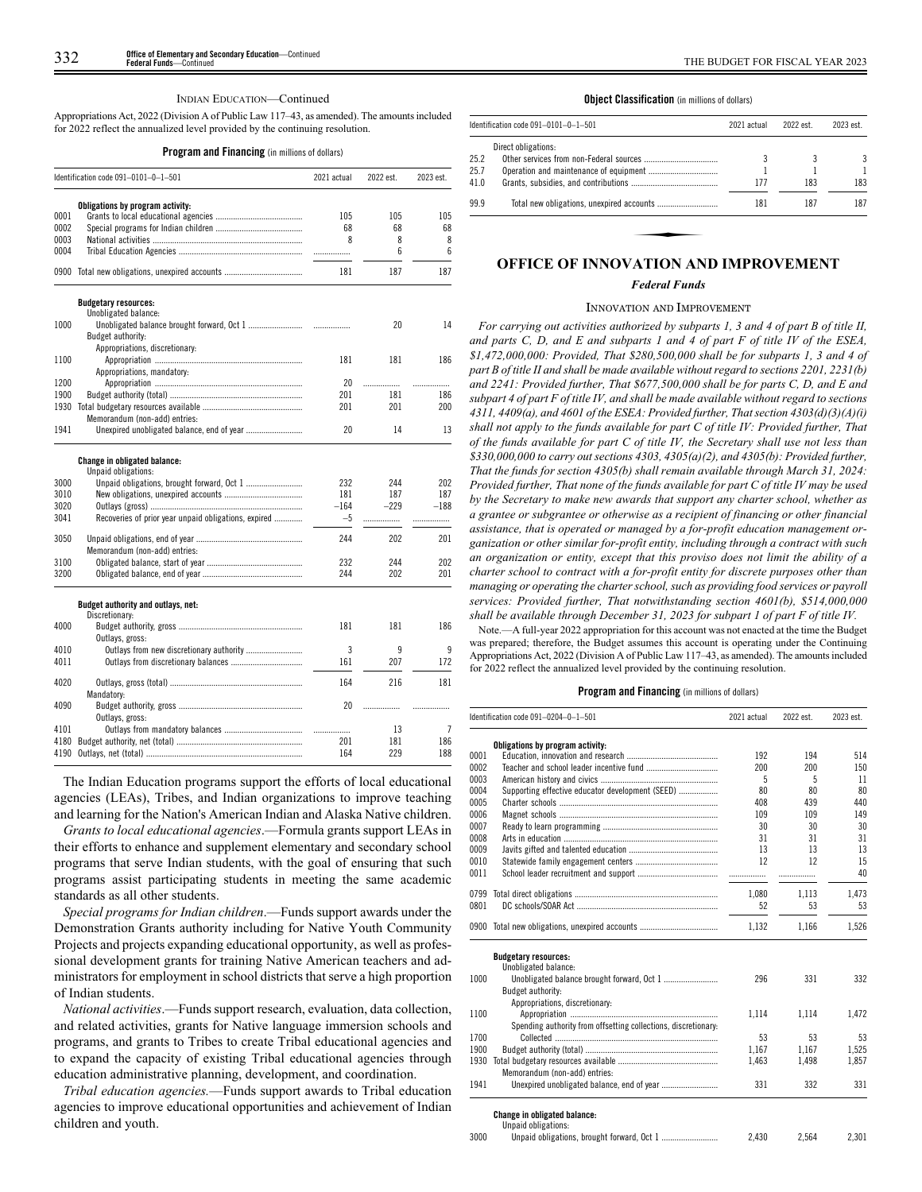#### INDIAN EDUCATION—Continued

Appropriations Act, 2022 (Division A of Public Law 117–43, as amended). The amounts included for 2022 reflect the annualized level provided by the continuing resolution.

#### **Program and Financing** (in millions of dollars)

|      | Identification code 091-0101-0-1-501                 | 2021 actual | 2022 est.       | 2023 est. |
|------|------------------------------------------------------|-------------|-----------------|-----------|
|      | Obligations by program activity:                     |             |                 |           |
| 0001 |                                                      | 105         | 105             | 105       |
| 0002 |                                                      | 68          | 68              | 68        |
| 0003 |                                                      | 8           | 8               | 8         |
| 0004 |                                                      |             | $6\overline{6}$ | 6         |
|      | 0900 Total new obligations, unexpired accounts       | 181         | 187             | 187       |
|      | <b>Budgetary resources:</b>                          |             |                 |           |
|      | Unobligated balance:                                 |             |                 |           |
| 1000 | Budget authority:                                    |             | 20              | 14        |
|      | Appropriations, discretionary:                       |             |                 |           |
| 1100 |                                                      | 181         | 181             | 186       |
|      | Appropriations, mandatory:                           |             |                 |           |
| 1200 |                                                      | 20          | .               | .         |
| 1900 |                                                      | 201         | 181             | 186       |
| 1930 |                                                      | 201         | 201             | 200       |
|      | Memorandum (non-add) entries:                        |             |                 |           |
| 1941 |                                                      | 20          | 14              | 13        |
|      | Change in obligated balance:<br>Unpaid obligations:  |             |                 |           |
| 3000 | Unpaid obligations, brought forward, Oct 1           | 232         | 244             | 202       |
| 3010 |                                                      | 181         | 187             | 187       |
| 3020 |                                                      | $-164$      | $-229$          | $-188$    |
| 3041 | Recoveries of prior year unpaid obligations, expired | $-5$        | .               | .         |
| 3050 | Memorandum (non-add) entries:                        | 244         | 202             | 201       |
| 3100 |                                                      | 232         | 244             | 202       |
| 3200 |                                                      | 244         | 202             | 201       |
|      | Budget authority and outlays, net:<br>Discretionary: |             |                 |           |
| 4000 | Outlays, gross:                                      | 181         | 181             | 186       |
| 4010 |                                                      | 3           | 9               | 9         |
| 4011 |                                                      | 161         | 207             | 172       |
| 4020 | Mandatory:                                           | 164         | 216             | 181       |
| 4090 | Outlays, gross:                                      | 20          | .               | .         |
| 4101 |                                                      |             | 13              | 7         |
| 4180 |                                                      | 201         | 181             | 186       |
| 4190 |                                                      | 164         | 229             | 188       |

The Indian Education programs support the efforts of local educational agencies (LEAs), Tribes, and Indian organizations to improve teaching and learning for the Nation's American Indian and Alaska Native children.

*Grants to local educational agencies*.—Formula grants support LEAs in their efforts to enhance and supplement elementary and secondary school programs that serve Indian students, with the goal of ensuring that such programs assist participating students in meeting the same academic standards as all other students.

*Special programs for Indian children*.—Funds support awards under the Demonstration Grants authority including for Native Youth Community Projects and projects expanding educational opportunity, as well as professional development grants for training Native American teachers and administrators for employment in school districts that serve a high proportion of Indian students.

*National activities*.—Funds support research, evaluation, data collection, and related activities, grants for Native language immersion schools and programs, and grants to Tribes to create Tribal educational agencies and to expand the capacity of existing Tribal educational agencies through education administrative planning, development, and coordination.

*Tribal education agencies.*—Funds support awards to Tribal education agencies to improve educational opportunities and achievement of Indian children and youth.

#### **Object Classification** (in millions of dollars)

|      | Identification code 091-0101-0-1-501        | 2021 actual | 2022 est. | 2023 est. |
|------|---------------------------------------------|-------------|-----------|-----------|
|      | Direct obligations:                         |             |           |           |
| 25.2 |                                             |             |           | 3         |
| 25.7 |                                             |             |           |           |
| 41.0 |                                             | 177         | 183       | 183       |
| 99.9 |                                             | 181         | 187       | 187       |
|      |                                             |             |           |           |
|      |                                             |             |           |           |
|      | <b>OFFICE OF INNOVATION AND IMPROVEMENT</b> |             |           |           |

#### *Federal Funds*

#### INNOVATION AND IMPROVEMENT

*For carrying out activities authorized by subparts 1, 3 and 4 of part B of title II, and parts C, D, and E and subparts 1 and 4 of part F of title IV of the ESEA, \$1,472,000,000: Provided, That \$280,500,000 shall be for subparts 1, 3 and 4 of part B of title II and shall be made available without regard to sections 2201, 2231(b) and 2241: Provided further, That \$677,500,000 shall be for parts C, D, and E and subpart 4 of part F of title IV, and shall be made available without regard to sections 4311, 4409(a), and 4601 of the ESEA: Provided further, That section 4303(d)(3)(A)(i) shall not apply to the funds available for part C of title IV: Provided further, That of the funds available for part C of title IV, the Secretary shall use not less than \$330,000,000 to carry out sections 4303, 4305(a)(2), and 4305(b): Provided further, That the funds for section 4305(b) shall remain available through March 31, 2024: Provided further, That none of the funds available for part C of title IV may be used by the Secretary to make new awards that support any charter school, whether as a grantee or subgrantee or otherwise as a recipient of financing or other financial assistance, that is operated or managed by a for-profit education management organization or other similar for-profit entity, including through a contract with such an organization or entity, except that this proviso does not limit the ability of a charter school to contract with a for-profit entity for discrete purposes other than managing or operating the charter school, such as providing food services or payroll services: Provided further, That notwithstanding section 4601(b), \$514,000,000 shall be available through December 31, 2023 for subpart 1 of part F of title IV.*

Note.—A full-year 2022 appropriation for this account was not enacted at the time the Budget was prepared; therefore, the Budget assumes this account is operating under the Continuing Appropriations Act, 2022 (Division A of Public Law 117–43, as amended). The amounts included for 2022 reflect the annualized level provided by the continuing resolution.

|      | Identification code 091-0204-0-1-501                           | 2021 actual | 2022 est. | 2023 est. |
|------|----------------------------------------------------------------|-------------|-----------|-----------|
|      | Obligations by program activity:                               |             |           |           |
| 0001 |                                                                | 192         | 194       | 514       |
| 0002 |                                                                | 200         | 200       | 150       |
| 0003 |                                                                | 5           | 5         | 11        |
| 0004 | Supporting effective educator development (SEED)               | 80          | 80        | 80        |
| 0005 |                                                                | 408         | 439       | 440       |
| 0006 |                                                                | 109         | 109       | 149       |
| 0007 |                                                                | 30          | 30        | 30        |
| 0008 |                                                                | 31          | 31        | 31        |
| 0009 |                                                                | 13          | 13        | 13        |
| 0010 |                                                                | 12          | 12        | 15        |
| 0011 |                                                                |             | .         | 40        |
| 0799 |                                                                | 1,080       | 1.113     | 1,473     |
| 0801 |                                                                | 52          | 53        | 53        |
| 0900 |                                                                | 1,132       | 1,166     | 1,526     |
|      | <b>Budgetary resources:</b>                                    |             |           |           |
|      | Unobligated balance:                                           |             |           |           |
| 1000 |                                                                | 296         | 331       | 332       |
|      | Budget authority:                                              |             |           |           |
|      | Appropriations, discretionary:                                 |             |           |           |
| 1100 |                                                                | 1,114       | 1,114     | 1,472     |
|      | Spending authority from offsetting collections, discretionary. |             |           |           |
| 1700 |                                                                | 53          | 53        | 53        |
| 1900 |                                                                | 1,167       | 1.167     | 1,525     |
| 1930 |                                                                | 1.463       | 1,498     | 1,857     |
| 1941 | Memorandum (non-add) entries:                                  | 331         |           | 331       |
|      |                                                                |             | 332       |           |
|      | <b>Change in obligated balance:</b>                            |             |           |           |
|      | Unpaid obligations:                                            |             |           |           |
| 3000 |                                                                | 2.430       | 2.564     | 2.301     |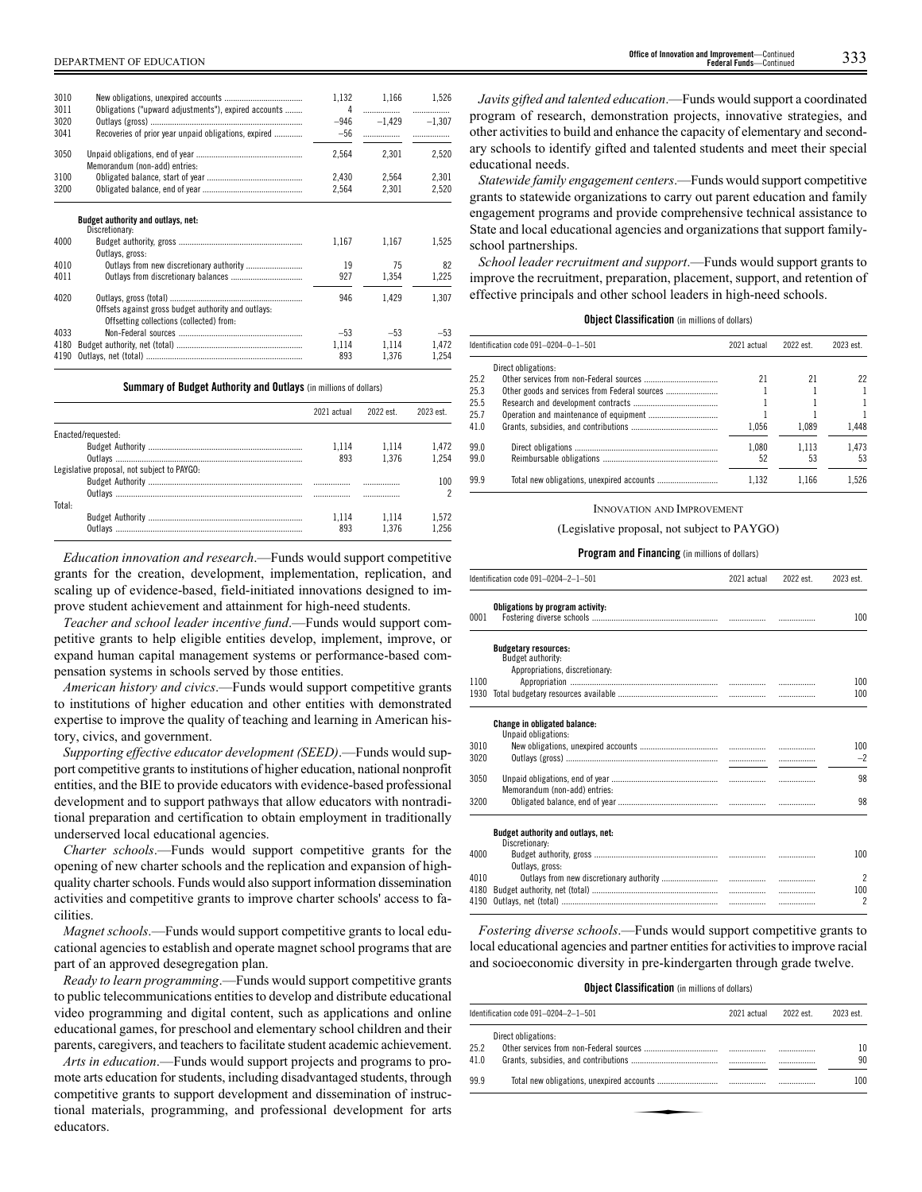| 3010<br>3011 | Obligations ("upward adjustments"), expired accounts                                            | 1,132<br>4      | 1,166         | 1,526    |
|--------------|-------------------------------------------------------------------------------------------------|-----------------|---------------|----------|
| 3020<br>3041 | Recoveries of prior year unpaid obligations, expired                                            | $-946$<br>$-56$ | $-1.429$<br>. | $-1.307$ |
|              |                                                                                                 |                 |               |          |
| 3050         | Memorandum (non-add) entries:                                                                   | 2.564           | 2.301         | 2.520    |
| 3100         |                                                                                                 | 2.430           | 2.564         | 2.301    |
| 3200         |                                                                                                 | 2,564           | 2,301         | 2,520    |
|              | Budget authority and outlays, net:<br>Discretionary:                                            |                 |               |          |
| 4000         | Outlays, gross:                                                                                 | 1,167           | 1.167         | 1,525    |
| 4010         |                                                                                                 | 19              | 75            | 82       |
| 4011         |                                                                                                 | 927             | 1,354         | 1,225    |
| 4020         | Offsets against gross budget authority and outlays:<br>Offsetting collections (collected) from: | 946             | 1.429         | 1,307    |
| 4033         |                                                                                                 | $-53$           | $-53$         | $-53$    |
| 4180         |                                                                                                 | 1.114           | 1.114         | 1,472    |
| 4190         |                                                                                                 | 893             | 1.376         | 1.254    |

**Summary of Budget Authority and Outlays** (in millions of dollars)

|                                             | 2021 actual | 2022 est | 2023 est |
|---------------------------------------------|-------------|----------|----------|
| Enacted/requested:                          |             |          |          |
|                                             | 1.114       | 1 1 1 4  | 1.472    |
|                                             | 893         | 1.376    | 1 2 5 4  |
| Legislative proposal, not subject to PAYGO: |             |          |          |
|                                             |             |          | 100      |
|                                             |             |          |          |
| Total:                                      |             |          |          |
|                                             | 1.114       | 1.114    | 1.572    |
|                                             | 893         | 1376     | 256      |

*Education innovation and research*.—Funds would support competitive grants for the creation, development, implementation, replication, and scaling up of evidence-based, field-initiated innovations designed to improve student achievement and attainment for high-need students.

*Teacher and school leader incentive fund*.—Funds would support competitive grants to help eligible entities develop, implement, improve, or expand human capital management systems or performance-based compensation systems in schools served by those entities.

*American history and civics*.—Funds would support competitive grants to institutions of higher education and other entities with demonstrated expertise to improve the quality of teaching and learning in American history, civics, and government.

*Supporting effective educator development (SEED)*.—Funds would support competitive grants to institutions of higher education, national nonprofit entities, and the BIE to provide educators with evidence-based professional development and to support pathways that allow educators with nontraditional preparation and certification to obtain employment in traditionally underserved local educational agencies.

*Charter schools*.—Funds would support competitive grants for the opening of new charter schools and the replication and expansion of highquality charter schools. Funds would also support information dissemination activities and competitive grants to improve charter schools' access to facilities.

*Magnet schools*.—Funds would support competitive grants to local educational agencies to establish and operate magnet school programs that are part of an approved desegregation plan.

*Ready to learn programming*.—Funds would support competitive grants to public telecommunications entities to develop and distribute educational video programming and digital content, such as applications and online educational games, for preschool and elementary school children and their parents, caregivers, and teachers to facilitate student academic achievement.

*Arts in education*.—Funds would support projects and programs to promote arts education for students, including disadvantaged students, through competitive grants to support development and dissemination of instructional materials, programming, and professional development for arts educators.

DEPARTMENT OF EDUCATION 333 **Office of Innovation and Improvement**—Continued **Federal Funds**—Continued

*Javits gifted and talented education*.—Funds would support a coordinated program of research, demonstration projects, innovative strategies, and other activities to build and enhance the capacity of elementary and secondary schools to identify gifted and talented students and meet their special educational needs.

*Statewide family engagement centers*.—Funds would support competitive grants to statewide organizations to carry out parent education and family engagement programs and provide comprehensive technical assistance to State and local educational agencies and organizations that support familyschool partnerships.

*School leader recruitment and support*.—Funds would support grants to improve the recruitment, preparation, placement, support, and retention of effective principals and other school leaders in high-need schools.

## **Object Classification** (in millions of dollars)

|      | Identification code 091-0204-0-1-501 |       | 2022 est. | 2023 est. |  |
|------|--------------------------------------|-------|-----------|-----------|--|
|      | Direct obligations:                  |       |           |           |  |
| 25.2 |                                      | 21    | 21        | 22        |  |
| 25.3 |                                      |       |           |           |  |
| 25.5 |                                      |       |           |           |  |
| 25.7 |                                      |       |           |           |  |
| 41.0 |                                      | 1.056 | 1.089     | 1.448     |  |
| 99.0 |                                      | 1.080 | 1.113     | 1.473     |  |
| 99.0 |                                      | 52    | 53        | 53        |  |
| 99.9 |                                      | 1.132 | 1.166     | 1.526     |  |

#### INNOVATION AND IMPROVEMENT

(Legislative proposal, not subject to PAYGO)

## **Program and Financing** (in millions of dollars)

|      | Identification code 091-0204-2-1-501                 | 2021 actual | 2022 est. | 2023 est.                |
|------|------------------------------------------------------|-------------|-----------|--------------------------|
| 0001 | Obligations by program activity:                     |             |           | 100                      |
|      | <b>Budgetary resources:</b><br>Budget authority:     |             |           |                          |
| 1100 | Appropriations, discretionary:                       |             |           | 100                      |
| 1930 |                                                      |             |           | 100                      |
|      | <b>Change in obligated balance:</b>                  |             |           |                          |
| 3010 | Unpaid obligations:                                  |             |           | 100                      |
| 3020 |                                                      |             |           | $-2$                     |
| 3050 | Memorandum (non-add) entries:                        |             |           | 98                       |
| 3200 |                                                      |             |           | 98                       |
|      | Budget authority and outlays, net:<br>Discretionary: |             |           |                          |
| 4000 | Outlays, gross:                                      |             |           | 100                      |
| 4010 |                                                      |             | .         | $\overline{\phantom{a}}$ |
| 4180 |                                                      |             | .         | 100                      |
| 4190 |                                                      |             |           | $\overline{c}$           |

*Fostering diverse schools*.—Funds would support competitive grants to local educational agencies and partner entities for activities to improve racial and socioeconomic diversity in pre-kindergarten through grade twelve.

#### **Object Classification** (in millions of dollars)

|      | Identification code 091-0204-2-1-501 |  | 2022 est. | 2023 est. |
|------|--------------------------------------|--|-----------|-----------|
|      | Direct obligations:                  |  |           |           |
| 25.2 |                                      |  |           | 10        |
| 41.0 |                                      |  |           | 90        |
| 99.9 |                                      |  |           | 100       |
|      |                                      |  |           |           |
|      |                                      |  |           |           |
|      |                                      |  |           |           |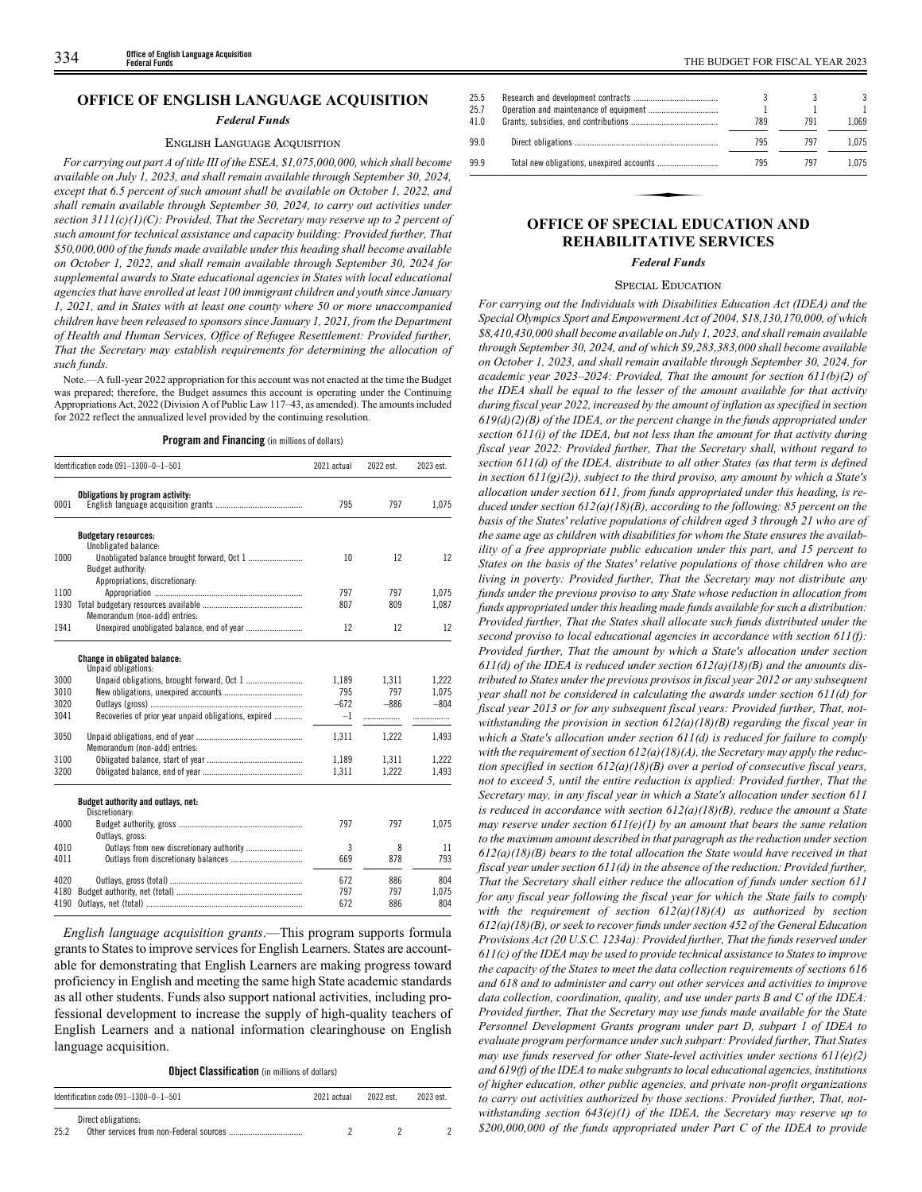# **OFFICE OF ENGLISH LANGUAGE ACQUISITION**

#### *Federal Funds*

# ENGLISH LANGUAGE ACQUISITION

*For carrying out part A of title III of the ESEA, \$1,075,000,000, which shall become available on July 1, 2023, and shall remain available through September 30, 2024, except that 6.5 percent of such amount shall be available on October 1, 2022, and shall remain available through September 30, 2024, to carry out activities under section 3111(c)(1)(C): Provided, That the Secretary may reserve up to 2 percent of such amount for technical assistance and capacity building: Provided further, That \$50,000,000 of the funds made available under this heading shall become available on October 1, 2022, and shall remain available through September 30, 2024 for supplemental awards to State educational agencies in States with local educational agencies that have enrolled at least 100 immigrant children and youth since January 1, 2021, and in States with at least one county where 50 or more unaccompanied children have been released to sponsors since January 1, 2021, from the Department of Health and Human Services, Office of Refugee Resettlement: Provided further, That the Secretary may establish requirements for determining the allocation of such funds.*

Note.—A full-year 2022 appropriation for this account was not enacted at the time the Budget was prepared; therefore, the Budget assumes this account is operating under the Continuing Appropriations Act, 2022 (Division A of Public Law 117–43, as amended). The amounts included for 2022 reflect the annualized level provided by the continuing resolution.

**Program and Financing** (in millions of dollars)

|      | Identification code 091-1300-0-1-501                            |        | 2022 est. | 2023 est. |  |
|------|-----------------------------------------------------------------|--------|-----------|-----------|--|
| 0001 | Obligations by program activity:                                | 795    | 797       | 1,075     |  |
|      | <b>Budgetary resources:</b><br>Unobligated balance:             |        |           |           |  |
| 1000 | Unobligated balance brought forward, Oct 1<br>Budget authority: | 10     | 12        | 12        |  |
|      | Appropriations, discretionary:                                  |        |           |           |  |
| 1100 |                                                                 | 797    | 797       | 1.075     |  |
| 1930 |                                                                 | 807    | 809       | 1,087     |  |
|      | Memorandum (non-add) entries:                                   |        |           |           |  |
| 1941 |                                                                 | 12     | 12        | 12        |  |
|      | Change in obligated balance:                                    |        |           |           |  |
| 3000 | Unpaid obligations:                                             | 1,189  | 1,311     | 1,222     |  |
| 3010 |                                                                 | 795    | 797       | 1,075     |  |
| 3020 |                                                                 | $-672$ | $-886$    | $-804$    |  |
| 3041 | Recoveries of prior year unpaid obligations, expired            | $-1$   |           |           |  |
| 3050 | Memorandum (non-add) entries:                                   | 1,311  | 1,222     | 1,493     |  |
| 3100 |                                                                 | 1,189  | 1,311     | 1,222     |  |
| 3200 |                                                                 | 1,311  | 1,222     | 1,493     |  |
|      | Budget authority and outlays, net:<br>Discretionary:            |        |           |           |  |
| 4000 | Outlays, gross:                                                 | 797    | 797       | 1,075     |  |
| 4010 |                                                                 | 3      | 8         | 11        |  |
| 4011 |                                                                 | 669    | 878       | 793       |  |
| 4020 |                                                                 | 672    | 886       | 804       |  |
| 4180 |                                                                 | 797    | 797       | 1.075     |  |
| 4190 |                                                                 | 672    | 886       | 804       |  |

*English language acquisition grants*.—This program supports formula grants to States to improve services for English Learners. States are accountable for demonstrating that English Learners are making progress toward proficiency in English and meeting the same high State academic standards as all other students. Funds also support national activities, including professional development to increase the supply of high-quality teachers of English Learners and a national information clearinghouse on English language acquisition.

#### **Object Classification** (in millions of dollars)

| Identification code 091-1300-0-1-501 | 2021 actual                             | 2022 est. | 2023 est. |  |
|--------------------------------------|-----------------------------------------|-----------|-----------|--|
| Direct obligations:<br>25.2          | Other services from non-Federal sources |           |           |  |

| 25.5<br>25.7<br>41.0 |                                        | 789 | 791 | 3<br>1.069 |
|----------------------|----------------------------------------|-----|-----|------------|
| 99.0                 |                                        | 795 | 797 | 1.075      |
| 99.9                 |                                        | 795 | 797 | 1.075      |
|                      |                                        |     |     |            |
|                      | <b>OFFICE OF SPECIAL EDUCATION AND</b> |     |     |            |

# **REHABILITATIVE SERVICES**

*Federal Funds*

#### SPECIAL EDUCATION

*For carrying out the Individuals with Disabilities Education Act (IDEA) and the Special Olympics Sport and Empowerment Act of 2004, \$18,130,170,000, of which \$8,410,430,000 shall become available on July 1, 2023, and shall remain available through September 30, 2024, and of which \$9,283,383,000 shall become available on October 1, 2023, and shall remain available through September 30, 2024, for academic year 2023–2024: Provided, That the amount for section 611(b)(2) of the IDEA shall be equal to the lesser of the amount available for that activity during fiscal year 2022, increased by the amount of inflation as specified in section 619(d)(2)(B) of the IDEA, or the percent change in the funds appropriated under section 611(i) of the IDEA, but not less than the amount for that activity during fiscal year 2022: Provided further, That the Secretary shall, without regard to section 611(d) of the IDEA, distribute to all other States (as that term is defined in section 611(g)(2)), subject to the third proviso, any amount by which a State's allocation under section 611, from funds appropriated under this heading, is reduced under section 612(a)(18)(B), according to the following: 85 percent on the basis of the States' relative populations of children aged 3 through 21 who are of the same age as children with disabilities for whom the State ensures the availability of a free appropriate public education under this part, and 15 percent to States on the basis of the States' relative populations of those children who are living in poverty: Provided further, That the Secretary may not distribute any funds under the previous proviso to any State whose reduction in allocation from funds appropriated under this heading made funds available for such a distribution: Provided further, That the States shall allocate such funds distributed under the second proviso to local educational agencies in accordance with section 611(f): Provided further, That the amount by which a State's allocation under section 611(d) of the IDEA is reduced under section 612(a)(18)(B) and the amounts distributed to States under the previous provisos in fiscal year 2012 or any subsequent year shall not be considered in calculating the awards under section 611(d) for fiscal year 2013 or for any subsequent fiscal years: Provided further, That, notwithstanding the provision in section 612(a)(18)(B) regarding the fiscal year in which a State's allocation under section 611(d) is reduced for failure to comply with the requirement of section 612(a)(18)(A), the Secretary may apply the reduction specified in section 612(a)(18)(B) over a period of consecutive fiscal years, not to exceed 5, until the entire reduction is applied: Provided further, That the Secretary may, in any fiscal year in which a State's allocation under section 611 is reduced in accordance with section 612(a)(18)(B), reduce the amount a State may reserve under section 611(e)(1) by an amount that bears the same relation to the maximum amount described in that paragraph as the reduction under section 612(a)(18)(B) bears to the total allocation the State would have received in that fiscal year under section 611(d) in the absence of the reduction: Provided further, That the Secretary shall either reduce the allocation of funds under section 611 for any fiscal year following the fiscal year for which the State fails to comply with the requirement of section 612(a)(18)(A) as authorized by section 612(a)(18)(B), or seek to recover funds under section 452 of the General Education Provisions Act (20 U.S.C. 1234a): Provided further, That the funds reserved under 611(c) of the IDEA may be used to provide technical assistance to States to improve the capacity of the States to meet the data collection requirements of sections 616 and 618 and to administer and carry out other services and activities to improve data collection, coordination, quality, and use under parts B and C of the IDEA: Provided further, That the Secretary may use funds made available for the State Personnel Development Grants program under part D, subpart 1 of IDEA to evaluate program performance under such subpart: Provided further, That States may use funds reserved for other State-level activities under sections 611(e)(2) and 619(f) of the IDEA to make subgrants to local educational agencies, institutions of higher education, other public agencies, and private non-profit organizations to carry out activities authorized by those sections: Provided further, That, notwithstanding section 643(e)(1) of the IDEA, the Secretary may reserve up to \$200,000,000 of the funds appropriated under Part C of the IDEA to provide*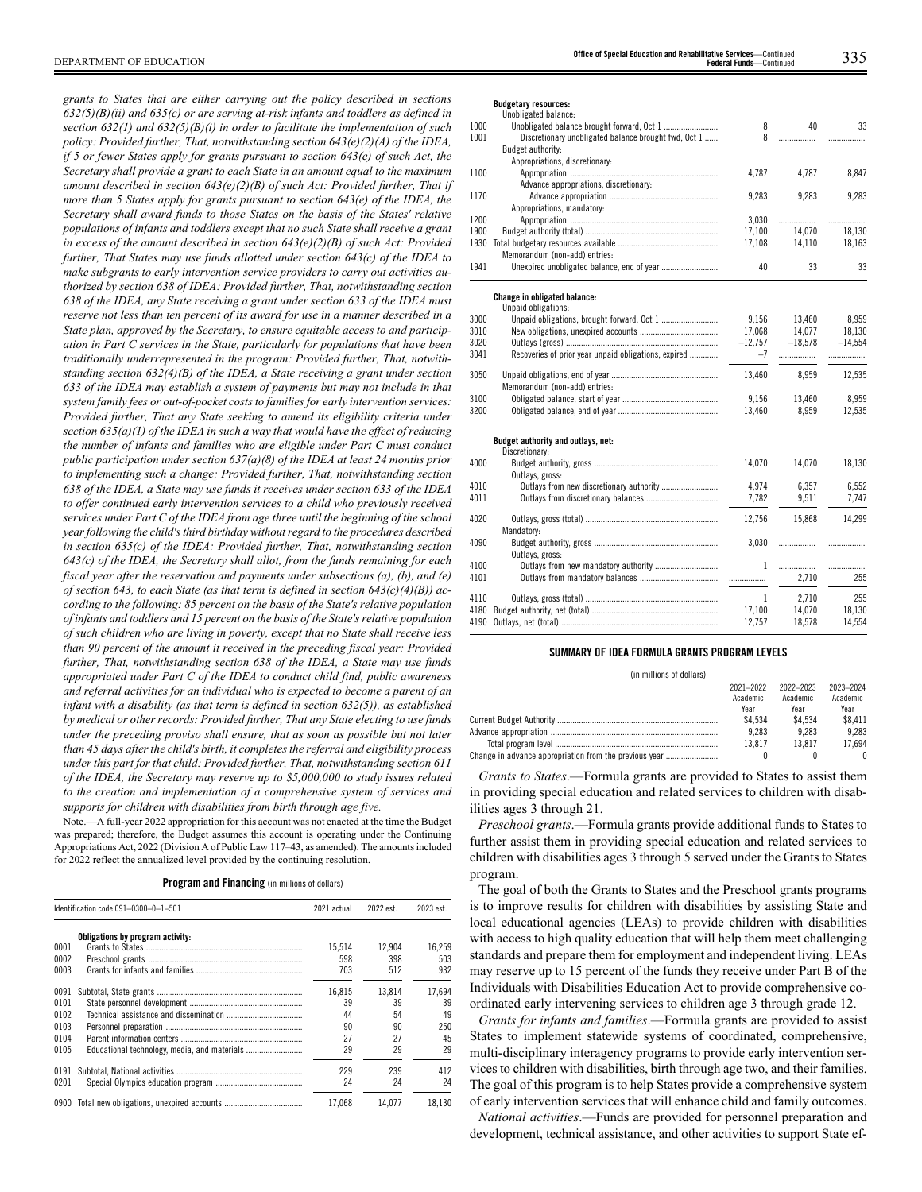*grants to States that are either carrying out the policy described in sections 632(5)(B)(ii) and 635(c) or are serving at-risk infants and toddlers as defined in section 632(1) and 632(5)(B)(i) in order to facilitate the implementation of such policy: Provided further, That, notwithstanding section 643(e)(2)(A) of the IDEA, if 5 or fewer States apply for grants pursuant to section 643(e) of such Act, the Secretary shall provide a grant to each State in an amount equal to the maximum amount described in section 643(e)(2)(B) of such Act: Provided further, That if more than 5 States apply for grants pursuant to section 643(e) of the IDEA, the Secretary shall award funds to those States on the basis of the States' relative populations of infants and toddlers except that no such State shall receive a grant in excess of the amount described in section 643(e)(2)(B) of such Act: Provided further, That States may use funds allotted under section 643(c) of the IDEA to make subgrants to early intervention service providers to carry out activities authorized by section 638 of IDEA: Provided further, That, notwithstanding section 638 of the IDEA, any State receiving a grant under section 633 of the IDEA must reserve not less than ten percent of its award for use in a manner described in a State plan, approved by the Secretary, to ensure equitable access to and participation in Part C services in the State, particularly for populations that have been traditionally underrepresented in the program: Provided further, That, notwithstanding section 632(4)(B) of the IDEA, a State receiving a grant under section 633 of the IDEA may establish a system of payments but may not include in that system family fees or out-of-pocket costs to families for early intervention services: Provided further, That any State seeking to amend its eligibility criteria under section 635(a)(1) of the IDEA in such a way that would have the effect of reducing the number of infants and families who are eligible under Part C must conduct public participation under section 637(a)(8) of the IDEA at least 24 months prior to implementing such a change: Provided further, That, notwithstanding section 638 of the IDEA, a State may use funds it receives under section 633 of the IDEA to offer continued early intervention services to a child who previously received services under Part C of the IDEA from age three until the beginning of the school year following the child's third birthday without regard to the procedures described in section 635(c) of the IDEA: Provided further, That, notwithstanding section 643(c) of the IDEA, the Secretary shall allot, from the funds remaining for each fiscal year after the reservation and payments under subsections (a), (b), and (e) of section 643, to each State (as that term is defined in section 643(c)(4)(B)) according to the following: 85 percent on the basis of the State's relative population of infants and toddlers and 15 percent on the basis of the State's relative population of such children who are living in poverty, except that no State shall receive less than 90 percent of the amount it received in the preceding fiscal year: Provided further, That, notwithstanding section 638 of the IDEA, a State may use funds appropriated under Part C of the IDEA to conduct child find, public awareness and referral activities for an individual who is expected to become a parent of an infant with a disability (as that term is defined in section 632(5)), as established by medical or other records: Provided further, That any State electing to use funds under the preceding proviso shall ensure, that as soon as possible but not later than 45 days after the child's birth, it completes the referral and eligibility process under this part for that child: Provided further, That, notwithstanding section 611 of the IDEA, the Secretary may reserve up to \$5,000,000 to study issues related to the creation and implementation of a comprehensive system of services and supports for children with disabilities from birth through age five.*

Note.—A full-year 2022 appropriation for this account was not enacted at the time the Budget was prepared; therefore, the Budget assumes this account is operating under the Continuing Appropriations Act, 2022 (Division A of Public Law 117–43, as amended). The amounts included for 2022 reflect the annualized level provided by the continuing resolution.

|      | Identification code 091-0300-0-1-501 |        | 2022 est. | 2023 est. |
|------|--------------------------------------|--------|-----------|-----------|
|      | Obligations by program activity:     |        |           |           |
| 0001 |                                      | 15.514 | 12.904    | 16.259    |
| 0002 |                                      | 598    | 398       | 503       |
| 0003 |                                      | 703    | 512       | 932       |
| 0091 |                                      | 16.815 | 13.814    | 17.694    |
| 0101 |                                      | 39     | 39        | 39        |
| 0102 |                                      | 44     | 54        | 49        |
| 0103 |                                      | 90     | 90        | 250       |
| 0104 |                                      | 27     | 27        | 45        |
| 0105 |                                      | 29     | 29        | 29        |
| 0191 |                                      | 229    | 239       | 412       |
| 0201 |                                      | 24     | 24        | 24        |
| 0900 |                                      | 17.068 | 14.077    | 18.130    |

**Budgetary resources:**

|      | Unobligated balance:                                 |           |           |           |
|------|------------------------------------------------------|-----------|-----------|-----------|
| 1000 |                                                      | 8         | 40        | 33        |
| 1001 | Discretionary unobligated balance brought fwd, Oct 1 | 8         |           |           |
|      | Budget authority:                                    |           |           |           |
|      | Appropriations, discretionary:                       |           |           |           |
| 1100 |                                                      | 4,787     | 4,787     | 8,847     |
|      | Advance appropriations, discretionary:               |           |           |           |
| 1170 |                                                      | 9,283     | 9,283     | 9,283     |
|      | Appropriations, mandatory:                           |           |           |           |
| 1200 |                                                      | 3,030     | .         | .         |
| 1900 |                                                      | 17,100    | 14.070    | 18.130    |
| 1930 |                                                      | 17,108    | 14,110    | 18,163    |
|      | Memorandum (non-add) entries:                        |           |           |           |
| 1941 |                                                      | 40        | 33        | 33        |
|      |                                                      |           |           |           |
|      | <b>Change in obligated balance:</b>                  |           |           |           |
|      | Unpaid obligations:                                  |           |           |           |
| 3000 |                                                      | 9.156     | 13.460    | 8,959     |
| 3010 |                                                      | 17,068    | 14.077    | 18,130    |
| 3020 |                                                      | $-12,757$ | $-18.578$ | $-14,554$ |
| 3041 | Recoveries of prior year unpaid obligations, expired | $-7$      | .         | .         |
|      |                                                      |           |           |           |
| 3050 |                                                      | 13,460    | 8,959     | 12,535    |
|      | Memorandum (non-add) entries:                        |           |           |           |
| 3100 |                                                      | 9,156     | 13,460    | 8,959     |
| 3200 |                                                      | 13,460    | 8,959     | 12,535    |
|      | Budget authority and outlays, net:                   |           |           |           |
|      | Discretionary:                                       |           |           |           |
| 4000 |                                                      | 14,070    | 14,070    | 18,130    |
|      | Outlays, gross:                                      |           |           |           |
| 4010 | Outlays from new discretionary authority             | 4,974     | 6,357     | 6,552     |
| 4011 |                                                      | 7,782     | 9,511     | 7,747     |
|      |                                                      |           |           |           |
| 4020 |                                                      | 12,756    | 15,868    | 14,299    |
|      | Mandatory:                                           |           |           |           |
| 4090 |                                                      | 3,030     | .         | .         |
|      | Outlays, gross:                                      |           |           |           |
| 4100 | Outlays from new mandatory authority                 | 1         | .         | .         |
| 4101 |                                                      |           | 2,710     | 255       |
|      |                                                      |           |           |           |
| 4110 |                                                      | 1         | 2,710     | 255       |
| 4180 |                                                      | 17,100    | 14.070    | 18.130    |
| 4190 |                                                      | 12,757    | 18,578    | 14,554    |
|      |                                                      |           |           |           |

# **SUMMARY OF IDEA FORMULA GRANTS PROGRAM LEVELS**

(in millions of dollars)

| 2021-2022<br>Academic | 2022-2023<br>Academic | 2023-2024<br>Academic |
|-----------------------|-----------------------|-----------------------|
| Year                  | Year                  | Year                  |
| \$4.534               | \$4.534               | \$8.411               |
| 9.283                 | 9.283                 | 9.283                 |
| 13.817                | 13.817                | 17.694                |
|                       |                       | $\theta$              |

*Grants to States*.—Formula grants are provided to States to assist them in providing special education and related services to children with disabilities ages 3 through 21.

*Preschool grants*.—Formula grants provide additional funds to States to further assist them in providing special education and related services to children with disabilities ages 3 through 5 served under the Grants to States program.

The goal of both the Grants to States and the Preschool grants programs is to improve results for children with disabilities by assisting State and local educational agencies (LEAs) to provide children with disabilities with access to high quality education that will help them meet challenging standards and prepare them for employment and independent living. LEAs may reserve up to 15 percent of the funds they receive under Part B of the Individuals with Disabilities Education Act to provide comprehensive coordinated early intervening services to children age 3 through grade 12.

*Grants for infants and families*.—Formula grants are provided to assist States to implement statewide systems of coordinated, comprehensive, multi-disciplinary interagency programs to provide early intervention services to children with disabilities, birth through age two, and their families. The goal of this program is to help States provide a comprehensive system of early intervention services that will enhance child and family outcomes.

*National activities*.—Funds are provided for personnel preparation and development, technical assistance, and other activities to support State ef-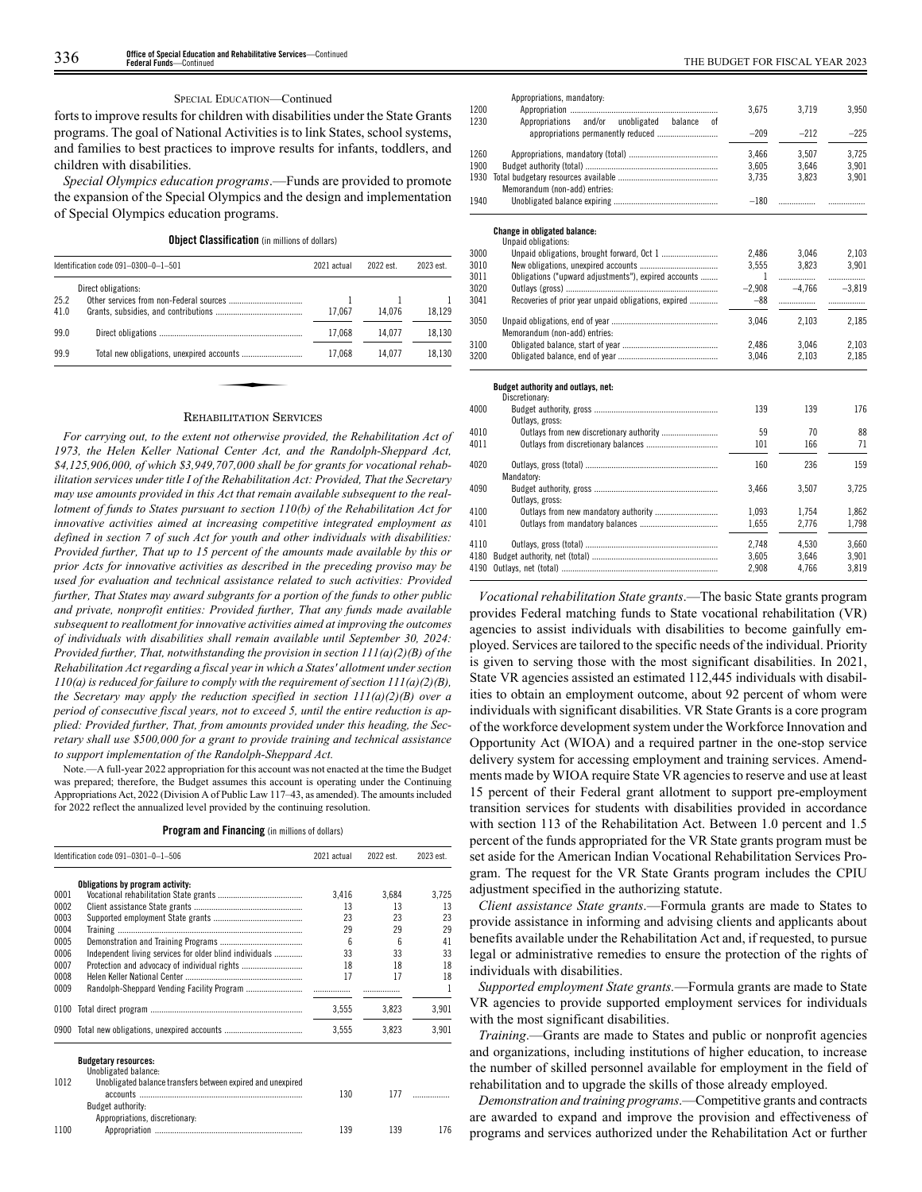#### SPECIAL EDUCATION—Continued

forts to improve results for children with disabilities under the State Grants programs. The goal of National Activities is to link States, school systems, and families to best practices to improve results for infants, toddlers, and children with disabilities.

*Special Olympics education programs*.—Funds are provided to promote the expansion of the Special Olympics and the design and implementation of Special Olympics education programs.

**Object Classification** (in millions of dollars)

|              | Identification code 091-0300-0-1-501 |        | 2022 est. | 2023 est. |
|--------------|--------------------------------------|--------|-----------|-----------|
|              | Direct obligations:                  |        |           |           |
| 25.2<br>41.0 |                                      | 17.067 | 14.076    | 18,129    |
| 99.0         |                                      | 17.068 | 14.077    | 18,130    |
| 99.9         |                                      | 17.068 | 14.077    | 18.130    |

#### REHABILITATION SERVICES

*For carrying out, to the extent not otherwise provided, the Rehabilitation Act of 1973, the Helen Keller National Center Act, and the Randolph-Sheppard Act, \$4,125,906,000, of which \$3,949,707,000 shall be for grants for vocational rehabilitation services under title I of the Rehabilitation Act: Provided, That the Secretary may use amounts provided in this Act that remain available subsequent to the reallotment of funds to States pursuant to section 110(b) of the Rehabilitation Act for innovative activities aimed at increasing competitive integrated employment as defined in section 7 of such Act for youth and other individuals with disabilities: Provided further, That up to 15 percent of the amounts made available by this or prior Acts for innovative activities as described in the preceding proviso may be used for evaluation and technical assistance related to such activities: Provided further, That States may award subgrants for a portion of the funds to other public and private, nonprofit entities: Provided further, That any funds made available subsequent to reallotment for innovative activities aimed at improving the outcomes of individuals with disabilities shall remain available until September 30, 2024: Provided further, That, notwithstanding the provision in section 111(a)(2)(B) of the Rehabilitation Act regarding a fiscal year in which a States' allotment under section 110(a) is reduced for failure to comply with the requirement of section 111(a)(2)(B), the Secretary may apply the reduction specified in section 111(a)(2)(B) over a period of consecutive fiscal years, not to exceed 5, until the entire reduction is applied: Provided further, That, from amounts provided under this heading, the Secretary shall use \$500,000 for a grant to provide training and technical assistance to support implementation of the Randolph-Sheppard Act.*

Note.—A full-year 2022 appropriation for this account was not enacted at the time the Budget was prepared; therefore, the Budget assumes this account is operating under the Continuing Appropriations Act, 2022 (Division A of Public Law 117–43, as amended). The amounts included for 2022 reflect the annualized level provided by the continuing resolution.

| Program and Financing (in millions of dollars) |  |  |  |  |  |  |  |
|------------------------------------------------|--|--|--|--|--|--|--|
|------------------------------------------------|--|--|--|--|--|--|--|

|      | Identification code 091-0301-0-1-506                    | 2021 actual | 2022 est. | 2023 est. |
|------|---------------------------------------------------------|-------------|-----------|-----------|
|      | Obligations by program activity:                        |             |           |           |
| 0001 |                                                         | 3.416       | 3.684     | 3.725     |
| 0002 |                                                         | 13          | 13        | 13        |
| 0003 |                                                         | 23          | 23        | 23        |
| 0004 |                                                         | 29          | 29        | 29        |
| 0005 |                                                         | ĥ           | ĥ         | 41        |
| 0006 | Independent living services for older blind individuals | 33          | 33        | 33        |
| 0007 |                                                         | 18          | 18        | 18        |
| 0008 |                                                         | 17          | 17        | 18        |
| 0009 |                                                         |             |           |           |
| 0100 |                                                         | 3.555       | 3.823     | 3,901     |
| 0900 |                                                         | 3.555       | 3.823     | 3,901     |

|      | Unobligated balance:                                        |     |     |     |
|------|-------------------------------------------------------------|-----|-----|-----|
| 1012 | Unobligated balance transfers between expired and unexpired |     |     |     |
|      |                                                             | 130 |     |     |
|      | Budget authority:                                           |     |     |     |
|      | Appropriations, discretionary:                              |     |     |     |
| 1100 |                                                             | 139 | 139 | 176 |

| 1200 | Appropriations, mandatory:                           | 3,675    | 3.719    | 3.950    |
|------|------------------------------------------------------|----------|----------|----------|
| 1230 | Appropriations and/or unobligated<br>balance<br>0Ť   | $-209$   | $-212$   | $-225$   |
| 1260 |                                                      | 3.466    | 3.507    | 3.725    |
| 1900 |                                                      | 3.605    | 3.646    | 3.901    |
| 1930 |                                                      | 3.735    | 3.823    | 3,901    |
|      | Memorandum (non-add) entries:                        |          |          |          |
| 1940 |                                                      | $-180$   |          |          |
|      | <b>Change in obligated balance:</b>                  |          |          |          |
|      | Unpaid obligations:                                  |          |          |          |
| 3000 |                                                      | 2.486    | 3.046    | 2.103    |
| 3010 |                                                      | 3.555    | 3.823    | 3,901    |
| 3011 | Obligations ("upward adjustments"), expired accounts | 1        |          |          |
| 3020 |                                                      | $-2.908$ | $-4.766$ | $-3.819$ |
| 3041 | Recoveries of prior year unpaid obligations, expired | $-88$    |          |          |
| 3050 | Memorandum (non-add) entries:                        | 3.046    | 2.103    | 2.185    |

#### **Budget authority and outlays, net:**

0bligated balance, end of year ................

| PUULVI UUINUIIIT UNU VUINUTV. NYI.<br>Discretionary: |       |       |       |
|------------------------------------------------------|-------|-------|-------|
|                                                      | 139   | 139   | 176   |
| Outlays, gross:                                      |       |       |       |
|                                                      | 59    | 70    | 88    |
|                                                      | 101   | 166   | 71    |
|                                                      | 160   | 236   | 159   |
| Mandatory:                                           |       |       |       |
|                                                      | 3.466 | 3.507 | 3.725 |
| Outlays, gross:                                      |       |       |       |
|                                                      | 1.093 | 1.754 | 1.862 |
|                                                      | 1.655 | 2.776 | 1.798 |
|                                                      | 2.748 | 4.530 | 3.660 |
|                                                      | 3.605 | 3.646 | 3.901 |
|                                                      | 2.908 | 4.766 | 3.819 |
|                                                      |       |       |       |

3100 Obligated balance, start of year ............................................ 2,486 3,046 2,103

*Vocational rehabilitation State grants*.—The basic State grants program provides Federal matching funds to State vocational rehabilitation (VR) agencies to assist individuals with disabilities to become gainfully employed. Services are tailored to the specific needs of the individual. Priority is given to serving those with the most significant disabilities. In 2021, State VR agencies assisted an estimated 112,445 individuals with disabilities to obtain an employment outcome, about 92 percent of whom were individuals with significant disabilities. VR State Grants is a core program of the workforce development system under the Workforce Innovation and Opportunity Act (WIOA) and a required partner in the one-stop service delivery system for accessing employment and training services. Amendments made by WIOA require State VR agencies to reserve and use at least 15 percent of their Federal grant allotment to support pre-employment transition services for students with disabilities provided in accordance with section 113 of the Rehabilitation Act. Between 1.0 percent and 1.5 percent of the funds appropriated for the VR State grants program must be set aside for the American Indian Vocational Rehabilitation Services Program. The request for the VR State Grants program includes the CPIU adjustment specified in the authorizing statute.

*Client assistance State grants*.—Formula grants are made to States to provide assistance in informing and advising clients and applicants about benefits available under the Rehabilitation Act and, if requested, to pursue legal or administrative remedies to ensure the protection of the rights of individuals with disabilities.

*Supported employment State grants.*—Formula grants are made to State VR agencies to provide supported employment services for individuals with the most significant disabilities.

*Training*.—Grants are made to States and public or nonprofit agencies and organizations, including institutions of higher education, to increase the number of skilled personnel available for employment in the field of rehabilitation and to upgrade the skills of those already employed.

*Demonstration and training programs*.—Competitive grants and contracts are awarded to expand and improve the provision and effectiveness of programs and services authorized under the Rehabilitation Act or further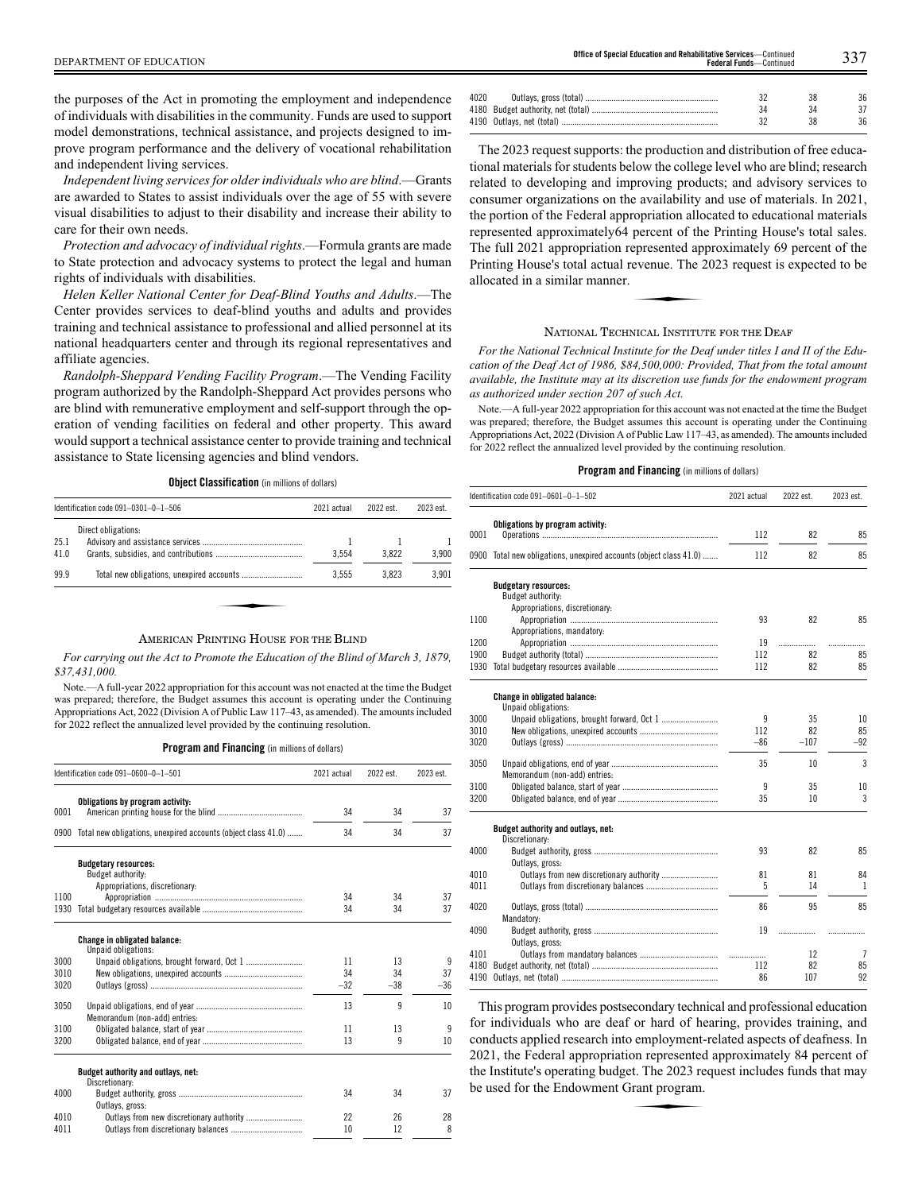the purposes of the Act in promoting the employment and independence of individuals with disabilities in the community. Funds are used to support model demonstrations, technical assistance, and projects designed to improve program performance and the delivery of vocational rehabilitation and independent living services.

*Independent living services for older individuals who are blind*.—Grants are awarded to States to assist individuals over the age of 55 with severe visual disabilities to adjust to their disability and increase their ability to care for their own needs.

*Protection and advocacy of individual rights*.—Formula grants are made to State protection and advocacy systems to protect the legal and human rights of individuals with disabilities.

*Helen Keller National Center for Deaf-Blind Youths and Adults*.—The Center provides services to deaf-blind youths and adults and provides training and technical assistance to professional and allied personnel at its national headquarters center and through its regional representatives and affiliate agencies.

*Randolph-Sheppard Vending Facility Program*.—The Vending Facility program authorized by the Randolph-Sheppard Act provides persons who are blind with remunerative employment and self-support through the operation of vending facilities on federal and other property. This award would support a technical assistance center to provide training and technical assistance to State licensing agencies and blind vendors.

**Object Classification** (in millions of dollars)

|              | Identification code $091-0301-0-1-506$ | 2021 actual | 2022 est. | 2023 est. |
|--------------|----------------------------------------|-------------|-----------|-----------|
| 25.1<br>41.0 | Direct obligations:                    | 3.554       | 3.822     | 3.900     |
| 99.9         |                                        | 3.555       | 3.823     | 3.901     |

#### AMERICAN PRINTING HOUSE FOR THE BLIND

*For carrying out the Act to Promote the Education of the Blind of March 3, 1879, \$37,431,000.*

Note.—A full-year 2022 appropriation for this account was not enacted at the time the Budget was prepared; therefore, the Budget assumes this account is operating under the Continuing Appropriations Act, 2022 (Division A of Public Law 117–43, as amended). The amounts included for 2022 reflect the annualized level provided by the continuing resolution.

**Program and Financing** (in millions of dollars)

|      | Identification code 091-0600-0-1-501                          | 2021 actual | 2022 est. | 2023 est. |
|------|---------------------------------------------------------------|-------------|-----------|-----------|
|      | Obligations by program activity:                              |             |           |           |
| 0001 |                                                               | 34          | 34        | 37        |
| 0900 | Total new obligations, unexpired accounts (object class 41.0) | 34          | 34        | 37        |
|      | <b>Budgetary resources:</b><br>Budget authority:              |             |           |           |
|      | Appropriations, discretionary:                                |             |           |           |
| 1100 |                                                               | 34          | 34        | 37        |
| 1930 |                                                               | 34          | 34        | 37        |
|      | <b>Change in obligated balance:</b>                           |             |           |           |
| 3000 | Unpaid obligations:                                           | 11          | 13        | 9         |
| 3010 |                                                               | 34          | 34        | 37        |
| 3020 |                                                               | $-32$       | $-38$     | $-36$     |
|      |                                                               |             |           |           |
| 3050 |                                                               | 13          | 9         | 10        |
|      | Memorandum (non-add) entries:                                 |             |           |           |
| 3100 |                                                               | 11          | 13        | 9         |
| 3200 |                                                               | 13          | 9         | 10        |
|      | Budget authority and outlays, net:                            |             |           |           |
|      | Discretionary:                                                |             |           |           |
| 4000 |                                                               | 34          | 34        | 37        |
|      | Outlays, gross:                                               |             |           |           |
| 4010 | Outlays from new discretionary authority                      | 22          | 26        | 28        |
| 4011 |                                                               | 10          | 12        | 8         |

| 4020 |  | 36 |
|------|--|----|
|      |  |    |
|      |  | 36 |
|      |  |    |

The 2023 request supports: the production and distribution of free educational materials for students below the college level who are blind; research related to developing and improving products; and advisory services to consumer organizations on the availability and use of materials. In 2021, the portion of the Federal appropriation allocated to educational materials represented approximately64 percent of the Printing House's total sales. The full 2021 appropriation represented approximately 69 percent of the Printing House's total actual revenue. The 2023 request is expected to be allocated in a similar manner. Printing House's total actual revenue. The 2023 request is expected to be allocated in a similar manner.

#### NATIONAL TECHNICAL INSTITUTE FOR THE DEAF

*For the National Technical Institute for the Deaf under titles I and II of the Education of the Deaf Act of 1986, \$84,500,000: Provided, That from the total amount available, the Institute may at its discretion use funds for the endowment program as authorized under section 207 of such Act.*

Note.—A full-year 2022 appropriation for this account was not enacted at the time the Budget was prepared; therefore, the Budget assumes this account is operating under the Continuing Appropriations Act, 2022 (Division A of Public Law 117–43, as amended). The amounts included for 2022 reflect the annualized level provided by the continuing resolution.

#### **Program and Financing** (in millions of dollars)

|      | Identification code 091-0601-0-1-502                               | 2021 actual | 2022 est. | 2023 est. |
|------|--------------------------------------------------------------------|-------------|-----------|-----------|
|      | Obligations by program activity:                                   |             |           |           |
| 0001 |                                                                    | 112         | 82        | 85        |
|      | 0900 Total new obligations, unexpired accounts (object class 41.0) | 112         | 82        | 85        |
|      | <b>Budgetary resources:</b>                                        |             |           |           |
|      | Budget authority:                                                  |             |           |           |
|      | Appropriations, discretionary:                                     |             |           |           |
| 1100 |                                                                    | 93          | 82        | 85        |
| 1200 | Appropriations, mandatory:                                         | 19          |           |           |
| 1900 |                                                                    | 112         | .<br>82   | 85        |
| 1930 |                                                                    | 112         | 82        | 85        |
|      |                                                                    |             |           |           |
|      | Change in obligated balance:                                       |             |           |           |
|      | Unpaid obligations:                                                |             |           |           |
| 3000 |                                                                    | 9           | 35        | 10        |
| 3010 |                                                                    | 112         | 82        | 85        |
| 3020 |                                                                    | $-86$       | $-107$    | $-92$     |
| 3050 |                                                                    | 35          | 10        | 3         |
|      | Memorandum (non-add) entries:                                      |             |           |           |
| 3100 |                                                                    | 9           | 35        | 10        |
| 3200 |                                                                    | 35          | 10        | 3         |
|      | Budget authority and outlays, net:                                 |             |           |           |
|      | Discretionary:                                                     |             |           |           |
| 4000 |                                                                    | 93          | 82        | 85        |
|      | Outlays, gross:                                                    |             |           |           |
| 4010 |                                                                    | 81          | 81        | 84        |
| 4011 |                                                                    | 5           | 14        | 1         |
| 4020 | Mandatory:                                                         | 86          | 95        | 85        |
| 4090 |                                                                    | 19          |           |           |
|      | Outlays, gross:                                                    |             | .         |           |
| 4101 |                                                                    |             | 12        | 7         |
| 4180 |                                                                    | 112         | 82        | 85        |
| 4190 |                                                                    | 86          | 107       | 92        |
|      |                                                                    |             |           |           |

This program provides postsecondary technical and professional education for individuals who are deaf or hard of hearing, provides training, and conducts applied research into employment-related aspects of deafness. In 2021, the Federal appropriation represented approximately 84 percent of the Institute's operating budget. The 2023 request includes funds that may be used for the Endowment Grant program. the Institute's operating budget. The 2023 request includes funds that may be used for the Endowment Grant program.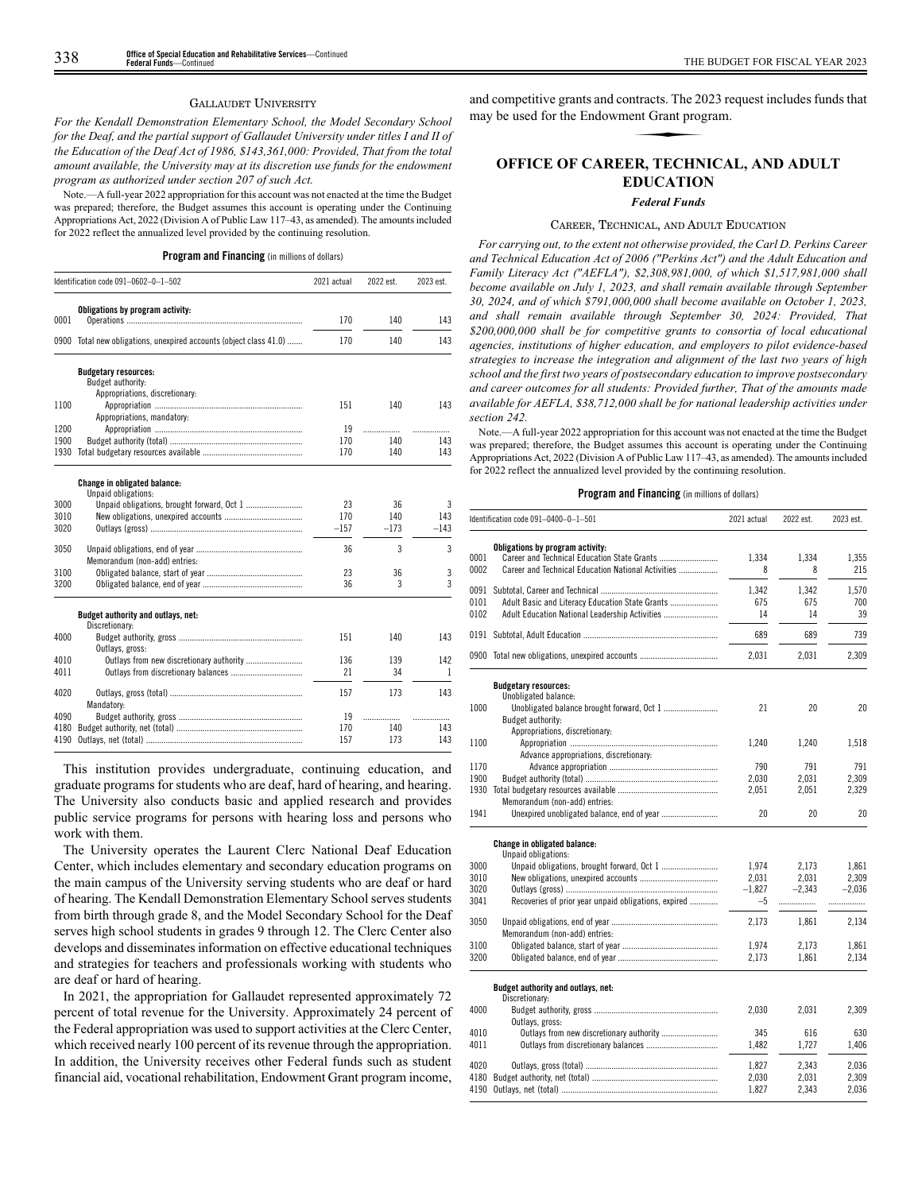#### GALLAUDET UNIVERSITY

*For the Kendall Demonstration Elementary School, the Model Secondary School for the Deaf, and the partial support of Gallaudet University under titles I and II of the Education of the Deaf Act of 1986, \$143,361,000: Provided, That from the total amount available, the University may at its discretion use funds for the endowment program as authorized under section 207 of such Act.*

Note.—A full-year 2022 appropriation for this account was not enacted at the time the Budget was prepared; therefore, the Budget assumes this account is operating under the Continuing Appropriations Act, 2022 (Division A of Public Law 117–43, as amended). The amounts included for 2022 reflect the annualized level provided by the continuing resolution.

**Program and Financing** (in millions of dollars)

|      | Identification code 091-0602-0-1-502                               | 2021 actual | 2022 est. | 2023 est. |
|------|--------------------------------------------------------------------|-------------|-----------|-----------|
|      | Obligations by program activity:                                   |             |           |           |
| 0001 |                                                                    | 170         | 140       | 143       |
|      | 0900 Total new obligations, unexpired accounts (object class 41.0) | 170         | 140       | 143       |
|      | <b>Budgetary resources:</b>                                        |             |           |           |
|      | Budget authority:                                                  |             |           |           |
|      | Appropriations, discretionary:                                     |             |           |           |
| 1100 |                                                                    | 151         | 140       | 143       |
|      | Appropriations, mandatory:                                         |             |           |           |
| 1200 |                                                                    | 19          | .         |           |
| 1900 |                                                                    | 170         | 140       | 143       |
| 1930 |                                                                    | 170         | 140       | 143       |
|      | Change in obligated balance:<br>Unpaid obligations:                |             |           |           |
| 3000 | Unpaid obligations, brought forward, Oct 1                         | 23          | 36        | 3         |
| 3010 |                                                                    | 170         | 140       | 143       |
| 3020 |                                                                    | $-157$      | $-173$    | $-143$    |
|      |                                                                    |             |           |           |
| 3050 |                                                                    | 36          | 3         | 3         |
|      | Memorandum (non-add) entries:                                      |             |           |           |
| 3100 |                                                                    | 23          | 36        | 3         |
| 3200 |                                                                    | 36          | 3         | 3         |
|      | Budget authority and outlays, net:                                 |             |           |           |
|      | Discretionary:                                                     |             |           |           |
| 4000 |                                                                    | 151         | 140       | 143       |
|      | Outlays, gross:                                                    |             |           |           |
| 4010 |                                                                    | 136         | 139       | 142       |
| 4011 |                                                                    | 21          | 34        | 1         |
| 4020 |                                                                    | 157         | 173       | 143       |
|      | Mandatory:                                                         |             |           |           |
| 4090 |                                                                    | 19          | .         |           |
| 4180 |                                                                    | 170         | 140       | 143       |
| 4190 |                                                                    | 157         | 173       | 143       |

This institution provides undergraduate, continuing education, and graduate programs for students who are deaf, hard of hearing, and hearing. The University also conducts basic and applied research and provides public service programs for persons with hearing loss and persons who work with them.

The University operates the Laurent Clerc National Deaf Education Center, which includes elementary and secondary education programs on the main campus of the University serving students who are deaf or hard of hearing. The Kendall Demonstration Elementary School serves students from birth through grade 8, and the Model Secondary School for the Deaf serves high school students in grades 9 through 12. The Clerc Center also develops and disseminates information on effective educational techniques and strategies for teachers and professionals working with students who are deaf or hard of hearing.

In 2021, the appropriation for Gallaudet represented approximately 72 percent of total revenue for the University. Approximately 24 percent of the Federal appropriation was used to support activities at the Clerc Center, which received nearly 100 percent of its revenue through the appropriation. In addition, the University receives other Federal funds such as student financial aid, vocational rehabilitation, Endowment Grant program income,

and competitive grants and contracts. The 2023 request includes funds that may be used for the Endowment Grant program. **Example 21**<br> **Example 21**<br> **EXAMPLE 22**<br> **EXAMPLE 22** 

# **OFFICE OF CAREER, TECHNICAL, AND ADULT EDUCATION**

#### *Federal Funds*

#### CAREER, TECHNICAL, AND ADULT EDUCATION

*For carrying out, to the extent not otherwise provided, the Carl D. Perkins Career and Technical Education Act of 2006 ("Perkins Act") and the Adult Education and Family Literacy Act ("AEFLA"), \$2,308,981,000, of which \$1,517,981,000 shall become available on July 1, 2023, and shall remain available through September 30, 2024, and of which \$791,000,000 shall become available on October 1, 2023, and shall remain available through September 30, 2024: Provided, That \$200,000,000 shall be for competitive grants to consortia of local educational agencies, institutions of higher education, and employers to pilot evidence-based strategies to increase the integration and alignment of the last two years of high school and the first two years of postsecondary education to improve postsecondary and career outcomes for all students: Provided further, That of the amounts made available for AEFLA, \$38,712,000 shall be for national leadership activities under section 242.*

Note.—A full-year 2022 appropriation for this account was not enacted at the time the Budget was prepared; therefore, the Budget assumes this account is operating under the Continuing Appropriations Act, 2022 (Division A of Public Law 117–43, as amended). The amounts included for 2022 reflect the annualized level provided by the continuing resolution.

|      | Identification code 091-0400-0-1-501                 | 2021 actual | 2022 est. | 2023 est. |
|------|------------------------------------------------------|-------------|-----------|-----------|
|      | Obligations by program activity:                     |             |           |           |
| 0001 |                                                      | 1,334       | 1,334     | 1,355     |
| 0002 | Career and Technical Education National Activities   | 8           | 8         | 215       |
| 0091 |                                                      | 1.342       | 1,342     | 1,570     |
| 0101 | Adult Basic and Literacy Education State Grants      | 675         | 675       | 700       |
| 0102 | Adult Education National Leadership Activities       | 14          | 14        | 39        |
|      |                                                      | 689         | 689       | 739       |
|      | 0900 Total new obligations, unexpired accounts       | 2,031       | 2.031     | 2,309     |
|      | <b>Budgetary resources:</b>                          |             |           |           |
|      | Unobligated balance:                                 |             |           |           |
| 1000 |                                                      | 21          | 20        | 20        |
|      | Budget authority:                                    |             |           |           |
|      | Appropriations, discretionary:                       |             |           |           |
| 1100 |                                                      | 1,240       | 1,240     | 1,518     |
|      | Advance appropriations, discretionary:               |             |           |           |
| 1170 |                                                      | 790         | 791       | 791       |
| 1900 |                                                      | 2,030       | 2.031     | 2,309     |
| 1930 |                                                      | 2,051       | 2,051     | 2,329     |
|      | Memorandum (non-add) entries:                        |             |           |           |
| 1941 |                                                      | 20          | 20        | 20        |
|      | <b>Change in obligated balance:</b>                  |             |           |           |
|      | Unpaid obligations:                                  |             |           |           |
| 3000 |                                                      | 1.974       | 2,173     | 1,861     |
| 3010 |                                                      | 2,031       | 2,031     | 2,309     |
| 3020 |                                                      | $-1.827$    | $-2.343$  | $-2.036$  |
| 3041 | Recoveries of prior year unpaid obligations, expired | $-5$        | .         | .         |
| 3050 |                                                      | 2,173       | 1,861     | 2,134     |
|      | Memorandum (non-add) entries:                        |             |           |           |
| 3100 |                                                      | 1,974       | 2,173     | 1,861     |
| 3200 |                                                      | 2,173       | 1,861     | 2,134     |
|      | Budget authority and outlays, net:                   |             |           |           |
|      | Discretionary:                                       |             |           |           |
| 4000 |                                                      | 2,030       | 2,031     | 2,309     |
|      | Outlays, gross:                                      |             |           |           |
| 4010 |                                                      | 345         | 616       | 630       |
| 4011 |                                                      | 1,482       | 1,727     | 1,406     |
| 4020 |                                                      | 1,827       | 2,343     | 2,036     |
| 4180 |                                                      | 2,030       | 2.031     | 2.309     |
| 4190 |                                                      | 1,827       | 2,343     | 2,036     |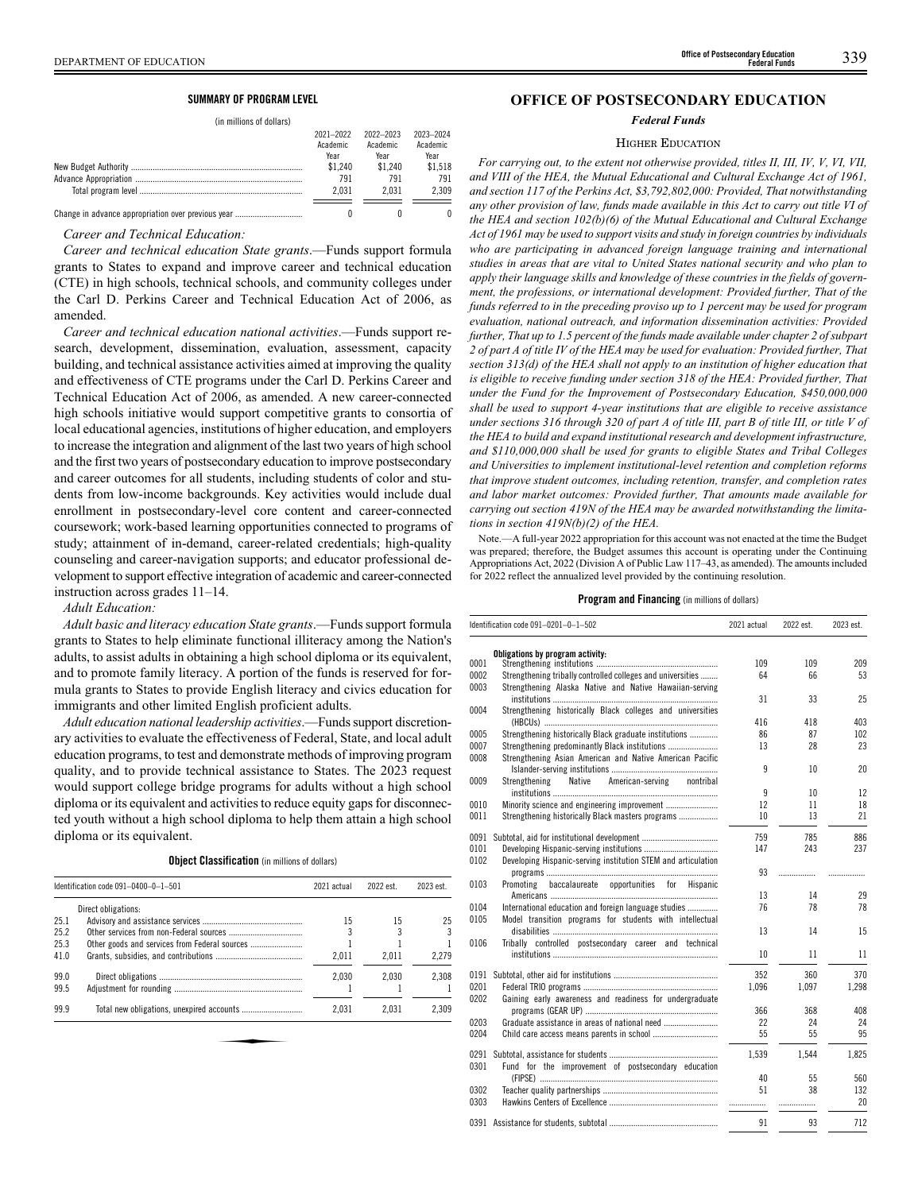#### DEPARTMENT OF EDUCATION 339 **Office of Postsecondary Education Federal Funds**

## **SUMMARY OF PROGRAM LEVEL**

(in millions of dollars)

| 2021-2022<br>Academic<br>Year | 2022-2023<br>Academic<br>Year | 2023-2024<br>Academic<br>Year |
|-------------------------------|-------------------------------|-------------------------------|
| \$1.240                       | \$1.240                       | \$1.518                       |
| 791                           | 791                           | 791                           |
| 2.031                         | 2.031                         | 2.309                         |
|                               |                               | Λ                             |

*Career and Technical Education:*

*Career and technical education State grants*.—Funds support formula grants to States to expand and improve career and technical education (CTE) in high schools, technical schools, and community colleges under the Carl D. Perkins Career and Technical Education Act of 2006, as amended.

*Career and technical education national activities*.—Funds support research, development, dissemination, evaluation, assessment, capacity building, and technical assistance activities aimed at improving the quality and effectiveness of CTE programs under the Carl D. Perkins Career and Technical Education Act of 2006, as amended. A new career-connected high schools initiative would support competitive grants to consortia of local educational agencies, institutions of higher education, and employers to increase the integration and alignment of the last two years of high school and the first two years of postsecondary education to improve postsecondary and career outcomes for all students, including students of color and students from low-income backgrounds. Key activities would include dual enrollment in postsecondary-level core content and career-connected coursework; work-based learning opportunities connected to programs of study; attainment of in-demand, career-related credentials; high-quality counseling and career-navigation supports; and educator professional development to support effective integration of academic and career-connected instruction across grades 11–14.

*Adult Education:*

*Adult basic and literacy education State grants*.—Funds support formula grants to States to help eliminate functional illiteracy among the Nation's adults, to assist adults in obtaining a high school diploma or its equivalent, and to promote family literacy. A portion of the funds is reserved for formula grants to States to provide English literacy and civics education for immigrants and other limited English proficient adults.

*Adult education national leadership activities*.—Funds support discretionary activities to evaluate the effectiveness of Federal, State, and local adult education programs, to test and demonstrate methods of improving program quality, and to provide technical assistance to States. The 2023 request would support college bridge programs for adults without a high school diploma or its equivalent and activities to reduce equity gaps for disconnected youth without a high school diploma to help them attain a high school diploma or its equivalent.

**Object Classification** (in millions of dollars)

|      | Identification code $091-0400-0-1-501$ | 2021 actual | 2022 est. | 2023 est. |
|------|----------------------------------------|-------------|-----------|-----------|
|      | Direct obligations:                    |             |           |           |
| 25.1 |                                        | 15          | 15        | 25        |
| 25.2 |                                        |             |           |           |
| 25.3 |                                        |             |           |           |
| 41.0 |                                        | 2.011       | 2.011     | 2.279     |
| 99.0 |                                        | 2.030       | 2.030     | 2.308     |
| 99.5 |                                        |             |           |           |
| 99.9 |                                        | 2.031       | 2.031     | 2.309     |
|      |                                        |             |           |           |

# **OFFICE OF POSTSECONDARY EDUCATION**

*Federal Funds*

#### HIGHER EDUCATION

*For carrying out, to the extent not otherwise provided, titles II, III, IV, V, VI, VII, and VIII of the HEA, the Mutual Educational and Cultural Exchange Act of 1961, and section 117 of the Perkins Act, \$3,792,802,000: Provided, That notwithstanding any other provision of law, funds made available in this Act to carry out title VI of the HEA and section 102(b)(6) of the Mutual Educational and Cultural Exchange Act of 1961 may be used to support visits and study in foreign countries by individuals who are participating in advanced foreign language training and international studies in areas that are vital to United States national security and who plan to apply their language skills and knowledge of these countries in the fields of government, the professions, or international development: Provided further, That of the funds referred to in the preceding proviso up to 1 percent may be used for program evaluation, national outreach, and information dissemination activities: Provided further, That up to 1.5 percent of the funds made available under chapter 2 of subpart 2 of part A of title IV of the HEA may be used for evaluation: Provided further, That section 313(d) of the HEA shall not apply to an institution of higher education that is eligible to receive funding under section 318 of the HEA: Provided further, That under the Fund for the Improvement of Postsecondary Education, \$450,000,000 shall be used to support 4-year institutions that are eligible to receive assistance under sections 316 through 320 of part A of title III, part B of title III, or title V of the HEA to build and expand institutional research and development infrastructure, and \$110,000,000 shall be used for grants to eligible States and Tribal Colleges and Universities to implement institutional-level retention and completion reforms that improve student outcomes, including retention, transfer, and completion rates and labor market outcomes: Provided further, That amounts made available for carrying out section 419N of the HEA may be awarded notwithstanding the limitations in section 419N(b)(2) of the HEA.*

Note.—A full-year 2022 appropriation for this account was not enacted at the time the Budget was prepared; therefore, the Budget assumes this account is operating under the Continuing Appropriations Act, 2022 (Division A of Public Law 117–43, as amended). The amounts included for 2022 reflect the annualized level provided by the continuing resolution.

|      | Identification code 091–0201–0–1–502                          | 2021 actual<br>2022 est. |       | 2023 est. |
|------|---------------------------------------------------------------|--------------------------|-------|-----------|
|      | Obligations by program activity:                              |                          |       |           |
| 0001 |                                                               | 109                      | 109   | 209       |
| 0002 | Strengthening tribally controlled colleges and universities   | 64                       | 66    | 53        |
| 0003 | Strengthening Alaska Native and Native Hawaiian-serving       |                          |       |           |
|      |                                                               | 31                       | 33    | 25        |
| 0004 | Strengthening historically Black colleges and universities    |                          |       |           |
|      |                                                               | 416                      | 418   | 403       |
| 0005 | Strengthening historically Black graduate institutions        | 86                       | 87    | 102       |
| 0007 | Strengthening predominantly Black institutions                | 13                       | 28    | 23        |
| 0008 | Strengthening Asian American and Native American Pacific      |                          |       |           |
|      |                                                               | 9                        | 10    | 20        |
| 0009 | Strengthening<br>Native<br>American-serving<br>nontribal      |                          |       |           |
|      |                                                               | 9                        | 10    | 12        |
| 0010 |                                                               | 12                       | 11    | 18        |
| 0011 | Strengthening historically Black masters programs             | 10                       | 13    | 21        |
|      |                                                               |                          |       |           |
| 0091 |                                                               | 759                      | 785   | 886       |
| 0101 |                                                               | 147                      | 243   | 237       |
| 0102 | Developing Hispanic-serving institution STEM and articulation |                          |       |           |
|      |                                                               | 93                       | .     |           |
| 0103 | baccalaureate opportunities<br>Promoting<br>for<br>Hispanic   |                          |       |           |
|      |                                                               | 13                       | 14    | 29        |
| 0104 | International education and foreign language studies          | 76                       | 78    | 78        |
| 0105 | Model transition programs for students with intellectual      |                          |       |           |
|      |                                                               | 13                       | 14    | 15        |
| 0106 | Tribally controlled postsecondary career and technical        |                          |       |           |
|      |                                                               | 10                       | 11    | 11        |
|      |                                                               |                          |       |           |
| 0191 |                                                               | 352                      | 360   | 370       |
| 0201 |                                                               | 1.096                    | 1.097 | 1.298     |
| 0202 | Gaining early awareness and readiness for undergraduate       |                          |       |           |
|      |                                                               | 366                      | 368   | 408       |
| 0203 |                                                               | 22                       | 24    | 24        |
| 0204 |                                                               | 55                       | 55    | 95        |
| 0291 |                                                               | 1.539                    | 1.544 | 1,825     |
| 0301 | Fund for the improvement of postsecondary education           |                          |       |           |
|      |                                                               | 40                       | 55    | 560       |
| 0302 |                                                               | 51                       | 38    | 132       |
| 0303 |                                                               |                          |       | 20        |
|      |                                                               | .                        | .     |           |
|      |                                                               | 91                       | 93    | 712       |
|      |                                                               |                          |       |           |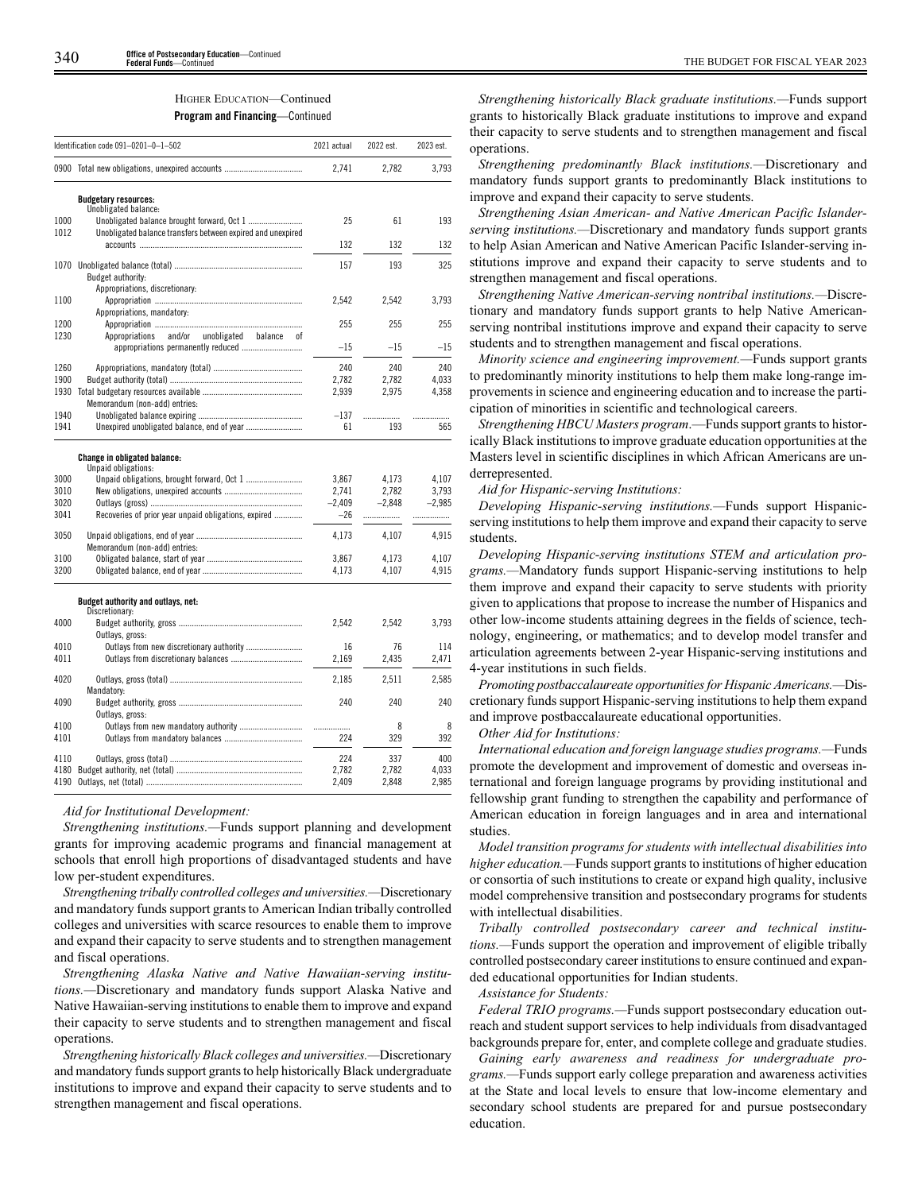# HIGHER EDUCATION—Continued

**Program and Financing**—Continued

|              | Identification code 091-0201-0-1-502                        | 2021 actual    | 2022 est.    | 2023 est.    |
|--------------|-------------------------------------------------------------|----------------|--------------|--------------|
|              | 0900 Total new obligations, unexpired accounts              | 2,741          | 2,782        | 3,793        |
|              | <b>Budgetary resources:</b><br>Unobligated balance:         |                |              |              |
| 1000         |                                                             | 25             | 61           | 193          |
| 1012         | Unobligated balance transfers between expired and unexpired | 132            | 132          | 132          |
|              | Budget authority:                                           | 157            | 193          | 325          |
|              | Appropriations, discretionary:                              |                |              |              |
| 1100         |                                                             | 2,542          | 2,542        | 3,793        |
|              | Appropriations, mandatory:                                  |                |              |              |
| 1200         |                                                             | 255            | 255          | 255          |
| 1230         | and/or<br>Appropriations<br>unobligated<br>balance<br>οf    |                |              |              |
|              | appropriations permanently reduced                          | $-15$          | $-15$        | $-15$        |
|              |                                                             |                |              |              |
| 1260<br>1900 |                                                             | 240            | 240<br>2.782 | 240<br>4.033 |
| 1930         |                                                             | 2,782<br>2,939 | 2,975        | 4,358        |
|              | Memorandum (non-add) entries:                               |                |              |              |
| 1940         |                                                             | $-137$         |              | .            |
| 1941         |                                                             | 61             | 193          | 565          |
|              |                                                             |                |              |              |
|              | Change in obligated balance:<br>Unpaid obligations:         |                |              |              |
| 3000         | Unpaid obligations, brought forward, Oct 1                  | 3,867          | 4,173        | 4.107        |
| 3010         |                                                             | 2,741          | 2,782        | 3,793        |
| 3020         |                                                             | $-2.409$       | $-2.848$     | $-2,985$     |
| 3041         | Recoveries of prior year unpaid obligations, expired        | $-26$          | .            | .            |
| 3050         | Memorandum (non-add) entries:                               | 4,173          | 4,107        | 4,915        |
| 3100         |                                                             | 3,867          | 4,173        | 4,107        |
| 3200         |                                                             | 4,173          | 4,107        | 4,915        |
|              |                                                             |                |              |              |
|              | Budget authority and outlays, net:<br>Discretionary:        |                |              |              |
| 4000         | Outlays, gross:                                             | 2,542          | 2,542        | 3,793        |
| 4010         | Outlays from new discretionary authority                    | 16             | 76           | 114          |
| 4011         |                                                             | 2.169          | 2.435        | 2.471        |
| 4020         | Mandatory:                                                  | 2,185          | 2,511        | 2,585        |
| 4090         | Outlays, gross:                                             | 240            | 240          | 240          |
| 4100         |                                                             | .              | 8            | 8            |
| 4101         |                                                             | 224            | 329          | 392          |
| 4110         |                                                             | 224            | 337          | 400          |
| 4180         |                                                             | 2,782          | 2,782        | 4,033        |
| 4190         |                                                             | 2,409          | 2,848        | 2,985        |
|              |                                                             |                |              |              |

#### *Aid for Institutional Development:*

*Strengthening institutions.—*Funds support planning and development grants for improving academic programs and financial management at schools that enroll high proportions of disadvantaged students and have low per-student expenditures.

*Strengthening tribally controlled colleges and universities.—*Discretionary and mandatory funds support grants to American Indian tribally controlled colleges and universities with scarce resources to enable them to improve and expand their capacity to serve students and to strengthen management and fiscal operations.

*Strengthening Alaska Native and Native Hawaiian-serving institutions.—*Discretionary and mandatory funds support Alaska Native and Native Hawaiian-serving institutions to enable them to improve and expand their capacity to serve students and to strengthen management and fiscal operations.

*Strengthening historically Black colleges and universities.—*Discretionary and mandatory funds support grants to help historically Black undergraduate institutions to improve and expand their capacity to serve students and to strengthen management and fiscal operations.

*Strengthening historically Black graduate institutions.—*Funds support grants to historically Black graduate institutions to improve and expand their capacity to serve students and to strengthen management and fiscal operations.

*Strengthening predominantly Black institutions.—*Discretionary and mandatory funds support grants to predominantly Black institutions to improve and expand their capacity to serve students.

*Strengthening Asian American- and Native American Pacific Islanderserving institutions.—*Discretionary and mandatory funds support grants to help Asian American and Native American Pacific Islander-serving institutions improve and expand their capacity to serve students and to strengthen management and fiscal operations.

*Strengthening Native American-serving nontribal institutions.—*Discretionary and mandatory funds support grants to help Native Americanserving nontribal institutions improve and expand their capacity to serve students and to strengthen management and fiscal operations.

*Minority science and engineering improvement.—*Funds support grants to predominantly minority institutions to help them make long-range improvements in science and engineering education and to increase the participation of minorities in scientific and technological careers.

*Strengthening HBCU Masters program*.—Funds support grants to historically Black institutions to improve graduate education opportunities at the Masters level in scientific disciplines in which African Americans are underrepresented.

# *Aid for Hispanic-serving Institutions:*

*Developing Hispanic-serving institutions.—*Funds support Hispanicserving institutions to help them improve and expand their capacity to serve students.

*Developing Hispanic-serving institutions STEM and articulation programs.—*Mandatory funds support Hispanic-serving institutions to help them improve and expand their capacity to serve students with priority given to applications that propose to increase the number of Hispanics and other low-income students attaining degrees in the fields of science, technology, engineering, or mathematics; and to develop model transfer and articulation agreements between 2-year Hispanic-serving institutions and 4-year institutions in such fields.

*Promoting postbaccalaureate opportunities for Hispanic Americans.—*Discretionary funds support Hispanic-serving institutions to help them expand and improve postbaccalaureate educational opportunities.

## *Other Aid for Institutions:*

*International education and foreign language studies programs.—*Funds promote the development and improvement of domestic and overseas international and foreign language programs by providing institutional and fellowship grant funding to strengthen the capability and performance of American education in foreign languages and in area and international studies.

*Model transition programs for students with intellectual disabilities into higher education.—*Funds support grants to institutions of higher education or consortia of such institutions to create or expand high quality, inclusive model comprehensive transition and postsecondary programs for students with intellectual disabilities.

*Tribally controlled postsecondary career and technical institutions.—*Funds support the operation and improvement of eligible tribally controlled postsecondary career institutions to ensure continued and expanded educational opportunities for Indian students.

## *Assistance for Students:*

*Federal TRIO programs.—*Funds support postsecondary education outreach and student support services to help individuals from disadvantaged backgrounds prepare for, enter, and complete college and graduate studies.

*Gaining early awareness and readiness for undergraduate programs.—*Funds support early college preparation and awareness activities at the State and local levels to ensure that low-income elementary and secondary school students are prepared for and pursue postsecondary education.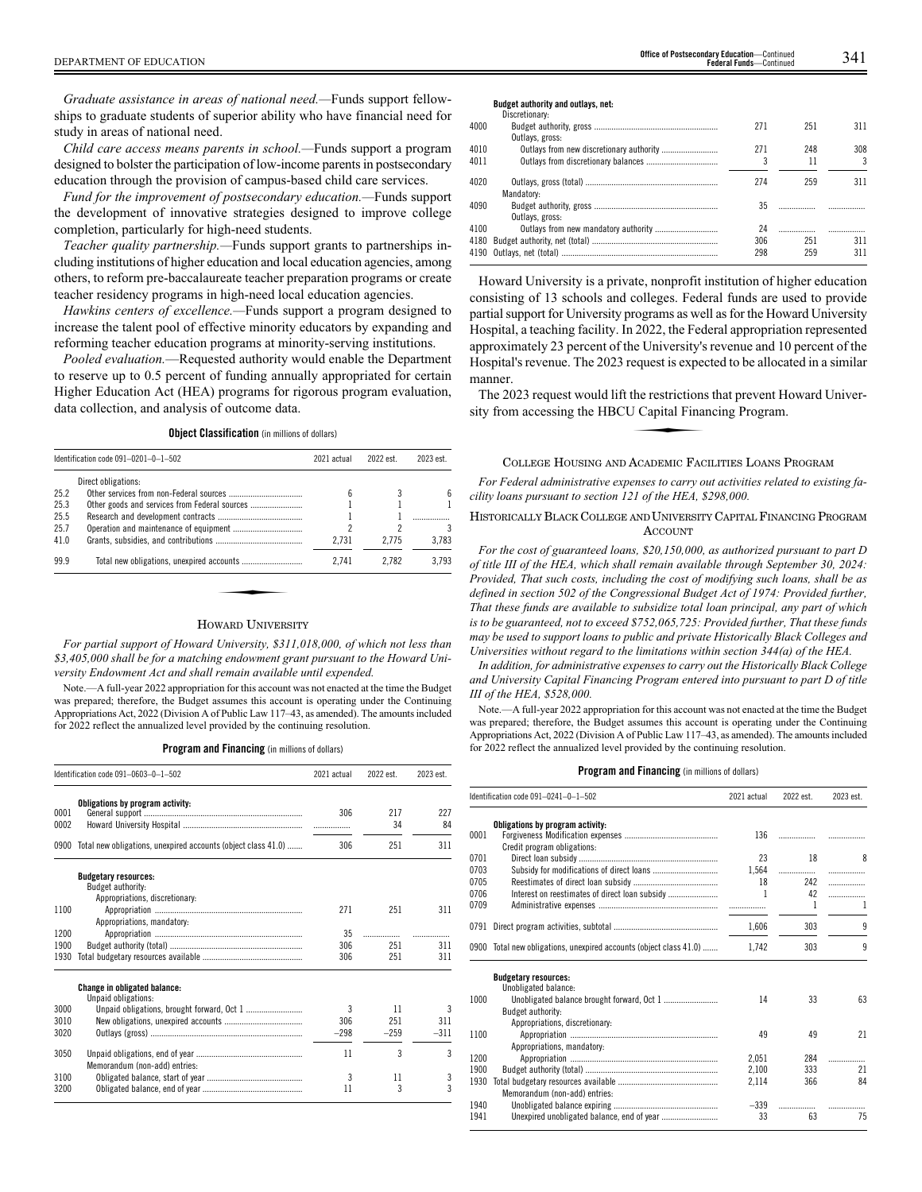*Graduate assistance in areas of national need.—*Funds support fellowships to graduate students of superior ability who have financial need for study in areas of national need.

*Child care access means parents in school.—*Funds support a program designed to bolster the participation of low-income parents in postsecondary education through the provision of campus-based child care services.

*Fund for the improvement of postsecondary education.—*Funds support the development of innovative strategies designed to improve college completion, particularly for high-need students.

*Teacher quality partnership.—*Funds support grants to partnerships including institutions of higher education and local education agencies, among others, to reform pre-baccalaureate teacher preparation programs or create teacher residency programs in high-need local education agencies.

*Hawkins centers of excellence.—*Funds support a program designed to increase the talent pool of effective minority educators by expanding and reforming teacher education programs at minority-serving institutions.

*Pooled evaluation.*—Requested authority would enable the Department to reserve up to 0.5 percent of funding annually appropriated for certain Higher Education Act (HEA) programs for rigorous program evaluation, data collection, and analysis of outcome data.

**Object Classification** (in millions of dollars)

| Identification code 091-0201-0-1-502 |                     | 2021 actual | 2022 est. | 2023 est. |  |
|--------------------------------------|---------------------|-------------|-----------|-----------|--|
|                                      | Direct obligations: |             |           |           |  |
| 25.2                                 |                     | հ           |           | 6         |  |
| 25.3                                 |                     |             |           |           |  |
| 25.5                                 |                     |             |           |           |  |
| 25.7                                 |                     |             |           | 3         |  |
| 41.0                                 |                     | 2.731       | 2.775     | 3.783     |  |
| 99.9                                 |                     | 2.741       | 2.782     | 3.793     |  |
|                                      |                     |             |           |           |  |
|                                      |                     |             |           |           |  |
|                                      |                     |             |           |           |  |

#### HOWARD UNIVERSITY

*For partial support of Howard University, \$311,018,000, of which not less than \$3,405,000 shall be for a matching endowment grant pursuant to the Howard University Endowment Act and shall remain available until expended.*

Note.—A full-year 2022 appropriation for this account was not enacted at the time the Budget was prepared; therefore, the Budget assumes this account is operating under the Continuing Appropriations Act, 2022 (Division A of Public Law 117–43, as amended). The amounts included for 2022 reflect the annualized level provided by the continuing resolution.

#### **Program and Financing** (in millions of dollars)

| Identification code 091-0603-0-1-502 |                                                                    | 2021 actual | 2022 est. | 2023 est. |  |
|--------------------------------------|--------------------------------------------------------------------|-------------|-----------|-----------|--|
|                                      | Obligations by program activity:                                   |             |           |           |  |
| 0001<br>0002                         |                                                                    | 306         | 217<br>34 | 227<br>84 |  |
|                                      | 0900 Total new obligations, unexpired accounts (object class 41.0) | 306         | 251       | 311       |  |
|                                      | <b>Budgetary resources:</b>                                        |             |           |           |  |
|                                      | Budget authority:                                                  |             |           |           |  |
|                                      | Appropriations, discretionary:                                     |             |           |           |  |
| 1100                                 |                                                                    | 271         | 251       | 311       |  |
|                                      | Appropriations, mandatory:                                         |             |           |           |  |
| 1200                                 |                                                                    | 35          | .         |           |  |
| 1900                                 |                                                                    | 306         | 251       | 311       |  |
| 1930                                 |                                                                    | 306         | 251       | 311       |  |
|                                      | <b>Change in obligated balance:</b><br>Unpaid obligations:         |             |           |           |  |
| 3000                                 |                                                                    | 3           | 11        | 3         |  |
| 3010                                 |                                                                    | 306         | 251       | 311       |  |
| 3020                                 |                                                                    | $-298$      | $-259$    | $-311$    |  |
| 3050                                 | Memorandum (non-add) entries:                                      | 11          | 3         | 3         |  |
| 3100                                 |                                                                    | 3           | 11        | 3         |  |
| 3200                                 |                                                                    | 11          | 3         | 3         |  |

#### **Budget authority and outlays, net:**

|      | Discretionary:  |     |     |     |
|------|-----------------|-----|-----|-----|
| 4000 |                 | 271 | 251 | 311 |
|      | Outlays, gross: |     |     |     |
| 4010 |                 | 271 | 248 | 308 |
| 4011 |                 |     | 11  | 3   |
| 4020 |                 | 274 | 259 | 311 |
|      | Mandatory:      |     |     |     |
| 4090 |                 | 35  |     |     |
|      | Outlays, gross: |     |     |     |
| 4100 |                 | 24  |     |     |
| 4180 |                 | 306 | 251 | 311 |
|      |                 | 298 | 259 | 311 |
|      |                 |     |     |     |

Howard University is a private, nonprofit institution of higher education consisting of 13 schools and colleges. Federal funds are used to provide partial support for University programs as well as for the Howard University Hospital, a teaching facility. In 2022, the Federal appropriation represented approximately 23 percent of the University's revenue and 10 percent of the Hospital's revenue. The 2023 request is expected to be allocated in a similar manner.

The 2023 request would lift the restrictions that prevent Howard University from accessing the HBCU Capital Financing Program. Exercise is experienced.<br>
J Capital Finances<br>
A RARAGE RARAGE

#### COLLEGE HOUSING AND ACADEMIC FACILITIES LOANS PROGRAM

*For Federal administrative expenses to carry out activities related to existing facility loans pursuant to section 121 of the HEA, \$298,000.*

## HISTORICALLY BLACK COLLEGE AND UNIVERSITY CAPITAL FINANCING PROGRAM ACCOUNT

*For the cost of guaranteed loans, \$20,150,000, as authorized pursuant to part D of title III of the HEA, which shall remain available through September 30, 2024: Provided, That such costs, including the cost of modifying such loans, shall be as defined in section 502 of the Congressional Budget Act of 1974: Provided further, That these funds are available to subsidize total loan principal, any part of which is to be guaranteed, not to exceed \$752,065,725: Provided further, That these funds may be used to support loans to public and private Historically Black Colleges and Universities without regard to the limitations within section 344(a) of the HEA.*

*In addition, for administrative expenses to carry out the Historically Black College and University Capital Financing Program entered into pursuant to part D of title III of the HEA, \$528,000.*

Note.—A full-year 2022 appropriation for this account was not enacted at the time the Budget was prepared; therefore, the Budget assumes this account is operating under the Continuing Appropriations Act, 2022 (Division A of Public Law 117–43, as amended). The amounts included for 2022 reflect the annualized level provided by the continuing resolution.

|      | Identification code $091-0241-0-1-502$<br>2021 actual              |        | 2022 est. | 2023 est. |
|------|--------------------------------------------------------------------|--------|-----------|-----------|
| 0001 | Obligations by program activity:                                   | 136    |           |           |
|      | Credit program obligations:                                        |        |           |           |
| 0701 |                                                                    | 23     | 18        | 8         |
| 0703 |                                                                    | 1.564  |           | .         |
| 0705 |                                                                    | 18     | 242       | .         |
| 0706 |                                                                    | 1      | 42        | .         |
| 0709 |                                                                    |        | 1         | 1         |
| 0791 |                                                                    | 1,606  | 303       | 9         |
|      | 0900 Total new obligations, unexpired accounts (object class 41.0) | 1.742  | 303       | 9         |
|      | <b>Budgetary resources:</b><br>Unobligated balance:                |        |           |           |
| 1000 |                                                                    | 14     | 33        | 63        |
|      | <b>Budget authority:</b>                                           |        |           |           |
|      | Appropriations, discretionary:                                     |        |           |           |
| 1100 |                                                                    | 49     | 49        | 21        |
|      | Appropriations, mandatory:                                         |        |           |           |
| 1200 |                                                                    | 2.051  | 284       | .         |
| 1900 |                                                                    | 2,100  | 333       | 21        |
| 1930 |                                                                    | 2,114  | 366       | 84        |
|      | Memorandum (non-add) entries:                                      |        |           |           |
| 1940 |                                                                    | $-339$ | .         | .         |
|      |                                                                    | 33     | 63        | 75        |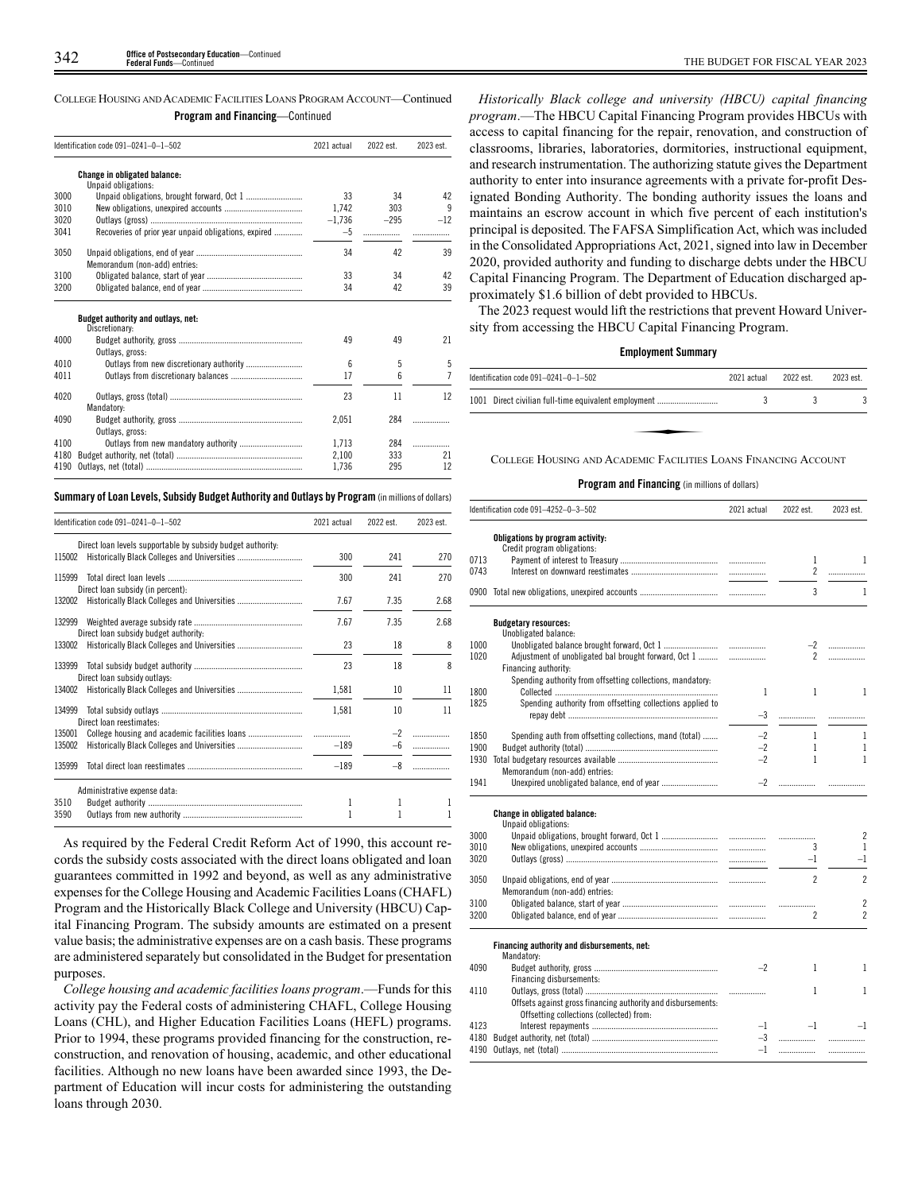COLLEGE HOUSING AND ACADEMIC FACILITIES LOANS PROGRAM ACCOUNT—Continued **Program and Financing**—Continued

|                                              | Identification code 091-0241-0-1-502                 | 2021 actual    | 2022 est.  | 2023 est.      |
|----------------------------------------------|------------------------------------------------------|----------------|------------|----------------|
|                                              | Change in obligated balance:                         |                |            |                |
|                                              | Unpaid obligations:                                  |                |            |                |
| 3000                                         | Unpaid obligations, brought forward, Oct 1           | 33             | 34         | 42             |
| 3010                                         |                                                      | 1.742          | 303        | 9              |
| 3020                                         |                                                      | $-1,736$       | $-295$     | $-12$          |
| 3041                                         | Recoveries of prior year unpaid obligations, expired | $-5$           | .          | .              |
| 3050                                         |                                                      | 34             | 42         | 39             |
|                                              | Memorandum (non-add) entries:                        |                |            |                |
| 3100                                         |                                                      | 33             | 34         | 42             |
| 3200                                         |                                                      | 34             | 42         | 39             |
|                                              | Budget authority and outlays, net:<br>Discretionary: |                |            |                |
| 4000                                         |                                                      | 49             |            |                |
|                                              |                                                      |                |            |                |
|                                              |                                                      |                | 49         | 21             |
|                                              | Outlays, gross:                                      |                |            |                |
|                                              | Outlays from new discretionary authority             | 6              | 5          | 5              |
|                                              |                                                      | 17             | 6          | $\overline{7}$ |
|                                              |                                                      | 23             | 11         | 12             |
|                                              |                                                      |                |            |                |
|                                              | Mandatory:                                           |                | 284        |                |
|                                              |                                                      | 2.051          |            |                |
|                                              | Outlays, gross:                                      |                |            |                |
| 4010<br>4011<br>4020<br>4090<br>4100<br>4180 |                                                      | 1.713<br>2,100 | 284<br>333 | .<br>21        |

## **Summary ofLoan Levels, Subsidy Budget Authority and Outlays by Program** (inmillionsof dollars)

| Identification code 091-0241-0-1-502                                                                                                                                                                                                                                                                                                                                                                                  | 2021 actual | 2022 est. | 2023 est. |
|-----------------------------------------------------------------------------------------------------------------------------------------------------------------------------------------------------------------------------------------------------------------------------------------------------------------------------------------------------------------------------------------------------------------------|-------------|-----------|-----------|
| Direct loan levels supportable by subsidy budget authority:<br>115002<br>300<br>241<br>241<br>300<br>Direct loan subsidy (in percent):<br>7.35<br>7.67<br>7.67<br>7.35<br>Direct loan subsidy budget authority:<br>23<br>18<br>23<br>18<br>Direct loan subsidy outlays:<br>1,581<br>10<br>1,581<br>10<br>Direct loan reestimates:<br>Historically Black Colleges and Universities<br>$-189$<br>$-6$<br>$-189$<br>$-8$ | 270         |           |           |
| 115999                                                                                                                                                                                                                                                                                                                                                                                                                |             |           | 270       |
| 132002                                                                                                                                                                                                                                                                                                                                                                                                                |             |           | 2.68      |
| 132999                                                                                                                                                                                                                                                                                                                                                                                                                |             |           | 2.68      |
| 133002                                                                                                                                                                                                                                                                                                                                                                                                                |             |           | 8         |
| 133999                                                                                                                                                                                                                                                                                                                                                                                                                |             |           | 8         |
| 134002                                                                                                                                                                                                                                                                                                                                                                                                                |             |           | 11        |
| 134999                                                                                                                                                                                                                                                                                                                                                                                                                |             |           | 11        |
| 135001                                                                                                                                                                                                                                                                                                                                                                                                                |             |           |           |
| 135002                                                                                                                                                                                                                                                                                                                                                                                                                |             |           | .         |
| 135999                                                                                                                                                                                                                                                                                                                                                                                                                |             |           |           |
| Administrative expense data:                                                                                                                                                                                                                                                                                                                                                                                          |             |           |           |
| 3510                                                                                                                                                                                                                                                                                                                                                                                                                  | 1           | 1         | 1         |
| 3590                                                                                                                                                                                                                                                                                                                                                                                                                  |             | 1         |           |

As required by the Federal Credit Reform Act of 1990, this account records the subsidy costs associated with the direct loans obligated and loan guarantees committed in 1992 and beyond, as well as any administrative expenses for the College Housing and Academic Facilities Loans (CHAFL) Program and the Historically Black College and University (HBCU) Capital Financing Program. The subsidy amounts are estimated on a present value basis; the administrative expenses are on a cash basis. These programs are administered separately but consolidated in the Budget for presentation purposes.

*College housing and academic facilities loans program*.—Funds for this activity pay the Federal costs of administering CHAFL, College Housing Loans (CHL), and Higher Education Facilities Loans (HEFL) programs. Prior to 1994, these programs provided financing for the construction, reconstruction, and renovation of housing, academic, and other educational facilities. Although no new loans have been awarded since 1993, the Department of Education will incur costs for administering the outstanding loans through 2030.

*Historically Black college and university (HBCU) capital financing program*.—The HBCU Capital Financing Program provides HBCUs with access to capital financing for the repair, renovation, and construction of classrooms, libraries, laboratories, dormitories, instructional equipment, and research instrumentation. The authorizing statute gives the Department authority to enter into insurance agreements with a private for-profit Designated Bonding Authority. The bonding authority issues the loans and maintains an escrow account in which five percent of each institution's principal is deposited. The FAFSA Simplification Act, which was included in the Consolidated Appropriations Act, 2021, signed into law in December 2020, provided authority and funding to discharge debts under the HBCU Capital Financing Program. The Department of Education discharged approximately \$1.6 billion of debt provided to HBCUs.

The 2023 request would lift the restrictions that prevent Howard University from accessing the HBCU Capital Financing Program.

#### **Employment Summary**

|                                                                                              | 2021 actual | 2022 est. | 2023 est. |
|----------------------------------------------------------------------------------------------|-------------|-----------|-----------|
| Identification code 091-0241-0-1-502<br>1001 Direct civilian full-time equivalent employment |             |           |           |
|                                                                                              |             |           |           |
| COLLEGE HOUSING AND ACADEMIC FACILITIES LOANS FINANCING ACCOUNT                              |             |           |           |

COLLEGE HOUSING AND ACADEMIC FACILITIES LOANS FINANCING ACCOUNT

|      | Identification code 091-4252-0-3-502                         | 2021 actual  | 2022 est.      | 2023 est.                          |
|------|--------------------------------------------------------------|--------------|----------------|------------------------------------|
|      | Obligations by program activity:                             |              |                |                                    |
|      | Credit program obligations:                                  |              |                |                                    |
| 0713 |                                                              |              | 1              | 1                                  |
| 0743 |                                                              |              | $\overline{2}$ |                                    |
|      |                                                              |              | 3              | $\mathbf{1}$                       |
|      | <b>Budgetary resources:</b>                                  |              |                |                                    |
|      | Unobligated balance:                                         |              |                |                                    |
| 1000 |                                                              |              |                | $-2$                               |
| 1020 | Adjustment of unobligated bal brought forward, Oct 1         |              | $\mathbf{2}$   | .                                  |
|      | Financing authority:                                         |              |                |                                    |
|      | Spending authority from offsetting collections, mandatory:   |              |                |                                    |
| 1800 |                                                              | $\mathbf{1}$ | $\mathbf{1}$   | $\mathbf{1}$                       |
| 1825 | Spending authority from offsetting collections applied to    |              |                |                                    |
|      |                                                              | $-3$         |                | .                                  |
|      |                                                              | $-2$         |                |                                    |
| 1850 | Spending auth from offsetting collections, mand (total)      |              | $\mathbf{1}$   | $\mathbf{1}$                       |
| 1900 |                                                              | $-2$         | $\mathbf{1}$   | 1                                  |
| 1930 |                                                              | $-2$         | $\mathbf{1}$   | $\mathbf{1}$                       |
|      | Memorandum (non-add) entries:                                |              |                |                                    |
| 1941 |                                                              | $-2$         |                |                                    |
|      |                                                              |              |                |                                    |
|      | <b>Change in obligated balance:</b><br>Unpaid obligations:   |              |                |                                    |
| 3000 |                                                              |              | .              | $\overline{2}$                     |
| 3010 |                                                              |              | 3              | -1                                 |
| 3020 |                                                              |              | $-1$           | $-1$                               |
|      |                                                              |              |                |                                    |
| 3050 |                                                              |              | $\overline{2}$ | $\overline{2}$                     |
|      | Memorandum (non-add) entries:                                |              |                |                                    |
| 3100 |                                                              |              | .              | $\overline{2}$                     |
| 3200 |                                                              |              | $\overline{c}$ | $\overline{c}$                     |
|      |                                                              |              |                |                                    |
|      | Financing authority and disbursements, net:                  |              |                |                                    |
|      | Mandatory:                                                   | $-2$         | $\mathbf{1}$   |                                    |
| 4090 |                                                              |              |                | 1                                  |
|      | Financing disbursements:                                     |              | 1              |                                    |
| 4110 |                                                              |              |                | $\mathbf{1}$                       |
|      | Offsets against gross financing authority and disbursements: |              |                |                                    |
|      | Offsetting collections (collected) from:                     |              |                |                                    |
| 4123 |                                                              | $-1$         | $-1$           | $-1$                               |
| 4180 |                                                              | $-3$<br>$-1$ |                | $\ldots \ldots \ldots \ldots$<br>. |
|      |                                                              |              |                |                                    |
|      |                                                              |              |                |                                    |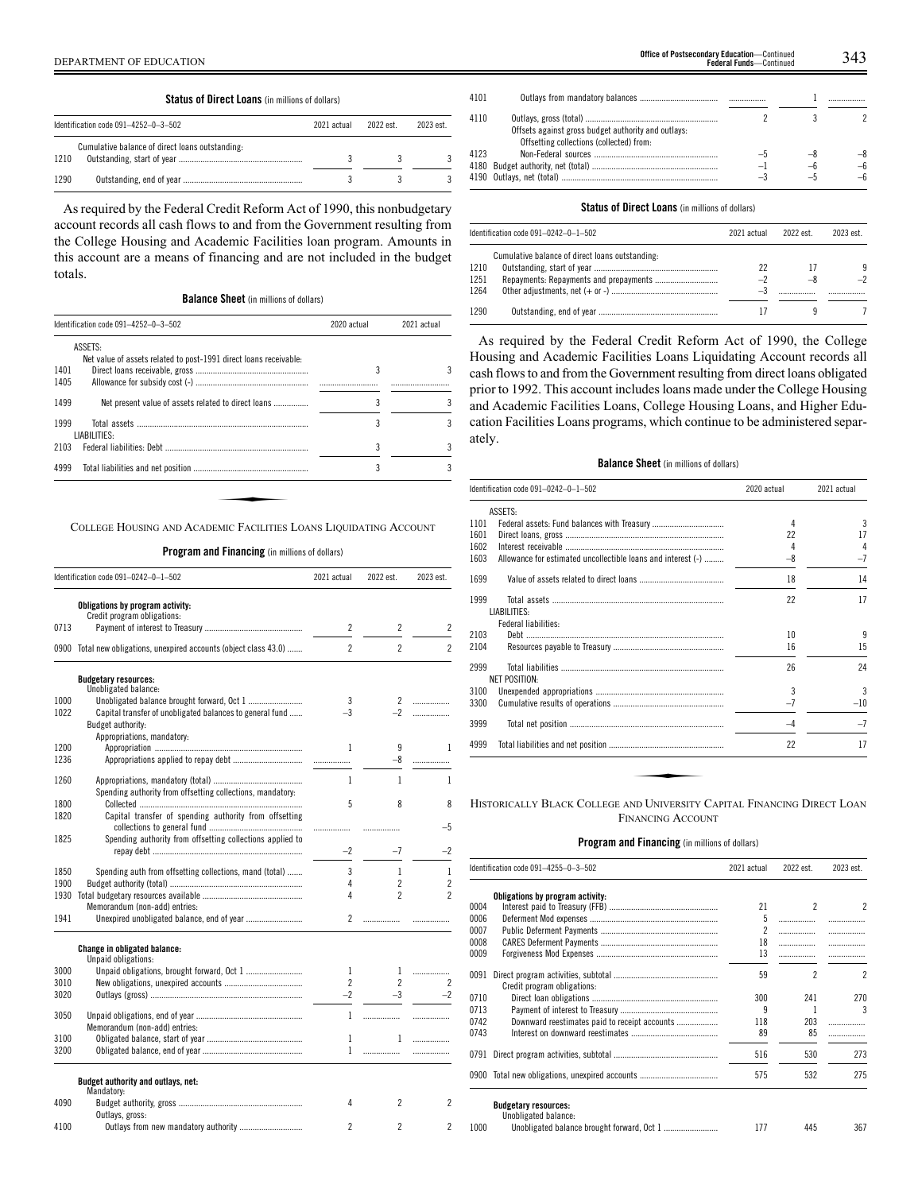|      | <b>Status of Direct Loans</b> (in millions of dollars) |             |          |          |  |  |  |  |
|------|--------------------------------------------------------|-------------|----------|----------|--|--|--|--|
|      | Identification code 091-4252-0-3-502                   | 2021 actual | 2022 est | 2023 est |  |  |  |  |
| 1210 | Cumulative balance of direct loans outstanding:        |             |          |          |  |  |  |  |
| 1290 |                                                        |             |          |          |  |  |  |  |

As required by the Federal Credit Reform Act of 1990, this nonbudgetary account records all cash flows to and from the Government resulting from the College Housing and Academic Facilities loan program. Amounts in this account are a means of financing and are not included in the budget totals.

| <b>Balance Sheet</b> (in millions of dollars) |  |  |  |  |  |  |
|-----------------------------------------------|--|--|--|--|--|--|
|-----------------------------------------------|--|--|--|--|--|--|

|              | Identification code 091-4252-0-3-502                              | 2020 actual | 2021 actual |  |
|--------------|-------------------------------------------------------------------|-------------|-------------|--|
|              | ASSETS:                                                           |             |             |  |
| 1401<br>1405 | Net value of assets related to post-1991 direct loans receivable: | 3           |             |  |
| 1499         | Net present value of assets related to direct loans               | 3           |             |  |
| 1999         | LIABILITIES:                                                      | 3           |             |  |
| 2103         |                                                                   | 3           |             |  |
| 4999         |                                                                   | 3           |             |  |

**Program and Financing** (in millions of dollars)

|              | Identification code 091-0242-0-1-502                                                                   | 2021 actual              | 2022 est.                    | 2023 est.                |
|--------------|--------------------------------------------------------------------------------------------------------|--------------------------|------------------------------|--------------------------|
|              | Obligations by program activity:                                                                       |                          |                              |                          |
| 0713         | Credit program obligations:                                                                            | $\overline{c}$           | 2                            | 2                        |
| 0900         | Total new obligations, unexpired accounts (object class 43.0)                                          | $\overline{2}$           | $\overline{c}$               | $\overline{2}$           |
|              | <b>Budgetary resources:</b>                                                                            |                          |                              |                          |
|              | Unobligated balance:                                                                                   |                          |                              |                          |
| 1000<br>1022 | Unobligated balance brought forward, Oct 1<br>Capital transfer of unobligated balances to general fund | 3<br>$-3$                | $\mathbf{2}^{\circ}$<br>$-2$ | .                        |
|              | Budget authority:                                                                                      |                          |                              | .                        |
|              | Appropriations, mandatory:                                                                             |                          |                              |                          |
| 1200<br>1236 |                                                                                                        | 1                        | 9                            | 1                        |
|              |                                                                                                        |                          | -8                           | .                        |
| 1260         |                                                                                                        | 1                        | 1                            | 1                        |
|              | Spending authority from offsetting collections, mandatory:                                             |                          |                              |                          |
| 1800         |                                                                                                        | 5                        | 8                            | 8                        |
| 1820         | Capital transfer of spending authority from offsetting                                                 |                          |                              |                          |
| 1825         | Spending authority from offsetting collections applied to                                              | .                        |                              | $-5$                     |
|              |                                                                                                        | $-2$                     | $-7$                         | $-2$                     |
| 1850         | Spending auth from offsetting collections, mand (total)                                                | 3                        | $\mathbf{1}$                 | 1                        |
| 1900         |                                                                                                        | 4                        | $\overline{2}$               | $\overline{c}$           |
| 1930         |                                                                                                        | 4                        | $\overline{\phantom{a}}$     | $\overline{2}$           |
|              | Memorandum (non-add) entries:                                                                          |                          |                              |                          |
| 1941         | Unexpired unobligated balance, end of year                                                             | $\overline{c}$           |                              |                          |
|              | Change in obligated balance:                                                                           |                          |                              |                          |
|              | Unpaid obligations:                                                                                    |                          |                              |                          |
| 3000         |                                                                                                        | 1                        | 1                            | .                        |
| 3010         |                                                                                                        | $\mathfrak{p}$           | $\overline{2}$               | 2                        |
| 3020         |                                                                                                        | $-2$                     | $-3$                         | $-2$                     |
| 3050         |                                                                                                        | 1                        | .                            | .                        |
|              | Memorandum (non-add) entries:                                                                          |                          |                              |                          |
| 3100         |                                                                                                        | 1                        | 1                            | .                        |
| 3200         |                                                                                                        | 1                        | .                            |                          |
|              | Budget authority and outlays, net:                                                                     |                          |                              |                          |
| 4090         | Mandatory:                                                                                             | 4                        | $\overline{\phantom{a}}$     | $\overline{\phantom{a}}$ |
|              | Outlays, gross:                                                                                        |                          |                              |                          |
| 4100         | Outlays from new mandatory authority                                                                   | $\overline{\phantom{a}}$ | 2                            | 2                        |

|      |                                                                                                                                                                                                                                | regeral runus—continued |    |  |
|------|--------------------------------------------------------------------------------------------------------------------------------------------------------------------------------------------------------------------------------|-------------------------|----|--|
| 4101 |                                                                                                                                                                                                                                |                         |    |  |
|      |                                                                                                                                                                                                                                |                         |    |  |
| 4110 |                                                                                                                                                                                                                                |                         |    |  |
|      | Offsets against gross budget authority and outlays:                                                                                                                                                                            |                         |    |  |
|      | Offsetting collections (collected) from:                                                                                                                                                                                       |                         |    |  |
| 4123 |                                                                                                                                                                                                                                |                         |    |  |
| 4180 |                                                                                                                                                                                                                                | $-$                     | –հ |  |
|      | 4190 Outlavs net (total) and the control of the control of the control of the control of the control of the control of the control of the control of the control of the control of the control of the control of the control o | $-\tilde{t}$            |    |  |

**Office of Postsecondary Education-Continued** 

#### **Status of Direct Loans** (in millions of dollars)

4190 Outlays, net (total)...

|      | Identification code $091-0242-0-1-502$          | 2021 actual | 2022 est. | 2023 est. |
|------|-------------------------------------------------|-------------|-----------|-----------|
|      | Cumulative balance of direct loans outstanding: |             |           |           |
| 1210 |                                                 | 22          | 17        | 9         |
| 1251 |                                                 | $-2$        | -8        | $-2$      |
| 1264 |                                                 | -1          |           |           |
| 1290 |                                                 |             |           |           |

As required by the Federal Credit Reform Act of 1990, the College Housing and Academic Facilities Loans Liquidating Account records all cash flows to and from the Government resulting from direct loans obligated prior to 1992. This account includes loans made under the College Housing and Academic Facilities Loans, College Housing Loans, and Higher Education Facilities Loans programs, which continue to be administered separately.

## **Balance Sheet** (in millions of dollars)

|      | Identification code 091-0242-0-1-502                         | 2020 actual | 2021 actual |  |
|------|--------------------------------------------------------------|-------------|-------------|--|
|      | ASSETS:                                                      |             |             |  |
| 1101 |                                                              | 4           | 3           |  |
| 1601 |                                                              | 22          | 17          |  |
| 1602 |                                                              | 4           | 4           |  |
| 1603 | Allowance for estimated uncollectible loans and interest (-) | $-8$        | $-7$        |  |
| 1699 |                                                              | 18          | 14          |  |
| 1999 | LIABILITIES:                                                 | 22          | 17          |  |
|      | Federal liabilities:                                         |             |             |  |
| 2103 | <u> Debt …………………………………………………………………………</u>                    | 10          | 9           |  |
| 2104 |                                                              | 16          | 15          |  |
| 2999 | NET POSITION:                                                | 26          | 24          |  |
| 3100 |                                                              | 3           | 3           |  |
| 3300 |                                                              | $-7$        | $-10$       |  |
| 3999 |                                                              | $-4$        | $-7$        |  |
| 4999 |                                                              | 22          | 17          |  |

FINANCING ACCOUNT

|      | ldentification code 091–4255–0–3–502                | 2021 actual | 2022 est.      | 2023 est.      |
|------|-----------------------------------------------------|-------------|----------------|----------------|
|      | Obligations by program activity:                    |             |                |                |
| 0004 |                                                     | 21          | $\overline{c}$ | 2              |
| 0006 |                                                     | 5           | .              |                |
| 0007 |                                                     | 2           | .              | .              |
| 8000 |                                                     | 18          |                | .              |
| 0009 |                                                     | 13          |                |                |
| 0091 | Credit program obligations:                         | 59          | 2              | $\mathfrak{p}$ |
| 0710 |                                                     | 300         | 241            | 270            |
| 0713 |                                                     | ٩           |                | 3              |
| 0742 | Downward reestimates paid to receipt accounts       | 118         | 203            | .              |
| 0743 |                                                     | 89          | 85             |                |
|      |                                                     | 516         | 530            | 273            |
|      | 0900 Total new obligations, unexpired accounts      | 575         | 532            | 275            |
|      | <b>Budgetary resources:</b><br>Unobligated balance: |             |                |                |
| 1000 |                                                     | 177         | 445            | 367            |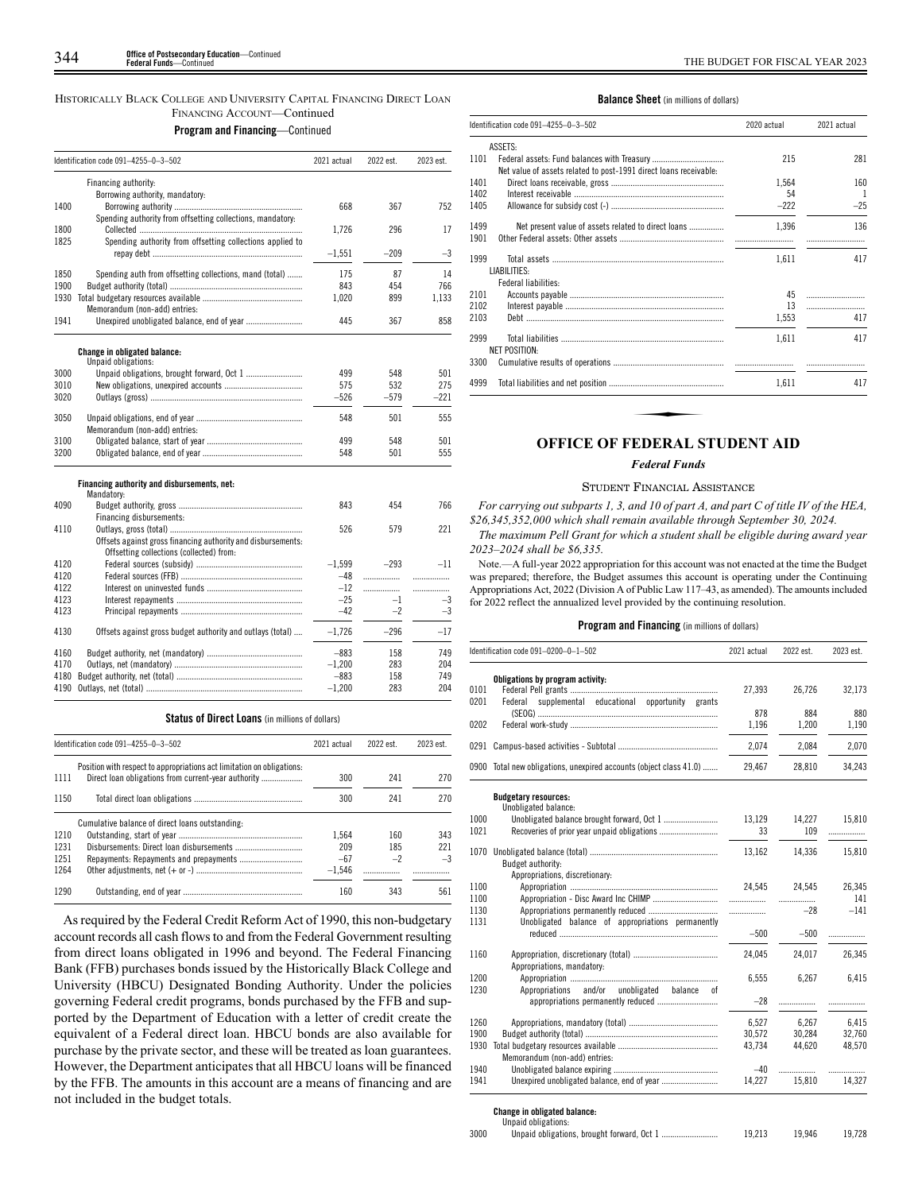# HISTORICALLY BLACK COLLEGE AND UNIVERSITY CAPITAL FINANCING DIRECT LOAN FINANCING ACCOUNT—Continued

**Program and Financing**—Continued

|      | Identification code 091-4255-0-3-502                         | 2021 actual | 2022 est. | 2023 est. |
|------|--------------------------------------------------------------|-------------|-----------|-----------|
|      | Financing authority:                                         |             |           |           |
|      | Borrowing authority, mandatory:                              |             |           |           |
| 1400 |                                                              | 668         | 367       | 752       |
|      | Spending authority from offsetting collections, mandatory:   |             |           |           |
| 1800 |                                                              | 1.726       | 296       | 17        |
| 1825 | Spending authority from offsetting collections applied to    | $-1.551$    | $-209$    | $-3$      |
|      |                                                              |             |           |           |
| 1850 | Spending auth from offsetting collections, mand (total)      | 175         | 87        | 14        |
| 1900 |                                                              | 843         | 454       | 766       |
| 1930 |                                                              | 1,020       | 899       | 1.133     |
|      | Memorandum (non-add) entries:                                |             |           |           |
| 1941 | Unexpired unobligated balance, end of year                   | 445         | 367       | 858       |
|      | <b>Change in obligated balance:</b>                          |             |           |           |
|      | Unpaid obligations:                                          |             |           |           |
| 3000 |                                                              | 499         | 548       | 501       |
| 3010 |                                                              | 575         | 532       | 275       |
| 3020 |                                                              | $-526$      | $-579$    | $-221$    |
| 3050 |                                                              | 548         | 501       | 555       |
|      | Memorandum (non-add) entries:                                |             |           |           |
| 3100 |                                                              | 499         | 548       | 501       |
| 3200 |                                                              | 548         | 501       | 555       |
|      | Financing authority and disbursements, net:                  |             |           |           |
|      | Mandatory:                                                   |             |           |           |
| 4090 |                                                              | 843         | 454       | 766       |
|      | Financing disbursements:                                     |             |           |           |
| 4110 |                                                              | 526         | 579       | 221       |
|      | Offsets against gross financing authority and disbursements: |             |           |           |
|      | Offsetting collections (collected) from:                     |             |           |           |
| 4120 |                                                              | $-1.599$    | $-293$    | $-11$     |
| 4120 |                                                              | $-48$       | .         | .         |
| 4122 |                                                              | $-12$       | .         | .         |
| 4123 |                                                              | $-25$       | $-1$      | $-3$      |
| 4123 |                                                              | $-42$       | $-2$      | $-3$      |
| 4130 | Offsets against gross budget authority and outlays (total)   | $-1.726$    | $-296$    | $-17$     |
| 4160 |                                                              | $-883$      | 158       | 749       |
| 4170 |                                                              | $-1.200$    | 283       | 204       |
| 4180 |                                                              | $-883$      | 158       | 749       |
| 4190 |                                                              | $-1,200$    | 283       | 204       |
|      |                                                              |             |           |           |

#### **Status of Direct Loans** (in millions of dollars)

|      | Identification code 091-4255-0-3-502                                                                                          | 2021 actual | 2022 est. | 2023 est. |
|------|-------------------------------------------------------------------------------------------------------------------------------|-------------|-----------|-----------|
| 1111 | Position with respect to appropriations act limitation on obligations:<br>Direct loan obligations from current-year authority | 300         | 241       | 270       |
| 1150 |                                                                                                                               | 300         | 241       | 270       |
|      | Cumulative balance of direct loans outstanding:                                                                               |             |           |           |
| 1210 |                                                                                                                               | 1.564       | 160       | 343       |
| 1231 |                                                                                                                               | 209         | 185       | 221       |
| 1251 |                                                                                                                               | $-67$       | $-2$      | $-3$      |
| 1264 |                                                                                                                               | $-1.546$    |           |           |
| 1290 |                                                                                                                               | 160         | 343       | 561       |

As required by the Federal Credit Reform Act of 1990, this non-budgetary account records all cash flows to and from the Federal Government resulting from direct loans obligated in 1996 and beyond. The Federal Financing Bank (FFB) purchases bonds issued by the Historically Black College and University (HBCU) Designated Bonding Authority. Under the policies governing Federal credit programs, bonds purchased by the FFB and supported by the Department of Education with a letter of credit create the equivalent of a Federal direct loan. HBCU bonds are also available for purchase by the private sector, and these will be treated as loan guarantees. However, the Department anticipates that all HBCU loans will be financed by the FFB. The amounts in this account are a means of financing and are not included in the budget totals.

#### **Balance Sheet** (in millions of dollars)

| 215<br>1.564<br>54<br>$-222$<br>1.396<br>1,611 | $\overline{1}$<br>136 |
|------------------------------------------------|-----------------------|
|                                                | 281<br>160            |
|                                                |                       |
|                                                |                       |
|                                                | $-25$                 |
|                                                |                       |
|                                                |                       |
|                                                | 417                   |
| 45                                             |                       |
| 13                                             |                       |
| 1,553                                          | 417                   |
| 1.611                                          | 417                   |
|                                                |                       |
| 1.611                                          | 417                   |
|                                                |                       |

# **OFFICE OF FEDERAL STUDENT AID**

## *Federal Funds*

#### STUDENT FINANCIAL ASSISTANCE

*For carrying out subparts 1, 3, and 10 of part A, and part C of title IV of the HEA, \$26,345,352,000 which shall remain available through September 30, 2024.*

*The maximum Pell Grant for which a student shall be eligible during award year 2023–2024 shall be \$6,335.*

Note.—A full-year 2022 appropriation for this account was not enacted at the time the Budget was prepared; therefore, the Budget assumes this account is operating under the Continuing Appropriations Act, 2022 (Division A of Public Law 117–43, as amended). The amounts included for 2022 reflect the annualized level provided by the continuing resolution.

#### **Program and Financing** (in millions of dollars)

|      | Identification code 091-0200-0-1-502                               | 2021 actual | 2022 est. | 2023 est. |
|------|--------------------------------------------------------------------|-------------|-----------|-----------|
|      | Obligations by program activity:                                   |             |           |           |
| 0101 |                                                                    | 27,393      | 26,726    | 32,173    |
| 0201 | supplemental educational opportunity grants<br>Federal             | 878         | 884       | 880       |
| 0202 |                                                                    | 1,196       | 1,200     | 1,190     |
|      |                                                                    | 2.074       | 2.084     | 2.070     |
|      |                                                                    |             |           |           |
|      | 0900 Total new obligations, unexpired accounts (object class 41.0) | 29,467      | 28,810    | 34,243    |
|      | <b>Budgetary resources:</b><br>Unobligated balance:                |             |           |           |
| 1000 |                                                                    | 13,129      | 14,227    | 15,810    |
| 1021 |                                                                    | 33          | 109       | .         |
|      |                                                                    |             |           |           |
| 1070 | Budget authority:                                                  | 13,162      | 14,336    | 15,810    |
|      | Appropriations, discretionary:                                     |             |           |           |
| 1100 |                                                                    | 24.545      | 24.545    | 26,345    |
| 1100 |                                                                    | .           | .         | 141       |
| 1130 |                                                                    | .           | $-28$     | $-141$    |
| 1131 | Unobligated balance of appropriations permanently                  |             |           |           |
|      |                                                                    | $-500$      | $-500$    | .         |
| 1160 |                                                                    | 24,045      | 24,017    | 26,345    |
|      | Appropriations, mandatory:                                         |             |           |           |
| 1200 |                                                                    | 6,555       | 6,267     | 6,415     |
| 1230 | and/or unobligated<br>Appropriations<br>balance<br>0f              |             |           |           |
|      | appropriations permanently reduced                                 | $-28$       | .         |           |
| 1260 |                                                                    | 6,527       | 6,267     | 6,415     |
| 1900 |                                                                    | 30.572      | 30.284    | 32.760    |
| 1930 |                                                                    | 43,734      | 44,620    | 48,570    |
|      | Memorandum (non-add) entries:                                      |             |           |           |
| 1940 |                                                                    | $-40$       | .         | .         |
| 1941 |                                                                    | 14,227      | 15,810    | 14,327    |

# **Change in obligated balance:** Unpaid obligations:

|      | onpaia opiigations. |        |        |        |
|------|---------------------|--------|--------|--------|
| 3000 |                     | 19.213 | 19.946 | 19.728 |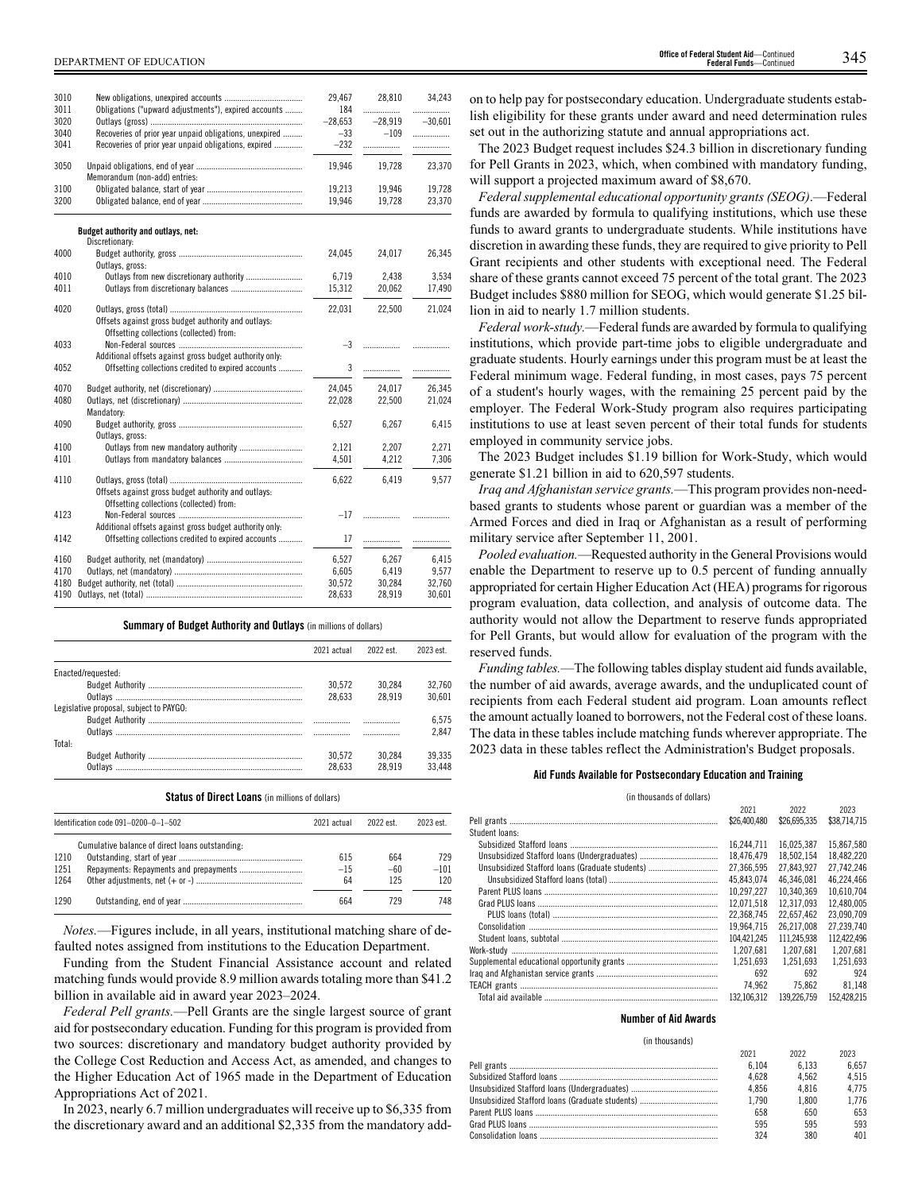| 3010 |                                                         | 29.467    | 28,810    | 34,243    |
|------|---------------------------------------------------------|-----------|-----------|-----------|
| 3011 | Obligations ("upward adjustments"), expired accounts    | 184       | .         | .         |
| 3020 |                                                         | $-28,653$ | $-28,919$ | $-30,601$ |
| 3040 | Recoveries of prior year unpaid obligations, unexpired  | $-33$     | $-109$    | .         |
| 3041 | Recoveries of prior year unpaid obligations, expired    | $-232$    | .         | .         |
|      |                                                         |           |           |           |
| 3050 |                                                         | 19,946    | 19,728    | 23,370    |
|      | Memorandum (non-add) entries:                           |           |           |           |
| 3100 |                                                         | 19.213    | 19.946    | 19.728    |
| 3200 |                                                         | 19,946    | 19,728    | 23,370    |
|      |                                                         |           |           |           |
|      | Budget authority and outlays, net:                      |           |           |           |
|      | Discretionary:                                          |           |           |           |
| 4000 |                                                         | 24,045    | 24,017    | 26,345    |
|      | Outlays, gross:                                         |           |           |           |
| 4010 | Outlays from new discretionary authority                | 6,719     | 2,438     | 3,534     |
| 4011 | Outlays from discretionary balances                     | 15,312    | 20,062    | 17,490    |
| 4020 |                                                         | 22.031    | 22.500    | 21.024    |
|      | Offsets against gross budget authority and outlays:     |           |           |           |
|      | Offsetting collections (collected) from:                |           |           |           |
| 4033 |                                                         | $-3$      | .         |           |
|      | Additional offsets against gross budget authority only: |           |           |           |
| 4052 | Offsetting collections credited to expired accounts     | 3         | .         | .         |
|      |                                                         |           |           |           |
| 4070 |                                                         | 24,045    | 24,017    | 26,345    |
| 4080 |                                                         | 22,028    | 22,500    | 21,024    |
|      | Mandatory:                                              |           |           |           |
| 4090 |                                                         | 6,527     | 6,267     | 6,415     |
|      | Outlays, gross:                                         |           |           |           |
| 4100 |                                                         | 2,121     | 2,207     | 2,271     |
| 4101 |                                                         | 4,501     | 4,212     | 7,306     |
| 4110 |                                                         | 6,622     | 6,419     | 9,577     |
|      | Offsets against gross budget authority and outlays:     |           |           |           |
|      | Offsetting collections (collected) from:                |           |           |           |
| 4123 |                                                         | $-17$     | .         |           |
|      | Additional offsets against gross budget authority only: |           |           |           |
| 4142 | Offsetting collections credited to expired accounts     | 17        | .         |           |
|      |                                                         |           |           |           |
| 4160 |                                                         | 6,527     | 6.267     | 6,415     |
| 4170 |                                                         | 6,605     | 6,419     | 9,577     |
| 4180 |                                                         | 30,572    | 30,284    | 32,760    |
| 4190 |                                                         | 28,633    | 28,919    | 30,601    |

#### **Summary of Budget Authority and Outlays** (in millions of dollars)

|                                         | 2021 actual | 2022 est. | 2023 est |
|-----------------------------------------|-------------|-----------|----------|
| Enacted/requested:                      |             |           |          |
|                                         | 30.572      | 30.284    | 32.760   |
|                                         | 28.633      | 28.919    | 30.601   |
| Legislative proposal, subject to PAYGO: |             |           |          |
|                                         |             |           | 6.575    |
|                                         |             |           | 2.847    |
| Total:                                  |             |           |          |
|                                         | 30.572      | 30.284    | 39.335   |
|                                         | 28.633      | 28 9 1 9  | 33.448   |

**Status of Direct Loans** (in millions of dollars)

|      | Identification code 091-0200-0-1-502            | 2021 actual | 2022 est | 2023 est. |
|------|-------------------------------------------------|-------------|----------|-----------|
|      | Cumulative balance of direct loans outstanding: |             |          |           |
| 1210 |                                                 | 615         | 664      | 729       |
| 1251 |                                                 | $-15$       | $-60$    | $-101$    |
| 1264 |                                                 | 64          | 125      | 120       |
| 1290 |                                                 | 664         | 729      | 748       |

*Notes.*—Figures include, in all years, institutional matching share of defaulted notes assigned from institutions to the Education Department.

Funding from the Student Financial Assistance account and related matching funds would provide 8.9 million awards totaling more than \$41.2 billion in available aid in award year 2023–2024.

*Federal Pell grants.*—Pell Grants are the single largest source of grant aid for postsecondary education. Funding for this program is provided from two sources: discretionary and mandatory budget authority provided by the College Cost Reduction and Access Act, as amended, and changes to the Higher Education Act of 1965 made in the Department of Education Appropriations Act of 2021.

In 2023, nearly 6.7 million undergraduates will receive up to \$6,335 from the discretionary award and an additional \$2,335 from the mandatory add-

DEPARTMENT OF EDUCATION 345 **Office of Federal Student Aid**—Continued **Federal Funds**—Contin

> on to help pay for postsecondary education. Undergraduate students establish eligibility for these grants under award and need determination rules set out in the authorizing statute and annual appropriations act.

> The 2023 Budget request includes \$24.3 billion in discretionary funding for Pell Grants in 2023, which, when combined with mandatory funding, will support a projected maximum award of \$8,670.

> *Federal supplemental educational opportunity grants (SEOG)*.—Federal funds are awarded by formula to qualifying institutions, which use these funds to award grants to undergraduate students. While institutions have discretion in awarding these funds, they are required to give priority to Pell Grant recipients and other students with exceptional need. The Federal share of these grants cannot exceed 75 percent of the total grant. The 2023 Budget includes \$880 million for SEOG, which would generate \$1.25 billion in aid to nearly 1.7 million students.

> *Federal work-study.*—Federal funds are awarded by formula to qualifying institutions, which provide part-time jobs to eligible undergraduate and graduate students. Hourly earnings under this program must be at least the Federal minimum wage. Federal funding, in most cases, pays 75 percent of a student's hourly wages, with the remaining 25 percent paid by the employer. The Federal Work-Study program also requires participating institutions to use at least seven percent of their total funds for students employed in community service jobs.

> The 2023 Budget includes \$1.19 billion for Work-Study, which would generate \$1.21 billion in aid to 620,597 students.

> *Iraq and Afghanistan service grants.*—This program provides non-needbased grants to students whose parent or guardian was a member of the Armed Forces and died in Iraq or Afghanistan as a result of performing military service after September 11, 2001.

> *Pooled evaluation.*—Requested authority in the General Provisions would enable the Department to reserve up to 0.5 percent of funding annually appropriated for certain Higher Education Act (HEA) programs for rigorous program evaluation, data collection, and analysis of outcome data. The authority would not allow the Department to reserve funds appropriated for Pell Grants, but would allow for evaluation of the program with the reserved funds.

> *Funding tables.*—The following tables display student aid funds available, the number of aid awards, average awards, and the unduplicated count of recipients from each Federal student aid program. Loan amounts reflect the amount actually loaned to borrowers, not the Federal cost of these loans. The data in these tables include matching funds wherever appropriate. The 2023 data in these tables reflect the Administration's Budget proposals.

#### **Aid Funds Available for Postsecondary Education and Training**

(in thousands of dollars)

|                                                 | 2021         | 2022         | 2023         |
|-------------------------------------------------|--------------|--------------|--------------|
|                                                 | \$26,400,480 | \$26,695,335 | \$38,714,715 |
| Student Ioans:                                  |              |              |              |
|                                                 | 16.244.711   | 16.025.387   | 15.867.580   |
|                                                 | 18.476.479   | 18.502.154   | 18.482.220   |
| Unsubsidized Stafford Ioans (Graduate students) | 27.366.595   | 27.843.927   | 27.742.246   |
|                                                 | 45.843.074   | 46.346.081   | 46.224.466   |
|                                                 | 10.297.227   | 10.340.369   | 10.610.704   |
|                                                 | 12.071.518   | 12.317.093   | 12.480.005   |
|                                                 | 22.368.745   | 22.657.462   | 23.090.709   |
|                                                 | 19.964.715   | 26.217.008   | 27.239.740   |
|                                                 | 104.421.245  | 111.245.938  | 112.422.496  |
|                                                 | 1.207.681    | 1.207.681    | 1.207.681    |
|                                                 | 1.251.693    | 1.251.693    | 1.251.693    |
|                                                 | 692          | 692          | 924          |
|                                                 | 74.962       | 75.862       | 81.148       |
|                                                 | 132.106.312  | 139.226.759  | 152.428.215  |

#### **Number of Aid Awards**

(in thousands)

| 2021  | 2022  | 2023  |
|-------|-------|-------|
| 6.104 | 6.133 | 6.657 |
| 4.628 | 4.562 | 4.515 |
| 4.856 | 4.816 | 4.775 |
| 1.790 | 1.800 | 1.776 |
| 658   | 650   | 653   |
| 595   | 595   | 593   |
| 324   | 380   | 401   |
|       |       |       |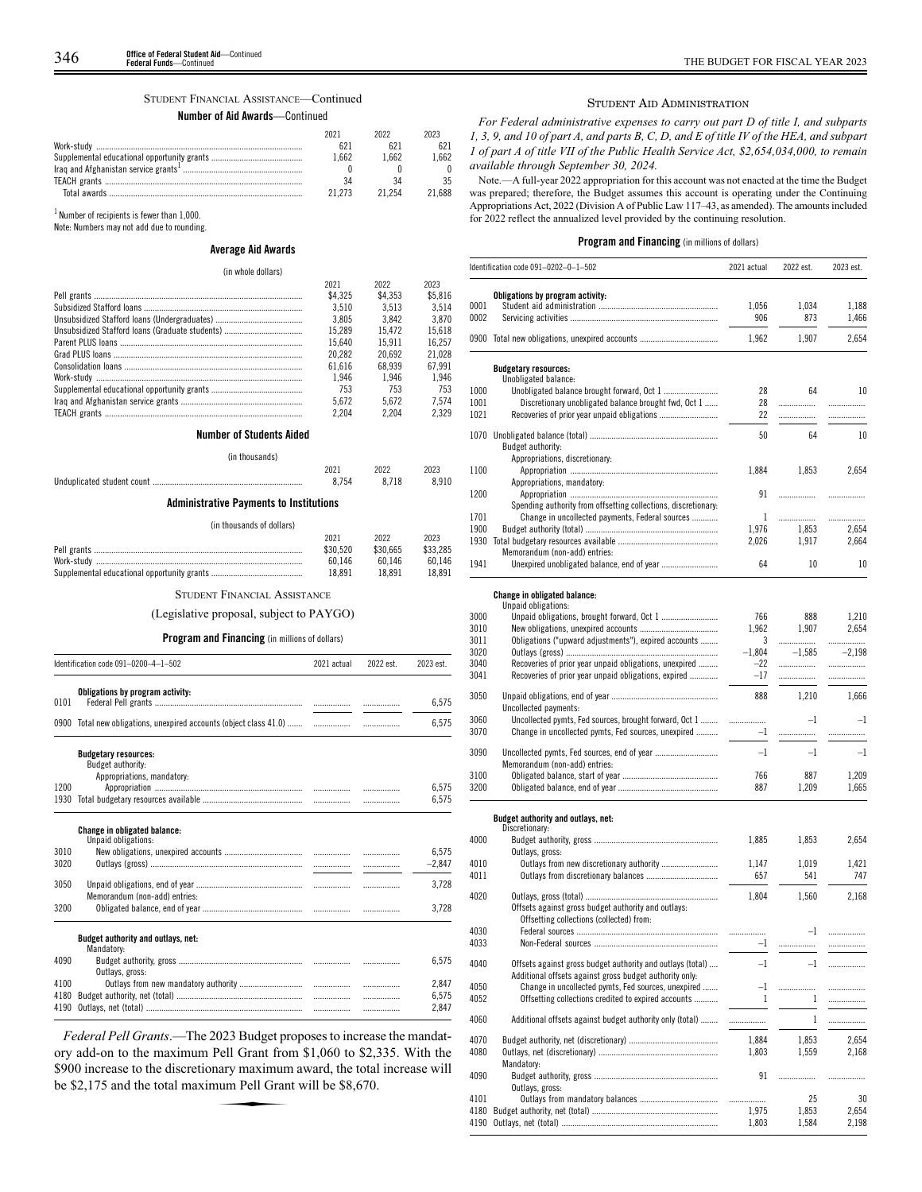#### STUDENT FINANCIAL ASSISTANCE—Continued

#### **Number of Aid Awards**—Continued

| 2021   | 2022   | 2023  |
|--------|--------|-------|
|        |        |       |
| 1.662  | 1 662  | 662   |
|        |        |       |
|        |        | २५    |
| 21 273 | 21 254 | l 688 |

 $^1$  Number of recipients is fewer than  $1,000$ .

Note: Numbers may not add due to rounding.

## **Average Aid Awards**

#### (in whole dollars)

| THE WINNER WORLD OF             |         |         |         |
|---------------------------------|---------|---------|---------|
|                                 | 2021    | 2022    | 2023    |
|                                 | \$4.325 | \$4,353 | \$5.816 |
|                                 | 3.510   | 3.513   | 3.514   |
|                                 | 3.805   | 3.842   | 3.870   |
|                                 | 15.289  | 15.472  | 15.618  |
|                                 | 15.640  | 15.911  | 16.257  |
|                                 | 20.282  | 20.692  | 21.028  |
|                                 | 61.616  | 68.939  | 67.991  |
|                                 | 1.946   | 1.946   | 1.946   |
|                                 | 753     | 753     | 753     |
|                                 | 5.672   | 5.672   | 7.574   |
|                                 | 2.204   | 2.204   | 2.329   |
| <b>Number of Students Aided</b> |         |         |         |
| (in thousands)                  |         |         |         |

# 2021 2022 2023 Unduplicated student count

# **Administrative Payments to Institutions**

#### (in thousands of dollars)

| 2021     | 2022     | 2023     |
|----------|----------|----------|
| \$30.520 | \$30.665 | \$33,285 |
| 60.146   | 60 146   | 60.146   |
| 18.891   | 18 891   | 18.891   |
|          |          |          |

STUDENT FINANCIAL ASSISTANCE

#### (Legislative proposal, subject to PAYGO)

# **Program and Financing** (in millions of dollars)

|      | Identification code 091-0200-4-1-502                                           | 2021 actual | 2022 est. | 2023 est. |
|------|--------------------------------------------------------------------------------|-------------|-----------|-----------|
| 0101 | Obligations by program activity:                                               |             |           | 6,575     |
|      |                                                                                |             |           | 6,575     |
|      | <b>Budgetary resources:</b><br>Budget authority:<br>Appropriations, mandatory: |             |           |           |
| 1200 |                                                                                |             |           | 6.575     |
| 1930 |                                                                                |             |           | 6,575     |
|      | Change in obligated balance:<br>Unpaid obligations:                            |             |           |           |
| 3010 |                                                                                |             |           | 6.575     |
| 3020 |                                                                                |             |           | $-2,847$  |
| 3050 | Memorandum (non-add) entries:                                                  |             |           | 3,728     |
| 3200 |                                                                                |             |           | 3.728     |
|      | Budget authority and outlays, net:<br>Mandatory:                               |             |           |           |
| 4090 | Outlays, gross:                                                                |             |           | 6,575     |
| 4100 |                                                                                |             |           | 2,847     |
| 4180 |                                                                                |             |           | 6.575     |
| 4190 |                                                                                |             |           | 2,847     |

*Federal Pell Grants*.—The 2023 Budget proposes to increase the mandatory add-on to the maximum Pell Grant from \$1,060 to \$2,335. With the \$900 increase to the discretionary maximum award, the total increase will be \$2,175 and the total maximum Pell Grant will be \$8,670. Foll Grant from<br>Pell Grant from<br>nary maximum<br>num Pell Gran

#### STUDENT AID ADMINISTRATION

*For Federal administrative expenses to carry out part D of title I, and subparts 1, 3, 9, and 10 of part A, and parts B, C, D, and E of title IV of the HEA, and subpart 1 of part A of title VII of the Public Health Service Act, \$2,654,034,000, to remain available through September 30, 2024.*

Note.—A full-year 2022 appropriation for this account was not enacted at the time the Budget was prepared; therefore, the Budget assumes this account is operating under the Continuing Appropriations Act, 2022 (Division A of Public Law 117–43, as amended). The amounts included for 2022 reflect the annualized level provided by the continuing resolution.

|              | Identification code 091-0202-0-1-502                           | 2021 actual  | 2022 est.    | 2023 est.   |
|--------------|----------------------------------------------------------------|--------------|--------------|-------------|
|              | Obligations by program activity:                               |              |              |             |
| 0001         |                                                                | 1,056        | 1,034        | 1,188       |
| 0002         |                                                                | 906          | 873          | 1,466       |
|              | 0900 Total new obligations, unexpired accounts                 | 1,962        | 1.907        | 2.654       |
|              |                                                                |              |              |             |
|              | <b>Budgetary resources:</b><br>Unobligated balance:            |              |              |             |
| 1000         |                                                                | 28           | 64           | 10          |
| 1001         | Discretionary unobligated balance brought fwd, Oct 1           | 28           | .            | .           |
| 1021         |                                                                | 22           |              |             |
|              |                                                                |              |              |             |
| 1070         |                                                                | 50           | 64           | 10          |
|              | Budget authority:<br>Appropriations, discretionary:            |              |              |             |
| 1100         |                                                                | 1,884        | 1.853        | 2,654       |
|              | Appropriations, mandatory:                                     |              |              |             |
| 1200         |                                                                | 91           |              | .           |
|              | Spending authority from offsetting collections, discretionary: |              |              |             |
| 1701         | Change in uncollected payments, Federal sources                | $\mathbf{1}$ |              | .           |
| 1900         |                                                                | 1,976        | 1,853        | 2,654       |
|              |                                                                | 2,026        | 1,917        | 2,664       |
|              | Memorandum (non-add) entries:                                  |              |              |             |
| 1941         |                                                                | 64           | 10           | 10          |
|              |                                                                |              |              |             |
|              | Change in obligated balance:<br>Unpaid obligations:            |              |              |             |
| 3000         |                                                                | 766          | 888          | 1,210       |
| 3010         |                                                                | 1,962        | 1,907        | 2,654       |
| 3011         | Obligations ("upward adjustments"), expired accounts           | 3            | .            | .           |
| 3020         |                                                                | $-1,804$     | $-1,585$     | $-2,198$    |
| 3040         | Recoveries of prior year unpaid obligations, unexpired         | $-22$        | .            | .           |
| 3041         | Recoveries of prior year unpaid obligations, expired           | -17          |              |             |
| 3050         |                                                                | 888          | 1,210        | 1,666       |
|              | Uncollected payments:                                          |              |              |             |
| 3060         | Uncollected pymts, Fed sources, brought forward, Oct 1         |              | $-1$         | $-1$        |
| 3070         | Change in uncollected pymts, Fed sources, unexpired            | $-1$         | .            | .           |
|              |                                                                | $-1$         | $-1$         | $-1$        |
| 3090         | Memorandum (non-add) entries:                                  |              |              |             |
| 3100         |                                                                | 766          | 887          | 1,209       |
| 3200         |                                                                | 887          | 1,209        | 1,665       |
|              |                                                                |              |              |             |
|              | Budget authority and outlays, net:                             |              |              |             |
| 4000         | Discretionary:                                                 | 1,885        | 1,853        | 2,654       |
|              | Outlays, gross:                                                |              |              |             |
| 4010         | Outlays from new discretionary authority                       | 1,147        | 1,019        | 1,421       |
| 4011         |                                                                | 657          | 541          | 747         |
|              |                                                                |              |              |             |
| 4020         |                                                                | 1,804        | 1,560        | 2,168       |
|              | Offsets against gross budget authority and outlays:            |              |              |             |
|              | Offsetting collections (collected) from:                       |              |              |             |
| 4030         |                                                                |              | $-1$         |             |
| 4033         |                                                                | $-1$         | .            | .           |
| 4040         | Offsets against gross budget authority and outlays (total)     | $-1$         |              |             |
|              | Additional offsets against gross budget authority only:        |              |              |             |
| 4050         | Change in uncollected pymts, Fed sources, unexpired            | $-1$         |              |             |
| 4052         | Offsetting collections credited to expired accounts            | -1           | $\mathbf{1}$ | .           |
| 4060         | Additional offsets against budget authority only (total)       | .            | $\mathbf{1}$ | .           |
|              |                                                                |              |              |             |
| 4070         |                                                                | 1,884        | 1,853        | 2,654       |
| 4080         |                                                                | 1,803        | 1,559        | 2,168       |
|              | Mandatory:                                                     |              |              |             |
| 4090         |                                                                | 91           | .            | .           |
|              | Outlays, gross:                                                |              |              |             |
| 4101<br>4180 |                                                                | 1,975        | 25<br>1,853  | 30<br>2,654 |
| 4190         |                                                                | 1,803        | 1,584        | 2,198       |
|              |                                                                |              |              |             |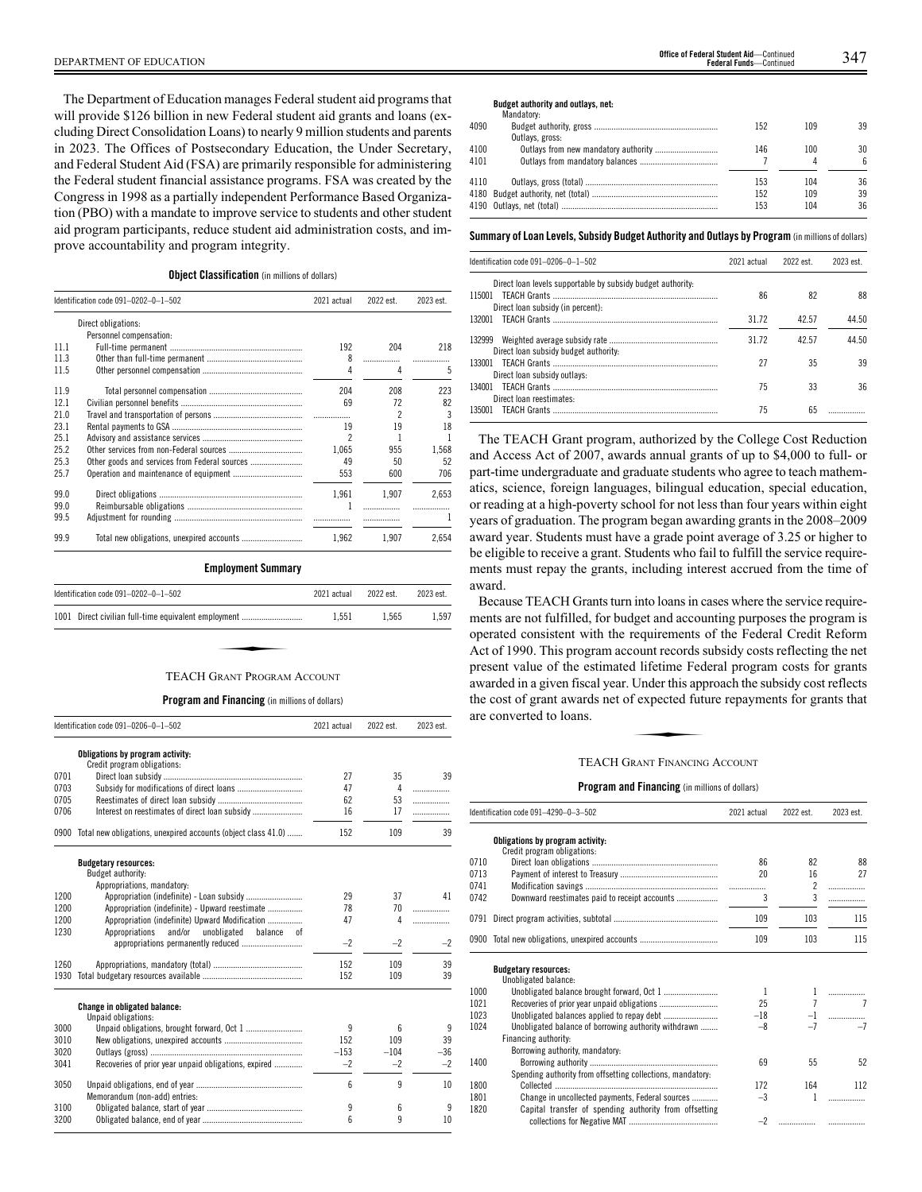The Department of Education manages Federal student aid programs that will provide \$126 billion in new Federal student aid grants and loans (excluding Direct Consolidation Loans) to nearly 9 million students and parents in 2023. The Offices of Postsecondary Education, the Under Secretary, and Federal Student Aid (FSA) are primarily responsible for administering the Federal student financial assistance programs. FSA was created by the Congress in 1998 as a partially independent Performance Based Organization (PBO) with a mandate to improve service to students and other student aid program participants, reduce student aid administration costs, and improve accountability and program integrity.

# **Object Classification** (in millions of dollars)

|      | Identification code 091-0202-0-1-502          |       | 2022 est. | 2023 est. |
|------|-----------------------------------------------|-------|-----------|-----------|
|      | Direct obligations:                           |       |           |           |
|      | Personnel compensation:                       |       |           |           |
| 11.1 |                                               | 192   | 204       | 218       |
| 11.3 |                                               | 8     |           |           |
| 11.5 |                                               |       | 4         | 5         |
| 11.9 |                                               | 204   | 208       | 223       |
| 12.1 |                                               | 69    | 72        | 82        |
| 21.0 |                                               |       | 2         | 3         |
| 23.1 |                                               | 19    | 19        | 18        |
| 25.1 |                                               | 2     |           |           |
| 25.2 |                                               | 1.065 | 955       | 1.568     |
| 25.3 | Other goods and services from Federal sources | 49    | 50        | 52        |
| 25.7 |                                               | 553   | 600       | 706       |
| 99.0 |                                               | 1.961 | 1.907     | 2.653     |
| 99.0 |                                               |       |           |           |
| 99.5 |                                               |       |           |           |
| 99.9 |                                               | 1.962 | 1.907     | 2.654     |

#### **Employment Summary**

| Identification code $091-0202-0-1-502$ |                                                      | 2021 actual | 2022 est. | 2023 est. |
|----------------------------------------|------------------------------------------------------|-------------|-----------|-----------|
|                                        | 1001 Direct civilian full-time equivalent employment | 1.551       | 1.565     | 1.597     |
|                                        |                                                      |             |           |           |
|                                        | TEACH GRANT PROGRAM ACCOUNT                          |             |           |           |

#### **Program and Financing** (in millions of dollars)

|      | Identification code 091-0206-0-1-502                            |        | 2022 est. | 2023 est. |
|------|-----------------------------------------------------------------|--------|-----------|-----------|
|      | Obligations by program activity:<br>Credit program obligations: |        |           |           |
| 0701 |                                                                 | 27     | 35        | 39        |
| 0703 |                                                                 | 47     | 4         | .         |
| 0705 |                                                                 | 62     | 53        | .         |
| 0706 |                                                                 | 16     | 17        | .         |
| 0900 | Total new obligations, unexpired accounts (object class 41.0)   | 152    | 109       | 39        |
|      | <b>Budgetary resources:</b><br>Budget authority:                |        |           |           |
|      | Appropriations, mandatory:                                      |        |           |           |
| 1200 | Appropriation (indefinite) - Loan subsidy                       | 29     | 37        | 41        |
| 1200 | Appropriation (indefinite) - Upward reestimate                  | 78     | 70        | .         |
| 1200 | Appropriation (indefinite) Upward Modification                  | 47     | 4         | .         |
| 1230 | and/or<br>unobligated<br>Appropriations<br>balance<br>оf        |        |           |           |
|      |                                                                 | $-2$   | $-2$      | $-2$      |
| 1260 |                                                                 | 152    | 109       | 39        |
| 1930 |                                                                 | 152    | 109       | 39        |
|      | Change in obligated balance:<br>Unpaid obligations:             |        |           |           |
| 3000 |                                                                 | 9      | 6         | 9         |
| 3010 |                                                                 | 152    | 109       | 39        |
| 3020 |                                                                 | $-153$ | $-104$    | $-36$     |
| 3041 | Recoveries of prior year unpaid obligations, expired            | $-2$   | $-2$      | $-2$      |
| 3050 | Memorandum (non-add) entries:                                   | 6      | 9         | 10        |
| 3100 |                                                                 | 9      | 6         | 9         |
| 3200 |                                                                 | 6      | 9         | 10        |

# DEPARTMENT OF EDUCATION 347 **Office of Federal Student Aid**—Continued **Federal Funds**—Continued

#### **Budget authority and outlays, net:**

|      | Mandatory:      |     |     |    |
|------|-----------------|-----|-----|----|
| 4090 |                 | 152 | 109 | 39 |
|      | Outlays, gross: |     |     |    |
| 4100 |                 | 146 | 100 | 30 |
| 4101 |                 |     |     | ĥ  |
| 4110 |                 | 153 | 104 | 36 |
|      |                 | 152 | 109 | 39 |
|      |                 | 153 | 104 | 36 |
|      |                 |     |     |    |

#### **Summary ofLoan Levels, Subsidy Budget Authority and Outlays by Program** (inmillionsof dollars)

| Identification code 091-0206-0-1-502                        | 2021 actual | 2022 est. | 2023 est. |
|-------------------------------------------------------------|-------------|-----------|-----------|
| Direct loan levels supportable by subsidy budget authority. |             |           |           |
| 115001                                                      | 86          | 82        | 88        |
| Direct loan subsidy (in percent):                           |             |           |           |
| 132001                                                      | 31.72       | 42.57     | 44.50     |
| 132999                                                      | 31.72       | 42.57     | 44.50     |
| Direct loan subsidy budget authority:                       |             |           |           |
|                                                             | 27          | 35        | 39        |
| Direct loan subsidy outlays:                                |             |           |           |
| 134001                                                      | 75          | 33        | 36        |
| Direct loan reestimates:                                    |             |           |           |
| 135001                                                      | 75          | 65        |           |

The TEACH Grant program, authorized by the College Cost Reduction and Access Act of 2007, awards annual grants of up to \$4,000 to full- or part-time undergraduate and graduate students who agree to teach mathematics, science, foreign languages, bilingual education, special education, or reading at a high-poverty school for not less than four years within eight years of graduation. The program began awarding grants in the 2008–2009 award year. Students must have a grade point average of 3.25 or higher to be eligible to receive a grant. Students who fail to fulfill the service requirements must repay the grants, including interest accrued from the time of award.

Because TEACH Grants turn into loans in cases where the service requirements are not fulfilled, for budget and accounting purposes the program is operated consistent with the requirements of the Federal Credit Reform Act of 1990. This program account records subsidy costs reflecting the net present value of the estimated lifetime Federal program costs for grants awarded in a given fiscal year. Under this approach the subsidy cost reflects the cost of grant awards net of expected future repayments for grants that are converted to loans. The Health Pearl<br>Under this app<br>f expected futures<br>RANT FINANCING

#### TEACH GRANT FINANCING ACCOUNT

|      | Identification code 091-4290-0-3-502                            | 2021 actual | 2022 est.      | 2023 est. |
|------|-----------------------------------------------------------------|-------------|----------------|-----------|
|      | Obligations by program activity:<br>Credit program obligations: |             |                |           |
| 0710 |                                                                 | 86          | 82             | 88        |
| 0713 |                                                                 | 20          | 16             | 27        |
| 0741 |                                                                 | .           | $\overline{c}$ | .         |
| 0742 | Downward reestimates paid to receipt accounts                   | 3           | 3              |           |
| 0791 |                                                                 | 109         | 103            | 115       |
|      | 0900 Total new obligations, unexpired accounts                  | 109         | 103            | 115       |
|      | <b>Budgetary resources:</b><br>Unobligated balance:             |             |                |           |
| 1000 |                                                                 | 1           | 1              |           |
| 1021 |                                                                 | 25          | $\overline{7}$ |           |
| 1023 |                                                                 | $-18$       | $-1$           | .         |
| 1024 | Unobligated balance of borrowing authority withdrawn            | $-8$        | $-7$           | $-7$      |
|      | Financing authority:                                            |             |                |           |
|      | Borrowing authority, mandatory:                                 |             |                |           |
| 1400 |                                                                 | 69          | 55             | 52        |
|      | Spending authority from offsetting collections, mandatory:      |             |                |           |
| 1800 |                                                                 | 172         | 164            | 112       |
| 1801 | Change in uncollected payments, Federal sources                 | $-3$        | 1              | .         |
| 1820 | Capital transfer of spending authority from offsetting          | $-2$        |                |           |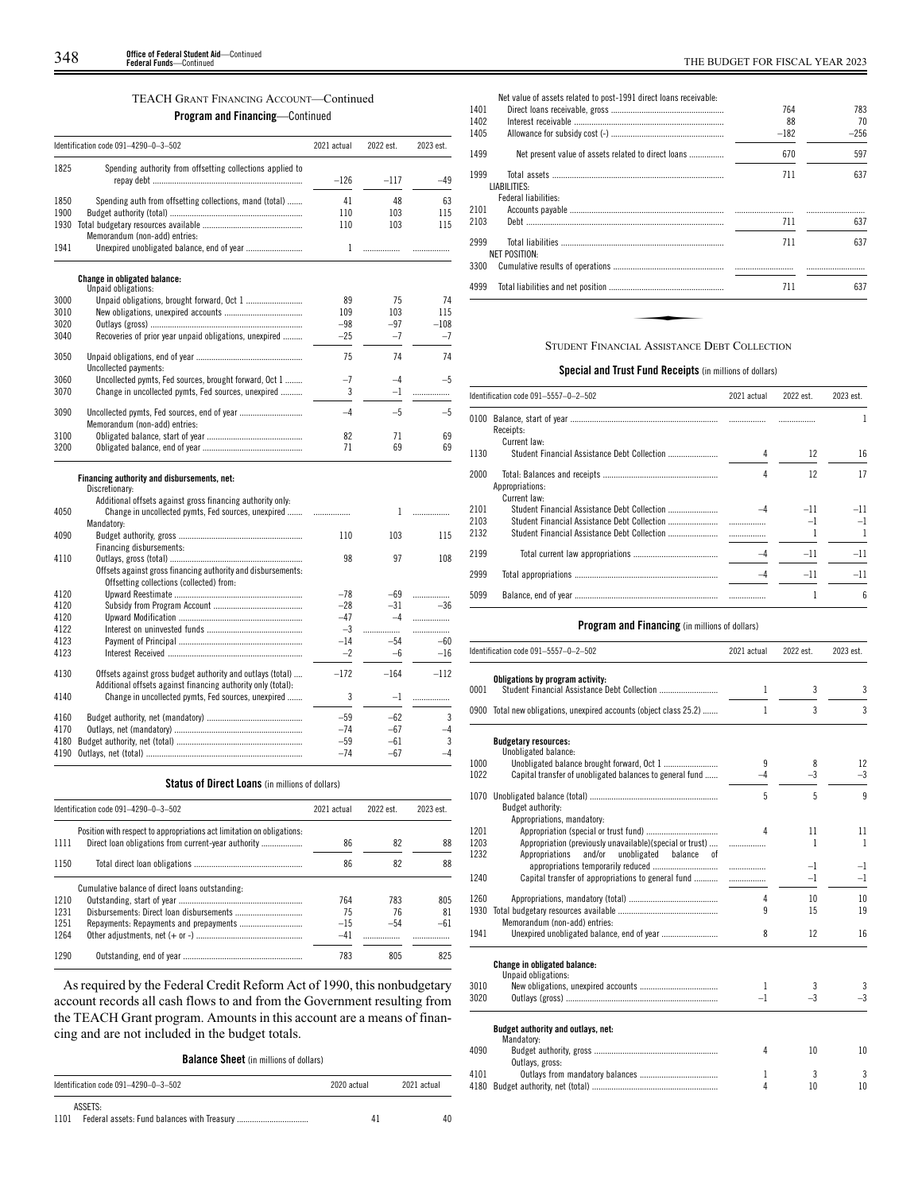# TEACH GRANT FINANCING ACCOUNT—Continued

**Program and Financing**—Continued

|      | Identification code 091-4290-0-3-502                                                                     | 2021 actual | 2022 est. | 2023 est. |
|------|----------------------------------------------------------------------------------------------------------|-------------|-----------|-----------|
| 1825 | Spending authority from offsetting collections applied to                                                |             |           |           |
|      |                                                                                                          | $-126$      | $-117$    | $-49$     |
| 1850 | Spending auth from offsetting collections, mand (total)                                                  | 41          | 48        | 63        |
| 1900 |                                                                                                          | 110         | 103       | 115       |
| 1930 |                                                                                                          | 110         | 103       | 115       |
|      | Memorandum (non-add) entries:                                                                            |             |           |           |
| 1941 | Unexpired unobligated balance, end of year                                                               | 1           | .         |           |
|      | <b>Change in obligated balance:</b>                                                                      |             |           |           |
|      | Unpaid obligations:                                                                                      |             |           |           |
| 3000 |                                                                                                          | 89          | 75        | 74        |
| 3010 |                                                                                                          | 109         | 103       | 115       |
| 3020 |                                                                                                          | $-98$       | $-97$     | $-108$    |
| 3040 | Recoveries of prior year unpaid obligations, unexpired                                                   | $-25$       | $-7$      | $-7$      |
| 3050 |                                                                                                          | 75          | 74        | 74        |
|      | Uncollected payments:                                                                                    |             |           |           |
| 3060 | Uncollected pymts, Fed sources, brought forward, Oct 1                                                   | $-7$        | $-4$      | $-5$      |
| 3070 | Change in uncollected pymts, Fed sources, unexpired                                                      | 3           | $-1$      | .         |
| 3090 |                                                                                                          | $-4$        | $-5$      | $-5$      |
|      | Memorandum (non-add) entries:                                                                            |             |           |           |
| 3100 |                                                                                                          | 82          | 71        | 69        |
| 3200 |                                                                                                          | 71          | 69        | 69        |
|      | Financing authority and disbursements, net:                                                              |             |           |           |
|      | Discretionary:                                                                                           |             |           |           |
|      | Additional offsets against gross financing authority only:                                               |             |           |           |
| 4050 | Change in uncollected pymts, Fed sources, unexpired                                                      | .           | 1         | .         |
|      | Mandatory:                                                                                               |             |           |           |
| 4090 |                                                                                                          | 110         | 103       | 115       |
|      | Financing disbursements:                                                                                 |             |           |           |
| 4110 |                                                                                                          | 98          | 97        | 108       |
|      | Offsets against gross financing authority and disbursements:<br>Offsetting collections (collected) from: |             |           |           |
| 4120 |                                                                                                          | $-78$       | $-69$     | .         |
| 4120 |                                                                                                          | $-28$       | $-31$     | $-36$     |
| 4120 |                                                                                                          | $-47$       | $-4$      | .         |
| 4122 |                                                                                                          | $-3$        | .         | .         |
| 4123 |                                                                                                          | $-14$       | $-54$     | -60       |
| 4123 |                                                                                                          | $-2$        | $-6$      | $-16$     |
| 4130 | Offsets against gross budget authority and outlays (total)                                               | $-172$      | $-164$    | $-112$    |
|      | Additional offsets against financing authority only (total):                                             |             |           |           |
| 4140 | Change in uncollected pymts, Fed sources, unexpired                                                      | 3           | $-1$      | .         |
| 4160 |                                                                                                          | $-59$       | $-62$     | 3         |
| 4170 |                                                                                                          | $-74$       | $-67$     | -4        |
| 4180 |                                                                                                          | $-59$       | $-61$     | 3         |
| 4190 |                                                                                                          | $-74$       | $-67$     | $-4$      |

## **Status of Direct Loans** (in millions of dollars)

|      | Identification code 091-4290-0-3-502                                   | 2021 actual | 2022 est. | 2023 est. |
|------|------------------------------------------------------------------------|-------------|-----------|-----------|
| 1111 | Position with respect to appropriations act limitation on obligations. | 86          | 82        | 88        |
| 1150 |                                                                        | 86          | 82        | 88        |
|      | Cumulative balance of direct loans outstanding:                        |             |           |           |
| 1210 |                                                                        | 764         | 783       | 805       |
| 1231 |                                                                        | 75          | 76        | 81        |
| 1251 |                                                                        | $-15$       | $-54$     | $-61$     |
| 1264 |                                                                        | $-41$       |           |           |
| 1290 |                                                                        | 783         | 805       | 825       |

As required by the Federal Credit Reform Act of 1990, this nonbudgetary account records all cash flows to and from the Government resulting from the TEACH Grant program. Amounts in this account are a means of financing and are not included in the budget totals.

**Balance Sheet** (in millions of dollars)

| Identification code 091-4290-0-3-502 | 2020 actual | 2021 actual |
|--------------------------------------|-------------|-------------|
| ASSETS:<br>1101                      | 41          | 40          |

| 1401 | Net value of assets related to post-1991 direct loans receivable: | 764    | 783    |
|------|-------------------------------------------------------------------|--------|--------|
| 1402 |                                                                   | 88     | 70     |
| 1405 |                                                                   | $-182$ | $-256$ |
| 1499 | Net present value of assets related to direct loans               | 670    | 597    |
| 1999 |                                                                   | 711    | 637    |
|      | LIABILITIES:                                                      |        |        |
|      | Federal liabilities:                                              |        |        |
| 2101 |                                                                   |        |        |
| 2103 |                                                                   | 711    | 637    |
| 2999 |                                                                   | 711    | 637    |
|      | <b>NET POSITION:</b>                                              |        |        |
| 3300 |                                                                   |        |        |
| 4999 |                                                                   | 711    | 637    |
|      |                                                                   |        |        |
|      |                                                                   |        |        |
|      |                                                                   |        |        |
|      | <b>STUDENT FINANCIAL ASSISTANCE DEBT COLLECTION</b>               |        |        |

# **Special and Trust Fund Receipts** (in millions of dollars)

|      | Identification code 091-5557-0-2-502         | 2021 actual              | 2022 est. | 2023 est. |
|------|----------------------------------------------|--------------------------|-----------|-----------|
|      | Receipts:                                    |                          |           |           |
|      | Current law:                                 |                          |           |           |
| 1130 | Student Financial Assistance Debt Collection | 4                        | 12        | 16        |
| 2000 | Appropriations:                              |                          | 12        | 17        |
|      | Current law:                                 |                          |           |           |
| 2101 |                                              |                          | $-11$     | $-11$     |
| 2103 |                                              |                          |           | $-1$      |
| 2132 |                                              | $\overline{\phantom{a}}$ |           |           |
| 2199 |                                              |                          | $-11$     | $-11$     |
| 2999 |                                              |                          | $-11$     | $-11$     |
| 5099 |                                              |                          |           | 6         |

|              | Identification code 091-5557-0-2-502                                                                              | 2021 actual                   | 2022 est. | 2023 est.          |
|--------------|-------------------------------------------------------------------------------------------------------------------|-------------------------------|-----------|--------------------|
|              | Obligations by program activity:                                                                                  |                               |           |                    |
| 0001         | Student Financial Assistance Debt Collection                                                                      | 1                             | 3         | 3                  |
|              | 0900 Total new obligations, unexpired accounts (object class 25.2)                                                | 1                             | 3         | 3                  |
|              | <b>Budgetary resources:</b><br>Unobligated balance:                                                               |                               |           |                    |
| 1000         |                                                                                                                   | 9                             | 8         | 12                 |
| 1022         | Capital transfer of unobligated balances to general fund                                                          | $-4$                          | $-3$      | $-3$               |
| 1070         | Budget authority:                                                                                                 | 5                             | 5         | 9                  |
|              | Appropriations, mandatory:                                                                                        |                               |           |                    |
| 1201         |                                                                                                                   | Δ                             | 11<br>1   | 11<br>$\mathbf{1}$ |
| 1203<br>1232 | Appropriation (previously unavailable)(special or trust)<br>Appropriations<br>and/or<br>unobligated balance<br>0f | .                             |           |                    |
|              |                                                                                                                   | $\ldots \ldots \ldots \ldots$ | $-1$      | $-1$               |
| 1240         | Capital transfer of appropriations to general fund                                                                |                               | $-1$      | $-1$               |
| 1260         |                                                                                                                   | 4                             | 10        | 10                 |
| 1930         | Memorandum (non-add) entries:                                                                                     | q                             | 15        | 19                 |
| 1941         |                                                                                                                   | 8                             | 12        | 16                 |
|              | <b>Change in obligated balance:</b><br>Unpaid obligations:                                                        |                               |           |                    |
| 3010         |                                                                                                                   | 1                             | 3         | 3                  |
| 3020         |                                                                                                                   | $-1$                          | $-3$      | $-3$               |
|              | Budget authority and outlays, net:<br>Mandatory:                                                                  |                               |           |                    |
| 4090         | Outlays, gross:                                                                                                   | 4                             | 10        | 10                 |
| 4101         |                                                                                                                   | 1                             | 3         | 3                  |
| 4180         |                                                                                                                   | 4                             | 10        | 10                 |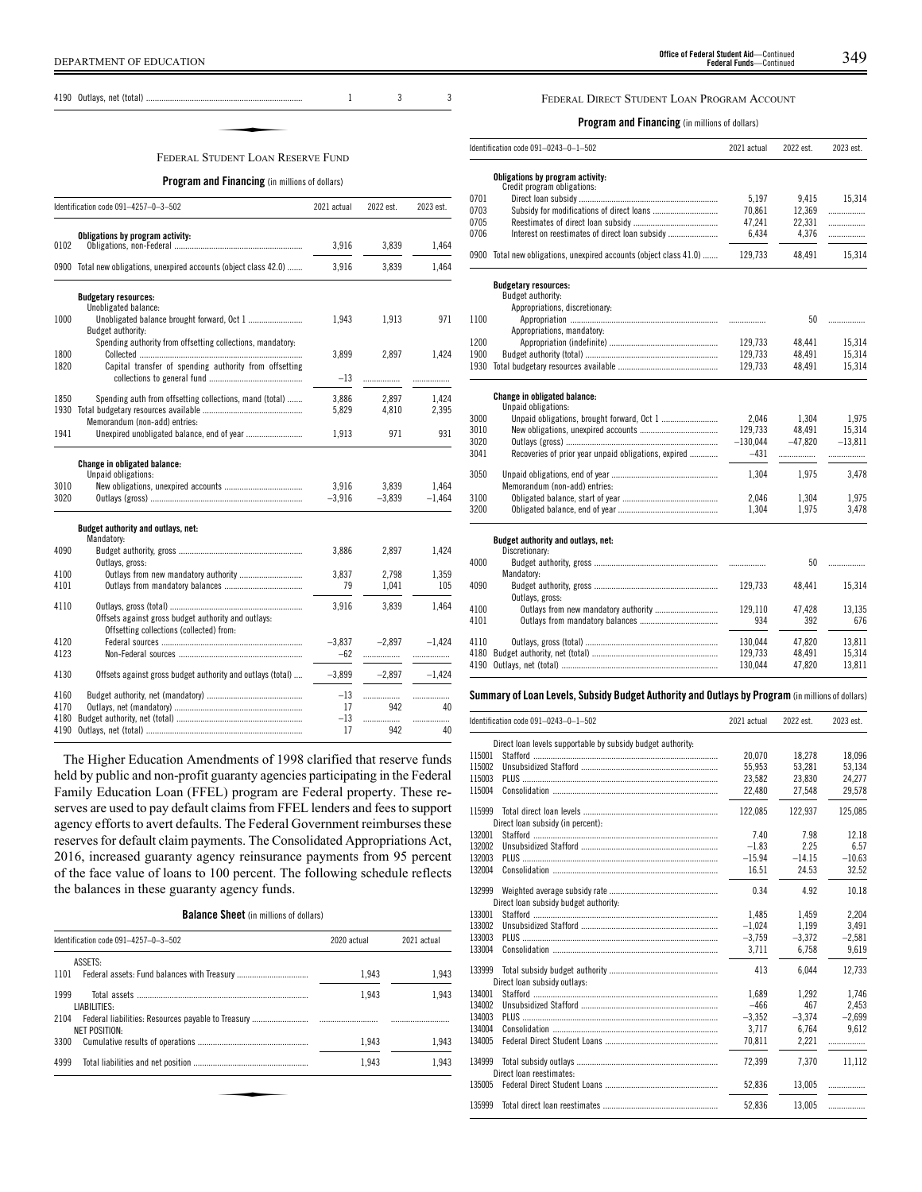4190 Outlays, net (total) ........................................................................ 1 3 3

# ✦ FEDERAL STUDENT LOAN RESERVE FUND

#### **Program and Financing** (in millions of dollars)

|              | Identification code 091-4257-0-3-502                                                           | 2021 actual | 2022 est. | 2023 est. |
|--------------|------------------------------------------------------------------------------------------------|-------------|-----------|-----------|
|              | Obligations by program activity:                                                               |             |           |           |
| 0102         |                                                                                                | 3,916       | 3,839     | 1,464     |
|              | 0900 Total new obligations, unexpired accounts (object class 42.0)                             | 3,916       | 3,839     | 1,464     |
|              | <b>Budgetary resources:</b>                                                                    |             |           |           |
| 1000         | Unobligated balance:<br>Unobligated balance brought forward, Oct 1<br><b>Budget authority:</b> | 1.943       | 1.913     | 971       |
| 1800         | Spending authority from offsetting collections, mandatory:                                     | 3,899       | 2,897     | 1.424     |
| 1820         | Capital transfer of spending authority from offsetting                                         | $-13$       |           | .         |
| 1850         | Spending auth from offsetting collections, mand (total)                                        | 3,886       | 2,897     | 1,424     |
| 1930         | Memorandum (non-add) entries:                                                                  | 5.829       | 4.810     | 2,395     |
| 1941         | Unexpired unobligated balance, end of year                                                     | 1,913       | 971       | 931       |
|              | <b>Change in obligated balance:</b><br>Unpaid obligations:                                     |             |           |           |
| 3010         |                                                                                                | 3.916       | 3.839     | 1.464     |
| 3020         |                                                                                                | $-3,916$    | $-3,839$  | $-1,464$  |
|              | Budget authority and outlays, net:<br>Mandatory:                                               |             |           |           |
| 4090         | Outlays, gross:                                                                                | 3,886       | 2,897     | 1,424     |
| 4100         |                                                                                                | 3,837       | 2,798     | 1,359     |
| 4101         |                                                                                                | 79          | 1,041     | 105       |
| 4110         | Offsets against gross budget authority and outlays:                                            | 3.916       | 3,839     | 1,464     |
|              | Offsetting collections (collected) from:                                                       |             |           |           |
| 4120         |                                                                                                | $-3.837$    | $-2.897$  | $-1,424$  |
| 4123         |                                                                                                | $-62$       | .         | .         |
| 4130         | Offsets against gross budget authority and outlays (total)                                     | $-3.899$    | $-2.897$  | $-1.424$  |
| 4160         |                                                                                                | $-13$       | .         | .         |
| 4170         |                                                                                                | 17          | 942       | 40        |
| 4180<br>4190 |                                                                                                | $-13$<br>17 | .<br>942  | .<br>40   |
|              |                                                                                                |             |           |           |

The Higher Education Amendments of 1998 clarified that reserve funds held by public and non-profit guaranty agencies participating in the Federal Family Education Loan (FFEL) program are Federal property. These reserves are used to pay default claims from FFEL lenders and fees to support agency efforts to avert defaults. The Federal Government reimburses these reserves for default claim payments. The Consolidated Appropriations Act, 2016, increased guaranty agency reinsurance payments from 95 percent of the face value of loans to 100 percent. The following schedule reflects the balances in these guaranty agency funds.

**Balance Sheet** (in millions of dollars)

| Identification code 091-4257-0-3-502 | 2020 actual | 2021 actual |
|--------------------------------------|-------------|-------------|
| ASSETS:                              |             |             |
| 1101                                 | 1.943       | 1.943       |
| 1999<br>LIABILITIES:                 | 1.943       | 1.943       |
| 2104<br>NET POSITION:                |             |             |
| 3300                                 | 1.943       | 1.943       |
| 4999                                 | 1.943       | 1.943       |
|                                      |             |             |
|                                      |             |             |
|                                      |             |             |

# FEDERAL DIRECT STUDENT LOAN PROGRAM ACCOUNT

**Program and Financing** (in millions of dollars)

|      | Identification code 091-0243-0-1-502                          | 2021 actual | 2022 est. | 2023 est. |
|------|---------------------------------------------------------------|-------------|-----------|-----------|
|      | Obligations by program activity:                              |             |           |           |
|      | Credit program obligations:                                   |             |           |           |
| 0701 |                                                               | 5.197       | 9,415     | 15,314    |
| 0703 |                                                               | 70,861      | 12,369    | .         |
| 0705 |                                                               | 47,241      | 22,331    | .         |
| 0706 |                                                               | 6.434       | 4.376     | .         |
| 0900 | Total new obligations, unexpired accounts (object class 41.0) | 129.733     | 48.491    | 15,314    |
|      | <b>Budgetary resources:</b>                                   |             |           |           |
|      | Budget authority:                                             |             |           |           |
|      | Appropriations, discretionary:                                |             |           |           |
| 1100 |                                                               |             | 50        | .         |
|      | Appropriations, mandatory:                                    |             |           |           |
| 1200 |                                                               | 129,733     | 48,441    | 15,314    |
| 1900 |                                                               | 129,733     | 48,491    | 15,314    |
| 1930 |                                                               | 129,733     | 48.491    | 15,314    |
|      | Change in obligated balance:                                  |             |           |           |
|      | Unpaid obligations:                                           |             |           |           |
| 3000 |                                                               | 2.046       | 1,304     | 1,975     |
| 3010 |                                                               | 129,733     | 48,491    | 15,314    |
| 3020 |                                                               | $-130,044$  | $-47.820$ | $-13.811$ |
| 3041 | Recoveries of prior year unpaid obligations, expired          | $-431$      |           |           |
| 3050 |                                                               | 1,304       | 1,975     | 3,478     |
|      | Memorandum (non-add) entries:                                 |             |           |           |
| 3100 |                                                               | 2.046       | 1,304     | 1,975     |
| 3200 |                                                               | 1,304       | 1,975     | 3,478     |
|      | Budget authority and outlays, net:                            |             |           |           |
|      | Discretionary:                                                |             |           |           |
| 4000 |                                                               |             | 50        | .         |
|      | Mandatory:                                                    |             |           |           |
| 4090 |                                                               | 129,733     | 48,441    | 15,314    |
|      | Outlays, gross:                                               |             |           |           |
| 4100 |                                                               | 129,110     | 47,428    | 13,135    |
| 4101 |                                                               | 934         | 392       | 676       |

**Summary ofLoan Levels, Subsidy Budget Authority and Outlays by Program** (inmillionsof dollars)

4110 Outlays, gross (total) ............................................................. 130,044 47,820 13,811 4180 Budget authority, net (total) .......................................................... 129,733 48,491 15,314

4190 Outlays, net (total) ..

J.

|        | Identification code 091-0243-0-1-502                        | 2021 actual | 2022 est. | 2023 est. |
|--------|-------------------------------------------------------------|-------------|-----------|-----------|
|        | Direct loan levels supportable by subsidy budget authority: |             |           |           |
| 115001 |                                                             | 20.070      | 18.278    | 18.096    |
| 115002 |                                                             | 55,953      | 53,281    | 53,134    |
| 115003 |                                                             | 23,582      | 23.830    | 24,277    |
| 115004 |                                                             | 22,480      | 27,548    | 29,578    |
| 115999 | Direct loan subsidy (in percent):                           | 122.085     | 122.937   | 125.085   |
| 132001 |                                                             | 7.40        | 7.98      | 12.18     |
| 132002 |                                                             | $-1.83$     | 2.25      | 6.57      |
| 132003 |                                                             | $-15.94$    | $-14.15$  | $-10.63$  |
| 132004 |                                                             | 16.51       | 24.53     | 32.52     |
| 132999 | Direct loan subsidy budget authority:                       | 0.34        | 4.92      | 10.18     |
| 133001 |                                                             | 1,485       | 1,459     | 2,204     |
| 133002 |                                                             | $-1,024$    | 1,199     | 3,491     |
| 133003 |                                                             | $-3.759$    | $-3,372$  | $-2,581$  |
| 133004 |                                                             | 3.711       | 6,758     | 9.619     |
| 133999 | Direct loan subsidy outlays:                                | 413         | 6.044     | 12.733    |
| 134001 |                                                             | 1.689       | 1.292     | 1,746     |
| 134002 |                                                             | $-466$      | 467       | 2.453     |
| 134003 |                                                             | $-3.352$    | $-3.374$  | $-2.699$  |
| 134004 |                                                             | 3.717       | 6.764     | 9.612     |
| 134005 |                                                             | 70.811      | 2.221     |           |
|        |                                                             |             |           |           |
| 134999 |                                                             | 72.399      | 7.370     | 11.112    |
|        | Direct loan reestimates:                                    |             |           |           |
| 135005 |                                                             | 52.836      | 13.005    | .         |
| 135999 |                                                             | 52,836      | 13.005    | .         |
|        |                                                             |             |           |           |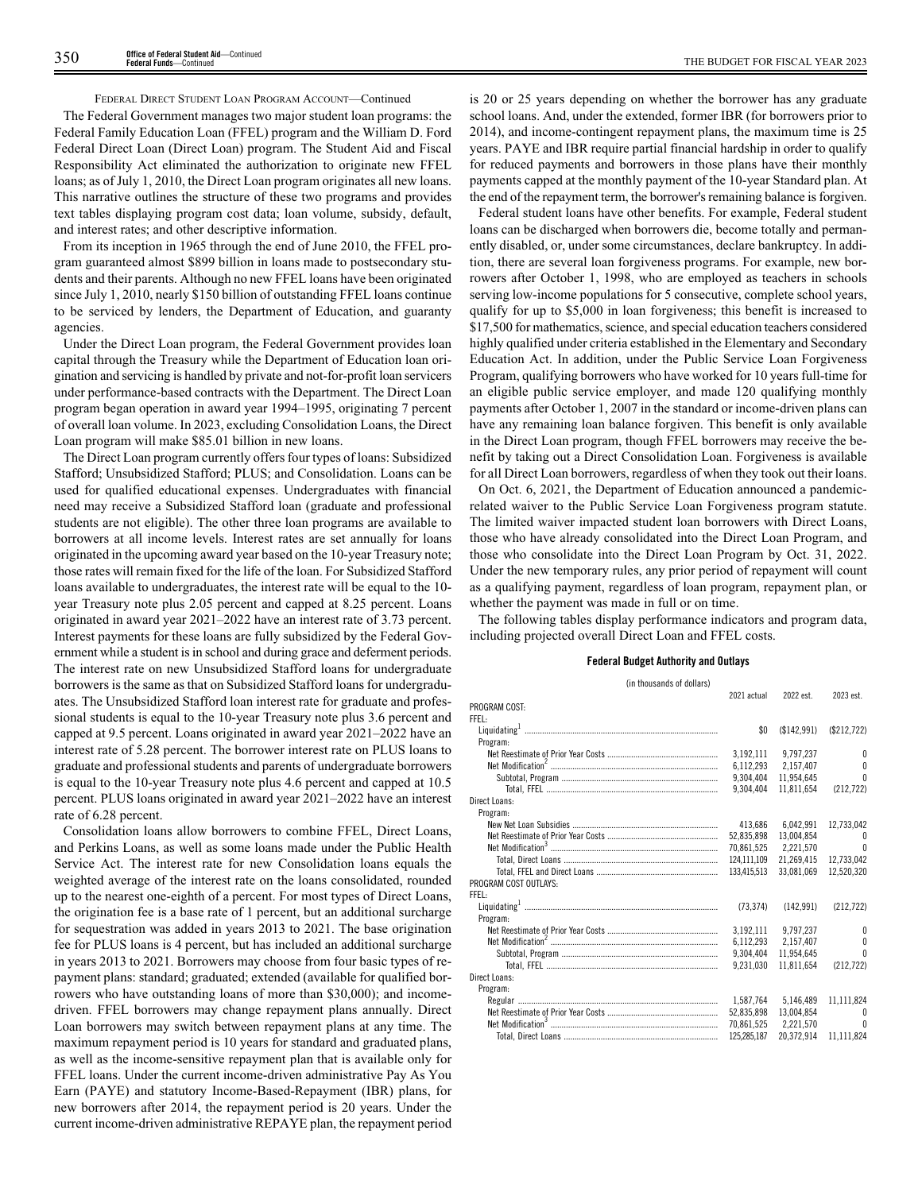#### FEDERAL DIRECT STUDENT LOAN PROGRAM ACCOUNT—Continued

The Federal Government manages two major student loan programs: the Federal Family Education Loan (FFEL) program and the William D. Ford Federal Direct Loan (Direct Loan) program. The Student Aid and Fiscal Responsibility Act eliminated the authorization to originate new FFEL loans; as of July 1, 2010, the Direct Loan program originates all new loans. This narrative outlines the structure of these two programs and provides text tables displaying program cost data; loan volume, subsidy, default, and interest rates; and other descriptive information.

From its inception in 1965 through the end of June 2010, the FFEL program guaranteed almost \$899 billion in loans made to postsecondary students and their parents. Although no new FFEL loans have been originated since July 1, 2010, nearly \$150 billion of outstanding FFEL loans continue to be serviced by lenders, the Department of Education, and guaranty agencies.

Under the Direct Loan program, the Federal Government provides loan capital through the Treasury while the Department of Education loan origination and servicing is handled by private and not-for-profit loan servicers under performance-based contracts with the Department. The Direct Loan program began operation in award year 1994–1995, originating 7 percent of overall loan volume. In 2023, excluding Consolidation Loans, the Direct Loan program will make \$85.01 billion in new loans.

The Direct Loan program currently offers four types of loans: Subsidized Stafford; Unsubsidized Stafford; PLUS; and Consolidation. Loans can be used for qualified educational expenses. Undergraduates with financial need may receive a Subsidized Stafford loan (graduate and professional students are not eligible). The other three loan programs are available to borrowers at all income levels. Interest rates are set annually for loans originated in the upcoming award year based on the 10-year Treasury note; those rates will remain fixed for the life of the loan. For Subsidized Stafford loans available to undergraduates, the interest rate will be equal to the 10 year Treasury note plus 2.05 percent and capped at 8.25 percent. Loans originated in award year 2021–2022 have an interest rate of 3.73 percent. Interest payments for these loans are fully subsidized by the Federal Government while a student is in school and during grace and deferment periods. The interest rate on new Unsubsidized Stafford loans for undergraduate borrowers is the same as that on Subsidized Stafford loans for undergraduates. The Unsubsidized Stafford loan interest rate for graduate and professional students is equal to the 10-year Treasury note plus 3.6 percent and capped at 9.5 percent. Loans originated in award year 2021–2022 have an interest rate of 5.28 percent. The borrower interest rate on PLUS loans to graduate and professional students and parents of undergraduate borrowers is equal to the 10-year Treasury note plus 4.6 percent and capped at 10.5 percent. PLUS loans originated in award year 2021–2022 have an interest rate of 6.28 percent.

Consolidation loans allow borrowers to combine FFEL, Direct Loans, and Perkins Loans, as well as some loans made under the Public Health Service Act. The interest rate for new Consolidation loans equals the weighted average of the interest rate on the loans consolidated, rounded up to the nearest one-eighth of a percent. For most types of Direct Loans, the origination fee is a base rate of 1 percent, but an additional surcharge for sequestration was added in years 2013 to 2021. The base origination fee for PLUS loans is 4 percent, but has included an additional surcharge in years 2013 to 2021. Borrowers may choose from four basic types of repayment plans: standard; graduated; extended (available for qualified borrowers who have outstanding loans of more than \$30,000); and incomedriven. FFEL borrowers may change repayment plans annually. Direct Loan borrowers may switch between repayment plans at any time. The maximum repayment period is 10 years for standard and graduated plans, as well as the income-sensitive repayment plan that is available only for FFEL loans. Under the current income-driven administrative Pay As You Earn (PAYE) and statutory Income-Based-Repayment (IBR) plans, for new borrowers after 2014, the repayment period is 20 years. Under the current income-driven administrative REPAYE plan, the repayment period

is 20 or 25 years depending on whether the borrower has any graduate school loans. And, under the extended, former IBR (for borrowers prior to 2014), and income-contingent repayment plans, the maximum time is 25 years. PAYE and IBR require partial financial hardship in order to qualify for reduced payments and borrowers in those plans have their monthly payments capped at the monthly payment of the 10-year Standard plan. At the end of the repayment term, the borrower's remaining balance is forgiven.

Federal student loans have other benefits. For example, Federal student loans can be discharged when borrowers die, become totally and permanently disabled, or, under some circumstances, declare bankruptcy. In addition, there are several loan forgiveness programs. For example, new borrowers after October 1, 1998, who are employed as teachers in schools serving low-income populations for 5 consecutive, complete school years, qualify for up to \$5,000 in loan forgiveness; this benefit is increased to \$17,500 for mathematics, science, and special education teachers considered highly qualified under criteria established in the Elementary and Secondary Education Act. In addition, under the Public Service Loan Forgiveness Program, qualifying borrowers who have worked for 10 years full-time for an eligible public service employer, and made 120 qualifying monthly payments after October 1, 2007 in the standard or income-driven plans can have any remaining loan balance forgiven. This benefit is only available in the Direct Loan program, though FFEL borrowers may receive the benefit by taking out a Direct Consolidation Loan. Forgiveness is available for all Direct Loan borrowers, regardless of when they took out their loans.

On Oct. 6, 2021, the Department of Education announced a pandemicrelated waiver to the Public Service Loan Forgiveness program statute. The limited waiver impacted student loan borrowers with Direct Loans, those who have already consolidated into the Direct Loan Program, and those who consolidate into the Direct Loan Program by Oct. 31, 2022. Under the new temporary rules, any prior period of repayment will count as a qualifying payment, regardless of loan program, repayment plan, or whether the payment was made in full or on time.

The following tables display performance indicators and program data, including projected overall Direct Loan and FFEL costs.

# **Federal Budget Authority and Outlays**

| (in thousands of dollars) |             |             |             |
|---------------------------|-------------|-------------|-------------|
|                           | 2021 actual | 2022 est.   | 2023 est.   |
| PROGRAM COST:             |             |             |             |
| FFFI:                     |             |             |             |
|                           | \$0         | (\$142.991) | (\$212,722) |
| Program:                  |             |             |             |
|                           | 3,192,111   | 9,797,237   | $\theta$    |
|                           | 6.112.293   | 2,157,407   | $\Omega$    |
|                           | 9,304,404   | 11,954,645  | $\theta$    |
|                           | 9,304,404   | 11.811.654  | (212, 722)  |
| Direct Loans:             |             |             |             |
| Program:                  |             |             |             |
|                           | 413.686     | 6.042.991   | 12,733,042  |
|                           | 52,835,898  | 13,004,854  | $\Omega$    |
|                           | 70,861,525  | 2,221,570   | $\Omega$    |
|                           | 124.111.109 | 21.269.415  | 12.733.042  |
|                           | 133.415.513 | 33.081.069  | 12.520.320  |
| PROGRAM COST OUTLAYS:     |             |             |             |
| FFFI:                     |             |             |             |
|                           | (73, 374)   | (142.991)   | (212, 722)  |
| Program:                  |             |             |             |
|                           | 3,192,111   | 9,797,237   | $\theta$    |
|                           | 6,112,293   | 2.157.407   | $\theta$    |
|                           | 9.304.404   | 11.954.645  | $\theta$    |
|                           | 9.231.030   | 11.811.654  | (212, 722)  |
| Direct Loans:             |             |             |             |
| Program:                  |             |             |             |
|                           | 1.587.764   | 5.146.489   | 11.111.824  |
|                           | 52,835,898  | 13.004.854  | $\Omega$    |
|                           | 70.861.525  | 2.221.570   | $\theta$    |
|                           | 125.285.187 | 20.372.914  | 11.111.824  |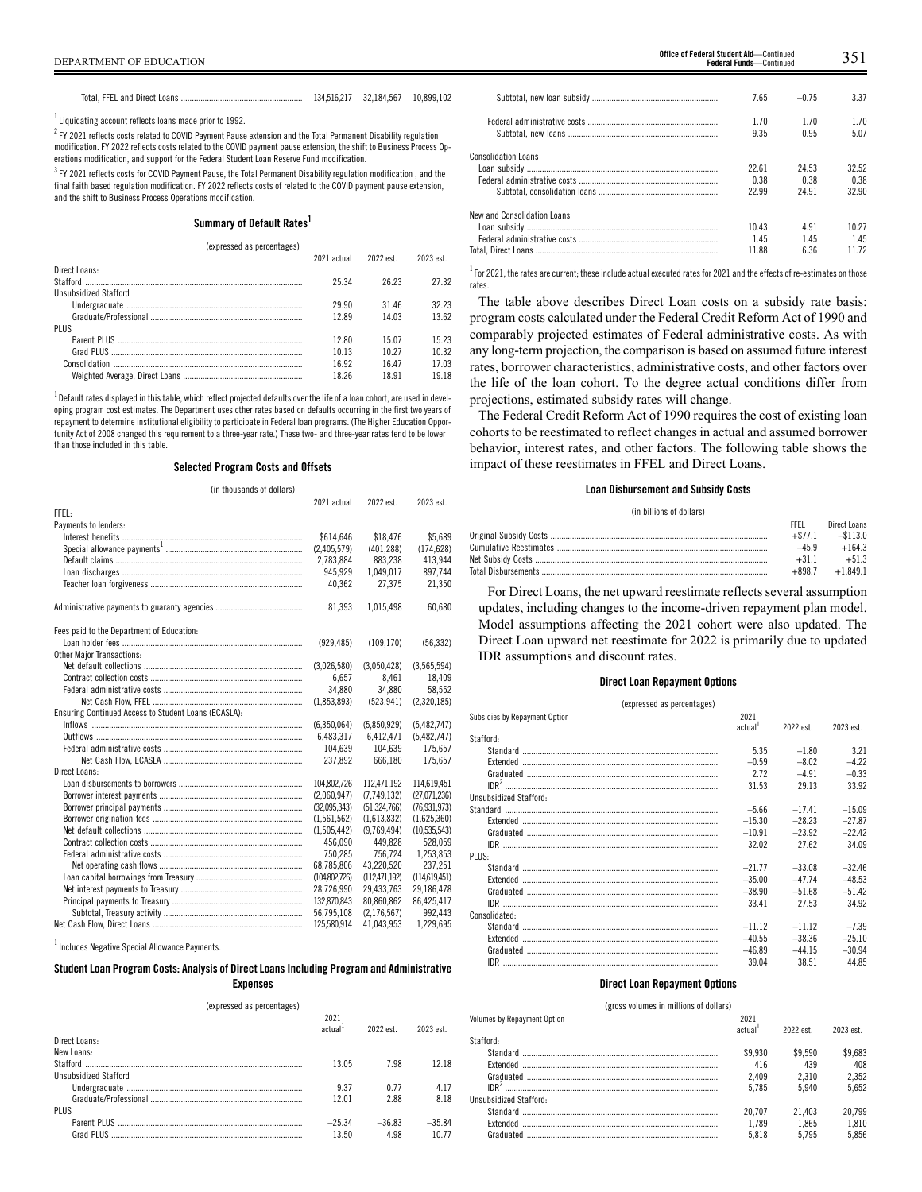Total, FFEL and Direct Loans ........................................................ 134,516,217 32,184,567 10,899,102

 $^1$  Liquidating account reflects loans made prior to 1992.

 $^2$  FY 2021 reflects costs related to COVID Payment Pause extension and the Total Permanent Disability regulation modification. FY 2022 reflects costs related to the COVID payment pause extension, the shift to Business Process Operations modification, and support for the Federal Student Loan Reserve Fund modification.

 $^3$  FY 2021 reflects costs for COVID Payment Pause, the Total Permanent Disability regulation modification , and the final faith based regulation modification. FY 2022 reflects costs of related to the COVID payment pause extension, and the shift to Business Process Operations modification.

#### **Summary of Default Rates<sup>1</sup>**

#### (expressed as percentages)

| 2021 actual | 2022 est | 2023 est |
|-------------|----------|----------|
|             |          |          |
| 25.34       | 26.23    | 27.32    |
|             |          |          |
| 29.90       | 3146     | 32 23    |
| 12.89       | 14 03    | 13.62    |
|             |          |          |
| 1280        | 15.07    | 15 23    |
| 10 13       | 10.27    | 10.32    |
| 16.92       | 1647     | 17 03    |
| 18.26       | 18.91    | 1918     |
|             |          |          |

 $^{\rm 1}$ Default rates displayed in this table, which reflect projected defaults over the life of a loan cohort, are used in developing program cost estimates. The Department uses other rates based on defaults occurring in the first two years of repayment to determine institutional eligibility to participate in Federal loan programs. (The Higher Education Opportunity Act of 2008 changed this requirement to a three-year rate.) These two- and three-year rates tend to be lower than those included in this table.

#### **Selected Program Costs and Offsets**

| (in thousands of dollars)                            |               |                |               |
|------------------------------------------------------|---------------|----------------|---------------|
|                                                      | 2021 actual   | 2022 est.      | 2023 est.     |
| FFFI:                                                |               |                |               |
| Payments to lenders:                                 |               |                |               |
|                                                      | \$614,646     | \$18,476       | \$5,689       |
|                                                      | (2,405,579)   | (401.288)      | (174, 628)    |
|                                                      | 2,783,884     | 883.238        | 413.944       |
|                                                      | 945.929       | 1,049,017      | 897,744       |
|                                                      | 40.362        | 27.375         | 21.350        |
|                                                      | 81,393        | 1,015,498      | 60,680        |
| Fees paid to the Department of Education:            |               |                |               |
|                                                      | (929, 485)    | (109, 170)     | (56, 332)     |
| <b>Other Major Transactions:</b>                     |               |                |               |
|                                                      | (3,026,580)   | (3,050,428)    | (3,565,594)   |
|                                                      | 6.657         | 8.461          | 18.409        |
|                                                      | 34.880        | 34.880         | 58,552        |
|                                                      | (1.853.893)   | (523.941)      | (2.320.185)   |
| Ensuring Continued Access to Student Loans (ECASLA): |               |                |               |
|                                                      | (6,350,064)   | (5,850,929)    | (5,482,747)   |
|                                                      | 6,483,317     | 6,412,471      | (5,482,747)   |
|                                                      | 104,639       | 104,639        | 175,657       |
|                                                      | 237.892       | 666.180        | 175.657       |
| Direct Loans:                                        |               |                |               |
|                                                      | 104.802.726   | 112.471.192    | 114.619.451   |
|                                                      | (2,060,947)   | (7.749.132)    | (27,071,236)  |
|                                                      | (32,095,343)  | (51, 324, 766) | (76.931.973)  |
|                                                      | (1,561,562)   | (1,613,832)    | (1,625,360)   |
|                                                      | (1,505,442)   | (9,769,494)    | (10,535,543)  |
|                                                      | 456.090       | 449,828        | 528,059       |
|                                                      | 750.285       | 756.724        | 1,253,853     |
|                                                      | 68,785,806    | 43,220,520     | 237,251       |
|                                                      | (104.802.726) | (112.471.192)  | (114.619.451) |
|                                                      | 28,726,990    | 29.433.763     | 29,186,478    |
|                                                      | 132,870,843   | 80,860,862     | 86,425,417    |
|                                                      | 56,795,108    | (2.176.567)    | 992.443       |
|                                                      | 125,580,914   | 41,043,953     | 1,229,695     |

 $<sup>1</sup>$  Includes Negative Special Allowance Payments.</sup>

# **StudentLoan Program Costs: Analysis of DirectLoansIncluding Program and Administrative Expenses** (expressed as percentages)

| <b>IDADI DOODU US DUI DUIILUKUSI</b> |                             |           |           |
|--------------------------------------|-----------------------------|-----------|-----------|
|                                      | 2021<br>actual <sup>1</sup> | 2022 est. | 2023 est. |
| Direct Loans:                        |                             |           |           |
| New Loans:                           |                             |           |           |
|                                      | 13.05                       | 798       | 12 18     |
| Unsubsidized Stafford                |                             |           |           |
|                                      | 937                         | 0.77      | 4 1 7     |
|                                      | 12.01                       | 2.88      | 8.18      |
| <b>PLUS</b>                          |                             |           |           |
|                                      | $-25.34$                    | $-36.83$  | $-35.84$  |
|                                      | 13.50                       | 4 9 8     | 10.77     |

|                             | 7.65  | $-0.75$ | 3.37  |
|-----------------------------|-------|---------|-------|
|                             | 170   | 1 7 0   | 1.70  |
|                             | 9.35  | 0.95    | 5.07  |
| Consolidation Loans         |       |         |       |
|                             | 22.61 | 24.53   | 32.52 |
|                             | 0.38  | 0.38    | 0.38  |
|                             | 22.99 | 24 91   | 32.90 |
| New and Consolidation Loans |       |         |       |
|                             | 1043  | 491     | 10.27 |
|                             | 145   | 145     | 145   |
|                             | 11.88 | 6.36    | 1172  |
|                             |       |         |       |

 $^1$  For 2021, the rates are current; these include actual executed rates for 2021 and the effects of re-estimates on those rates.

The table above describes Direct Loan costs on a subsidy rate basis: program costs calculated under the Federal Credit Reform Act of 1990 and comparably projected estimates of Federal administrative costs. As with any long-term projection, the comparison is based on assumed future interest rates, borrower characteristics, administrative costs, and other factors over the life of the loan cohort. To the degree actual conditions differ from projections, estimated subsidy rates will change.

The Federal Credit Reform Act of 1990 requires the cost of existing loan cohorts to be reestimated to reflect changes in actual and assumed borrower behavior, interest rates, and other factors. The following table shows the impact of these reestimates in FFEL and Direct Loans.

#### **Loan Disbursement and Subsidy Costs**

#### (in billions of dollars)

| FFFI   | Direct Loans           |
|--------|------------------------|
|        | $+$ \$77.1 $-$ \$113.0 |
| $-459$ | $+164.3$               |
| $+311$ | $+51.3$                |
|        | $+898.7 +1.849.1$      |

For Direct Loans, the net upward reestimate reflects several assumption updates, including changes to the income-driven repayment plan model. Model assumptions affecting the 2021 cohort were also updated. The Direct Loan upward net reestimate for 2022 is primarily due to updated IDR assumptions and discount rates.

#### **Direct Loan Repayment Options**

(expressed as percentages)

| Subsidies by Repayment Option | 2021                |           |           |
|-------------------------------|---------------------|-----------|-----------|
|                               | actual <sup>1</sup> | 2022 est. | 2023 est. |
| Stafford:                     |                     |           |           |
|                               | 5.35                | $-1.80$   | 3.21      |
|                               | $-0.59$             | $-8.02$   | $-422$    |
|                               | 272                 | $-491$    | $-0.33$   |
|                               | 31.53               | 29 13     | 33.92     |
| Unsubsidized Stafford:        |                     |           |           |
|                               | $-5.66$             | $-1741$   | $-15.09$  |
|                               | $-15.30$            | $-2823$   | $-2787$   |
|                               | $-10.91$            | $-23.92$  | $-2242$   |
|                               | 32.02               | 27.62     | 34.09     |
| PLUS:                         |                     |           |           |
|                               | $-21\,77$           | $-33.08$  | $-3246$   |
|                               | $-35.00$            | $-4774$   | $-48.53$  |
|                               | $-38.90$            | $-51.68$  | $-51.42$  |
|                               | 33.41               | 27.53     | 34.92     |
| Consolidated:                 |                     |           |           |
|                               | $-11.12$            | $-1112$   | $-7.39$   |
|                               | $-40.55$            | $-38.36$  | $-25.10$  |
|                               | $-46.89$            | $-4415$   | $-30.94$  |
|                               | 39.04               | 38.51     | 44.85     |
|                               |                     |           |           |

#### **Direct Loan Repayment Options**

#### (gross volumes in millions of dollars)

| Volumes by Repayment Option | 2021    |           |           |
|-----------------------------|---------|-----------|-----------|
|                             | actual  | 2022 est. | 2023 est. |
| Stafford:                   |         |           |           |
|                             | \$9.930 | \$9.590   | \$9.683   |
|                             | 416     | 439       | 408       |
|                             | 2.409   | 2.310     | 2.352     |
| IDR <sup>2</sup>            | 5.785   | 5940      | 5.652     |
| Unsubsidized Stafford:      |         |           |           |
|                             | 20.707  | 21.403    | 20.799    |
|                             | 1.789   | 1.865     | 1.810     |
|                             | 5.818   | 5795      | 5.856     |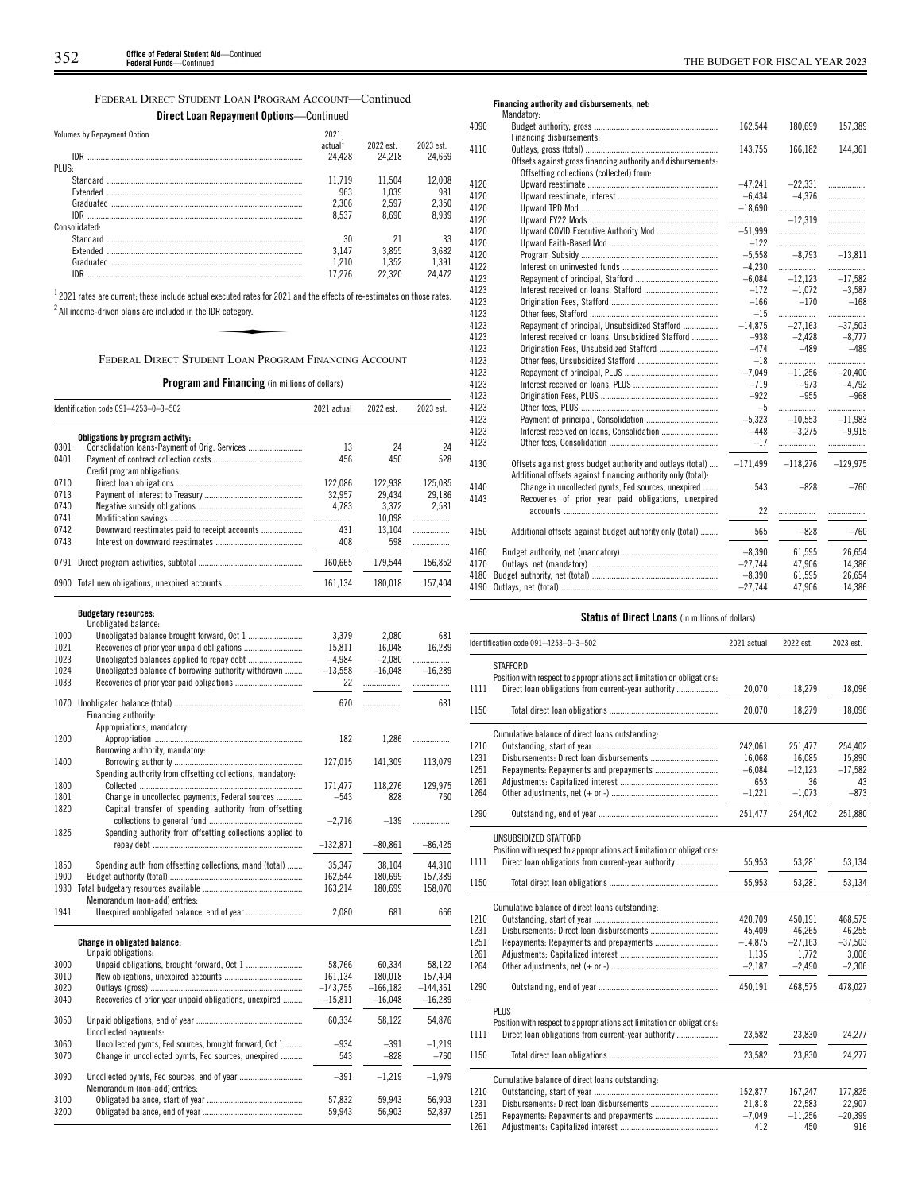FEDERAL DIRECT STUDENT LOAN PROGRAM ACCOUNT—Continued

|  |  | <b>Direct Loan Repayment Options</b> —Continued |  |
|--|--|-------------------------------------------------|--|
|--|--|-------------------------------------------------|--|

| Volumes by Repayment Option | 2021                |           |           | 409 |
|-----------------------------|---------------------|-----------|-----------|-----|
|                             | actual <sup>+</sup> | 2022 est. | 2023 est. | 411 |
| IDR                         | 24.428              | 24.218    | 24.669    |     |
| PLUS:                       |                     |           |           |     |
|                             | 11.719              | 11.504    | 12.008    | 412 |
|                             | 963                 | 1.039     | 981       | 412 |
|                             | 2.306               | 2.597     | 2,350     | 412 |
|                             | 8.537               | 8.690     | 8.939     | 412 |
| Consolidated:               |                     |           |           | 412 |
|                             | 30                  | 21        | 33        | 412 |
|                             | 3.147               | 3.855     | 3,682     | 412 |
|                             | 1.210               | 1.352     | 1.391     | 412 |
| IDR                         | 17.276              | 22.320    | 24.472    | 412 |

 $^{\rm 1}$  2021 rates are current; these include actual executed rates for 2021 and the effects of re-estimates on those rates.  $^2$  All income-driven plans are included in the IDR category. MANUTE SERVICES<br>Manufactured rates for 2021<br>Reategory.<br>Note: LOAN PROGR

FEDERAL DIRECT STUDENT LOAN PROGRAM FINANCING ACCOUNT

**Program and Financing** (in millions of dollars)

|      | Identification code 091-4253-0-3-502                       | 2021 actual     | 2022 est.       | 2023 est.     |
|------|------------------------------------------------------------|-----------------|-----------------|---------------|
|      | Obligations by program activity:                           |                 |                 |               |
| 0301 | Consolidation loans-Payment of Orig. Services              | 13              | 24              | 24            |
| 0401 |                                                            | 456             | 450             | 528           |
|      | Credit program obligations:                                |                 |                 |               |
| 0710 |                                                            | 122,086         | 122,938         | 125,085       |
| 0713 |                                                            | 32,957          | 29,434          | 29,186        |
| 0740 |                                                            | 4,783           | 3,372           | 2,581         |
| 0741 |                                                            | .               | 10,098          | .             |
| 0742 | Downward reestimates paid to receipt accounts              | 431             | 13,104          | .             |
| 0743 |                                                            | 408             | 598             | .             |
| 0791 |                                                            | 160,665         | 179,544         | 156,852       |
|      | 0900 Total new obligations, unexpired accounts             | 161,134         | 180,018         | 157,404       |
|      | <b>Budgetary resources:</b>                                |                 |                 |               |
| 1000 | Unobligated balance:                                       |                 |                 | 681           |
| 1021 |                                                            | 3,379<br>15,811 | 2,080<br>16,048 | 16,289        |
| 1023 |                                                            | -4,984          | $-2,080$        |               |
| 1024 | Unobligated balance of borrowing authority withdrawn       | $-13,558$       | $-16,048$       | <br>$-16,289$ |
| 1033 |                                                            | 22              | .               | .             |
| 1070 |                                                            | 670             | .               | 681           |
|      | Financing authority:                                       |                 |                 |               |
|      | Appropriations, mandatory:                                 |                 |                 |               |
| 1200 |                                                            | 182             | 1,286           |               |
| 1400 | Borrowing authority, mandatory:                            | 127,015         | 141,309         | 113,079       |
|      | Spending authority from offsetting collections, mandatory: |                 |                 |               |
| 1800 |                                                            | 171,477         | 118,276         | 129,975       |
| 1801 | Change in uncollected payments, Federal sources            | $-543$          | 828             | 760           |
| 1820 | Capital transfer of spending authority from offsetting     |                 | $-139$          |               |
| 1825 | Spending authority from offsetting collections applied to  | $-2,716$        |                 | .             |
|      |                                                            | $-132,871$      | $-80,861$       | $-86,425$     |
| 1850 | Spending auth from offsetting collections, mand (total)    | 35,347          | 38,104          | 44,310        |
| 1900 |                                                            | 162,544         | 180,699         | 157,389       |
| 1930 |                                                            | 163,214         | 180,699         | 158,070       |
|      | Memorandum (non-add) entries:                              |                 |                 |               |
| 1941 |                                                            | 2,080           | 681             | 666           |
|      | Change in obligated balance:                               |                 |                 |               |
|      | Unpaid obligations:                                        |                 |                 |               |
| 3000 |                                                            | 58,766          | 60,334          | 58,122        |
| 3010 |                                                            | 161,134         | 180,018         | 157,404       |
| 3020 |                                                            | $-143,755$      | $-166, 182$     | $-144,361$    |
| 3040 | Recoveries of prior year unpaid obligations, unexpired     | $-15,811$       | $-16,048$       | $-16,289$     |
| 3050 | Uncollected payments:                                      | 60,334          | 58,122          | 54,876        |
| 3060 | Uncollected pymts, Fed sources, brought forward, Oct 1     | $-934$          | $-391$          | $-1,219$      |
| 3070 | Change in uncollected pymts, Fed sources, unexpired        | 543             | $-828$          | $-760$        |
|      |                                                            |                 |                 |               |
| 3090 | Memorandum (non-add) entries:                              | $-391$          | $-1,219$        | $-1,979$      |
| 3100 |                                                            | 57,832          | 59,943          | 56,903        |
| 3200 |                                                            | 59,943          | 56,903          | 52,897        |
|      |                                                            |                 |                 |               |

**Financing authority and disbursements, net:**

|      | Mandatory:                                                   |            |            |            |
|------|--------------------------------------------------------------|------------|------------|------------|
| 4090 |                                                              | 162,544    | 180,699    | 157,389    |
|      | Financing disbursements:                                     |            |            |            |
| 4110 |                                                              | 143,755    | 166,182    | 144,361    |
|      | Offsets against gross financing authority and disbursements: |            |            |            |
|      | Offsetting collections (collected) from:                     |            |            |            |
| 4120 |                                                              | $-47,241$  | $-22.331$  | .          |
| 4120 |                                                              | $-6,434$   | $-4.376$   | .          |
| 4120 |                                                              | $-18.690$  | .          | .          |
| 4120 |                                                              | .          | $-12.319$  | .          |
| 4120 | Upward COVID Executive Authority Mod                         | $-51,999$  | .          | .          |
| 4120 |                                                              | $-122$     | .          | .          |
| 4120 |                                                              | $-5,558$   | $-8.793$   | $-13,811$  |
| 4122 |                                                              | $-4,230$   | .          | .          |
| 4123 |                                                              | $-6,084$   | $-12,123$  | $-17,582$  |
| 4123 |                                                              | $-172$     | $-1,072$   | $-3,587$   |
| 4123 |                                                              | $-166$     | $-170$     | $-168$     |
| 4123 |                                                              | $-15$      | .          |            |
| 4123 | Repayment of principal, Unsubsidized Stafford                | $-14,875$  | $-27,163$  | $-37,503$  |
| 4123 | Interest received on loans, Unsubsidized Stafford            | $-938$     | $-2.428$   | $-8,777$   |
| 4123 |                                                              | $-474$     | $-489$     | $-489$     |
| 4123 |                                                              | $-18$      | .          | .          |
| 4123 |                                                              | $-7,049$   | $-11.256$  | $-20.400$  |
| 4123 |                                                              | $-719$     | $-973$     | $-4.792$   |
| 4123 |                                                              | $-922$     | $-955$     | $-968$     |
| 4123 |                                                              | $-5$       | .          |            |
| 4123 |                                                              | $-5,323$   | $-10.553$  | $-11.983$  |
| 4123 |                                                              | $-448$     | $-3,275$   | $-9.915$   |
| 4123 |                                                              | $-17$      |            |            |
|      |                                                              |            |            |            |
| 4130 | Offsets against gross budget authority and outlays (total)   | $-171,499$ | $-118,276$ | $-129,975$ |
|      | Additional offsets against financing authority only (total): |            |            |            |
| 4140 | Change in uncollected pymts, Fed sources, unexpired          | 543        | $-828$     | $-760$     |
| 4143 | Recoveries of prior year paid obligations, unexpired         |            |            |            |
|      |                                                              | 22         |            |            |
| 4150 |                                                              | 565        | $-828$     | $-760$     |
|      | Additional offsets against budget authority only (total)     |            |            |            |
| 4160 |                                                              | $-8.390$   | 61.595     | 26.654     |
| 4170 |                                                              | $-27.744$  | 47,906     | 14,386     |
| 4180 |                                                              | $-8,390$   | 61,595     | 26,654     |
| 4190 |                                                              | $-27,744$  | 47.906     | 14,386     |
|      |                                                              |            |            |            |

# **Status of Direct Loans** (in millions of dollars)

|      | Identification code 091-4253-0-3-502                                   | 2021 actual | 2022 est. | 2023 est. |
|------|------------------------------------------------------------------------|-------------|-----------|-----------|
|      | STAFFORD                                                               |             |           |           |
|      | Position with respect to appropriations act limitation on obligations: |             |           |           |
| 1111 | Direct loan obligations from current-year authority                    | 20,070      | 18,279    | 18,096    |
| 1150 |                                                                        | 20.070      | 18.279    | 18,096    |
|      | Cumulative balance of direct loans outstanding:                        |             |           |           |
| 1210 |                                                                        | 242,061     | 251,477   | 254,402   |
| 1231 | Disbursements: Direct loan disbursements                               | 16,068      | 16,085    | 15,890    |
| 1251 |                                                                        | $-6,084$    | $-12,123$ | $-17,582$ |
| 1261 |                                                                        | 653         | 36        | 43        |
| 1264 |                                                                        | $-1,221$    | $-1.073$  | $-873$    |
| 1290 |                                                                        | 251,477     | 254,402   | 251,880   |
|      | UNSUBSIDIZED STAFFORD                                                  |             |           |           |
|      | Position with respect to appropriations act limitation on obligations: |             |           |           |
| 1111 | Direct loan obligations from current-year authority                    | 55,953      | 53.281    | 53,134    |
| 1150 |                                                                        | 55,953      | 53,281    | 53,134    |
|      | Cumulative balance of direct loans outstanding:                        |             |           |           |
| 1210 |                                                                        | 420,709     | 450,191   | 468,575   |
| 1231 |                                                                        | 45,409      | 46,265    | 46,255    |
| 1251 |                                                                        | $-14,875$   | $-27,163$ | $-37,503$ |
| 1261 |                                                                        | 1,135       | 1,772     | 3,006     |
| 1264 |                                                                        | $-2.187$    | $-2.490$  | $-2,306$  |
| 1290 |                                                                        | 450,191     | 468,575   | 478,027   |
|      | PLUS                                                                   |             |           |           |
|      | Position with respect to appropriations act limitation on obligations: |             |           |           |
| 1111 | Direct loan obligations from current-year authority                    | 23,582      | 23,830    | 24,277    |
| 1150 |                                                                        | 23,582      | 23.830    | 24.277    |
|      | Cumulative balance of direct loans outstanding:                        |             |           |           |
| 1210 |                                                                        | 152,877     | 167,247   | 177,825   |
| 1231 |                                                                        | 21,818      | 22,583    | 22,907    |
| 1251 |                                                                        | $-7,049$    | $-11,256$ | $-20,399$ |
| 1261 |                                                                        | 412         | 450       | 916       |
|      |                                                                        |             |           |           |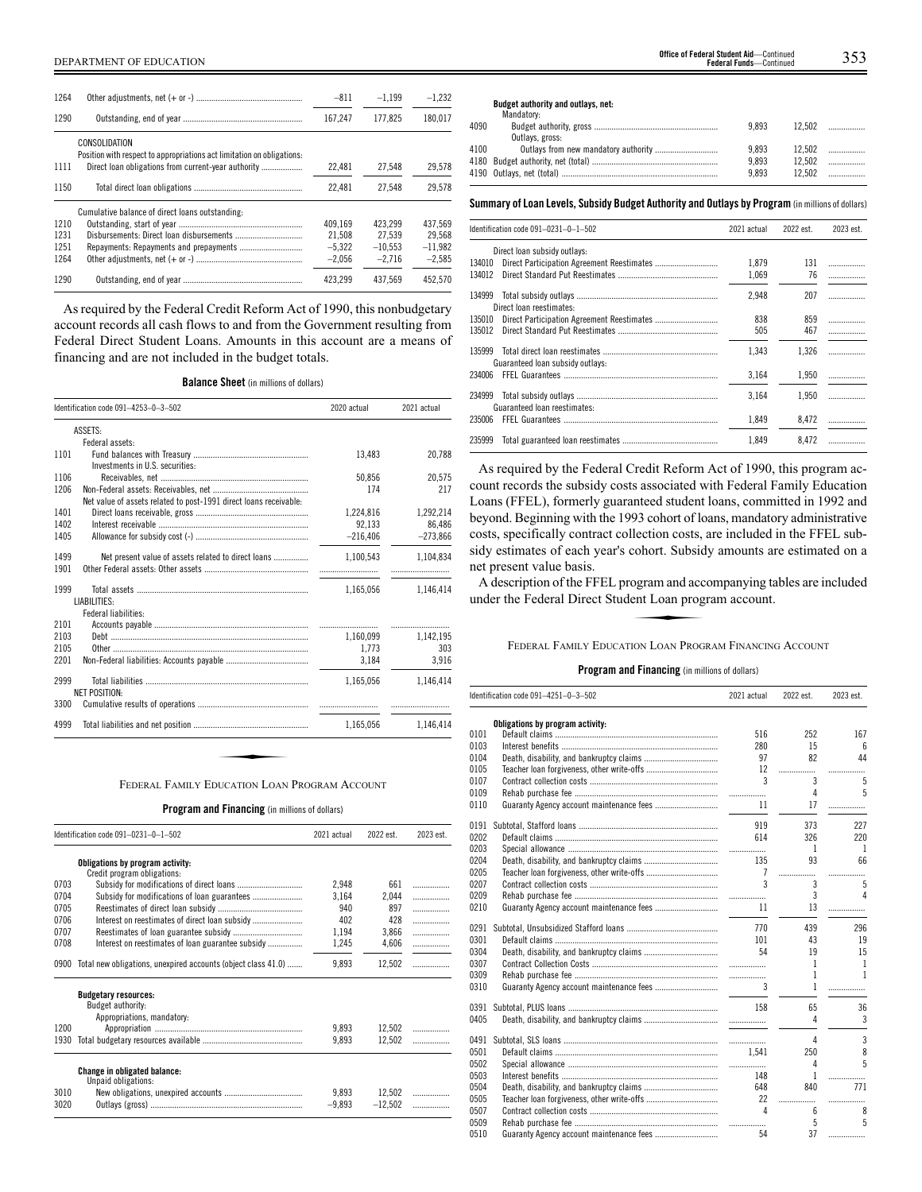| 1264 |                                                                                         | $-811$   | $-1.199$  | $-1.232$  |
|------|-----------------------------------------------------------------------------------------|----------|-----------|-----------|
| 1290 |                                                                                         | 167.247  | 177.825   | 180.017   |
|      | CONSOLIDATION<br>Position with respect to appropriations act limitation on obligations: |          |           |           |
| 1111 |                                                                                         | 22.481   | 27.548    | 29.578    |
| 1150 |                                                                                         | 22.481   | 27.548    | 29.578    |
|      | Cumulative balance of direct loans outstanding:                                         |          |           |           |
| 1210 |                                                                                         | 409.169  | 423.299   | 437.569   |
| 1231 |                                                                                         | 21.508   | 27.539    | 29.568    |
| 1251 |                                                                                         | $-5.322$ | $-10.553$ | $-11.982$ |
| 1264 |                                                                                         | $-2.056$ | $-2.716$  | $-2.585$  |
| 1290 |                                                                                         | 423.299  | 437.569   | 452.570   |

As required by the Federal Credit Reform Act of 1990, this nonbudgetary account records all cash flows to and from the Government resulting from Federal Direct Student Loans. Amounts in this account are a means of financing and are not included in the budget totals.

**Balance Sheet** (in millions of dollars)

|      | Identification code 091-4253-0-3-502                              | 2020 actual | 2021 actual |
|------|-------------------------------------------------------------------|-------------|-------------|
|      | ASSETS:                                                           |             |             |
|      | Federal assets:                                                   |             |             |
| 1101 |                                                                   | 13.483      | 20,788      |
|      | Investments in U.S. securities:                                   |             |             |
| 1106 |                                                                   | 50.856      | 20.575      |
| 1206 |                                                                   | 174         | 217         |
|      | Net value of assets related to post-1991 direct loans receivable: |             |             |
| 1401 |                                                                   | 1,224,816   | 1,292,214   |
| 1402 |                                                                   | 92.133      | 86.486      |
| 1405 |                                                                   | $-216.406$  | $-273,866$  |
| 1499 | Net present value of assets related to direct loans               | 1,100,543   | 1,104,834   |
| 1901 |                                                                   |             |             |
| 1999 |                                                                   | 1,165,056   | 1,146,414   |
|      | LIABILITIES:                                                      |             |             |
|      | <b>Federal liabilities:</b>                                       |             |             |
| 2101 |                                                                   |             |             |
| 2103 |                                                                   | 1,160,099   | 1,142,195   |
| 2105 |                                                                   | 1,773       | 303         |
| 2201 |                                                                   | 3,184       | 3,916       |
| 2999 |                                                                   | 1.165.056   | 1.146.414   |
|      | <b>NET POSITION:</b>                                              |             |             |
| 3300 |                                                                   |             |             |
| 4999 |                                                                   | 1,165,056   | 1,146,414   |

**Program and Financing** (in millions of dollars)

|      | Identification code 091-0231-0-1-502                               | 2021 actual | 2022 est. | 2023 est. |
|------|--------------------------------------------------------------------|-------------|-----------|-----------|
|      | Obligations by program activity:                                   |             |           |           |
| 0703 | Credit program obligations:                                        |             | 661       |           |
|      |                                                                    | 2,948       |           | .         |
| 0704 |                                                                    | 3.164       | 2,044     | .         |
| 0705 |                                                                    | 940         | 897       | .         |
| 0706 |                                                                    | 402         | 428       | .         |
| 0707 |                                                                    | 1,194       | 3,866     | .         |
| 0708 | Interest on reestimates of loan guarantee subsidy                  | 1,245       | 4,606     | .         |
|      | 0900 Total new obligations, unexpired accounts (object class 41.0) | 9,893       | 12,502    |           |
|      | <b>Budgetary resources:</b><br>Budget authority:                   |             |           |           |
|      | Appropriations, mandatory:                                         |             |           |           |
| 1200 |                                                                    | 9.893       |           |           |
|      |                                                                    |             | 12,502    |           |
| 1930 |                                                                    | 9.893       | 12.502    |           |
|      | <b>Change in obligated balance:</b><br>Unpaid obligations:         |             |           |           |
| 3010 |                                                                    | 9.893       | 12,502    |           |
| 3020 |                                                                    | $-9,893$    | $-12.502$ |           |

**Budget authority and outlays, net:**

|      | Mandatory:      |       |        |
|------|-----------------|-------|--------|
| 4090 |                 | 9.893 | 12.502 |
|      | Outlays, gross: |       |        |
| 4100 |                 | 9.893 |        |
|      |                 | 9.893 | 12.502 |
|      |                 | 9.893 | 12.502 |
|      |                 |       |        |

#### **Summary ofLoan Levels, Subsidy Budget Authority and Outlays by Program** (inmillionsof dollars)

|        | Identification code 091-0231-0-1-502 | 2021 actual | 2022 est. | 2023 est. |
|--------|--------------------------------------|-------------|-----------|-----------|
|        | Direct loan subsidy outlays:         |             |           |           |
| 134010 |                                      | 1.879       | 131       | .         |
| 134012 |                                      | 1,069       | 76        |           |
| 134999 | Direct loan reestimates:             | 2,948       | 207       | .         |
| 135010 |                                      | 838         | 859       | .         |
| 135012 |                                      | 505         | 467       |           |
| 135999 | Guaranteed loan subsidy outlays:     | 1.343       | 1.326     | .         |
| 234006 |                                      | 3,164       | 1,950     |           |
| 234999 | Guaranteed loan reestimates:         | 3.164       | 1.950     | .         |
| 235006 |                                      | 1,849       | 8.472     |           |
| 235999 |                                      | 1,849       | 8,472     |           |

As required by the Federal Credit Reform Act of 1990, this program account records the subsidy costs associated with Federal Family Education Loans (FFEL), formerly guaranteed student loans, committed in 1992 and beyond. Beginning with the 1993 cohort of loans, mandatory administrative costs, specifically contract collection costs, are included in the FFEL subsidy estimates of each year's cohort. Subsidy amounts are estimated on a net present value basis.

A description of the FFEL program and accompanying tables are included under the Federal Direct Student Loan program account. eonore. Subside<br>ogram and acc<br>ent Loan prog

#### FEDERAL FAMILY EDUCATION LOAN PROGRAM FINANCING ACCOUNT

|      | Identification code 091-4251-0-3-502 | 2021 actual               | 2022 est.       | 2023 est.        |
|------|--------------------------------------|---------------------------|-----------------|------------------|
|      | Obligations by program activity:     |                           |                 |                  |
| 0101 |                                      | 516                       | 252             | 167              |
| 0103 |                                      | 280                       | 15              | 6                |
| 0104 |                                      | 97                        | 82              | 44               |
| 0105 |                                      | 12                        |                 |                  |
| 0107 |                                      | $\overline{\phantom{a}3}$ | $\overline{3}$  | -5               |
| 0109 |                                      |                           | $\overline{4}$  | 5                |
| 0110 |                                      |                           |                 |                  |
| 0191 |                                      | 919                       | 373             | 227              |
| 0202 |                                      | 614                       | 326             | 220              |
| 0203 |                                      |                           | $\overline{1}$  | $\overline{1}$   |
| 0204 |                                      |                           | 93              | 66               |
| 0205 |                                      |                           |                 | .                |
| 0207 |                                      | $\mathbf{3}$              | $\overline{3}$  | 5                |
| 0209 |                                      |                           | $\mathbf{3}$    | $\overline{4}$   |
| 0210 |                                      |                           | 13 <sup>7</sup> | .                |
| 0291 |                                      |                           | 439             | 296              |
| 0301 |                                      | 101                       | 43              | 19               |
| 0304 |                                      |                           | 19              | 15               |
| 0307 |                                      |                           | $\mathbf{1}$    | -1               |
| 0309 |                                      |                           | $\mathbf{1}$    | $\overline{1}$   |
| 0310 |                                      | $3^{\circ}$               | $\mathbf{1}$    | .                |
| 0391 |                                      |                           | 65              | 36               |
| 0405 |                                      |                           | 4               | 3                |
| 0491 |                                      |                           | 4               | 3                |
| 0501 |                                      |                           | 250             | 8                |
| 0502 |                                      |                           | 4               | 5                |
| 0503 |                                      | 148                       | $\mathbf{1}$    | .                |
| 0504 |                                      | 648                       | 840             | 771              |
| 0505 |                                      | 22                        |                 | .                |
| 0507 |                                      | $\overline{4}$            | 6               | 8                |
| 0509 |                                      |                           |                 | $5^{\circ}$<br>5 |
| 0510 |                                      | 54                        | 37              | .                |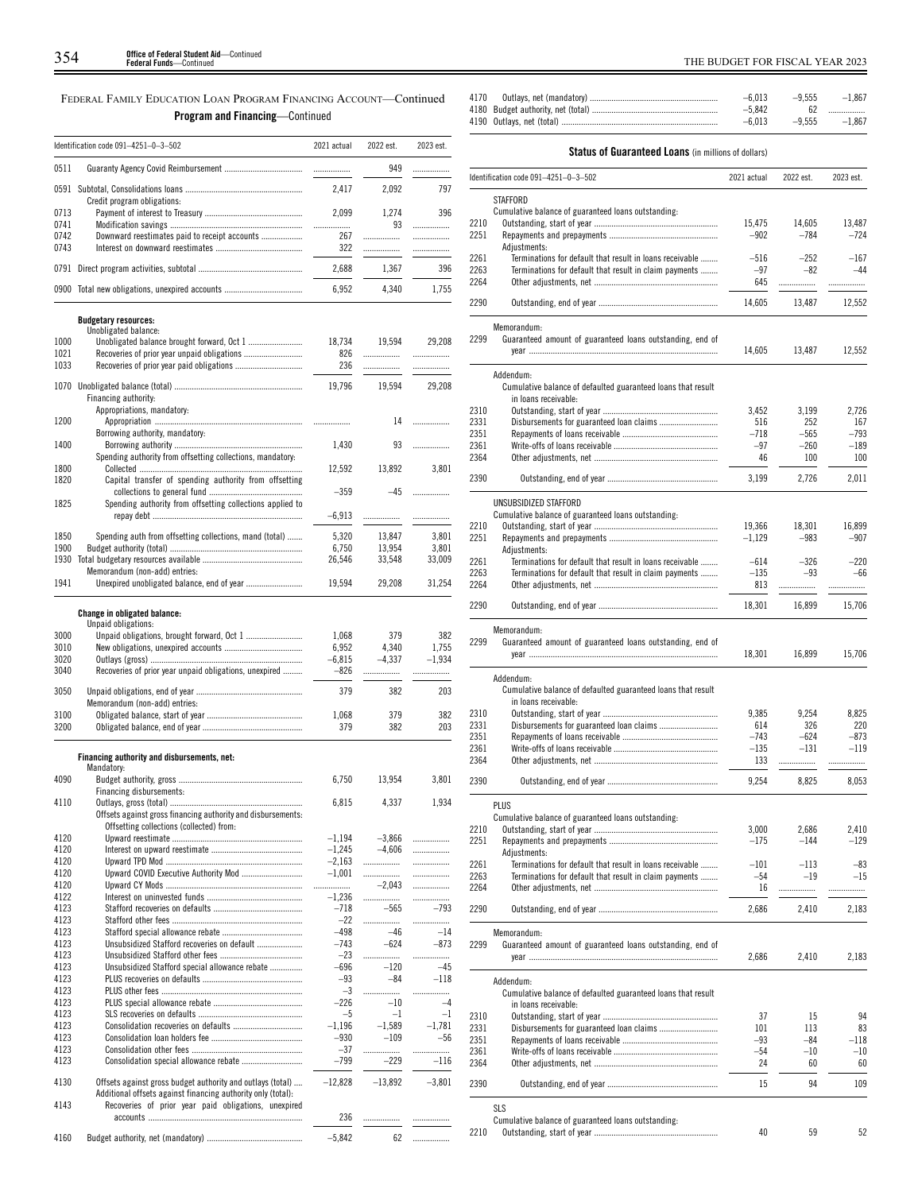FEDERAL FAMILY EDUCATION LOAN PROGRAM FINANCING ACCOUNT—Continued **Program and Financing**—Continued

|              | Identification code 091-4251-0-3-502                                                                                       | 2021 actual       | 2022 est.         | 2023 est.         |
|--------------|----------------------------------------------------------------------------------------------------------------------------|-------------------|-------------------|-------------------|
| 0511         |                                                                                                                            | .                 | 949               | .                 |
|              | Credit program obligations:                                                                                                | 2,417             | 2,092             | 797               |
| 0713<br>0741 |                                                                                                                            | 2,099<br>         | 1,274<br>93       | 396               |
| 0742<br>0743 | Downward reestimates paid to receipt accounts                                                                              | 267<br>322        | <br>.             | .<br><br>         |
| 0791         |                                                                                                                            | 2,688             | 1,367             | 396               |
| 0900         |                                                                                                                            | 6,952             | 4,340             | 1,755             |
|              |                                                                                                                            |                   |                   |                   |
|              | <b>Budgetary resources:</b><br>Unobligated balance:                                                                        |                   |                   |                   |
| 1000<br>1021 | Unobligated balance brought forward, Oct 1                                                                                 | 18,734<br>826     | 19,594            | 29,208<br>.       |
| 1033         |                                                                                                                            | 236               | .<br>.            | .                 |
| 1070         | Financing authority:<br>Appropriations, mandatory:                                                                         | 19,796            | 19,594            | 29,208            |
| 1200         |                                                                                                                            | .                 | 14                | .                 |
| 1400         | Borrowing authority, mandatory:                                                                                            | 1,430             | 93                |                   |
| 1800         | Spending authority from offsetting collections, mandatory:                                                                 | 12,592            | 13,892            | 3,801             |
| 1820         | Capital transfer of spending authority from offsetting                                                                     | $-359$            | $-45$             |                   |
| 1825         | Spending authority from offsetting collections applied to                                                                  | $-6,913$          | .                 | .                 |
| 1850         | Spending auth from offsetting collections, mand (total)                                                                    | 5,320             | 13,847            | 3,801             |
| 1900         |                                                                                                                            | 6,750             | 13,954            | 3,801             |
| 1930         | Memorandum (non-add) entries:                                                                                              | 26,546            | 33,548            | 33,009            |
| 1941         | Unexpired unobligated balance, end of year                                                                                 | 19,594            | 29,208            | 31,254            |
|              |                                                                                                                            |                   |                   |                   |
|              | <b>Change in obligated balance:</b><br>Unpaid obligations:                                                                 |                   |                   |                   |
| 3000         |                                                                                                                            | 1,068             | 379               | 382               |
| 3010<br>3020 |                                                                                                                            | 6,952<br>$-6,815$ | 4,340<br>$-4,337$ | 1,755<br>$-1,934$ |
| 3040         | Recoveries of prior year unpaid obligations, unexpired                                                                     | $-826$            | .                 | .                 |
| 3050         | Memorandum (non-add) entries:                                                                                              | 379               | 382               | 203               |
| 3100         |                                                                                                                            | 1,068             | 379               | 382               |
| 3200         |                                                                                                                            | 379               | 382               | 203               |
|              | Financing authority and disbursements, net:                                                                                |                   |                   |                   |
|              | Mandatory:                                                                                                                 |                   | 13,954            |                   |
| 4090         | Financing disbursements:                                                                                                   | 6,750             |                   | 3,801             |
| 4110         |                                                                                                                            | 6,815             | 4,337             | 1,934             |
|              | Offsets against gross financing authority and disbursements:<br>Offsetting collections (collected) from:                   |                   |                   |                   |
| 4120         |                                                                                                                            | $-1,194$          | $-3,866$          |                   |
| 4120         |                                                                                                                            | $-1,245$          | $-4.606$          | .                 |
| 4120         | Upward COVID Executive Authority Mod                                                                                       | $-2,163$          | .<br>.            | .                 |
| 4120<br>4120 |                                                                                                                            | $-1,001$<br>.     | $-2,043$          | <br>.             |
| 4122         |                                                                                                                            | $-1.236$          | .                 | .                 |
| 4123         |                                                                                                                            | $-718$            | $-565$            | $-793$            |
| 4123         |                                                                                                                            | $-22$             | .                 |                   |
| 4123<br>4123 | Unsubsidized Stafford recoveries on default                                                                                | $-498$<br>$-743$  | $-46$<br>$-624$   | $-14$<br>$-873$   |
| 4123         |                                                                                                                            | $-23$             | .                 | .                 |
| 4123         | Unsubsidized Stafford special allowance rebate                                                                             | $-696$            | $-120$            | $-45$             |
| 4123         |                                                                                                                            | $-93$             | $-84$             | $-118$            |
| 4123<br>4123 |                                                                                                                            | $-3$<br>$-226$    | <br>$-10$         | <br>$-4$          |
| 4123         |                                                                                                                            | $-5$              | $-1$              | $-1$              |
| 4123         |                                                                                                                            | $-1,196$          | $-1,589$          | $-1,781$          |
| 4123         |                                                                                                                            | $-930$            | $-109$            | $-56$             |
| 4123         |                                                                                                                            | $-37$             |                   |                   |
| 4123         |                                                                                                                            | $-799$            | $-229$            | $-116$            |
| 4130         | Offsets against gross budget authority and outlays (total)<br>Additional offsets against financing authority only (total): | $-12,828$         | $-13,892$         | $-3,801$          |
| 4143         | Recoveries of prior year paid obligations, unexpired                                                                       | 236               |                   | .                 |
| 4160         |                                                                                                                            | $-5,842$          | 62                |                   |
|              |                                                                                                                            |                   |                   |                   |

| 4170 | $-6.013$ | $-9.555$ | $-1.867$          |
|------|----------|----------|-------------------|
|      | $-5.842$ |          | 62                |
|      | $-6.013$ |          | $-9.555$ $-1.867$ |
|      |          |          |                   |

# **Status of Guaranteed Loans** (in millions of dollars)

|              | Identification code 091-4251-0-3-502                                      | 2021 actual     | 2022 est.        | 2023 est.      |
|--------------|---------------------------------------------------------------------------|-----------------|------------------|----------------|
|              | STAFFORD                                                                  |                 |                  |                |
|              | Cumulative balance of guaranteed loans outstanding:                       |                 |                  |                |
| 2210         |                                                                           | 15,475          | 14,605           | 13,487         |
| 2251         | Adjustments:                                                              | $-902$          | $-784$           | $-724$         |
| 2261         | Terminations for default that result in loans receivable                  | $-516$          | $-252$           | $-167$         |
| 2263         | Terminations for default that result in claim payments                    | $-97$           | $-82$            | $-44$          |
| 2264         |                                                                           | 645             | .                | .              |
|              |                                                                           |                 |                  |                |
| 2290         |                                                                           | 14,605          | 13,487           | 12,552         |
|              | Memorandum:                                                               |                 |                  |                |
| 2299         | Guaranteed amount of guaranteed loans outstanding, end of                 |                 |                  |                |
|              |                                                                           | 14,605          | 13,487           | 12,552         |
|              | Addendum:                                                                 |                 |                  |                |
|              | Cumulative balance of defaulted guaranteed loans that result              |                 |                  |                |
|              | in loans receivable:                                                      |                 |                  |                |
| 2310         |                                                                           | 3,452           | 3,199            | 2,726          |
| 2331         |                                                                           | 516             | 252              | 167            |
| 2351<br>2361 |                                                                           | $-718$<br>$-97$ | $-565$<br>$-260$ | -793<br>$-189$ |
| 2364         |                                                                           | 46              | 100              | 100            |
|              |                                                                           |                 |                  |                |
| 2390         |                                                                           | 3,199           | 2,726            | 2,011          |
|              | UNSUBSIDIZED STAFFORD                                                     |                 |                  |                |
|              | Cumulative balance of guaranteed loans outstanding:                       |                 |                  |                |
| 2210         |                                                                           | 19,366          | 18,301           | 16,899         |
| 2251         |                                                                           | $-1,129$        | $-983$           | $-907$         |
|              | Adiustments:                                                              |                 |                  |                |
| 2261         | Terminations for default that result in loans receivable                  | $-614$          | $-326$           | $-220$         |
| 2263         | Terminations for default that result in claim payments                    | $-135$          | $-93$            | $-66$          |
| 2264         |                                                                           | 813             | .                | .              |
| 2290         |                                                                           | 18,301          | 16,899           | 15,706         |
|              |                                                                           |                 |                  |                |
| 2299         | Memorandum:<br>Guaranteed amount of guaranteed loans outstanding, end of  |                 |                  |                |
|              |                                                                           | 18,301          | 16,899           | 15,706         |
|              |                                                                           |                 |                  |                |
|              | Addendum:                                                                 |                 |                  |                |
|              | Cumulative balance of defaulted guaranteed loans that result              |                 |                  |                |
|              | in loans receivable:                                                      |                 |                  |                |
| 2310<br>2331 |                                                                           | 9,385<br>614    | 9,254<br>326     | 8,825<br>220   |
| 2351         |                                                                           | $-743$          | $-624$           | $-873$         |
| 2361         |                                                                           | $-135$          | $-131$           | $-119$         |
| 2364         |                                                                           | 133             | .                | .              |
|              |                                                                           |                 |                  |                |
| 2390         |                                                                           | 9,254           | 8,825            | 8,053          |
|              | <b>PLUS</b>                                                               |                 |                  |                |
|              | Cumulative balance of guaranteed loans outstanding:                       |                 |                  |                |
| 2210         | Outstanding, start of year .                                              | 3,000           | 2,686            | 2,410          |
| 2251         |                                                                           | $-175$          | -144             | $-129$         |
| 2261         | Adjustments:<br>Terminations for default that result in loans receivable  | $-101$          | $-113$           | $-83$          |
| 2263         | Terminations for default that result in claim payments                    | $-54$           | $-19$            | $-15$          |
| 2264         |                                                                           | 16              | .                | .              |
| 2290         |                                                                           | 2,686           | 2,410            | 2,183          |
|              |                                                                           |                 |                  |                |
|              | Memorandum:                                                               |                 |                  |                |
| 2299         | Guaranteed amount of guaranteed loans outstanding, end of                 |                 |                  |                |
|              |                                                                           | 2,686           | 2,410            | 2,183          |
|              |                                                                           |                 |                  |                |
|              | Addendum:<br>Cumulative balance of defaulted guaranteed loans that result |                 |                  |                |
|              | in loans receivable:                                                      |                 |                  |                |
| 2310         |                                                                           | 37              | 15               | 94             |
| 2331         |                                                                           | 101             | 113              | 83             |
| 2351         |                                                                           | $-93$           | $-84$            | -118           |
| 2361         |                                                                           | $-54$           | $-10$            | $-10$          |
| 2364         |                                                                           | 24              | 60               | 60             |
| 2390         |                                                                           | 15              | 94               | 109            |
|              |                                                                           |                 |                  |                |
|              | <b>SLS</b>                                                                |                 |                  |                |
| 2210         | Cumulative balance of guaranteed loans outstanding:                       | 40              | 59               |                |
|              |                                                                           |                 |                  | 52             |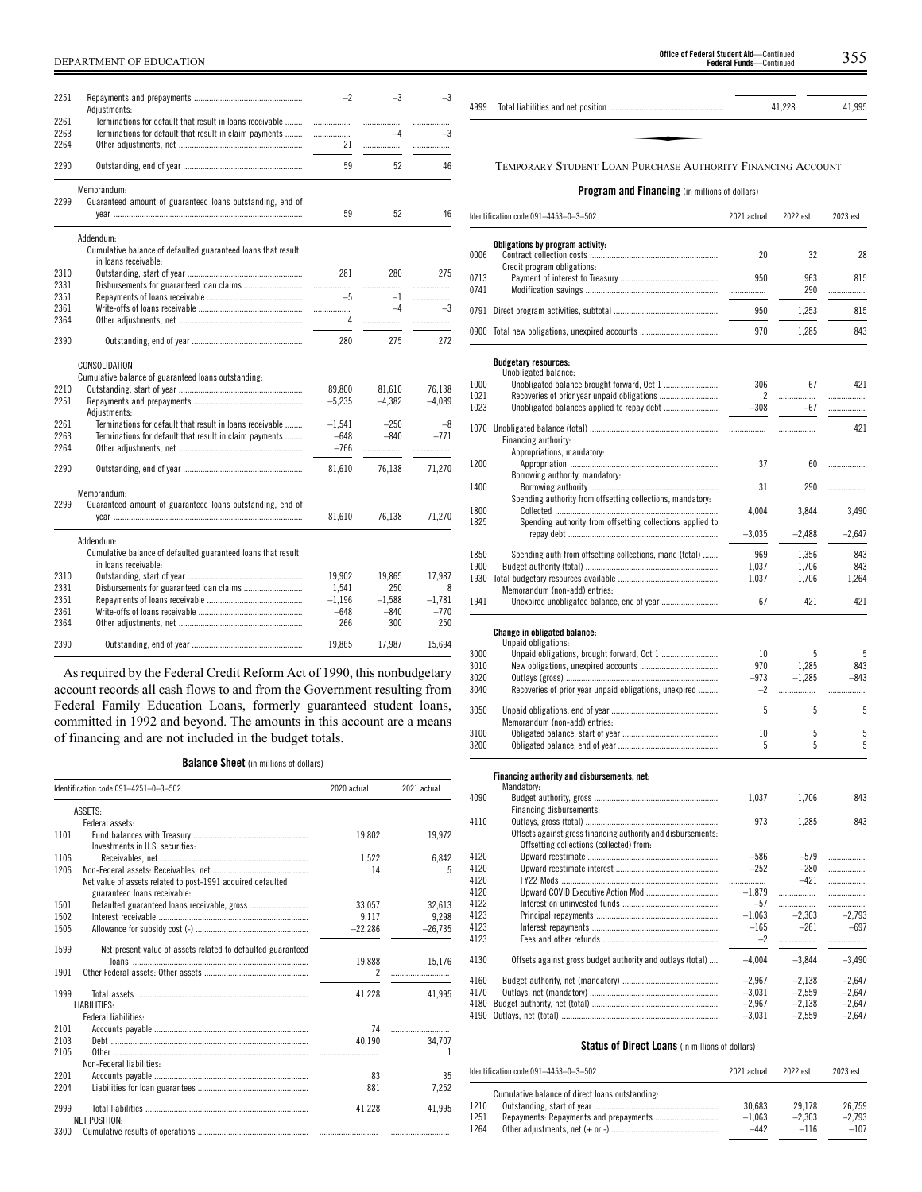| 2251 | Adjustments:                                                 | $-2$     | $-3$     | $-3$     |
|------|--------------------------------------------------------------|----------|----------|----------|
| 2261 | Terminations for default that result in loans receivable     | .        |          | .        |
| 2263 | Terminations for default that result in claim payments       |          | $-4$     | $-3$     |
| 2264 |                                                              | 21       | .        | .        |
| 2290 |                                                              | 59       | 52       | 46       |
|      |                                                              |          |          |          |
|      | Memorandum:                                                  |          |          |          |
| 2299 | Guaranteed amount of guaranteed loans outstanding, end of    |          |          |          |
|      |                                                              | 59       | 52       | 46       |
|      | Addendum:                                                    |          |          |          |
|      | Cumulative balance of defaulted guaranteed loans that result |          |          |          |
|      | in loans receivable:                                         |          |          |          |
| 2310 |                                                              | 281      | 280      | 275      |
| 2331 |                                                              |          | .        | .        |
| 2351 |                                                              | $-5$     | $-1$     | .        |
| 2361 |                                                              | .        | $-4$     | $-3$     |
| 2364 |                                                              | 4        |          | .        |
|      |                                                              |          |          |          |
| 2390 |                                                              | 280      | 275      | 272      |
|      | CONSOLIDATION                                                |          |          |          |
|      | Cumulative balance of guaranteed loans outstanding:          |          |          |          |
| 2210 |                                                              | 89.800   | 81.610   | 76.138   |
| 2251 |                                                              | $-5,235$ | $-4.382$ | $-4,089$ |
|      | Adiustments:                                                 |          |          |          |
| 2261 | Terminations for default that result in loans receivable     | $-1,541$ | $-250$   | $-8$     |
| 2263 | Terminations for default that result in claim payments       | $-648$   | $-840$   | $-771$   |
| 2264 |                                                              | $-766$   |          |          |
|      |                                                              |          | .        | .        |
| 2290 |                                                              | 81,610   | 76,138   | 71,270   |
|      | Memorandum:                                                  |          |          |          |
| 2299 | Guaranteed amount of guaranteed loans outstanding, end of    |          |          |          |
|      |                                                              | 81,610   | 76,138   | 71,270   |
|      |                                                              |          |          |          |
|      | Addendum:                                                    |          |          |          |
|      | Cumulative balance of defaulted guaranteed loans that result |          |          |          |
|      | in loans receivable:                                         |          |          |          |
| 2310 |                                                              | 19,902   | 19.865   | 17.987   |
| 2331 |                                                              | 1,541    | 250      | 8        |
| 2351 |                                                              | $-1,196$ | $-1,588$ | $-1.781$ |
| 2361 |                                                              | $-648$   | $-840$   | $-770$   |
| 2364 |                                                              | 266      | 300      | 250      |
|      |                                                              |          |          |          |
| 2390 |                                                              | 19.865   | 17.987   | 15.694   |

As required by the Federal Credit Reform Act of 1990, this nonbudgetary account records all cash flows to and from the Government resulting from Federal Family Education Loans, formerly guaranteed student loans, committed in 1992 and beyond. The amounts in this account are a means of financing and are not included in the budget totals.

**Balance Sheet** (in millions of dollars)

| Identification code 091-4251-0-3-502 |                                                                                             | 2020 actual | 2021 actual |
|--------------------------------------|---------------------------------------------------------------------------------------------|-------------|-------------|
|                                      | ASSETS:                                                                                     |             |             |
|                                      | Federal assets:                                                                             |             |             |
| 1101                                 | Investments in U.S. securities:                                                             | 19,802      | 19,972      |
| 1106                                 |                                                                                             | 1,522       | 6,842       |
| 1206                                 | Net value of assets related to post-1991 acquired defaulted<br>guaranteed loans receivable: | 14          | 5           |
| 1501                                 |                                                                                             | 33.057      | 32,613      |
| 1502                                 |                                                                                             | 9.117       | 9.298       |
| 1505                                 |                                                                                             | $-22,286$   | $-26,735$   |
| 1599                                 | Net present value of assets related to defaulted guaranteed                                 |             |             |
|                                      |                                                                                             | 19,888      | 15.176      |
| 1901                                 |                                                                                             | 2           |             |
| 1999                                 | LIABILITIES:                                                                                | 41,228      | 41.995      |
|                                      | Federal liabilities:                                                                        |             |             |
| 2101                                 |                                                                                             | 74          |             |
| 2103                                 |                                                                                             | 40.190      | 34,707      |
| 2105                                 |                                                                                             |             | 1           |
|                                      | Non-Federal liabilities:                                                                    |             |             |
| 2201                                 |                                                                                             | 83          | 35          |
| 2204                                 |                                                                                             | 881         | 7.252       |
| 2999                                 | <b>NET POSITION:</b>                                                                        | 41.228      | 41.995      |
| 3300                                 |                                                                                             |             |             |

# **Program and Financing** (in millions of dollars)

|      | Identification code 091-4453-0-3-502                         | 2021 actual | 2022 est. | 2023 est. |
|------|--------------------------------------------------------------|-------------|-----------|-----------|
|      |                                                              |             |           |           |
| 0006 | Obligations by program activity:                             | 20          | 32        | 28        |
|      | Credit program obligations:                                  |             |           |           |
| 0713 |                                                              | 950         | 963       | 815       |
| 0741 |                                                              | .           | 290       | .         |
|      |                                                              | 950         | 1,253     | 815       |
|      | 0900 Total new obligations, unexpired accounts               | 970         | 1,285     | 843       |
|      |                                                              |             |           |           |
|      | <b>Budgetary resources:</b><br>Unobligated balance:          |             |           |           |
| 1000 | Unobligated balance brought forward, Oct 1                   | 306         | 67        | 421       |
| 1021 |                                                              | 2           |           | .         |
| 1023 |                                                              | $-308$      | $-67$     | .         |
|      |                                                              |             |           | 421       |
|      | Financing authority:                                         |             | .         |           |
|      | Appropriations, mandatory:                                   |             |           |           |
| 1200 |                                                              | 37          | 60        |           |
|      | Borrowing authority, mandatory:                              |             |           |           |
| 1400 |                                                              | 31          | 290       |           |
|      | Spending authority from offsetting collections, mandatory:   |             |           |           |
| 1800 |                                                              | 4,004       | 3,844     | 3,490     |
| 1825 | Spending authority from offsetting collections applied to    |             |           |           |
|      |                                                              | $-3,035$    | $-2,488$  | $-2,647$  |
| 1850 | Spending auth from offsetting collections, mand (total)      | 969         | 1,356     | 843       |
| 1900 |                                                              | 1,037       | 1,706     | 843       |
|      |                                                              | 1,037       | 1,706     | 1,264     |
|      | Memorandum (non-add) entries:                                |             |           |           |
| 1941 | Unexpired unobligated balance, end of year                   | 67          | 421       | 421       |
|      | Change in obligated balance:<br>Unpaid obligations:          |             |           |           |
| 3000 |                                                              | 10          | 5         | 5         |
| 3010 |                                                              | 970         | 1,285     | 843       |
| 3020 |                                                              | $-973$      | $-1,285$  | $-843$    |
| 3040 | Recoveries of prior year unpaid obligations, unexpired       | $-2$        |           | .         |
| 3050 |                                                              | 5           | 5         | 5         |
|      | Memorandum (non-add) entries:                                |             |           |           |
| 3100 |                                                              | 10          | 5         | 5         |
| 3200 |                                                              | 5           | 5         | 5         |
|      |                                                              |             |           |           |
|      | Financing authority and disbursements, net:                  |             |           |           |
| 4090 | Mandatory:                                                   | 1.037       | 1,706     | 843       |
|      | Financing disbursements:                                     |             |           |           |
| 4110 |                                                              | 973         | 1.285     | 843       |
|      | Offsets against gross financing authority and disbursements: |             |           |           |
|      | Offsetting collections (collected) from:                     |             |           |           |
| 4120 |                                                              | -586        | $-579$    |           |
| 4120 |                                                              | $-252$      | $-280$    |           |
| 4120 |                                                              | .           | $-421$    |           |
| 4120 |                                                              | $-1,879$    | .         | <br>.     |
| 4122 |                                                              | $-57$       |           | .         |
| 4123 |                                                              | $-1,063$    | $-2,303$  | $-2,793$  |
| 4123 |                                                              | $-165$      | $-261$    | $-697$    |
| 4123 |                                                              | $-2$        | .         |           |
| 4130 | Offsets against gross budget authority and outlays (total)   | $-4,004$    | $-3,844$  | $-3,490$  |
| 4160 |                                                              | $-2,967$    | $-2,138$  | $-2,647$  |
| 4170 |                                                              | $-3,031$    | $-2,559$  | $-2,647$  |
| 4180 |                                                              | $-2,967$    | $-2,138$  | $-2,647$  |
| 4190 |                                                              | $-3,031$    | $-2,559$  | $-2,647$  |
|      |                                                              |             |           |           |

#### **Status of Direct Loans** (in millions of dollars)

|                      | Identification code 091-4453-0-3-502            | 2021 actual                  | 2022 est.                    | 2023 est.                    |
|----------------------|-------------------------------------------------|------------------------------|------------------------------|------------------------------|
| 1210<br>1251<br>1264 | Cumulative balance of direct loans outstanding: | 30.683<br>$-1.063$<br>$-442$ | 29.178<br>$-2.303$<br>$-116$ | 26.759<br>$-2.793$<br>$-107$ |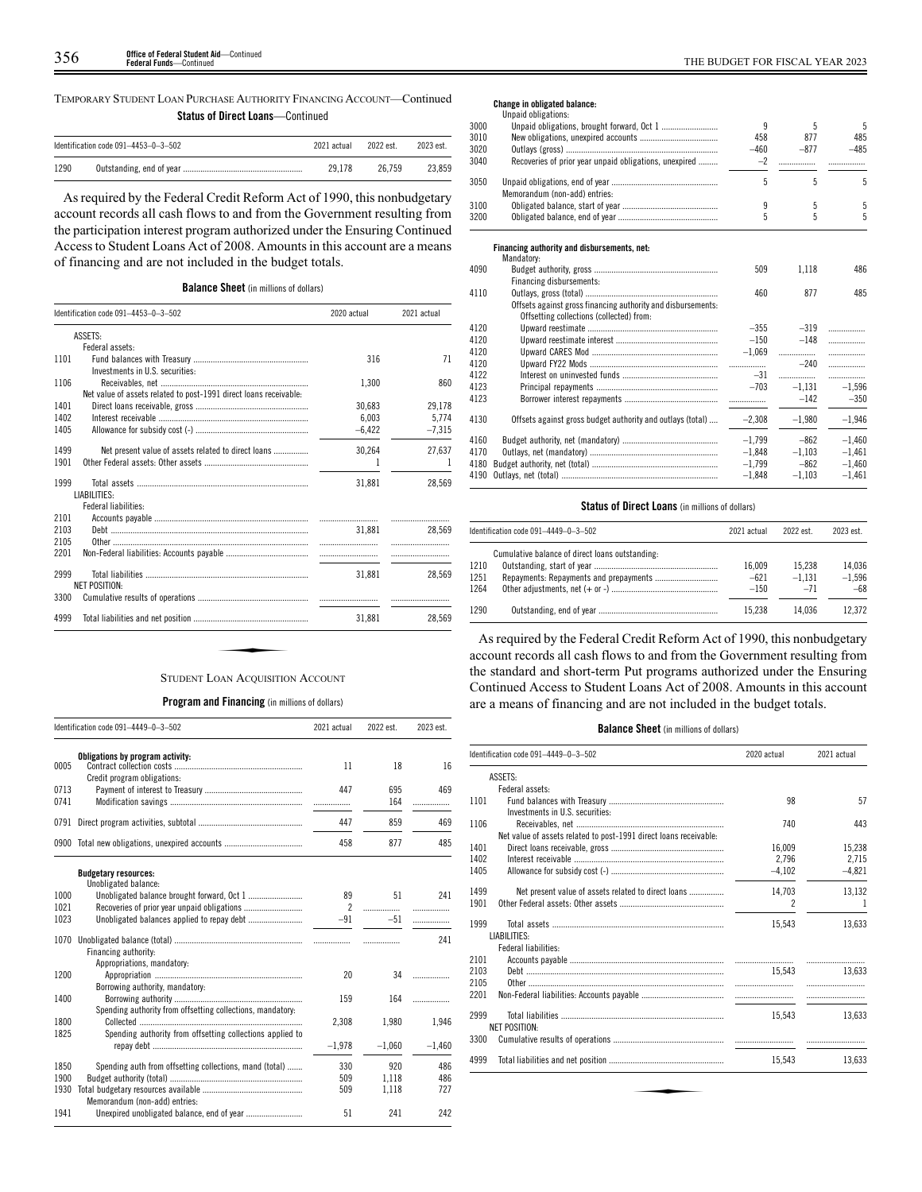TEMPORARY STUDENT LOAN PURCHASE AUTHORITY FINANCING ACCOUNT—Continued **Status of Direct Loans**—Continued

|      | Identification code $091-4453-0-3-502$ | 2021 actual | 2022 est. | 2023 est. |
|------|----------------------------------------|-------------|-----------|-----------|
| 1290 |                                        | 29.178      | 26.759    | 23.859    |

As required by the Federal Credit Reform Act of 1990, this nonbudgetary account records all cash flows to and from the Government resulting from the participation interest program authorized under the Ensuring Continued Access to Student Loans Act of 2008. Amounts in this account are a means of financing and are not included in the budget totals.

# **Balance Sheet** (in millions of dollars)

|      | Identification code 091-4453-0-3-502                              | 2020 actual | 2021 actual |
|------|-------------------------------------------------------------------|-------------|-------------|
|      | ASSETS:                                                           |             |             |
|      | Federal assets:                                                   |             |             |
| 1101 |                                                                   | 316         | 71          |
|      | Investments in U.S. securities:                                   |             |             |
| 1106 |                                                                   | 1.300       | 860         |
|      | Net value of assets related to post-1991 direct loans receivable: |             |             |
| 1401 |                                                                   | 30,683      | 29,178      |
| 1402 |                                                                   | 6,003       | 5.774       |
| 1405 |                                                                   | $-6,422$    | $-7,315$    |
| 1499 | Net present value of assets related to direct loans               | 30,264      | 27,637      |
| 1901 |                                                                   |             |             |
|      |                                                                   |             |             |
| 1999 |                                                                   | 31,881      | 28.569      |
|      | LIABILITIES:                                                      |             |             |
| 2101 | Federal liabilities:                                              |             |             |
| 2103 |                                                                   | 31.881      | <br>28.569  |
| 2105 |                                                                   |             |             |
| 2201 |                                                                   |             |             |
|      |                                                                   |             |             |
| 2999 |                                                                   | 31,881      | 28.569      |
|      | <b>NET POSITION:</b>                                              |             |             |
| 3300 |                                                                   |             |             |
| 4999 |                                                                   | 31.881      | 28.569      |

#### **Program and Financing** (in millions of dollars)

|              | Identification code 091-4449-0-3-502                       | 2021 actual    | 2022 est.  | 2023 est. |
|--------------|------------------------------------------------------------|----------------|------------|-----------|
| 0005         | Obligations by program activity:                           | 11             | 18         | 16        |
| 0713<br>0741 | Credit program obligations:                                | 447            | 695<br>164 | 469       |
| 0791         |                                                            | 447            | 859        | 469       |
| 0900         |                                                            | 458            | 877        | 485       |
|              | <b>Budgetary resources:</b><br>Unobligated balance:        |                |            |           |
| 1000         |                                                            | 89             | 51         | 241       |
| 1021         |                                                            | $\overline{2}$ | .          | .         |
| 1023         |                                                            | $-91$          | $-51$      | .         |
| 1070         | Financing authority:                                       |                |            | 241       |
|              | Appropriations, mandatory:                                 |                |            |           |
| 1200         | Borrowing authority, mandatory:                            | 20             | 34         |           |
| 1400         | Spending authority from offsetting collections, mandatory: | 159            | 164        | .         |
| 1800         |                                                            | 2,308          | 1,980      | 1,946     |
| 1825         | Spending authority from offsetting collections applied to  | $-1.978$       | $-1.060$   | $-1.460$  |
| 1850         | Spending auth from offsetting collections, mand (total)    | 330            | 920        | 486       |
| 1900         |                                                            | 509            | 1.118      | 486       |
| 1930         | Memorandum (non-add) entries:                              | 509            | 1,118      | 727       |
| 1941         |                                                            | 51             | 241        | 242       |

## **Change in obligated balance:**

|      | Unpaid obligations:                                          |          |          |          |
|------|--------------------------------------------------------------|----------|----------|----------|
| 3000 |                                                              | 9        | 5        | 5        |
| 3010 |                                                              | 458      | 877      | 485      |
| 3020 |                                                              | $-460$   | $-877$   | $-485$   |
| 3040 | Recoveries of prior year unpaid obligations, unexpired       | $-2$     | .        |          |
| 3050 |                                                              | 5        | 5        | 5        |
|      | Memorandum (non-add) entries:                                |          |          |          |
| 3100 |                                                              | 9        | 5        | 5        |
| 3200 |                                                              | 5        | 5        | 5        |
|      |                                                              |          |          |          |
|      | Financing authority and disbursements, net:<br>Mandatory:    |          |          |          |
| 4090 |                                                              | 509      | 1,118    | 486      |
|      | Financing disbursements:                                     |          |          |          |
| 4110 |                                                              | 460      | 877      | 485      |
|      | Offsets against gross financing authority and disbursements: |          |          |          |
|      | Offsetting collections (collected) from:                     |          |          |          |
| 4120 |                                                              | $-355$   | $-319$   | .        |
| 4120 |                                                              | $-150$   | $-148$   | .        |
| 4120 |                                                              | $-1.069$ |          | .        |
| 4120 |                                                              |          | $-240$   | .        |
| 4122 |                                                              | $-31$    | .        | .        |
| 4123 |                                                              | $-703$   | $-1.131$ | $-1.596$ |
| 4123 |                                                              |          | $-142$   | $-350$   |
| 4130 | Offsets against gross budget authority and outlays (total)   | $-2,308$ | $-1,980$ | $-1,946$ |
| 4160 |                                                              | $-1.799$ | $-862$   | $-1.460$ |
| 4170 |                                                              | $-1.848$ | $-1,103$ | $-1.461$ |
| 4180 |                                                              | $-1,799$ | $-862$   | $-1,460$ |
| 4190 |                                                              | $-1,848$ | $-1,103$ | $-1,461$ |
|      |                                                              |          |          |          |

# **Status of Direct Loans** (in millions of dollars)

|      | Identification code 091-4449-0-3-502            | 2021 actual | 2022 est | 2023 est. |
|------|-------------------------------------------------|-------------|----------|-----------|
|      | Cumulative balance of direct loans outstanding: |             |          |           |
| 1210 |                                                 | 16.009      | 15.238   | 14.036    |
| 1251 |                                                 | $-621$      | $-1.131$ | $-1.596$  |
| 1264 |                                                 | $-150$      | $-71$    | $-68$     |
| 1290 |                                                 | 15.238      | 14.036   | 12.372    |

As required by the Federal Credit Reform Act of 1990, this nonbudgetary account records all cash flows to and from the Government resulting from the standard and short-term Put programs authorized under the Ensuring Continued Access to Student Loans Act of 2008. Amounts in this account are a means of financing and are not included in the budget totals.

#### **Balance Sheet** (in millions of dollars)

|      | Identification code 091-4449-0-3-502                              | 2020 actual    | 2021 actual |
|------|-------------------------------------------------------------------|----------------|-------------|
|      | ASSETS:                                                           |                |             |
|      | Federal assets:                                                   |                |             |
| 1101 |                                                                   | 98             | 57          |
|      | Investments in U.S. securities:                                   |                |             |
| 1106 |                                                                   | 740            | 443         |
|      | Net value of assets related to post-1991 direct loans receivable: |                |             |
| 1401 |                                                                   | 16,009         | 15,238      |
| 1402 |                                                                   | 2.796          | 2,715       |
| 1405 |                                                                   | $-4.102$       | $-4,821$    |
| 1499 | Net present value of assets related to direct loans               | 14,703         | 13,132      |
| 1901 |                                                                   | $\overline{2}$ | 1           |
| 1999 |                                                                   | 15,543         | 13,633      |
|      | LIABILITIES:                                                      |                |             |
|      | Federal liabilities:                                              |                |             |
| 2101 |                                                                   |                |             |
| 2103 |                                                                   | 15.543         | 13.633      |
| 2105 |                                                                   |                |             |
| 2201 |                                                                   |                |             |
| 2999 |                                                                   | 15.543         | 13.633      |
|      | NET POSITION:                                                     |                |             |
| 3300 |                                                                   |                |             |
|      |                                                                   | 15,543         | 13,633      |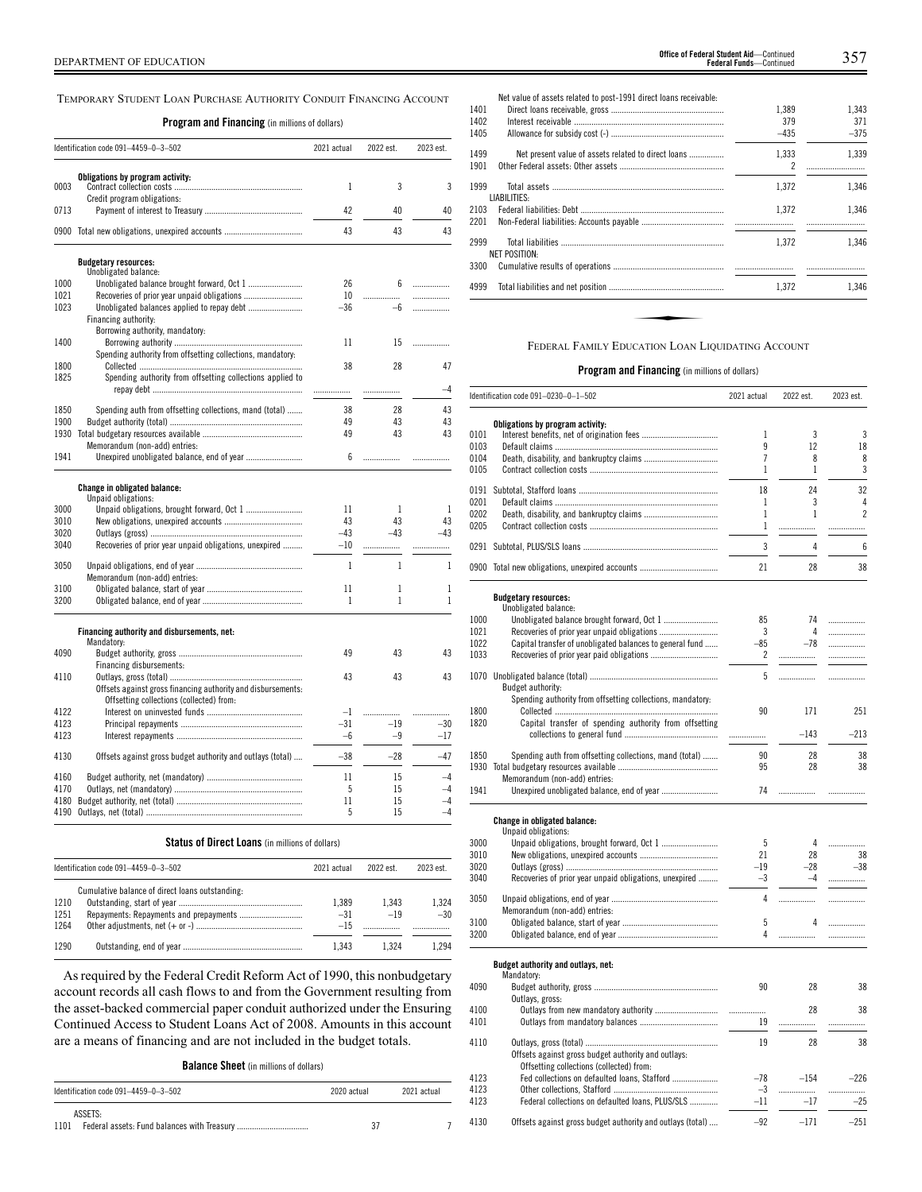TEMPORARY STUDENT LOAN PURCHASE AUTHORITY CONDUIT FINANCING ACCOUNT

**Program and Financing** (in millions of dollars)

|              | Identification code 091-4459-0-3-502                         | 2021 actual    | 2022 est. | 2023 est. |
|--------------|--------------------------------------------------------------|----------------|-----------|-----------|
|              |                                                              |                |           |           |
| 0003         | Obligations by program activity:                             | 1              | 3         | 3         |
| 0713         | Credit program obligations:                                  | 42             | 40        | 40        |
|              |                                                              |                |           |           |
|              | 0900 Total new obligations, unexpired accounts               | 43             | 43        | 43        |
|              | <b>Budgetary resources:</b>                                  |                |           |           |
| 1000         | Unobligated balance:                                         | 26             | 6         |           |
| 1021         | Recoveries of prior year unpaid obligations                  | 10             |           | .<br>.    |
| 1023         |                                                              | $-36$          | -6        | .         |
|              | Financing authority:                                         |                |           |           |
|              | Borrowing authority, mandatory:                              |                |           |           |
| 1400         |                                                              | 11             | 15        | .         |
|              | Spending authority from offsetting collections, mandatory:   |                |           |           |
| 1800         |                                                              | 38             | 28        | 47        |
| 1825         | Spending authority from offsetting collections applied to    |                |           | -4        |
|              |                                                              |                |           |           |
| 1850         | Spending auth from offsetting collections, mand (total)      | 38             | 28        | 43        |
| 1900         |                                                              | 49             | 43        | 43        |
| 1930         |                                                              | 49             | 43        | 43        |
|              | Memorandum (non-add) entries:                                |                |           |           |
| 1941         | Unexpired unobligated balance, end of year                   | 6              | .         |           |
|              | Change in obligated balance:                                 |                |           |           |
|              | Unpaid obligations:                                          |                |           |           |
| 3000         | Unpaid obligations, brought forward, Oct 1                   | 11             | 1         | 1         |
| 3010         |                                                              | 43             | 43        | 43        |
| 3020<br>3040 |                                                              | $-43$<br>$-10$ | $-43$     | $-43$     |
|              | Recoveries of prior year unpaid obligations, unexpired       |                | .         | .         |
| 3050         |                                                              | $\mathbf{1}$   | 1         | 1         |
|              | Memorandum (non-add) entries:                                |                |           |           |
| 3100         |                                                              | 11             | 1         | 1         |
| 3200         |                                                              | 1              | 1         | 1         |
|              | Financing authority and disbursements, net:                  |                |           |           |
|              | Mandatory:                                                   |                |           |           |
| 4090         | Financing disbursements:                                     | 49             | 43        | 43        |
| 4110         |                                                              | 43             | 43        | 43        |
|              | Offsets against gross financing authority and disbursements: |                |           |           |
|              | Offsetting collections (collected) from:                     |                |           |           |
| 4122         |                                                              | $-1$           | .         |           |
| 4123         |                                                              | -31            | $-19$     | -30       |
| 4123         |                                                              | $-6$           | $-9$      | $-17$     |
| 4130         | Offsets against gross budget authority and outlays (total)   | $-38$          | $-28$     | -47       |
| 4160         |                                                              | 11             | 15        | -4        |
| 4170         |                                                              | 5              | 15        | $-4$      |
| 4180         |                                                              | 11             | 15        | $-4$      |
|              |                                                              | 5              | 15        | 4         |
|              |                                                              |                |           |           |
|              | <b>Status of Direct Loans</b> (in millions of dollars)       |                |           |           |
|              | Identification code 091-4459-0-3-502                         | 2021 actual    | 2022 est. | 2023 est. |
|              | Cumulative balance of direct loans outstanding:              |                |           |           |
| 1210         |                                                              | 1,389          | 1,343     | 1,324     |
| 1251         |                                                              | $-31$          | $-19$     | $-30$     |
| 1264         |                                                              | $-15$          |           | .         |

As required by the Federal Credit Reform Act of 1990, this nonbudgetary account records all cash flows to and from the Government resulting from the asset-backed commercial paper conduit authorized under the Ensuring Continued Access to Student Loans Act of 2008. Amounts in this account are a means of financing and are not included in the budget totals.

1290 Outstanding, end of year ....................................................... 1,343 1,324 1,294

**Balance Sheet** (in millions of dollars)

| Identification code $091-4459-0-3-502$ | 2020 actual | 2021 actual |
|----------------------------------------|-------------|-------------|
| ASSETS:<br>1101                        | 37          |             |

| 1401<br>1402<br>1405 | Net value of assets related to post-1991 direct loans receivable: | 1.389<br>379<br>$-435$ | 1.343<br>371<br>$-375$ |
|----------------------|-------------------------------------------------------------------|------------------------|------------------------|
| 1499<br>1901         | Net present value of assets related to direct loans               | 1,333<br>2             | 1.339                  |
| 1999                 | LIABILITIES:                                                      | 1.372                  | 1.346                  |
| 2103<br>2201         |                                                                   | 1.372                  | 1.346                  |
| 2999                 | NET POSITION:                                                     | 1.372                  | 1.346                  |
| 3300                 |                                                                   |                        |                        |
| 4999                 |                                                                   | 1.372                  | 1.346                  |
|                      |                                                                   |                        |                        |
|                      | FEDERAL FAMILY EDUCATION LOAN LIQUIDATING ACCOUNT                 |                        |                        |

|      | Identification code 091-0230-0-1-502                       | 2021 actual    | 2022 est.    | 2023 est.      |
|------|------------------------------------------------------------|----------------|--------------|----------------|
|      | Obligations by program activity:                           |                |              |                |
| 0101 |                                                            | 1              | 3            | 3              |
| 0103 |                                                            | 9              | 12           | 18             |
|      |                                                            |                |              |                |
| 0104 |                                                            | $\overline{7}$ | 8            | 8              |
| 0105 |                                                            | 1              | $\mathbf{1}$ | 3              |
| 0191 |                                                            | 18             | 24           | 32             |
| 0201 |                                                            | 1              | 3            | 4              |
| 0202 |                                                            | 1              | 1            | $\overline{c}$ |
|      |                                                            |                |              |                |
| 0205 |                                                            | 1              | .            | .              |
|      |                                                            | 3              | 4            | 6              |
|      | 0900 Total new obligations, unexpired accounts             | 21             | 28           | 38             |
|      | <b>Budgetary resources:</b>                                |                |              |                |
|      | Unobligated balance:                                       |                |              |                |
| 1000 |                                                            | 85             | 74           |                |
|      |                                                            |                | 4            |                |
| 1021 |                                                            | 3              |              |                |
| 1022 | Capital transfer of unobligated balances to general fund   | -85            | $-78$        | .              |
| 1033 |                                                            | 2              | .            |                |
|      |                                                            |                |              |                |
|      |                                                            | 5              | .            | .              |
|      | Budget authority:                                          |                |              |                |
|      | Spending authority from offsetting collections, mandatory: |                |              |                |
| 1800 |                                                            | 90             | 171          | 251            |
| 1820 | Capital transfer of spending authority from offsetting     |                |              |                |
|      |                                                            | .              | $-143$       | $-213$         |
|      |                                                            |                |              |                |
| 1850 | Spending auth from offsetting collections, mand (total)    | 90             | 28           | 38             |
| 1930 |                                                            | 95             | 28           | 38             |
|      |                                                            |                |              |                |
|      | Memorandum (non-add) entries:                              |                |              |                |
| 1941 | Unexpired unobligated balance, end of year                 | 74             | .            |                |
|      |                                                            |                |              |                |
|      | <b>Change in obligated balance:</b>                        |                |              |                |
|      | Unpaid obligations:                                        |                |              |                |
| 3000 |                                                            | 5              | 4            |                |
| 3010 |                                                            | 21             | 28           | 38             |
| 3020 |                                                            | $-19$          | $-28$        | $-38$          |
| 3040 | Recoveries of prior year unpaid obligations, unexpired     | $-3$           | $-4$         | .              |
|      |                                                            |                |              |                |
| 3050 |                                                            | 4              | .            | .              |
|      | Memorandum (non-add) entries:                              |                |              |                |
| 3100 |                                                            | 5              | 4            | .              |
| 3200 |                                                            | 4              | .            | .              |
|      |                                                            |                |              |                |
|      | Budget authority and outlays, net:                         |                |              |                |
|      | Mandatory:                                                 |                |              |                |
| 4090 |                                                            | 90             | 28           | 38             |
|      | Outlays, gross:                                            |                |              |                |
| 4100 |                                                            |                | 28           | 38             |
| 4101 |                                                            | 19             | .            | .              |
|      |                                                            |                |              |                |
| 4110 |                                                            | 19             | 28           | 38             |
|      |                                                            |                |              |                |
|      | Offsets against gross budget authority and outlays:        |                |              |                |
|      | Offsetting collections (collected) from:                   |                |              |                |
| 4123 | Fed collections on defaulted loans, Stafford               | $-78$          | $-154$       | $-226$         |
| 4123 |                                                            | $-3$           | .            | .              |
| 4123 | Federal collections on defaulted loans, PLUS/SLS           | $-11$          | $-17$        | $-25$          |
|      |                                                            |                |              |                |
| 4130 | Offsets against gross budget authority and outlays (total) | $-92$          | $-171$       | $-251$         |
|      |                                                            |                |              |                |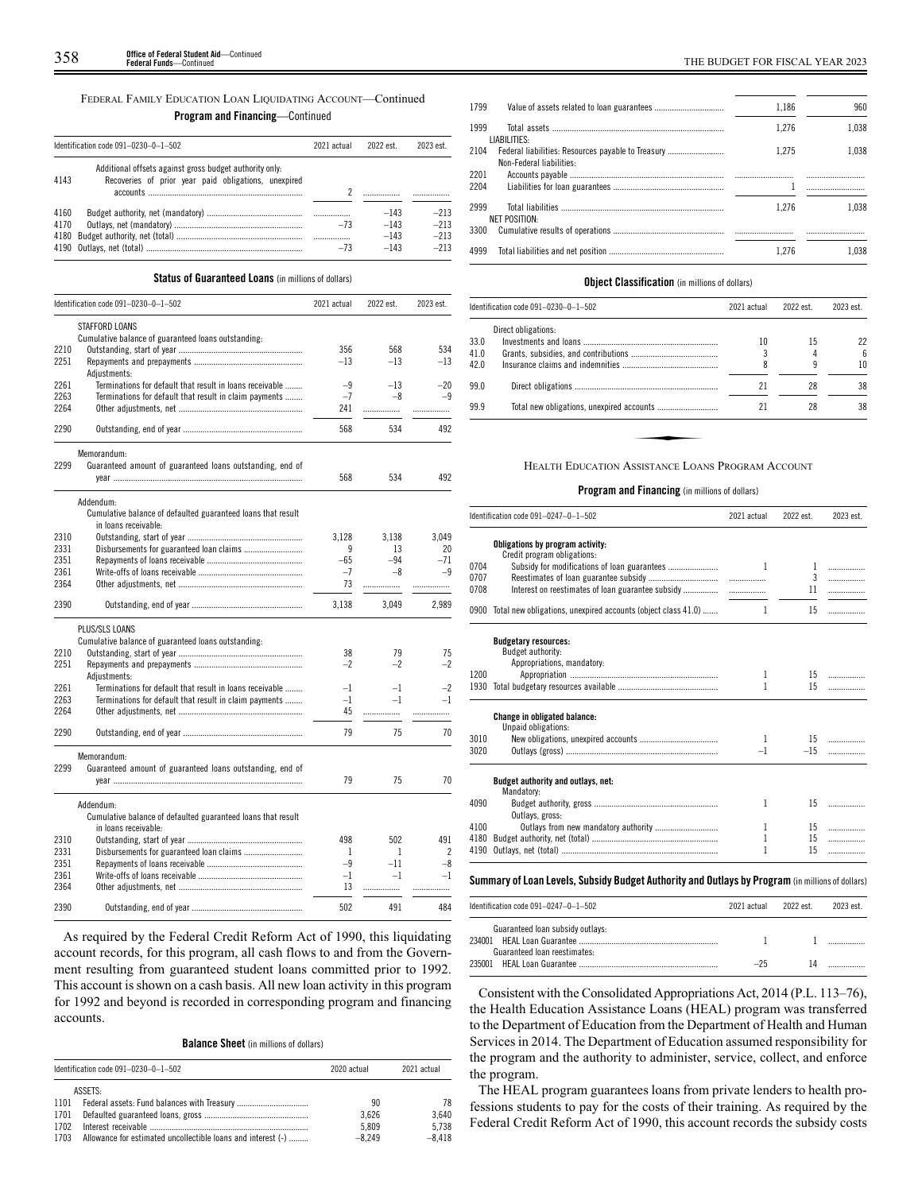#### FEDERAL FAMILY EDUCATION LOAN LIQUIDATING ACCOUNT—Continued

# **Program and Financing**—Continued

|      | Identification code 091-0230-0-1-502                                                                            | 2021 actual | 2022 est. | 2023 est. |
|------|-----------------------------------------------------------------------------------------------------------------|-------------|-----------|-----------|
| 4143 | Additional offsets against gross budget authority only.<br>Recoveries of prior year paid obligations, unexpired |             |           |           |
| 4160 |                                                                                                                 |             | $-143$    | $-213$    |
| 4170 |                                                                                                                 | $-73$       | $-143$    | $-213$    |
| 4180 |                                                                                                                 |             | $-143$    | $-213$    |
|      |                                                                                                                 | $-73$       | $-143$    | $-213$    |

## **Status of Guaranteed Loans** (in millions of dollars)

|      | Identification code 091-0230-0-1-502                         | 2021 actual  | 2022 est.    | 2023 est.                |
|------|--------------------------------------------------------------|--------------|--------------|--------------------------|
|      | <b>STAFFORD LOANS</b>                                        |              |              |                          |
|      | Cumulative balance of guaranteed loans outstanding:          |              |              |                          |
| 2210 |                                                              | 356          | 568          | 534                      |
| 2251 |                                                              | $-13$        | $-13$        | $-13$                    |
|      | Adjustments:                                                 |              |              |                          |
| 2261 | Terminations for default that result in loans receivable     | $-9$         | $-13$        | $-20$                    |
| 2263 | Terminations for default that result in claim payments       | $-7$         | $-8$         | $-9$                     |
| 2264 |                                                              | 241          | .            | .                        |
| 2290 |                                                              | 568          | 534          | 492                      |
|      | Memorandum:                                                  |              |              |                          |
| 2299 | Guaranteed amount of guaranteed loans outstanding, end of    |              |              |                          |
|      |                                                              | 568          | 534          | 492                      |
|      | Addendum:                                                    |              |              |                          |
|      | Cumulative balance of defaulted guaranteed loans that result |              |              |                          |
|      | in loans receivable:                                         |              |              |                          |
| 2310 |                                                              | 3.128        | 3.138        | 3.049                    |
| 2331 |                                                              | 9            | 13           | 20                       |
| 2351 |                                                              | $-65$        | $-94$        | $-71$                    |
| 2361 |                                                              | $-7$         | $-8$         | $-9$                     |
| 2364 |                                                              | 73           |              | .                        |
| 2390 |                                                              | 3,138        | 3,049        | 2,989                    |
|      | PLUS/SLS LOANS                                               |              |              |                          |
|      | Cumulative balance of guaranteed loans outstanding:          |              |              |                          |
| 2210 |                                                              | 38           | 79           | 75                       |
| 2251 |                                                              | $-2$         | $-2$         | $-2$                     |
|      | Adjustments:                                                 |              |              |                          |
| 2261 | Terminations for default that result in loans receivable     | $-1$         | $-1$         | $-2$                     |
| 2263 | Terminations for default that result in claim payments       | $-1$         | $-1$         | $-1$                     |
| 2264 |                                                              | 45           | .            | .                        |
| 2290 |                                                              | 79           | 75           | 70                       |
|      | Memorandum:                                                  |              |              |                          |
| 2299 | Guaranteed amount of guaranteed loans outstanding, end of    |              |              |                          |
|      |                                                              | 79           | 75           | 70                       |
|      | Addendum:                                                    |              |              |                          |
|      | Cumulative balance of defaulted guaranteed loans that result |              |              |                          |
|      | in loans receivable:                                         |              |              |                          |
| 2310 |                                                              | 498          | 502          | 491                      |
| 2331 |                                                              | $\mathbf{1}$ | $\mathbf{1}$ | $\overline{\phantom{a}}$ |
| 2351 |                                                              | $-9$         | $-11$        | $-8$                     |
| 2361 |                                                              | $-1$         | $-1$         | $-1$                     |
| 2364 |                                                              | 13           | .            | .                        |
| 2390 |                                                              | 502          | 491          | 484                      |
|      |                                                              |              |              |                          |

As required by the Federal Credit Reform Act of 1990, this liquidating account records, for this program, all cash flows to and from the Government resulting from guaranteed student loans committed prior to 1992. This account is shown on a cash basis. All new loan activity in this program for 1992 and beyond is recorded in corresponding program and financing accounts.

**Balance Sheet** (in millions of dollars)

|      | Identification code 091-0230-0-1-502                         | 2020 actual | 2021 actual |
|------|--------------------------------------------------------------|-------------|-------------|
|      | ASSETS:                                                      |             |             |
| 1101 |                                                              | 90          | 78          |
| 1701 |                                                              | 3.626       | 3.640       |
| 1702 |                                                              | 5.809       | 5.738       |
| 1703 | Allowance for estimated uncollectible loans and interest (-) | $-8.249$    | $-8.418$    |

| 1799         |                          | 1,186 | 960   |
|--------------|--------------------------|-------|-------|
| 1999         | LIABILITIES:             | 1.276 | 1.038 |
| 2104         | Non-Federal liabilities: | 1.275 | 1.038 |
| 2201<br>2204 |                          |       |       |
| 2999         | <b>NET POSITION:</b>     | 1.276 | 1.038 |
| 3300         |                          |       |       |
| 4999         |                          | 1.276 | 1.038 |

#### **Object Classification** (in millions of dollars)

|      | ldentification code 091–0230–0–1–502               | 2021 actual | 2022 est. | 2023 est. |
|------|----------------------------------------------------|-------------|-----------|-----------|
|      | Direct obligations:                                |             |           |           |
| 33.0 |                                                    | 10          | 15        | 22        |
| 41.0 |                                                    |             |           | 6         |
| 42.0 |                                                    |             | 9         | 10        |
| 99.0 |                                                    | 21          | 28        | 38        |
| 99.9 |                                                    | 21          | 28        | 38        |
|      |                                                    |             |           |           |
|      |                                                    |             |           |           |
|      | Heal th Education Assistance Loans Program Account |             |           |           |

#### HEALTH EDUCATION ASSISTANCE LOANS PROGRAM ACCOUNT

#### **Program and Financing** (in millions of dollars)

|      | Identification code 091-0247-0-1-502                               |              | 2022 est.    | 2023 est. |
|------|--------------------------------------------------------------------|--------------|--------------|-----------|
|      | Obligations by program activity:<br>Credit program obligations:    |              |              |           |
| 0704 | Subsidy for modifications of loan guarantees                       | 1            | $\mathbf{1}$ | .         |
| 0707 |                                                                    |              | 3            | .         |
| 0708 |                                                                    |              | 11           | .         |
|      | 0900 Total new obligations, unexpired accounts (object class 41.0) | $\mathbf{1}$ | 15           | .         |
|      | <b>Budgetary resources:</b><br>Budget authority:                   |              |              |           |
|      | Appropriations, mandatory:                                         |              |              |           |
| 1200 |                                                                    | 1            | 15           |           |
| 1930 |                                                                    | 1            | 15           | .         |
|      | <b>Change in obligated balance:</b><br>Unpaid obligations:         |              |              |           |
| 3010 |                                                                    | $\mathbf{1}$ |              |           |
| 3020 |                                                                    | $-1$         | $-15$        |           |
|      | Budget authority and outlays, net:<br>Mandatory:                   |              |              |           |
| 4090 |                                                                    | 1            | $15 -$       | .         |
|      | Outlays, gross:                                                    |              |              |           |
| 4100 |                                                                    | 1            | 15           | .         |
| 4180 |                                                                    | 1            | 15           | .         |
| 4190 |                                                                    | 1            | 15           | .         |

| Identification code 091-0247-0-1-502 | 2021 actual | 2022 est | 2023 est. |
|--------------------------------------|-------------|----------|-----------|
|                                      |             |          |           |
| Guaranteed loan subsidy outlays:     |             |          |           |
|                                      |             |          |           |
| Guaranteed loan reestimates:         |             |          |           |
|                                      | $-25$       |          |           |

Consistent with the Consolidated Appropriations Act, 2014 (P.L. 113–76), the Health Education Assistance Loans (HEAL) program was transferred to the Department of Education from the Department of Health and Human Services in 2014. The Department of Education assumed responsibility for the program and the authority to administer, service, collect, and enforce the program.

The HEAL program guarantees loans from private lenders to health professions students to pay for the costs of their training. As required by the Federal Credit Reform Act of 1990, this account records the subsidy costs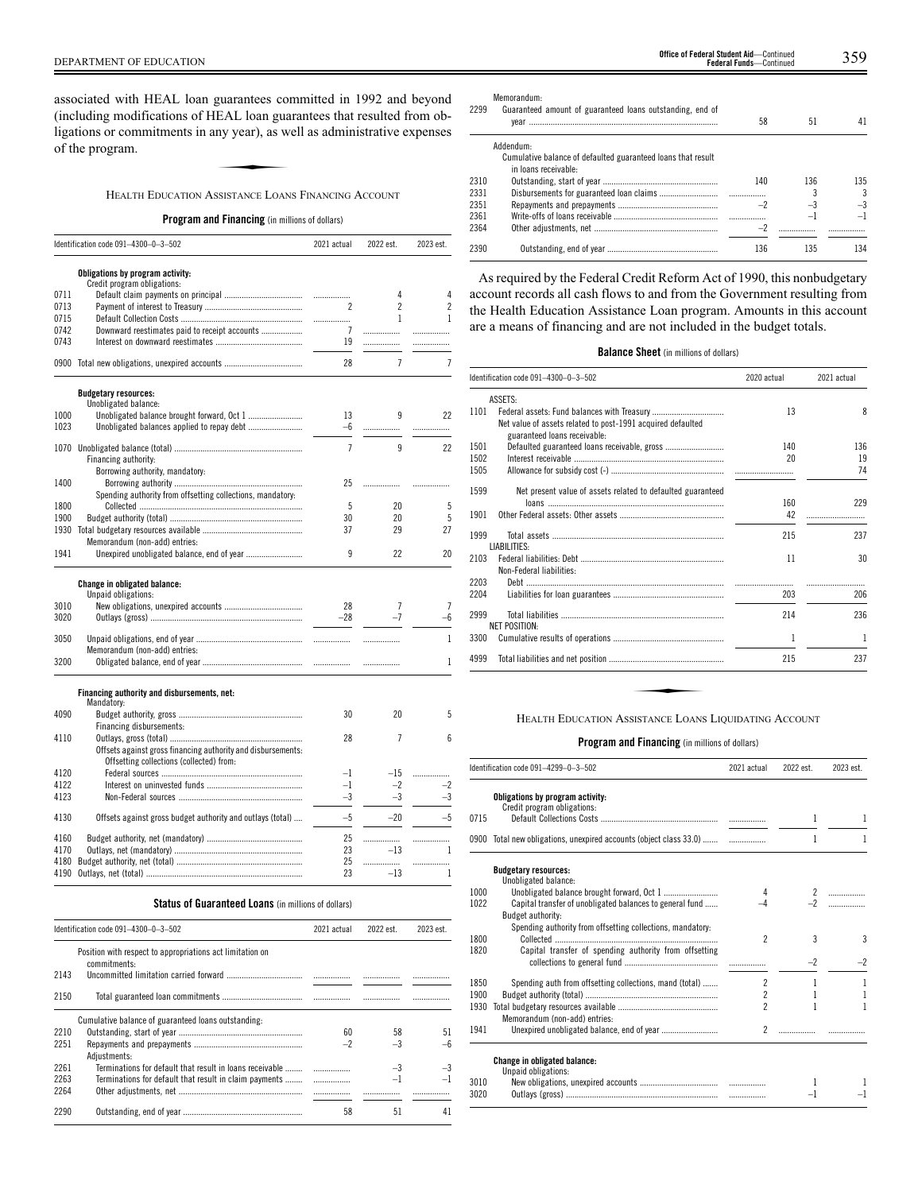associated with HEAL loan guarantees committed in 1992 and beyond (including modifications of HEAL loan guarantees that resulted from obligations or commitments in any year), as well as administrative expenses of the program. EAL loan gua<br>EAL loan gua<br>ny year), as w<br>ssistance Loan

HEALTH EDUCATION ASSISTANCE LOANS FINANCING ACCOUNT

**Program and Financing** (in millions of dollars)

|      | Identification code 091-4300-0-3-502                         | 2021 actual    | 2022 est.      | 2023 est.      |
|------|--------------------------------------------------------------|----------------|----------------|----------------|
|      | Obligations by program activity:                             |                |                |                |
|      | Credit program obligations:                                  |                |                |                |
| 0711 |                                                              | .              | 4              | 4              |
| 0713 |                                                              | 2              | $\overline{c}$ | $\overline{c}$ |
| 0715 |                                                              | .              | $\mathbf{1}$   | 1              |
| 0742 | Downward reestimates paid to receipt accounts                | 7              | .              | .              |
| 0743 |                                                              | 19             |                |                |
| 0900 |                                                              | 28             | $\overline{7}$ | 7              |
|      | <b>Budgetary resources:</b>                                  |                |                |                |
|      | Unobligated balance:                                         |                |                |                |
| 1000 |                                                              | 13             | 9              | 22             |
| 1023 | Unobligated balances applied to repay debt                   | $-6$           |                | .              |
|      |                                                              | $\overline{7}$ | 9              | 22             |
|      | Financing authority:                                         |                |                |                |
|      | Borrowing authority, mandatory:                              |                |                |                |
| 1400 |                                                              | 25             | .              |                |
|      | Spending authority from offsetting collections, mandatory:   |                |                |                |
| 1800 |                                                              | 5              | 20             | 5              |
| 1900 |                                                              | 30             | 20             | 5              |
| 1930 |                                                              | 37             | 29             | 27             |
|      | Memorandum (non-add) entries:                                |                |                |                |
| 1941 |                                                              | 9              | 22             | 20             |
|      | Change in obligated balance:                                 |                |                |                |
|      | Unpaid obligations:                                          |                |                |                |
| 3010 |                                                              | 28             | $\overline{1}$ | 7              |
| 3020 |                                                              | $-28$          | $-7$           | -6             |
| 3050 |                                                              | .              |                | 1              |
|      | Memorandum (non-add) entries:                                |                |                |                |
| 3200 |                                                              |                |                | 1              |
|      |                                                              |                |                |                |
|      | Financing authority and disbursements, net:<br>Mandatory:    |                |                |                |
| 4090 |                                                              | 30             | 20             | 5              |
|      | Financing disbursements:                                     |                |                |                |
| 4110 |                                                              | 28             | 7              | 6              |
|      | Offsets against gross financing authority and disbursements: |                |                |                |
|      | Offsetting collections (collected) from:                     |                |                |                |
| 4120 |                                                              | $-1$           | $-15$          | .              |
| 4122 |                                                              | $-1$           | $-2$           | $-2$           |
| 4123 |                                                              | $-3$           | $-3$           | $-3$           |
| 4130 | Offsets against gross budget authority and outlays (total)   | $-5$           | $-20$          | $-5$           |
|      |                                                              |                |                |                |
| 4160 |                                                              | 25             | .              | .              |
| 4170 |                                                              | 23             | $-13$          | 1              |
| 4180 |                                                              | 25             | .              |                |
| 4190 |                                                              | 23             | $-13$          | 1              |

# **Status of Guaranteed Loans** (in millions of dollars)

|      | Identification code 091-4300-0-3-502                                      | 2021 actual | 2022 est. | 2023 est. |
|------|---------------------------------------------------------------------------|-------------|-----------|-----------|
|      | Position with respect to appropriations act limitation on<br>commitments: |             |           |           |
| 2143 |                                                                           |             |           |           |
| 2150 |                                                                           |             |           | .         |
|      | Cumulative balance of guaranteed loans outstanding.                       |             |           |           |
| 2210 |                                                                           | 60          | 58        | 51        |
| 2251 |                                                                           | $-2$        | $-3$      |           |
|      | Adiustments:                                                              |             |           |           |
| 2261 | Terminations for default that result in loans receivable                  |             | $-3$      | $-3$      |
| 2263 | Terminations for default that result in claim payments                    |             |           |           |
| 2264 |                                                                           |             |           |           |
| 2290 |                                                                           | 58          | 51        | 41        |

DEPARTMENT OF EDUCATION 359 **Office of Federal Student Aid**—Continued **Federal Funds**—Continued

Memorandum:

| 2299 | $P_{\rm U}$<br>Guaranteed amount of guaranteed loans outstanding, end of |      |      |      |
|------|--------------------------------------------------------------------------|------|------|------|
|      |                                                                          | 58   | 51   | 41   |
|      | Addendum:                                                                |      |      |      |
|      | Cumulative balance of defaulted guaranteed loans that result             |      |      |      |
|      | in loans receivable:                                                     |      |      |      |
| 2310 |                                                                          | 140  | 136  | 135  |
| 2331 |                                                                          |      |      | 3    |
| 2351 |                                                                          | $-2$ | $-3$ | $-3$ |
| 2361 |                                                                          |      | -1   |      |
| 2364 |                                                                          |      |      |      |
| 2390 |                                                                          | 136  | 135  | 134  |

As required by the Federal Credit Reform Act of 1990, this nonbudgetary account records all cash flows to and from the Government resulting from the Health Education Assistance Loan program. Amounts in this account are a means of financing and are not included in the budget totals.

## **Balance Sheet** (in millions of dollars)

|      | Identification code 091-4300-0-3-502                                                        | 2020 actual | 2021 actual |
|------|---------------------------------------------------------------------------------------------|-------------|-------------|
|      | ASSETS:                                                                                     |             |             |
| 1101 | Net value of assets related to post-1991 acquired defaulted<br>guaranteed loans receivable: | 13          | 8           |
| 1501 |                                                                                             | 140         | 136         |
| 1502 |                                                                                             | 20          | 19          |
| 1505 |                                                                                             |             | 74          |
| 1599 | Net present value of assets related to defaulted guaranteed                                 |             |             |
|      |                                                                                             | 160         | 229         |
| 1901 |                                                                                             | 42          |             |
| 1999 | LIABILITIES:                                                                                | 215         | 237         |
| 2103 | Non-Federal liabilities:                                                                    | 11          | 30          |
| 2203 |                                                                                             |             |             |
| 2204 |                                                                                             | 203         | 206         |
| 2999 | <b>NET POSITION:</b>                                                                        | 214         | 236         |
| 3300 |                                                                                             | 1           | 1           |
| 4999 |                                                                                             | 215         | 237         |

|      | Identification code 091-4299-0-3-502                                          | 2021 actual              | 2022 est.    | 2023 est.    |
|------|-------------------------------------------------------------------------------|--------------------------|--------------|--------------|
|      | Obligations by program activity:<br>Credit program obligations:               |                          |              |              |
| 0715 |                                                                               |                          | 1            | 1            |
|      | 0900 Total new obligations, unexpired accounts (object class 33.0)            |                          | 1            | 1            |
|      | <b>Budgetary resources:</b><br>Unobligated balance:                           |                          |              |              |
| 1000 |                                                                               | 4                        |              |              |
| 1022 | Capital transfer of unobligated balances to general fund<br>Budget authority: |                          |              |              |
| 1800 | Spending authority from offsetting collections, mandatory:                    | $\mathfrak{p}$           | 3            | 3            |
| 1820 | Capital transfer of spending authority from offsetting                        |                          | $-2$         | $-2$         |
| 1850 | Spending auth from offsetting collections, mand (total)                       | $\overline{2}$           | 1            | $\mathbf{1}$ |
| 1900 |                                                                               | $\overline{\phantom{a}}$ | $\mathbf{1}$ | $\mathbf{1}$ |
| 1930 | Memorandum (non-add) entries:                                                 | 2                        | 1            | 1            |
| 1941 |                                                                               | $\overline{2}$           |              |              |
|      | Change in obligated balance:<br>Unpaid obligations:                           |                          |              |              |
| 3010 |                                                                               |                          |              |              |
| 3020 |                                                                               |                          | -1           | $-1$         |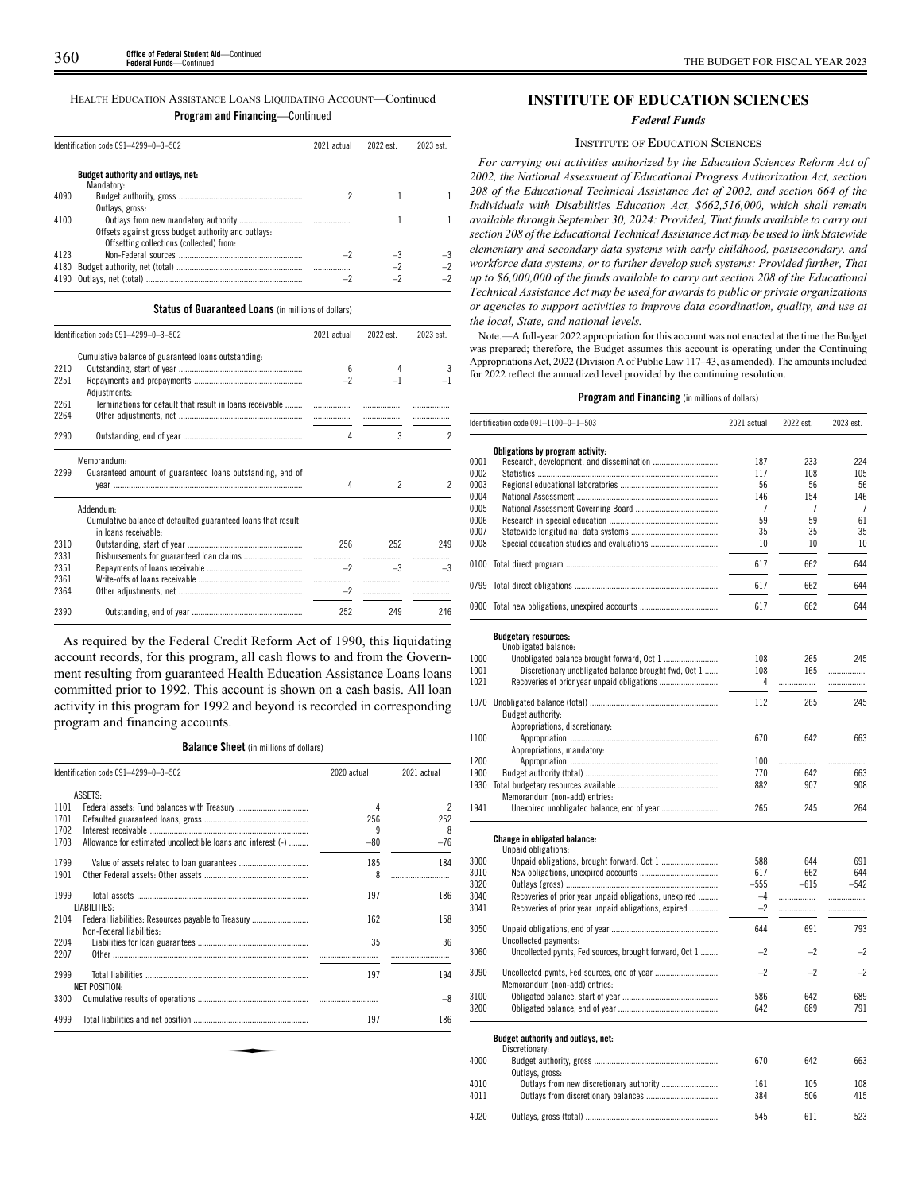|  |  | rain anu i manumg—vontmuci |  |
|--|--|----------------------------|--|
|  |  |                            |  |

|      | Identification code 091-4299-0-3-502<br>2021 actual |  | 2022 est. | 2023 est. |
|------|-----------------------------------------------------|--|-----------|-----------|
|      | Budget authority and outlays, net:<br>Mandatory:    |  |           |           |
| 4090 |                                                     |  |           |           |
|      | Outlays, gross:                                     |  |           |           |
| 4100 |                                                     |  |           |           |
|      | Offsets against gross budget authority and outlays: |  |           |           |
|      | Offsetting collections (collected) from:            |  |           |           |
| 4123 |                                                     |  |           |           |
| 4180 |                                                     |  |           |           |
| 4190 |                                                     |  |           |           |

#### **Status of Guaranteed Loans** (in millions of dollars)

|              | Identification code 091-4299-0-3-502                                                 | 2021 actual | 2022 est. | 2023 est.     |
|--------------|--------------------------------------------------------------------------------------|-------------|-----------|---------------|
|              | Cumulative balance of guaranteed loans outstanding.                                  |             |           |               |
| 2210         |                                                                                      | 6           | 4         | 3             |
| 2251         | Adjustments:                                                                         | $-2$        |           |               |
| 2261         | Terminations for default that result in loans receivable                             | .           |           |               |
| 2264         |                                                                                      |             |           |               |
| 2290         |                                                                                      | 4           | 3         | $\mathcal{P}$ |
|              | Memorandum:                                                                          |             |           |               |
| 2299         | Guaranteed amount of guaranteed loans outstanding, end of                            | 4           | 2         | 2             |
|              | Addendum:                                                                            |             |           |               |
|              | Cumulative balance of defaulted guaranteed loans that result<br>in loans receivable- |             |           |               |
| 2310<br>2331 |                                                                                      | 256         | 252       | 249           |
| 2351         |                                                                                      | $-2$        | .<br>$-3$ | .<br>$-3$     |
| 2361         |                                                                                      | .           |           |               |
| 2364         |                                                                                      | $-2$        | .         |               |
| 2390         |                                                                                      | 252         | 249       | 246           |

As required by the Federal Credit Reform Act of 1990, this liquidating account records, for this program, all cash flows to and from the Government resulting from guaranteed Health Education Assistance Loans loans committed prior to 1992. This account is shown on a cash basis. All loan activity in this program for 1992 and beyond is recorded in corresponding program and financing accounts.

#### **Balance Sheet** (in millions of dollars)

|      | Identification code 091-4299-0-3-502                                           | 2020 actual | 2021 actual |
|------|--------------------------------------------------------------------------------|-------------|-------------|
|      | ASSETS:                                                                        |             |             |
| 1101 |                                                                                | 4           | 2           |
| 1701 |                                                                                | 256         | 252         |
| 1702 |                                                                                | 9           | 8           |
| 1703 | Allowance for estimated uncollectible loans and interest (-)                   | $-80$       | $-76$       |
| 1799 |                                                                                | 185         | 184         |
| 1901 |                                                                                | 8           |             |
| 1999 | LIABILITIES:                                                                   | 197         | 186         |
| 2104 | Federal liabilities: Resources payable to Treasury<br>Non-Federal liabilities: | 162         | 158         |
| 2204 |                                                                                | 35          | 36          |
| 2207 |                                                                                |             |             |
| 2999 | <b>NET POSITION:</b>                                                           | 197         | 194         |
| 3300 |                                                                                |             | -8          |
| 4999 |                                                                                | 197         | 186         |

# **INSTITUTE OF EDUCATION SCIENCES**

#### *Federal Funds*

#### INSTITUTE OF EDUCATION SCIENCES

*For carrying out activities authorized by the Education Sciences Reform Act of 2002, the National Assessment of Educational Progress Authorization Act, section 208 of the Educational Technical Assistance Act of 2002, and section 664 of the Individuals with Disabilities Education Act, \$662,516,000, which shall remain available through September 30, 2024: Provided, That funds available to carry out section 208 of the Educational Technical Assistance Act may be used to link Statewide elementary and secondary data systems with early childhood, postsecondary, and workforce data systems, or to further develop such systems: Provided further, That up to \$6,000,000 of the funds available to carry out section 208 of the Educational Technical Assistance Act may be used for awards to public or private organizations or agencies to support activities to improve data coordination, quality, and use at the local, State, and national levels.*

Note.—A full-year 2022 appropriation for this account was not enacted at the time the Budget was prepared; therefore, the Budget assumes this account is operating under the Continuing Appropriations Act, 2022 (Division A of Public Law 117–43, as amended). The amounts included for 2022 reflect the annualized level provided by the continuing resolution.

|      | Identification code 091–1100–0–1–503                   | 2021 actual | 2022 est. | 2023 est. |
|------|--------------------------------------------------------|-------------|-----------|-----------|
|      | Obligations by program activity:                       |             |           |           |
| 0001 |                                                        | 187         | 233       | 224       |
| 0002 |                                                        | 117         | 108       | 105       |
| 0003 |                                                        | 56          | 56        | 56        |
| 0004 |                                                        | 146         | 154       | 146       |
| 0005 |                                                        | 7           | 7         | 7         |
|      |                                                        | 59          | 59        | 61        |
| 0006 |                                                        |             |           |           |
| 0007 |                                                        | 35          | 35        | 35        |
| 0008 |                                                        | 10          | 10        | 10        |
|      |                                                        | 617         | 662       | 644       |
|      |                                                        | 617         | 662       | 644       |
|      | 0900 Total new obligations, unexpired accounts         | 617         | 662       | 644       |
|      | <b>Budgetary resources:</b><br>Unobligated balance:    |             |           |           |
| 1000 |                                                        | 108         | 265       | 245       |
| 1001 | Discretionary unobligated balance brought fwd, Oct 1   | 108         | 165       |           |
|      |                                                        |             |           | .         |
| 1021 |                                                        | 4           | .         | .         |
|      |                                                        | 112         | 265       | 245       |
|      | Budget authority:                                      |             |           |           |
|      |                                                        |             |           |           |
|      | Appropriations, discretionary:                         |             |           |           |
| 1100 |                                                        | 670         | 642       | 663       |
|      | Appropriations, mandatory:                             |             |           |           |
| 1200 |                                                        | 100         |           | .         |
| 1900 |                                                        | 770         | 642       | 663       |
|      |                                                        | 882         | 907       | 908       |
|      | Memorandum (non-add) entries:                          |             |           |           |
| 1941 |                                                        | 265         | 245       | 264       |
|      | Change in obligated balance:<br>Unpaid obligations:    |             |           |           |
| 3000 |                                                        | 588         | 644       | 691       |
| 3010 |                                                        | 617         | 662       | 644       |
|      |                                                        | $-555$      | $-615$    | $-542$    |
| 3020 |                                                        | $-4$        |           |           |
| 3040 | Recoveries of prior year unpaid obligations, unexpired |             | .         | .         |
| 3041 | Recoveries of prior year unpaid obligations, expired   | $-2$        | .         |           |
| 3050 |                                                        | 644         | 691       | 793       |
|      | Uncollected payments:                                  |             |           |           |
| 3060 | Uncollected pymts, Fed sources, brought forward, Oct 1 | $-2$        | $-2$      | $-2$      |
| 3090 | Memorandum (non-add) entries:                          | $-2$        | $-2$      | $-2$      |
| 3100 |                                                        | 586         | 642       | 689       |
| 3200 |                                                        | 642         | 689       | 791       |
|      |                                                        |             |           |           |
|      | Budget authority and outlays, net:<br>Discretionary:   |             |           |           |
| 4000 |                                                        | 670         | 642       | 663       |
|      | Outlays, gross:                                        |             |           |           |
| 4010 |                                                        | 161         | 105       | 108       |
|      |                                                        |             |           |           |
| 4011 |                                                        | 384         | 506       | 415       |
| 4020 |                                                        | 545         | 611       | 523       |
|      |                                                        |             |           |           |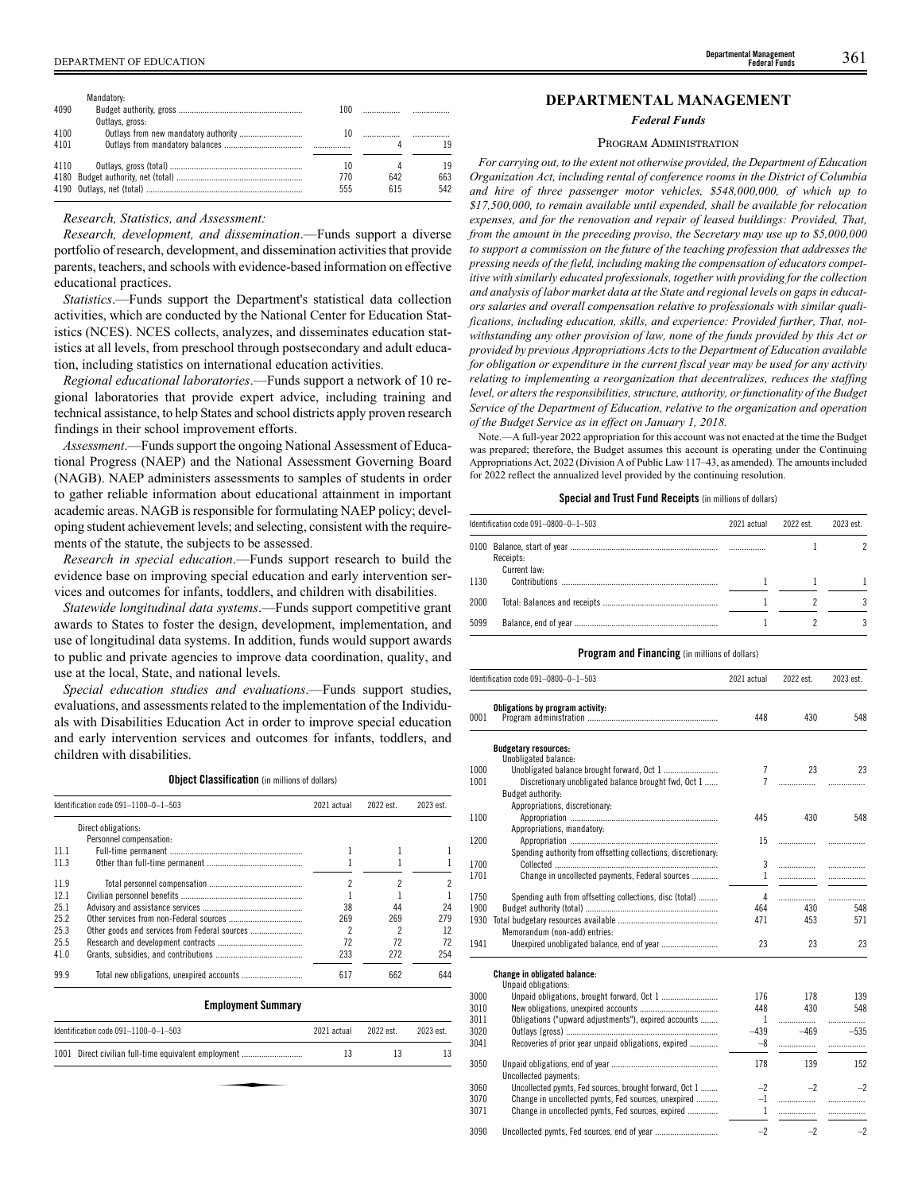| DEPARTMENT OF EDUCATION | <b>Departmental Management</b><br>Federal Funds | h<br>,,, |  |
|-------------------------|-------------------------------------------------|----------|--|
|-------------------------|-------------------------------------------------|----------|--|

|      | Mandatory:      |     |     |     |
|------|-----------------|-----|-----|-----|
| 4090 |                 | 100 |     |     |
|      | Outlays, gross: |     |     |     |
| 4100 |                 | 10  |     |     |
| 4101 |                 |     |     | 19  |
| 4110 |                 | 10  |     | 19  |
|      |                 | 770 | 642 | 663 |
|      |                 | 555 | 615 | 542 |
|      |                 |     |     |     |

#### *Research, Statistics, and Assessment:*

*Research, development, and dissemination*.—Funds support a diverse portfolio of research, development, and dissemination activities that provide parents, teachers, and schools with evidence-based information on effective educational practices.

*Statistics*.—Funds support the Department's statistical data collection activities, which are conducted by the National Center for Education Statistics (NCES). NCES collects, analyzes, and disseminates education statistics at all levels, from preschool through postsecondary and adult education, including statistics on international education activities.

*Regional educational laboratories*.—Funds support a network of 10 regional laboratories that provide expert advice, including training and technical assistance, to help States and school districts apply proven research findings in their school improvement efforts.

*Assessment*.—Funds support the ongoing National Assessment of Educational Progress (NAEP) and the National Assessment Governing Board (NAGB). NAEP administers assessments to samples of students in order to gather reliable information about educational attainment in important academic areas. NAGB is responsible for formulating NAEP policy; developing student achievement levels; and selecting, consistent with the requirements of the statute, the subjects to be assessed.

*Research in special education*.—Funds support research to build the evidence base on improving special education and early intervention services and outcomes for infants, toddlers, and children with disabilities.

*Statewide longitudinal data systems*.—Funds support competitive grant awards to States to foster the design, development, implementation, and use of longitudinal data systems. In addition, funds would support awards to public and private agencies to improve data coordination, quality, and use at the local, State, and national levels.

*Special education studies and evaluations*.—Funds support studies, evaluations, and assessments related to the implementation of the Individuals with Disabilities Education Act in order to improve special education and early intervention services and outcomes for infants, toddlers, and children with disabilities.

**Object Classification** (in millions of dollars)

|      | Identification code 091-1100-0-1-503          | 2021 actual | 2022 est. | 2023 est. |
|------|-----------------------------------------------|-------------|-----------|-----------|
|      | Direct obligations:                           |             |           |           |
|      | Personnel compensation:                       |             |           |           |
| 11 1 |                                               |             |           |           |
| 11.3 |                                               |             |           |           |
| 11.9 |                                               | 2           | 2         |           |
| 12.1 |                                               |             |           |           |
| 25.1 |                                               | 38          | 44        | 24        |
| 25.2 |                                               | 269         | 269       | 279       |
| 25.3 | Other goods and services from Federal sources |             | 2         | 12        |
| 25.5 |                                               | 72          | 72        | 72        |
| 41.0 |                                               | 233         | 272       | 254       |
| 99.9 |                                               | 617         | 662       | 644       |

| Linprogramme valuutat j                              |             |           |           |
|------------------------------------------------------|-------------|-----------|-----------|
| Identification code 091-1100-0-1-503                 | 2021 actual | 2022 est. | 2023 est. |
| 1001 Direct civilian full-time equivalent employment | 13          | 13        | 13        |
|                                                      |             |           |           |
|                                                      |             |           |           |

# **DEPARTMENTAL MANAGEMENT**

#### *Federal Funds*

#### PROGRAM ADMINISTRATION

*For carrying out, to the extent not otherwise provided, the Department of Education Organization Act, including rental of conference rooms in the District of Columbia and hire of three passenger motor vehicles, \$548,000,000, of which up to \$17,500,000, to remain available until expended, shall be available for relocation expenses, and for the renovation and repair of leased buildings: Provided, That, from the amount in the preceding proviso, the Secretary may use up to \$5,000,000 to support a commission on the future of the teaching profession that addresses the pressing needs of the field, including making the compensation of educators competitive with similarly educated professionals, together with providing for the collection and analysis of labor market data at the State and regional levels on gaps in educators salaries and overall compensation relative to professionals with similar qualifications, including education, skills, and experience: Provided further, That, notwithstanding any other provision of law, none of the funds provided by this Act or provided by previous Appropriations Acts to the Department of Education available for obligation or expenditure in the current fiscal year may be used for any activity relating to implementing a reorganization that decentralizes, reduces the staffing level, or alters the responsibilities, structure, authority, or functionality of the Budget Service of the Department of Education, relative to the organization and operation of the Budget Service as in effect on January 1, 2018.*

Note.—A full-year 2022 appropriation for this account was not enacted at the time the Budget was prepared; therefore, the Budget assumes this account is operating under the Continuing Appropriations Act, 2022 (Division A of Public Law 117–43, as amended). The amounts included for 2022 reflect the annualized level provided by the continuing resolution.

# **Special and Trust Fund Receipts** (in millions of dollars)

|      | Identification code 091-0800-0-1-503 |  | 2022 est. | 2023 est. |
|------|--------------------------------------|--|-----------|-----------|
|      | Receipts:<br>Current law:            |  |           |           |
| 1130 |                                      |  |           |           |
| 2000 |                                      |  |           |           |
| 5099 |                                      |  |           |           |

|      | Identification code 091-0800-0-1-503                           | 2021 actual    | 2022 est. | 2023 est. |
|------|----------------------------------------------------------------|----------------|-----------|-----------|
| 0001 | Obligations by program activity:                               | 448            | 430       | 548       |
|      | <b>Budgetary resources:</b>                                    |                |           |           |
|      | Unobligated balance:                                           |                |           |           |
| 1000 | Unobligated balance brought forward, Oct 1                     | 7              | 23        | 23        |
| 1001 | Discretionary unobligated balance brought fwd, Oct 1           | $\overline{7}$ | .         | .         |
|      | Budget authority:                                              |                |           |           |
|      | Appropriations, discretionary:                                 |                |           |           |
| 1100 |                                                                | 445            | 430       | 548       |
|      | Appropriations, mandatory:                                     |                |           |           |
| 1200 |                                                                | 15             |           |           |
|      | Spending authority from offsetting collections, discretionary: |                |           |           |
| 1700 |                                                                | 3              |           | .         |
| 1701 | Change in uncollected payments, Federal sources                | 1              |           | .         |
| 1750 | Spending auth from offsetting collections, disc (total)        | 4              |           | .         |
| 1900 |                                                                | 464            | 430       | 548       |
| 1930 |                                                                | 471            | 453       | 571       |
|      | Memorandum (non-add) entries:                                  |                |           |           |
| 1941 |                                                                | 23             | 23        | 23        |
|      | Change in obligated balance:<br>Unpaid obligations:            |                |           |           |
| 3000 |                                                                | 176            | 178       | 139       |
| 3010 |                                                                | 448            | 430       | 548       |
| 3011 | Obligations ("upward adjustments"), expired accounts           | $\mathbf{1}$   |           |           |
| 3020 |                                                                | $-439$         | $-469$    | $-535$    |
| 3041 | Recoveries of prior year unpaid obligations, expired           | $-8$           |           |           |
|      |                                                                |                |           |           |
| 3050 | Uncollected payments:                                          | 178            | 139       | 152       |
| 3060 | Uncollected pymts, Fed sources, brought forward, Oct 1         | $-2$           | $-2$      | $-2$      |
| 3070 | Change in uncollected pymts, Fed sources, unexpired            | $-1$           | .         | .         |
| 3071 | Change in uncollected pymts, Fed sources, expired              | $\mathbf{1}$   | .         | .         |
| 3090 |                                                                | $-2$           | $-2$      | $-2$      |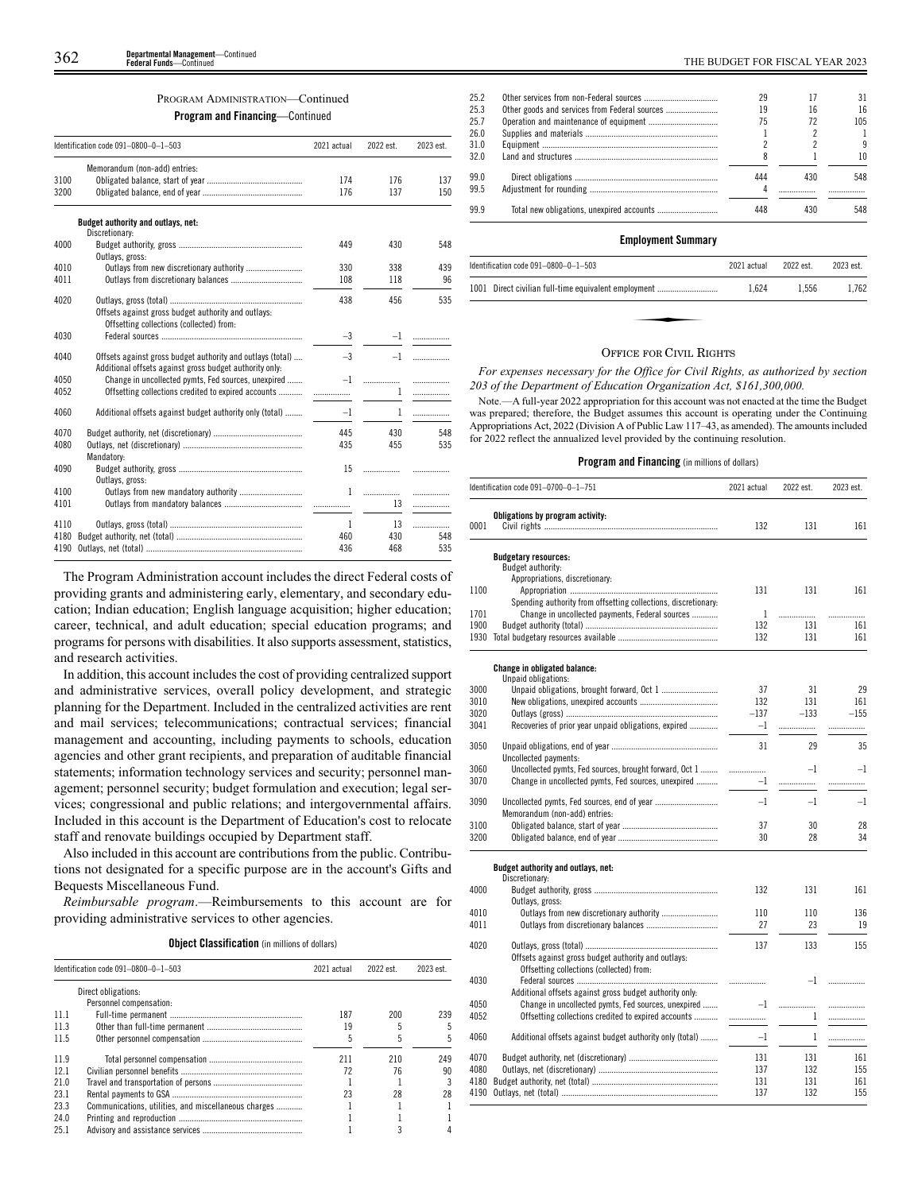## PROGRAM ADMINISTRATION—Continued

**Program and Financing**—Continued

|      | Identification code 091-0800-0-1-503                                                                                  | 2021 actual  | 2022 est.    | 2023 est. |
|------|-----------------------------------------------------------------------------------------------------------------------|--------------|--------------|-----------|
|      | Memorandum (non-add) entries:                                                                                         |              |              |           |
| 3100 |                                                                                                                       | 174          | 176          | 137       |
| 3200 |                                                                                                                       | 176          | 137          | 150       |
|      | Budget authority and outlays, net:                                                                                    |              |              |           |
| 4000 | Discretionary:                                                                                                        | 449          | 430          | 548       |
|      | Outlays, gross:                                                                                                       |              |              |           |
| 4010 |                                                                                                                       | 330          | 338          | 439       |
| 4011 |                                                                                                                       | 108          | 118          | 96        |
| 4020 |                                                                                                                       | 438          | 456          | 535       |
|      | Offsets against gross budget authority and outlays:<br>Offsetting collections (collected) from:                       |              |              |           |
| 4030 |                                                                                                                       | $-3$         |              | $-1$      |
| 4040 | Offsets against gross budget authority and outlays (total)<br>Additional offsets against gross budget authority only: | $-3$         | $-1$         |           |
| 4050 | Change in uncollected pymts, Fed sources, unexpired                                                                   | $-1$         | .            | .         |
| 4052 | Offsetting collections credited to expired accounts                                                                   |              | 1            | .         |
| 4060 | Additional offsets against budget authority only (total)                                                              | $-1$         | $\mathbf{1}$ | .         |
| 4070 |                                                                                                                       | 445          | 430          | 548       |
| 4080 |                                                                                                                       | 435          | 455          | 535       |
| 4090 | Mandatory:                                                                                                            | 15           | .            |           |
|      | Outlays, gross:                                                                                                       |              |              |           |
| 4100 |                                                                                                                       | $\mathbf{1}$ |              | .         |
| 4101 |                                                                                                                       |              | 13           | .         |
| 4110 |                                                                                                                       | $\mathbf{1}$ | 13           | .         |
| 4180 |                                                                                                                       | 460          | 430          | 548       |
| 4190 |                                                                                                                       | 436          | 468          | 535       |

The Program Administration account includes the direct Federal costs of providing grants and administering early, elementary, and secondary education; Indian education; English language acquisition; higher education; career, technical, and adult education; special education programs; and programs for persons with disabilities. It also supports assessment, statistics, and research activities.

In addition, this account includes the cost of providing centralized support and administrative services, overall policy development, and strategic planning for the Department. Included in the centralized activities are rent and mail services; telecommunications; contractual services; financial management and accounting, including payments to schools, education agencies and other grant recipients, and preparation of auditable financial statements; information technology services and security; personnel management; personnel security; budget formulation and execution; legal services; congressional and public relations; and intergovernmental affairs. Included in this account is the Department of Education's cost to relocate staff and renovate buildings occupied by Department staff.

Also included in this account are contributions from the public. Contributions not designated for a specific purpose are in the account's Gifts and Bequests Miscellaneous Fund.

*Reimbursable program*.—Reimbursements to this account are for providing administrative services to other agencies.

| <b>Object Classification</b> (in millions of dollars) |  |  |
|-------------------------------------------------------|--|--|

|      | Identification code $091-0800-0-1-503$               |     | 2022 est. | 2023 est. |
|------|------------------------------------------------------|-----|-----------|-----------|
|      | Direct obligations:                                  |     |           |           |
|      | Personnel compensation:                              |     |           |           |
| 111  |                                                      | 187 | 200       | 239       |
| 11.3 |                                                      | 19  |           |           |
| 11.5 |                                                      |     |           |           |
| 11.9 |                                                      | 211 | 210       | 249       |
| 12.1 |                                                      | 72  | 76        | 90        |
| 21.0 |                                                      |     |           |           |
| 23.1 |                                                      | 23  | 28        | 28        |
| 23.3 | Communications, utilities, and miscellaneous charges |     |           |           |
| 24.0 |                                                      |     |           |           |
| 25.1 |                                                      |     |           |           |

| 25.2 | 29  |     | 31  |
|------|-----|-----|-----|
| 25.3 | 19  | 16  | 16  |
| 25.7 | 75  | 72  | 105 |
| 26.0 |     |     |     |
| 31.0 |     |     | 9   |
| 32.0 |     |     | 10  |
| 99.0 | 444 | 430 | 548 |
| 99.5 |     |     |     |
| 99 9 |     |     | 548 |
|      |     |     |     |

#### **Employment Summary**

| Identification code $091-0800-0-1-503$               | 2021 actual | 2022 est. | 2023 est. |
|------------------------------------------------------|-------------|-----------|-----------|
| 1001 Direct civilian full-time equivalent employment | 1.624       | 1.556     | 1.762     |
|                                                      |             |           |           |
|                                                      |             |           |           |

#### OFFICE FOR CIVIL RIGHTS

*For expenses necessary for the Office for Civil Rights, as authorized by section 203 of the Department of Education Organization Act, \$161,300,000.*

Note.—A full-year 2022 appropriation for this account was not enacted at the time the Budget was prepared; therefore, the Budget assumes this account is operating under the Continuing Appropriations Act, 2022 (Division A of Public Law 117–43, as amended). The amounts included for 2022 reflect the annualized level provided by the continuing resolution.

|      | Identification code 091-0700-0-1-751                           | 2021 actual | 2022 est.    | 2023 est. |
|------|----------------------------------------------------------------|-------------|--------------|-----------|
|      | Obligations by program activity:                               |             |              |           |
| 0001 |                                                                | 132         | 131          | 161       |
|      | <b>Budgetary resources:</b>                                    |             |              |           |
|      | Budget authority:                                              |             |              |           |
|      | Appropriations, discretionary:                                 |             |              |           |
| 1100 |                                                                | 131         | 131          | 161       |
|      | Spending authority from offsetting collections, discretionary: |             |              |           |
| 1701 | Change in uncollected payments, Federal sources                | 1           | .            | .         |
| 1900 |                                                                | 132         | 131          | 161       |
| 1930 |                                                                | 132         | 131          | 161       |
|      | Change in obligated balance:                                   |             |              |           |
|      | Unpaid obligations:                                            |             |              |           |
| 3000 |                                                                | 37          | 31           | 29        |
| 3010 |                                                                | 132         | 131          | 161       |
| 3020 |                                                                | $-137$      | $-133$       | $-155$    |
| 3041 | Recoveries of prior year unpaid obligations, expired           | $-1$        |              | .         |
| 3050 |                                                                | 31          | 29           | 35        |
|      | Uncollected payments:                                          |             |              |           |
| 3060 | Uncollected pymts, Fed sources, brought forward, Oct 1         | .           | $-1$         | $-1$      |
| 3070 | Change in uncollected pymts, Fed sources, unexpired            | $-1$        | .            | .         |
| 3090 |                                                                | $-1$        | $-1$         | $-1$      |
|      | Memorandum (non-add) entries:                                  |             |              |           |
| 3100 |                                                                | 37          | 30           | 28        |
| 3200 |                                                                | 30          | 28           | 34        |
|      | Budget authority and outlays, net:                             |             |              |           |
|      | Discretionary:                                                 |             |              |           |
| 4000 | Outlays, gross:                                                | 132         | 131          | 161       |
| 4010 |                                                                | 110         | 110          | 136       |
| 4011 |                                                                | 27          | 23           | 19        |
|      |                                                                |             |              |           |
| 4020 |                                                                | 137         | 133          | 155       |
|      | Offsets against gross budget authority and outlays:            |             |              |           |
|      | Offsetting collections (collected) from:                       |             |              |           |
| 4030 |                                                                | .           | $-1$         | .         |
|      | Additional offsets against gross budget authority only:        |             |              |           |
| 4050 | Change in uncollected pymts, Fed sources, unexpired            | $-1$        | .            | .         |
| 4052 | Offsetting collections credited to expired accounts            | .           | 1            | .         |
| 4060 | Additional offsets against budget authority only (total)       | $-1$        | $\mathbf{1}$ | .         |
| 4070 |                                                                | 131         | 131          | 161       |
| 4080 |                                                                | 137         | 132          | 155       |
| 4180 |                                                                | 131         | 131          | 161       |
|      |                                                                | 137         | 132          | 155       |
|      |                                                                |             |              |           |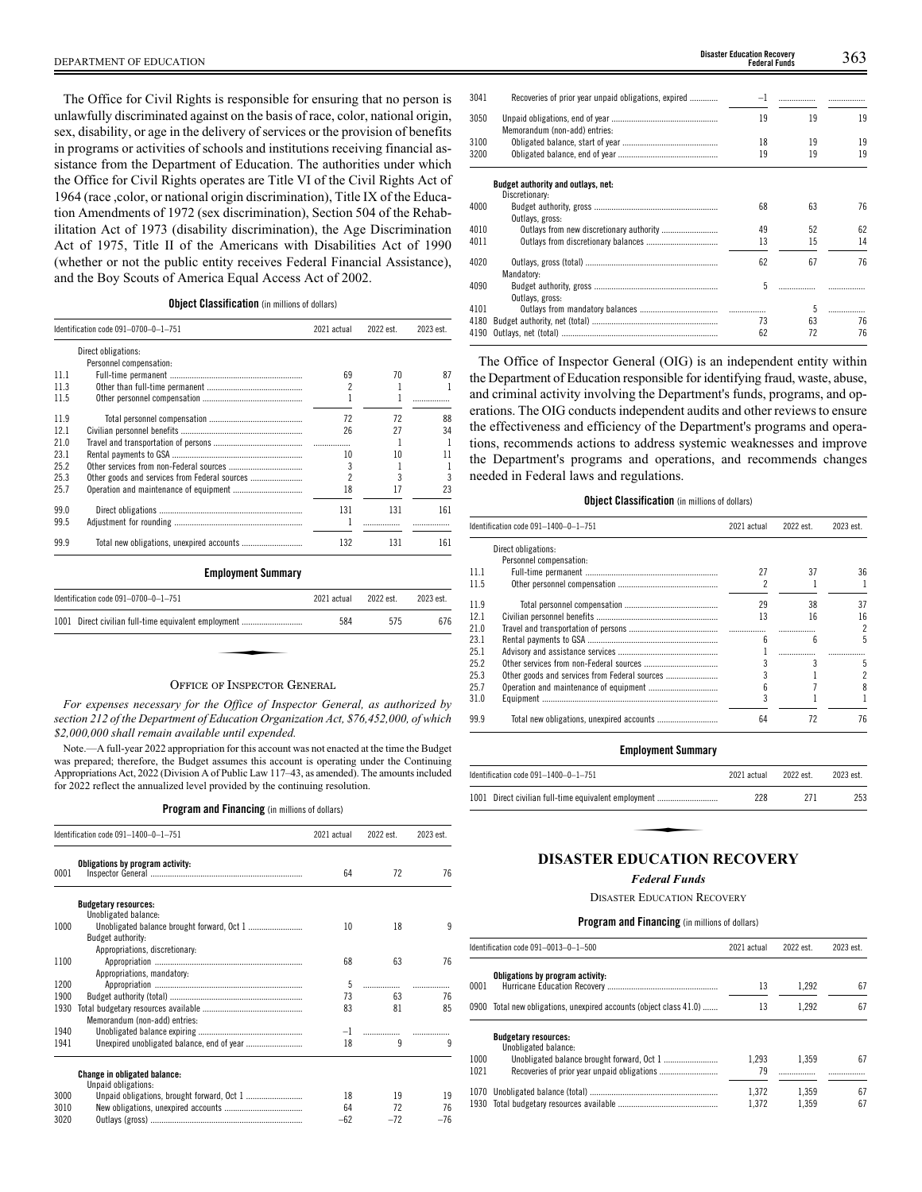The Office for Civil Rights is responsible for ensuring that no person is unlawfully discriminated against on the basis of race, color, national origin, sex, disability, or age in the delivery of services or the provision of benefits in programs or activities of schools and institutions receiving financial assistance from the Department of Education. The authorities under which the Office for Civil Rights operates are Title VI of the Civil Rights Act of 1964 (race ,color, or national origin discrimination), Title IX of the Education Amendments of 1972 (sex discrimination), Section 504 of the Rehabilitation Act of 1973 (disability discrimination), the Age Discrimination Act of 1975, Title II of the Americans with Disabilities Act of 1990 (whether or not the public entity receives Federal Financial Assistance), and the Boy Scouts of America Equal Access Act of 2002.

## **Object Classification** (in millions of dollars)

|      | Identification code 091-0700-0-1-751          | 2021 actual | 2022 est. | 2023 est. |
|------|-----------------------------------------------|-------------|-----------|-----------|
|      | Direct obligations:                           |             |           |           |
|      | Personnel compensation:                       |             |           |           |
| 111  |                                               | 69          | 70        | 87        |
| 11.3 |                                               |             |           |           |
| 11.5 |                                               |             |           |           |
| 11.9 |                                               | 72          | 72        | 88        |
| 121  |                                               | 26          | 27        | 34        |
| 210  |                                               |             |           |           |
| 231  |                                               | 10          | 10        | 11        |
| 252  |                                               |             |           |           |
| 253  | Other goods and services from Federal sources |             |           | 3         |
| 25.7 |                                               | 18          | 17        | 23        |
| 99.0 |                                               | 131         | 131       | 161       |
| 99.5 |                                               |             |           |           |
| 99.9 |                                               | 132         | 131       | 161       |

#### **Employment Summary**

| Identification code 091-0700-0-1-751                 | 2021 actual | 2022 est. | 2023 est. |
|------------------------------------------------------|-------------|-----------|-----------|
| 1001 Direct civilian full-time equivalent employment | 584         | 575       | 676       |
|                                                      |             |           |           |
| $Q_{\text{max}} = -1$                                |             |           |           |

# OFFICE OF INSPECTOR GENERAL

*For expenses necessary for the Office of Inspector General, as authorized by section 212 of the Department of Education Organization Act, \$76,452,000, of which \$2,000,000 shall remain available until expended.*

Note.—A full-year 2022 appropriation for this account was not enacted at the time the Budget was prepared; therefore, the Budget assumes this account is operating under the Continuing Appropriations Act, 2022 (Division A of Public Law 117–43, as amended). The amounts included for 2022 reflect the annualized level provided by the continuing resolution.

**Program and Financing** (in millions of dollars)

|      | Identification code 091-1400-0-1-751 | 2021 actual | 2022 est. | 2023 est. |
|------|--------------------------------------|-------------|-----------|-----------|
| 0001 | Obligations by program activity:     | 64          | 72        | 76        |
|      | <b>Budgetary resources:</b>          |             |           |           |
|      | Unobligated balance:                 |             |           |           |
| 1000 |                                      | 10          | 18        | 9         |
|      | Budget authority:                    |             |           |           |
| 1100 | Appropriations, discretionary:       | 68          | 63        | 76        |
|      | Appropriations, mandatory:           |             |           |           |
| 1200 |                                      | 5           |           |           |
| 1900 |                                      | 73          | 63        | 76        |
| 1930 |                                      | 83          | 81        | 85        |
|      | Memorandum (non-add) entries:        |             |           |           |
| 1940 |                                      | $-1$        |           |           |
| 1941 |                                      | 18          | 9         | 9         |
|      |                                      |             |           |           |
|      | <b>Change in obligated balance:</b>  |             |           |           |
| 3000 | Unpaid obligations:                  | 18          | 19        | 19        |
| 3010 |                                      | 64          | 72        | 76        |
| 3020 |                                      | $-62$       | $-72$     | $-76$     |
|      |                                      |             |           |           |

| Recoveries of prior year unpaid obligations, expired | $-1$                                             |    |    |
|------------------------------------------------------|--------------------------------------------------|----|----|
|                                                      | 19                                               | 19 | 19 |
|                                                      | 18                                               | 19 | 19 |
|                                                      | 19                                               | 19 | 19 |
| Budget authority and outlays, net:<br>Discretionary: |                                                  |    |    |
|                                                      | 68                                               | 63 | 76 |
|                                                      | 49                                               | 52 | 62 |
|                                                      | 13                                               | 15 | 14 |
| Mandatory:                                           | 62                                               | 67 | 76 |
| Outlays, gross:                                      | 5                                                |    |    |
|                                                      |                                                  | 5  |    |
|                                                      | 73                                               | 63 | 76 |
| 4190                                                 | 62                                               | 72 | 76 |
|                                                      | Memorandum (non-add) entries:<br>Outlays, gross: |    |    |

The Office of Inspector General (OIG) is an independent entity within the Department of Education responsible for identifying fraud, waste, abuse, and criminal activity involving the Department's funds, programs, and operations. The OIG conducts independent audits and other reviews to ensure the effectiveness and efficiency of the Department's programs and operations, recommends actions to address systemic weaknesses and improve the Department's programs and operations, and recommends changes needed in Federal laws and regulations.

## **Object Classification** (in millions of dollars)

|      | Identification code 091-1400-0-1-751 | 2021 actual | 2022 est. | 2023 est.      |
|------|--------------------------------------|-------------|-----------|----------------|
|      | Direct obligations:                  |             |           |                |
|      | Personnel compensation:              |             |           |                |
| 11.1 |                                      | 27          | 37        | 36             |
| 11.5 |                                      |             |           |                |
| 11.9 |                                      | 29          | 38        | 37             |
| 12.1 |                                      | 13          | 16        | 16             |
| 210  |                                      |             |           | $\mathfrak{p}$ |
| 231  |                                      | հ           | հ         | 5              |
| 25.1 |                                      |             |           |                |
| 25.2 |                                      |             |           | 5              |
| 25.3 |                                      |             |           |                |
| 25.7 |                                      |             |           |                |
| 31.0 |                                      |             |           |                |
| 99.9 |                                      | 64          | 72        | 76             |

#### **Employment Summary**

| ldentification code 091-1400-0-1-751                   | 2021 actual | 2022 est. | 2023 est. |
|--------------------------------------------------------|-------------|-----------|-----------|
| 1001   Direct civilian full-time equivalent employment | 228         | 271       | 253       |
|                                                        |             |           |           |
| DISASTER EDHCATION RECOVERY                            |             |           |           |

#### **DISASTER EDUCATION RECOVERY**

# *Federal Funds*

DISASTER EDUCATION RECOVERY

|              | Identification code 091-0013-0-1-500                               | 2021 actual    | 2022 est.      | 2023 est. |
|--------------|--------------------------------------------------------------------|----------------|----------------|-----------|
| 0001         | Obligations by program activity:                                   | 13             | 1.292          | 67        |
|              | 0900 Total new obligations, unexpired accounts (object class 41.0) | 13             | 1.292          | 67        |
|              | <b>Budgetary resources:</b><br>Unobligated balance:                |                |                |           |
| 1000<br>1021 |                                                                    | 1.293<br>79    | 1.359          | 67        |
|              |                                                                    | 1.372<br>1.372 | 1.359<br>1.359 | 67<br>67  |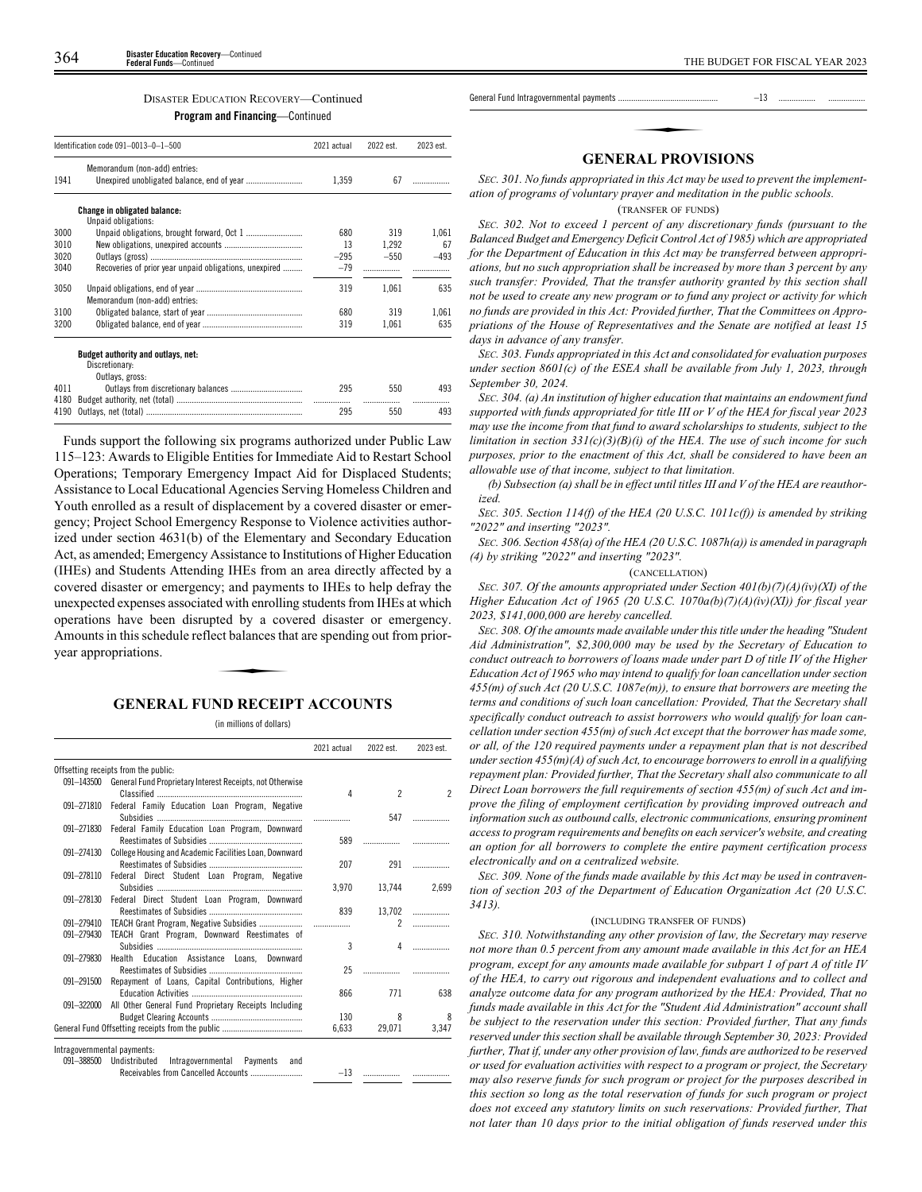# DISASTER EDUCATION RECOVERY—Continued

**Program and Financing**—Continued

| Identification code 091-0013-0-1-500 |                                                        | 2021 actual | 2022 est. | 2023 est. |
|--------------------------------------|--------------------------------------------------------|-------------|-----------|-----------|
|                                      | Memorandum (non-add) entries:                          |             |           |           |
| 1941                                 |                                                        | 1,359       | 67        | .         |
|                                      | <b>Change in obligated balance:</b>                    |             |           |           |
|                                      | Unpaid obligations:                                    |             |           |           |
| 3000                                 |                                                        | 680         | 319       | 1.061     |
| 3010                                 |                                                        | 13          | 1.292     | 67        |
| 3020                                 |                                                        | $-295$      | $-550$    | $-493$    |
| 3040                                 | Recoveries of prior year unpaid obligations, unexpired | $-79$       |           |           |
| 3050                                 | Memorandum (non-add) entries:                          | 319         | 1.061     | 635       |
| 3100                                 |                                                        | 680         | 319       | 1,061     |
| 3200                                 |                                                        | 319         | 1,061     | 635       |
|                                      | Budget authority and outlays, net:                     |             |           |           |
|                                      | Discretionary:                                         |             |           |           |
|                                      | Outlays, gross:                                        |             |           |           |
| 4011                                 |                                                        | 295         | 550       | 493       |
| 4180                                 |                                                        |             |           |           |
| 4190                                 |                                                        | 295         | 550       | 493       |

Funds support the following six programs authorized under Public Law 115–123: Awards to Eligible Entities for Immediate Aid to Restart School Operations; Temporary Emergency Impact Aid for Displaced Students; Assistance to Local Educational Agencies Serving Homeless Children and Youth enrolled as a result of displacement by a covered disaster or emergency; Project School Emergency Response to Violence activities authorized under section 4631(b) of the Elementary and Secondary Education Act, as amended; Emergency Assistance to Institutions of Higher Education (IHEs) and Students Attending IHEs from an area directly affected by a covered disaster or emergency; and payments to IHEs to help defray the unexpected expenses associated with enrolling students from IHEs at which operations have been disrupted by a covered disaster or emergency.<br>Amounts in this schedule reflect balances that are spending out from prior-<br>year appropriations. Amounts in this schedule reflect balances that are spending out from prioryear appropriations.

# **GENERAL FUND RECEIPT ACCOUNTS**

(in millions of dollars)

|            |                                                           | 2021 actual | 2022 est.      | 2023 est. |
|------------|-----------------------------------------------------------|-------------|----------------|-----------|
|            | Offsetting receipts from the public:                      |             |                |           |
| 091-143500 | General Fund Proprietary Interest Receipts, not Otherwise | 4           | $\mathfrak{p}$ | 2         |
| 091-271810 | Federal Family Education Loan Program, Negative           |             |                |           |
|            |                                                           |             | 547            |           |
| 091-271830 | Federal Family Education Loan Program, Downward           |             |                |           |
|            |                                                           | 589         |                |           |
| 091-274130 | College Housing and Academic Facilities Loan, Downward    | 207         | 291            | .         |
| 091-278110 | Federal Direct Student Loan Program, Negative             |             |                |           |
|            |                                                           | 3.970       | 13,744         | 2,699     |
| 091-278130 | Federal Direct Student Loan Program, Downward             |             |                |           |
| 091-279410 |                                                           | 839         | 13,702<br>2    | .         |
| 091-279430 | TEACH Grant Program, Downward Reestimates of              |             |                |           |
|            |                                                           | 3           | Δ              |           |
| 091-279830 | Health Education Assistance Loans, Downward               |             |                |           |
|            |                                                           | 25          |                |           |
| 091-291500 | Repayment of Loans, Capital Contributions, Higher         |             |                |           |
|            |                                                           | 866         | 771            | 638       |
| 091-322000 | All Other General Fund Proprietary Receipts Including     |             |                |           |
|            |                                                           | 130         | 8              | 8         |
|            |                                                           | 6,633       | 29,071         | 3,347     |

 $-13$ 

091-388500 Undistributed Intragovernmental Payments and Receivables from Cancelled Accounts .

General Fund Intragovernmental payments .............................................. –13 ................. ................. ✦

# **GENERAL PROVISIONS**

*SEC. 301. No funds appropriated in this Act may be used to prevent the implementation of programs of voluntary prayer and meditation in the public schools.*

(TRANSFER OF FUNDS)

*SEC. 302. Not to exceed 1 percent of any discretionary funds (pursuant to the Balanced Budget and Emergency Deficit Control Act of 1985) which are appropriated for the Department of Education in this Act may be transferred between appropriations, but no such appropriation shall be increased by more than 3 percent by any such transfer: Provided, That the transfer authority granted by this section shall not be used to create any new program or to fund any project or activity for which no funds are provided in this Act: Provided further, That the Committees on Appropriations of the House of Representatives and the Senate are notified at least 15 days in advance of any transfer.*

*SEC. 303. Funds appropriated in this Act and consolidated for evaluation purposes under section 8601(c) of the ESEA shall be available from July 1, 2023, through September 30, 2024.*

*SEC. 304. (a) An institution of higher education that maintains an endowment fund supported with funds appropriated for title III or V of the HEA for fiscal year 2023 may use the income from that fund to award scholarships to students, subject to the limitation in section 331(c)(3)(B)(i) of the HEA. The use of such income for such purposes, prior to the enactment of this Act, shall be considered to have been an allowable use of that income, subject to that limitation.*

*(b) Subsection (a) shall be in effect until titles III and V of the HEA are reauthorized.*

*SEC. 305. Section 114(f) of the HEA (20 U.S.C. 1011c(f)) is amended by striking "2022" and inserting "2023".*

*SEC. 306. Section 458(a) of the HEA (20 U.S.C. 1087h(a)) is amended in paragraph (4) by striking "2022" and inserting "2023".*

#### (CANCELLATION)

*SEC. 307. Of the amounts appropriated under Section 401(b)(7)(A)(iv)(XI) of the Higher Education Act of 1965 (20 U.S.C. 1070a(b)(7)(A)(iv)(XI)) for fiscal year 2023, \$141,000,000 are hereby cancelled.*

*SEC. 308. Of the amounts made available under this title under the heading "Student Aid Administration", \$2,300,000 may be used by the Secretary of Education to conduct outreach to borrowers of loans made under part D of title IV of the Higher Education Act of 1965 who may intend to qualify for loan cancellation under section 455(m) of such Act (20 U.S.C. 1087e(m)), to ensure that borrowers are meeting the terms and conditions of such loan cancellation: Provided, That the Secretary shall specifically conduct outreach to assist borrowers who would qualify for loan cancellation under section 455(m) of such Act except that the borrower has made some, or all, of the 120 required payments under a repayment plan that is not described under section 455(m)(A) of such Act, to encourage borrowers to enroll in a qualifying repayment plan: Provided further, That the Secretary shall also communicate to all Direct Loan borrowers the full requirements of section 455(m) of such Act and improve the filing of employment certification by providing improved outreach and information such as outbound calls, electronic communications, ensuring prominent access to program requirements and benefits on each servicer's website, and creating an option for all borrowers to complete the entire payment certification process electronically and on a centralized website.*

*SEC. 309. None of the funds made available by this Act may be used in contravention of section 203 of the Department of Education Organization Act (20 U.S.C. 3413).*

#### (INCLUDING TRANSFER OF FUNDS)

*SEC. 310. Notwithstanding any other provision of law, the Secretary may reserve not more than 0.5 percent from any amount made available in this Act for an HEA program, except for any amounts made available for subpart 1 of part A of title IV of the HEA, to carry out rigorous and independent evaluations and to collect and analyze outcome data for any program authorized by the HEA: Provided, That no funds made available in this Act for the "Student Aid Administration" account shall be subject to the reservation under this section: Provided further, That any funds reserved under this section shall be available through September 30, 2023: Provided further, That if, under any other provision of law, funds are authorized to be reserved or used for evaluation activities with respect to a program or project, the Secretary may also reserve funds for such program or project for the purposes described in this section so long as the total reservation of funds for such program or project does not exceed any statutory limits on such reservations: Provided further, That not later than 10 days prior to the initial obligation of funds reserved under this*